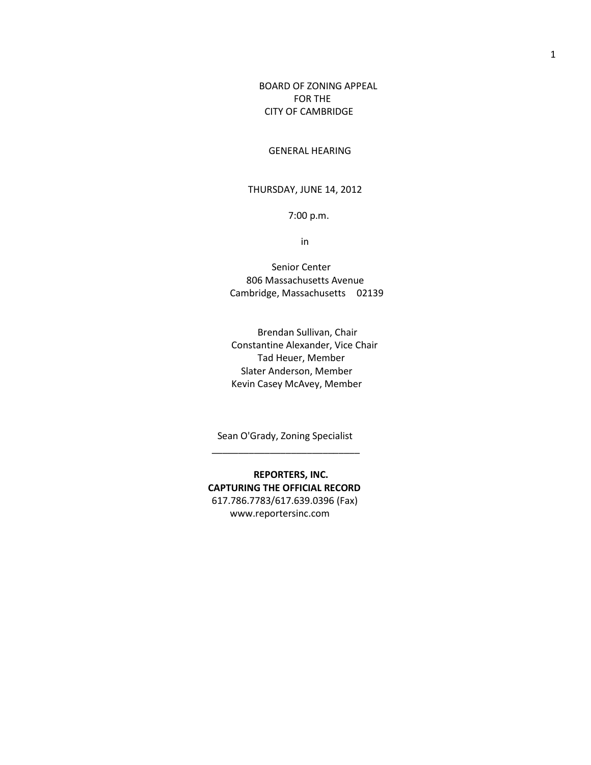BOARD OF ZONING APPEAL FOR THE CITY OF CAMBRIDGE

## GENERAL HEARING

## THURSDAY, JUNE 14, 2012

## 7:00 p.m.

in

Senior Center 806 Massachusetts Avenue Cambridge, Massachusetts 02139

 Brendan Sullivan, Chair Constantine Alexander, Vice Chair Tad Heuer, Member Slater Anderson, Member Kevin Casey McAvey, Member

Sean O'Grady, Zoning Specialist

 $\frac{1}{\sqrt{2}}$  ,  $\frac{1}{\sqrt{2}}$  ,  $\frac{1}{\sqrt{2}}$  ,  $\frac{1}{\sqrt{2}}$  ,  $\frac{1}{\sqrt{2}}$  ,  $\frac{1}{\sqrt{2}}$  ,  $\frac{1}{\sqrt{2}}$  ,  $\frac{1}{\sqrt{2}}$  ,  $\frac{1}{\sqrt{2}}$  ,  $\frac{1}{\sqrt{2}}$  ,  $\frac{1}{\sqrt{2}}$  ,  $\frac{1}{\sqrt{2}}$  ,  $\frac{1}{\sqrt{2}}$  ,  $\frac{1}{\sqrt{2}}$  ,  $\frac{1}{\sqrt{2}}$ 

 **REPORTERS, INC. CAPTURING THE OFFICIAL RECORD** 617.786.7783/617.639.0396 (Fax) www.reportersinc.com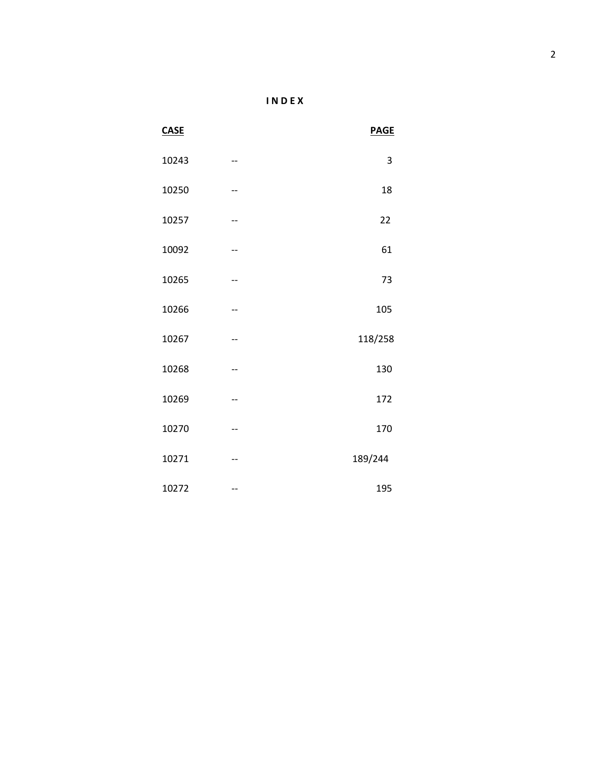| <b>CASE</b> |    | <b>PAGE</b> |
|-------------|----|-------------|
| 10243       | -- | 3           |
| 10250       |    | 18          |
| 10257       | -- | 22          |
| 10092       | -- | 61          |
| 10265       | -- | 73          |
| 10266       | -- | 105         |
| 10267       | -- | 118/258     |
| 10268       | -- | 130         |
| 10269       | -- | 172         |
| 10270       | -- | 170         |
| 10271       | -- | 189/244     |
| 10272       | -- | 195         |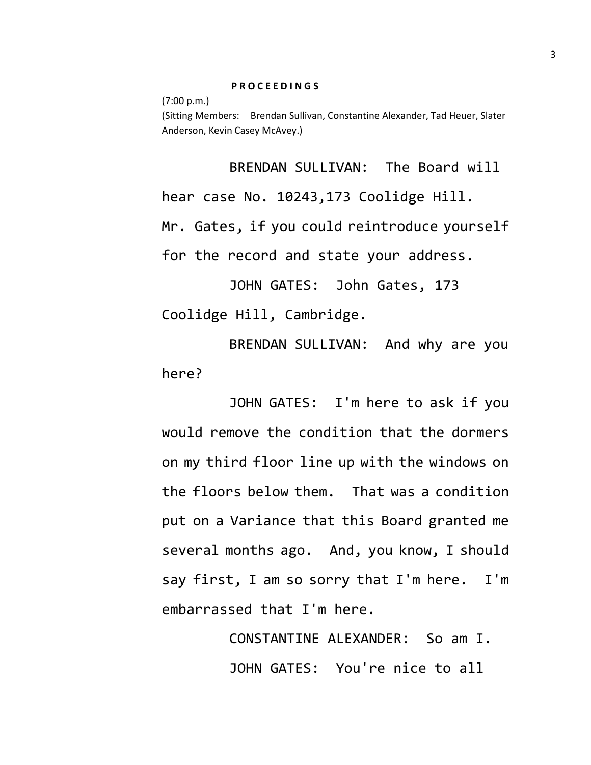(7:00 p.m.) (Sitting Members: Brendan Sullivan, Constantine Alexander, Tad Heuer, Slater Anderson, Kevin Casey McAvey.)

BRENDAN SULLIVAN: The Board will hear case No. 10243,173 Coolidge Hill. Mr. Gates, if you could reintroduce yourself for the record and state your address.

JOHN GATES: John Gates, 173 Coolidge Hill, Cambridge.

BRENDAN SULLIVAN: And why are you here?

JOHN GATES: I'm here to ask if you would remove the condition that the dormers on my third floor line up with the windows on the floors below them. That was a condition put on a Variance that this Board granted me several months ago. And, you know, I should say first, I am so sorry that I'm here. I'm embarrassed that I'm here.

> CONSTANTINE ALEXANDER: So am I. JOHN GATES: You're nice to all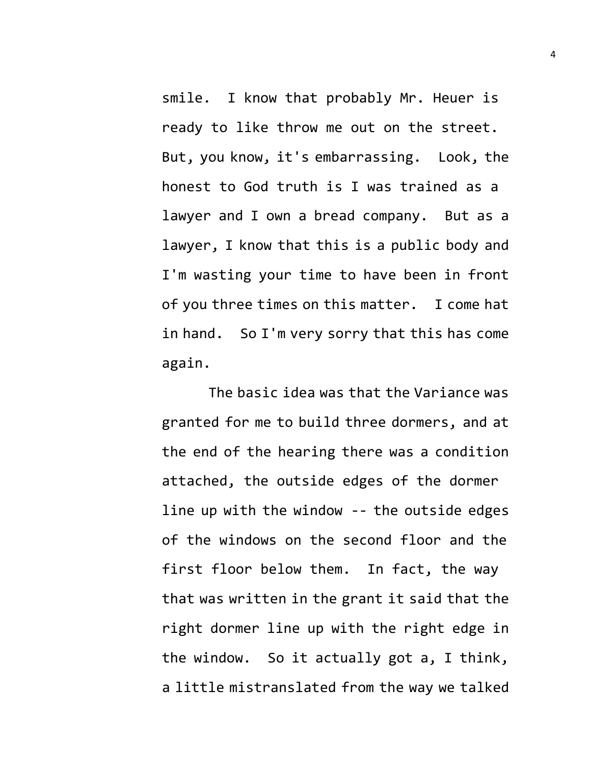smile. I know that probably Mr. Heuer is ready to like throw me out on the street. But, you know, it's embarrassing. Look, the honest to God truth is I was trained as a lawyer and I own a bread company. But as a lawyer, I know that this is a public body and I'm wasting your time to have been in front of you three times on this matter. I come hat in hand. So I'm very sorry that this has come again.

The basic idea was that the Variance was granted for me to build three dormers, and at the end of the hearing there was a condition attached, the outside edges of the dormer line up with the window -- the outside edges of the windows on the second floor and the first floor below them. In fact, the way that was written in the grant it said that the right dormer line up with the right edge in the window. So it actually got a, I think, a little mistranslated from the way we talked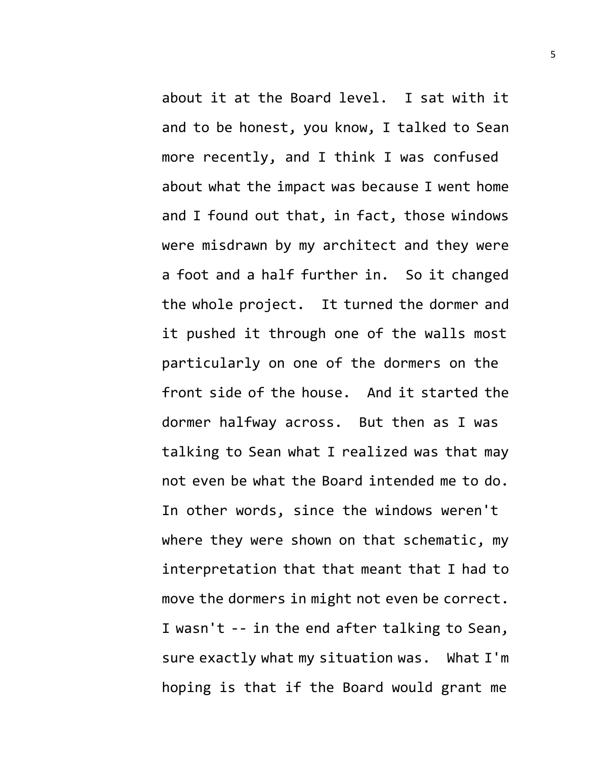about it at the Board level. I sat with it and to be honest, you know, I talked to Sean more recently, and I think I was confused about what the impact was because I went home and I found out that, in fact, those windows were misdrawn by my architect and they were a foot and a half further in. So it changed the whole project. It turned the dormer and it pushed it through one of the walls most particularly on one of the dormers on the front side of the house. And it started the dormer halfway across. But then as I was talking to Sean what I realized was that may not even be what the Board intended me to do. In other words, since the windows weren't where they were shown on that schematic, my interpretation that that meant that I had to move the dormers in might not even be correct. I wasn't -- in the end after talking to Sean, sure exactly what my situation was. What I'm hoping is that if the Board would grant me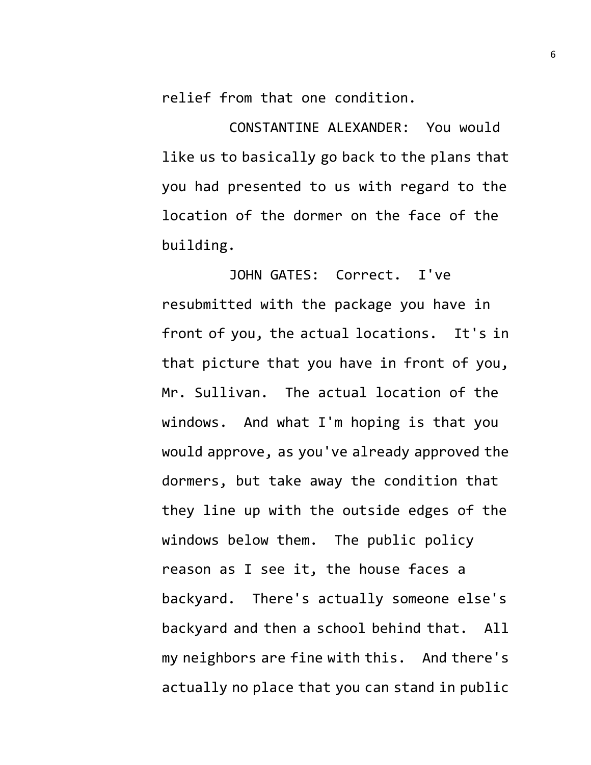relief from that one condition.

CONSTANTINE ALEXANDER: You would like us to basically go back to the plans that you had presented to us with regard to the location of the dormer on the face of the building.

JOHN GATES: Correct. I've resubmitted with the package you have in front of you, the actual locations. It's in that picture that you have in front of you, Mr. Sullivan. The actual location of the windows. And what I'm hoping is that you would approve, as you've already approved the dormers, but take away the condition that they line up with the outside edges of the windows below them. The public policy reason as I see it, the house faces a backyard. There's actually someone else's backyard and then a school behind that. All my neighbors are fine with this. And there's actually no place that you can stand in public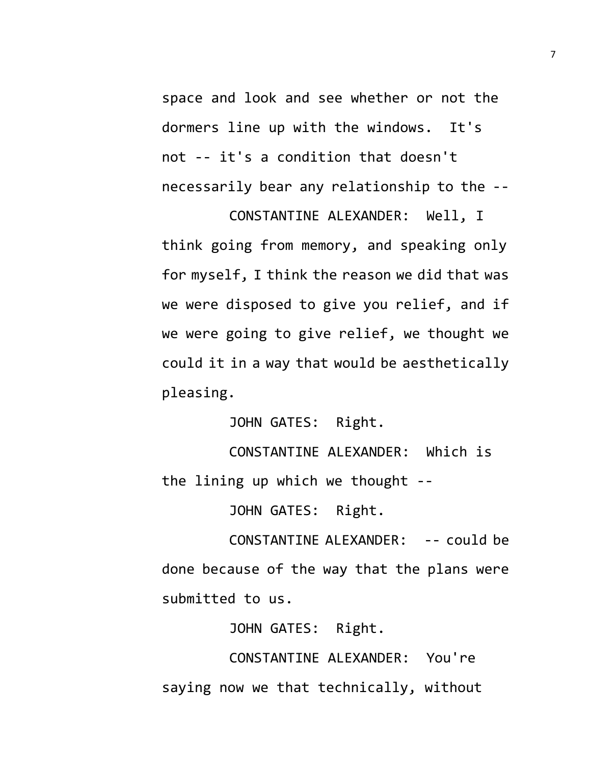space and look and see whether or not the dormers line up with the windows. It's not -- it's a condition that doesn't necessarily bear any relationship to the --

CONSTANTINE ALEXANDER: Well, I think going from memory, and speaking only for myself, I think the reason we did that was we were disposed to give you relief, and if we were going to give relief, we thought we could it in a way that would be aesthetically pleasing.

JOHN GATES: Right.

CONSTANTINE ALEXANDER: Which is the lining up which we thought --

JOHN GATES: Right.

CONSTANTINE ALEXANDER: -- could be done because of the way that the plans were submitted to us.

JOHN GATES: Right.

CONSTANTINE ALEXANDER: You're saying now we that technically, without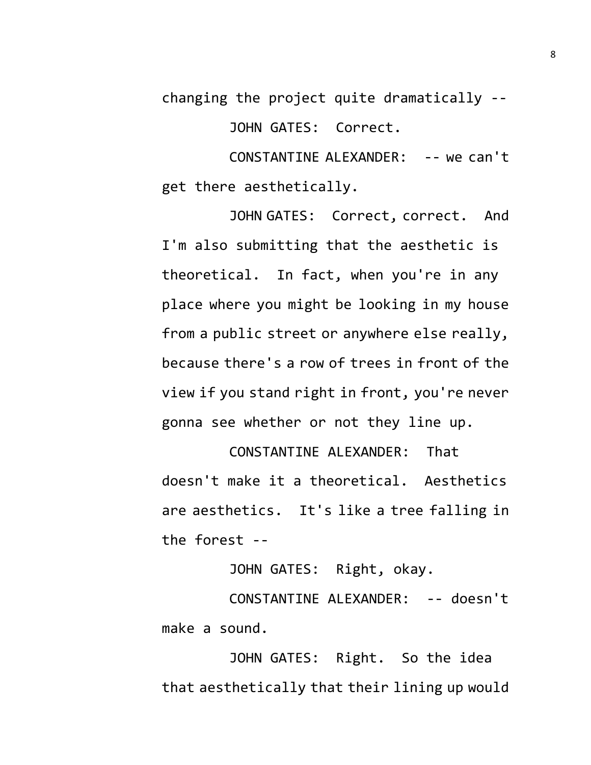changing the project quite dramatically --

JOHN GATES: Correct.

CONSTANTINE ALEXANDER: -- we can't get there aesthetically.

JOHN GATES: Correct, correct. And I'm also submitting that the aesthetic is theoretical. In fact, when you're in any place where you might be looking in my house from a public street or anywhere else really, because there's a row of trees in front of the view if you stand right in front, you're never gonna see whether or not they line up.

CONSTANTINE ALEXANDER: That doesn't make it a theoretical. Aesthetics are aesthetics. It's like a tree falling in the forest --

JOHN GATES: Right, okay.

CONSTANTINE ALEXANDER: -- doesn't make a sound.

JOHN GATES: Right. So the idea that aesthetically that their lining up would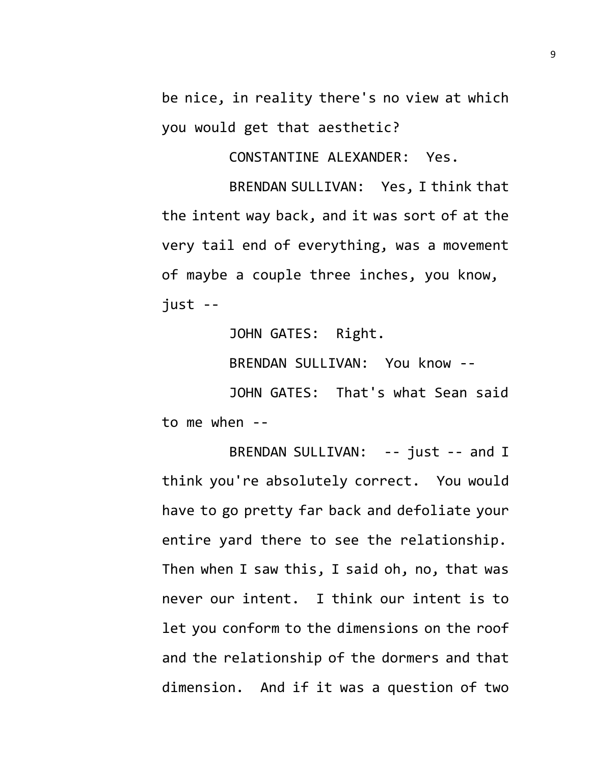be nice, in reality there's no view at which you would get that aesthetic?

CONSTANTINE ALEXANDER: Yes.

BRENDAN SULLIVAN: Yes, I think that the intent way back, and it was sort of at the very tail end of everything, was a movement of maybe a couple three inches, you know, just --

JOHN GATES: Right.

BRENDAN SULLIVAN: You know --

JOHN GATES: That's what Sean said to me when --

BRENDAN SULLIVAN: -- just -- and I think you're absolutely correct. You would have to go pretty far back and defoliate your entire yard there to see the relationship. Then when I saw this, I said oh, no, that was never our intent. I think our intent is to let you conform to the dimensions on the roof and the relationship of the dormers and that dimension. And if it was a question of two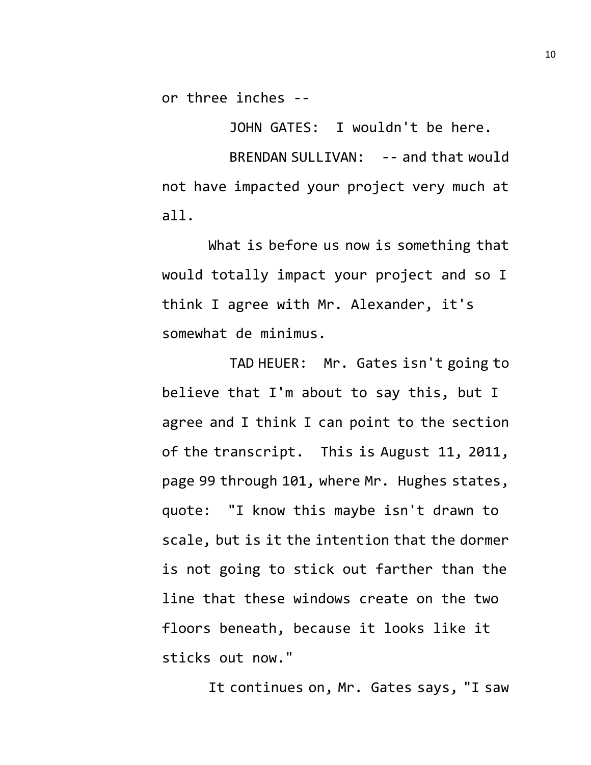or three inches --

JOHN GATES: I wouldn't be here.

BRENDAN SULLIVAN: -- and that would not have impacted your project very much at all.

What is before us now is something that would totally impact your project and so I think I agree with Mr. Alexander, it's somewhat de minimus.

TAD HEUER: Mr. Gates isn't going to believe that I'm about to say this, but I agree and I think I can point to the section of the transcript. This is August 11, 2011, page 99 through 101, where Mr. Hughes states, quote: "I know this maybe isn't drawn to scale, but is it the intention that the dormer is not going to stick out farther than the line that these windows create on the two floors beneath, because it looks like it sticks out now."

It continues on, Mr. Gates says, "I saw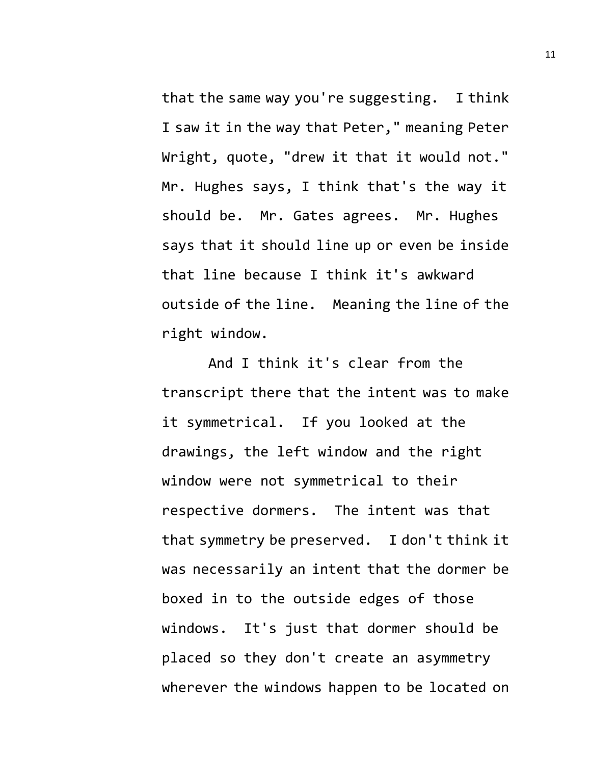that the same way you're suggesting. I think I saw it in the way that Peter," meaning Peter Wright, quote, "drew it that it would not." Mr. Hughes says, I think that's the way it should be. Mr. Gates agrees. Mr. Hughes says that it should line up or even be inside that line because I think it's awkward outside of the line. Meaning the line of the right window.

And I think it's clear from the transcript there that the intent was to make it symmetrical. If you looked at the drawings, the left window and the right window were not symmetrical to their respective dormers. The intent was that that symmetry be preserved. I don't think it was necessarily an intent that the dormer be boxed in to the outside edges of those windows. It's just that dormer should be placed so they don't create an asymmetry wherever the windows happen to be located on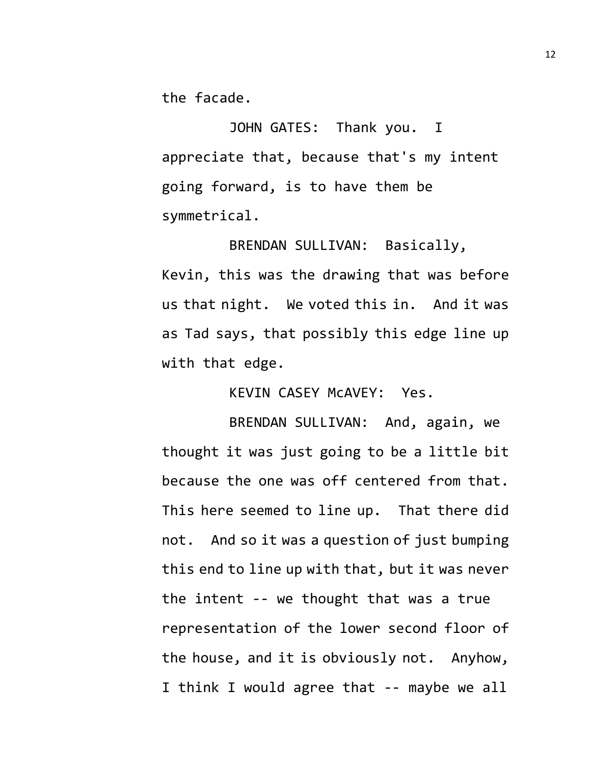the facade.

JOHN GATES: Thank you. I appreciate that, because that's my intent going forward, is to have them be symmetrical.

BRENDAN SULLIVAN: Basically, Kevin, this was the drawing that was before us that night. We voted this in. And it was as Tad says, that possibly this edge line up with that edge.

KEVIN CASEY McAVEY: Yes.

BRENDAN SULLIVAN: And, again, we thought it was just going to be a little bit because the one was off centered from that. This here seemed to line up. That there did not. And so it was a question of just bumping this end to line up with that, but it was never the intent -- we thought that was a true representation of the lower second floor of the house, and it is obviously not. Anyhow, I think I would agree that -- maybe we all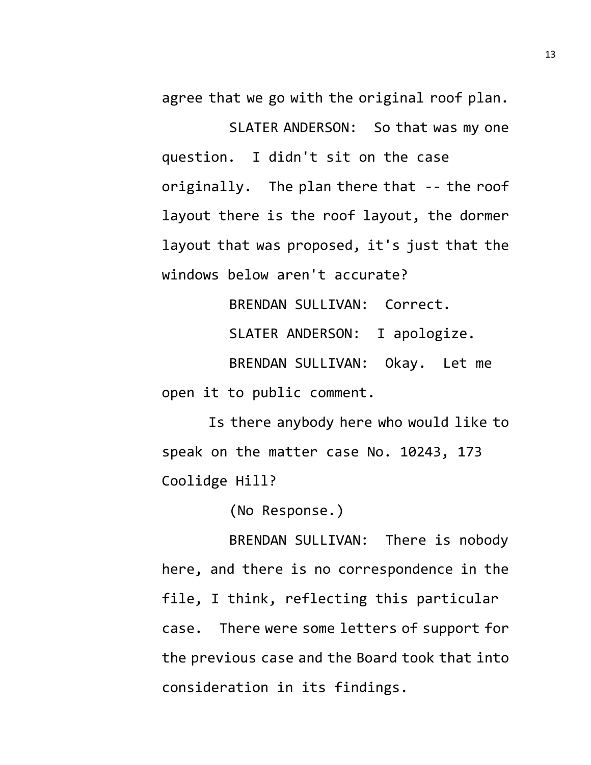agree that we go with the original roof plan.

SLATER ANDERSON: So that was my one question. I didn't sit on the case originally. The plan there that -- the roof layout there is the roof layout, the dormer layout that was proposed, it's just that the windows below aren't accurate?

BRENDAN SULLIVAN: Correct.

SLATER ANDERSON: I apologize.

BRENDAN SULLIVAN: Okay. Let me open it to public comment.

Is there anybody here who would like to speak on the matter case No. 10243, 173 Coolidge Hill?

(No Response.)

BRENDAN SULLIVAN: There is nobody here, and there is no correspondence in the file, I think, reflecting this particular case. There were some letters of support for the previous case and the Board took that into consideration in its findings.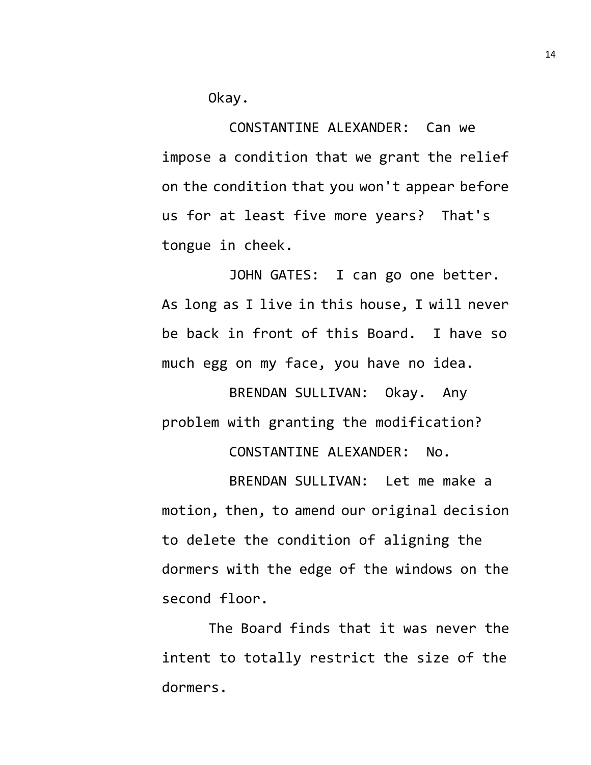Okay.

CONSTANTINE ALEXANDER: Can we impose a condition that we grant the relief on the condition that you won't appear before us for at least five more years? That's tongue in cheek.

JOHN GATES: I can go one better. As long as I live in this house, I will never be back in front of this Board. I have so much egg on my face, you have no idea.

BRENDAN SULLIVAN: Okay. Any problem with granting the modification?

CONSTANTINE ALEXANDER: No.

BRENDAN SULLIVAN: Let me make a motion, then, to amend our original decision to delete the condition of aligning the dormers with the edge of the windows on the second floor.

The Board finds that it was never the intent to totally restrict the size of the dormers.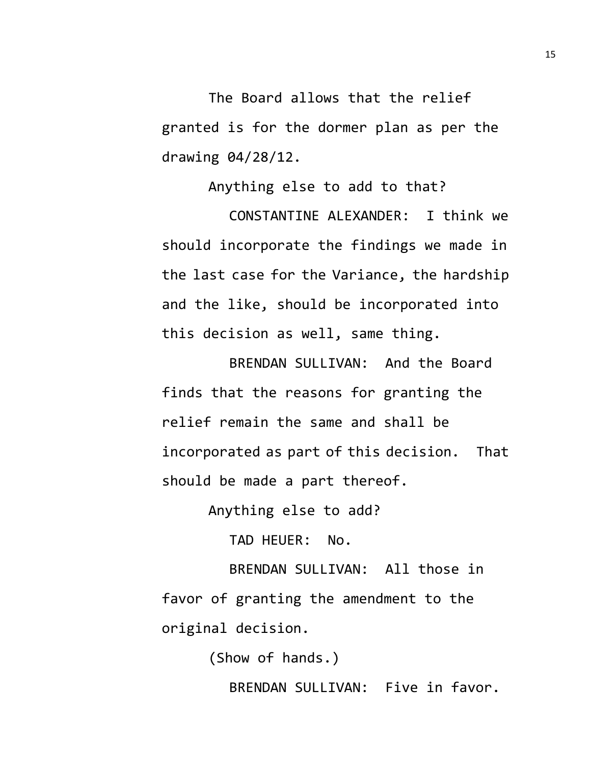The Board allows that the relief granted is for the dormer plan as per the drawing 04/28/12.

Anything else to add to that? CONSTANTINE ALEXANDER: I think we should incorporate the findings we made in the last case for the Variance, the hardship and the like, should be incorporated into this decision as well, same thing.

BRENDAN SULLIVAN: And the Board finds that the reasons for granting the relief remain the same and shall be incorporated as part of this decision. That should be made a part thereof.

Anything else to add?

TAD HEUER: No.

BRENDAN SULLIVAN: All those in favor of granting the amendment to the original decision.

(Show of hands.)

BRENDAN SULLIVAN: Five in favor.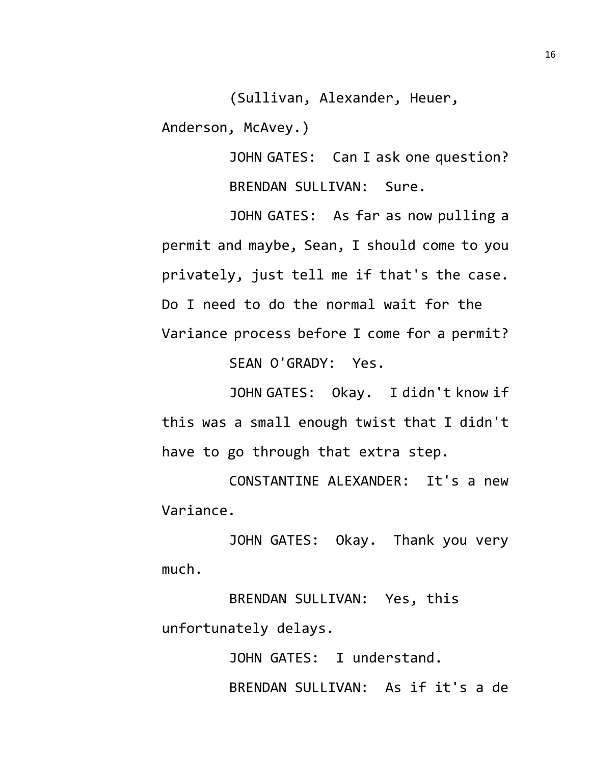(Sullivan, Alexander, Heuer,

Anderson, McAvey.)

JOHN GATES: Can I ask one question? BRENDAN SULLIVAN: Sure.

JOHN GATES: As far as now pulling a permit and maybe, Sean, I should come to you privately, just tell me if that's the case. Do I need to do the normal wait for the Variance process before I come for a permit?

SEAN O'GRADY: Yes.

JOHN GATES: Okay. I didn't know if this was a small enough twist that I didn't have to go through that extra step.

CONSTANTINE ALEXANDER: It's a new Variance.

JOHN GATES: Okay. Thank you very much.

BRENDAN SULLIVAN: Yes, this unfortunately delays.

> JOHN GATES: I understand. BRENDAN SULLIVAN: As if it's a de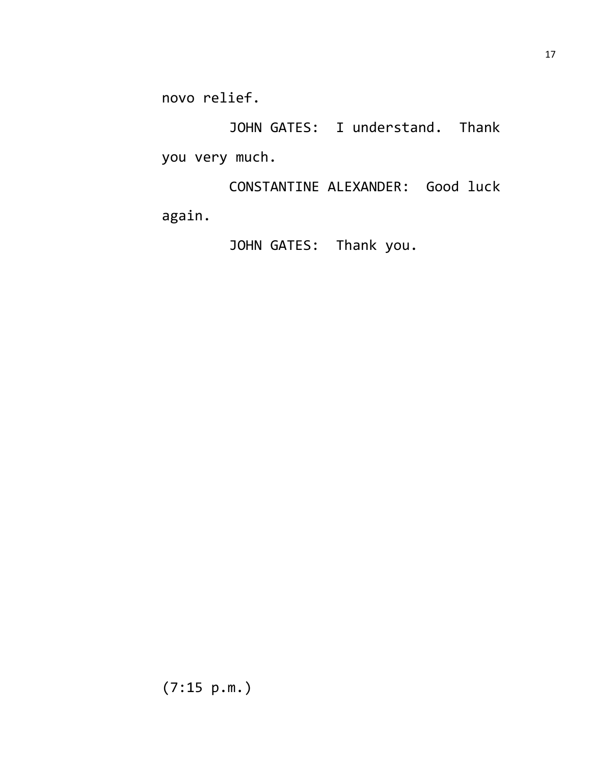novo relief.

JOHN GATES: I understand. Thank you very much.

CONSTANTINE ALEXANDER: Good luck again.

JOHN GATES: Thank you.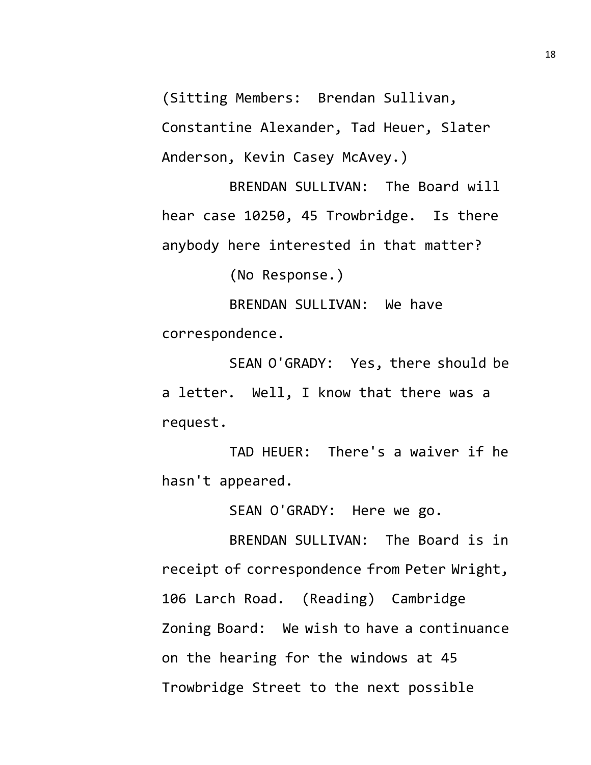(Sitting Members: Brendan Sullivan,

Constantine Alexander, Tad Heuer, Slater Anderson, Kevin Casey McAvey.)

BRENDAN SULLIVAN: The Board will hear case 10250, 45 Trowbridge. Is there anybody here interested in that matter?

(No Response.)

BRENDAN SULLIVAN: We have correspondence.

SEAN O'GRADY: Yes, there should be a letter. Well, I know that there was a request.

TAD HEUER: There's a waiver if he hasn't appeared.

SEAN O'GRADY: Here we go.

BRENDAN SULLIVAN: The Board is in receipt of correspondence from Peter Wright, 106 Larch Road. (Reading) Cambridge Zoning Board: We wish to have a continuance on the hearing for the windows at 45 Trowbridge Street to the next possible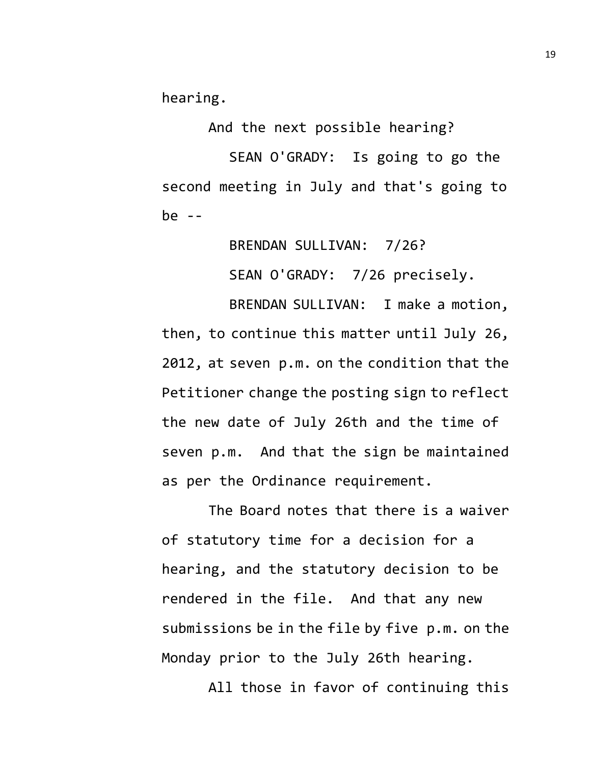hearing.

And the next possible hearing?

SEAN O'GRADY: Is going to go the second meeting in July and that's going to be  $-$ 

BRENDAN SULLIVAN: 7/26?

SEAN O'GRADY: 7/26 precisely.

BRENDAN SULLIVAN: I make a motion, then, to continue this matter until July 26, 2012, at seven p.m. on the condition that the Petitioner change the posting sign to reflect the new date of July 26th and the time of seven p.m. And that the sign be maintained as per the Ordinance requirement.

The Board notes that there is a waiver of statutory time for a decision for a hearing, and the statutory decision to be rendered in the file. And that any new submissions be in the file by five p.m. on the Monday prior to the July 26th hearing.

All those in favor of continuing this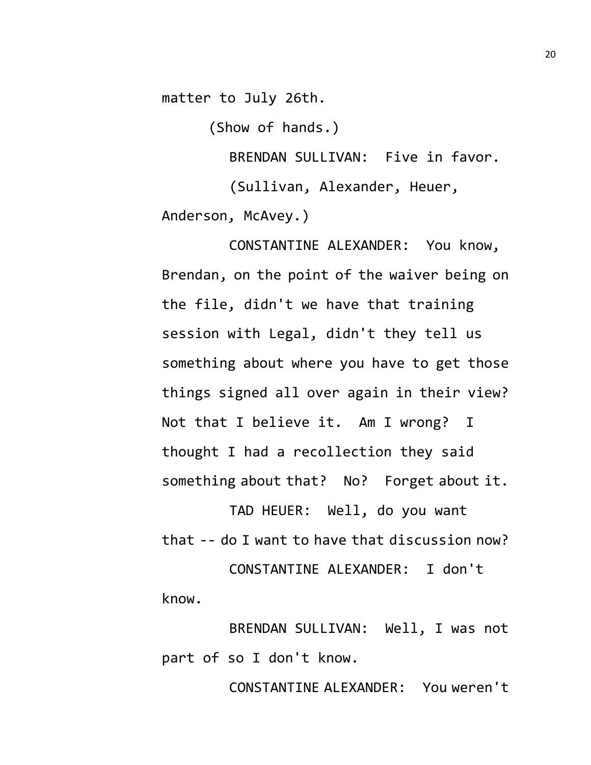matter to July 26th.

(Show of hands.)

BRENDAN SULLIVAN: Five in favor. (Sullivan, Alexander, Heuer, Anderson, McAvey.)

CONSTANTINE ALEXANDER: You know, Brendan, on the point of the waiver being on the file, didn't we have that training session with Legal, didn't they tell us something about where you have to get those things signed all over again in their view? Not that I believe it. Am I wrong? I thought I had a recollection they said something about that? No? Forget about it.

TAD HEUER: Well, do you want that -- do I want to have that discussion now?

CONSTANTINE ALEXANDER: I don't know.

BRENDAN SULLIVAN: Well, I was not part of so I don't know.

CONSTANTINE ALEXANDER: You weren't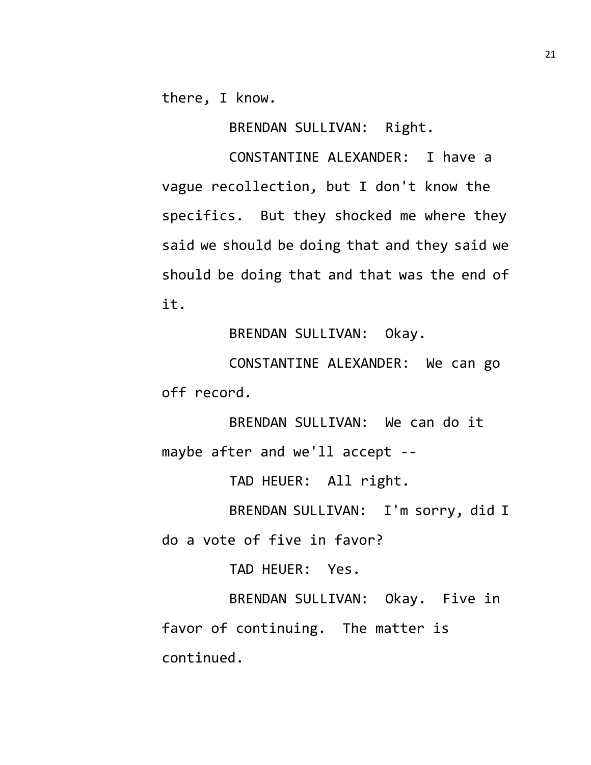there, I know.

BRENDAN SULLIVAN: Right.

CONSTANTINE ALEXANDER: I have a vague recollection, but I don't know the specifics. But they shocked me where they said we should be doing that and they said we should be doing that and that was the end of it.

BRENDAN SULLIVAN: Okay.

CONSTANTINE ALEXANDER: We can go off record.

BRENDAN SULLIVAN: We can do it maybe after and we'll accept --

TAD HEUER: All right.

BRENDAN SULLIVAN: I'm sorry, did I do a vote of five in favor?

TAD HEUER: Yes.

BRENDAN SULLIVAN: Okay. Five in favor of continuing. The matter is continued.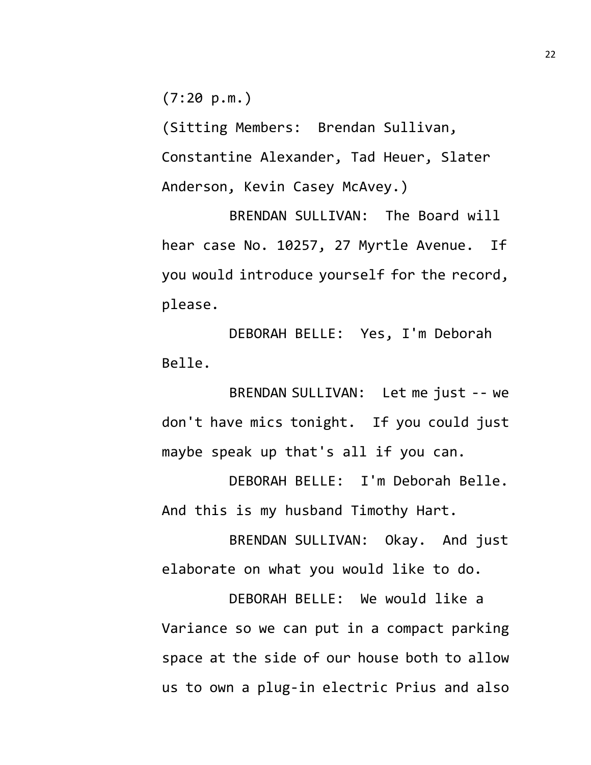$(7:20 \text{ p.m.})$ 

(Sitting Members: Brendan Sullivan, Constantine Alexander, Tad Heuer, Slater Anderson, Kevin Casey McAvey.)

BRENDAN SULLIVAN: The Board will hear case No. 10257, 27 Myrtle Avenue. If you would introduce yourself for the record, please.

DEBORAH BELLE: Yes, I'm Deborah Belle.

BRENDAN SULLIVAN: Let me just -- we don't have mics tonight. If you could just maybe speak up that's all if you can.

DEBORAH BELLE: I'm Deborah Belle. And this is my husband Timothy Hart.

BRENDAN SULLIVAN: Okay. And just elaborate on what you would like to do.

DEBORAH BELLE: We would like a Variance so we can put in a compact parking space at the side of our house both to allow us to own a plug-in electric Prius and also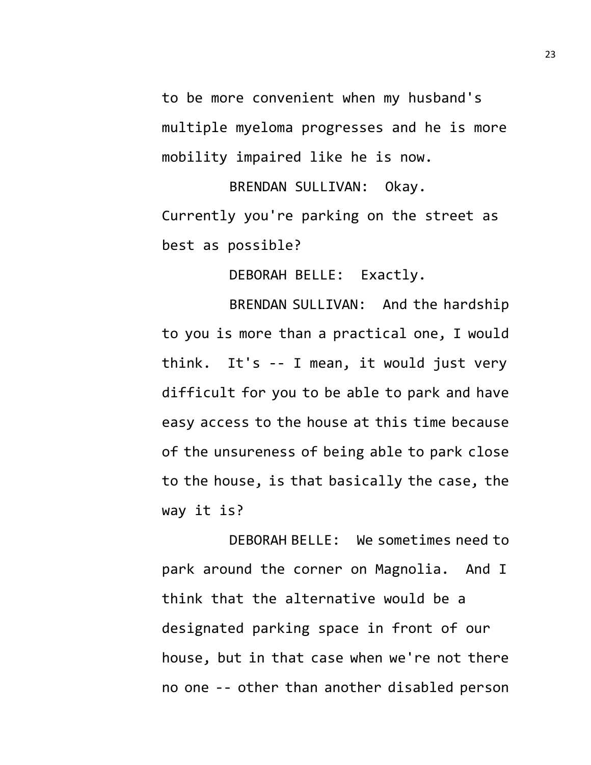to be more convenient when my husband's multiple myeloma progresses and he is more mobility impaired like he is now.

BRENDAN SULLIVAN: Okay. Currently you're parking on the street as best as possible?

DEBORAH BELLE: Exactly.

BRENDAN SULLIVAN: And the hardship to you is more than a practical one, I would think. It's -- I mean, it would just very difficult for you to be able to park and have easy access to the house at this time because of the unsureness of being able to park close to the house, is that basically the case, the way it is?

DEBORAH BELLE: We sometimes need to park around the corner on Magnolia. And I think that the alternative would be a designated parking space in front of our house, but in that case when we're not there no one -- other than another disabled person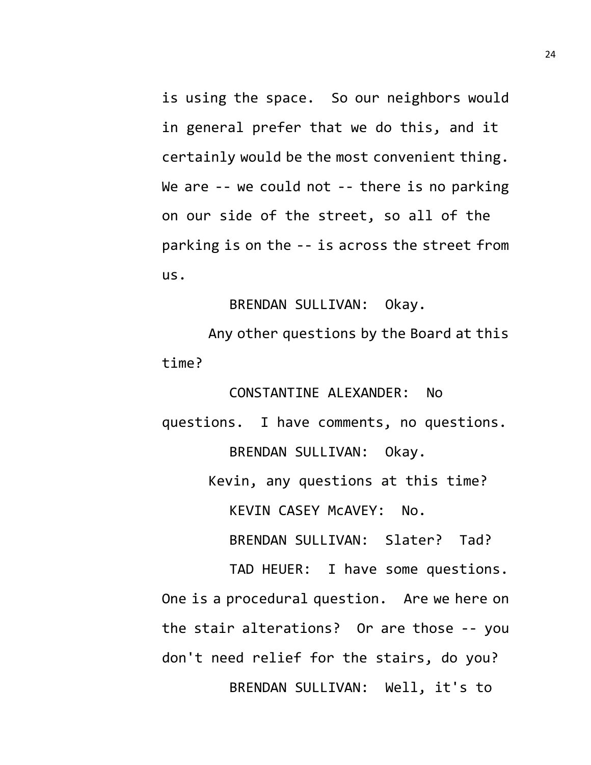is using the space. So our neighbors would in general prefer that we do this, and it certainly would be the most convenient thing. We are -- we could not -- there is no parking on our side of the street, so all of the parking is on the -- is across the street from us.

BRENDAN SULLIVAN: Okay.

Any other questions by the Board at this time?

CONSTANTINE ALEXANDER: No questions. I have comments, no questions. BRENDAN SULLIVAN: Okay.

Kevin, any questions at this time?

KEVIN CASEY McAVEY: No.

BRENDAN SULLIVAN: Slater? Tad?

TAD HEUER: I have some questions. One is a procedural question. Are we here on the stair alterations? Or are those -- you don't need relief for the stairs, do you? BRENDAN SULLIVAN: Well, it's to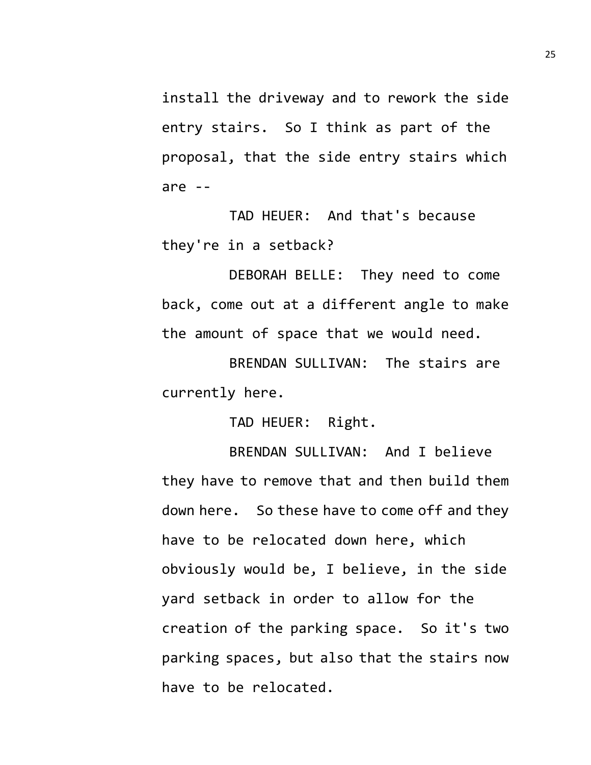install the driveway and to rework the side entry stairs. So I think as part of the proposal, that the side entry stairs which are --

TAD HEUER: And that's because they're in a setback?

DEBORAH BELLE: They need to come back, come out at a different angle to make the amount of space that we would need.

BRENDAN SULLIVAN: The stairs are currently here.

TAD HEUER: Right.

BRENDAN SULLIVAN: And I believe they have to remove that and then build them down here. So these have to come off and they have to be relocated down here, which obviously would be, I believe, in the side yard setback in order to allow for the creation of the parking space. So it's two parking spaces, but also that the stairs now have to be relocated.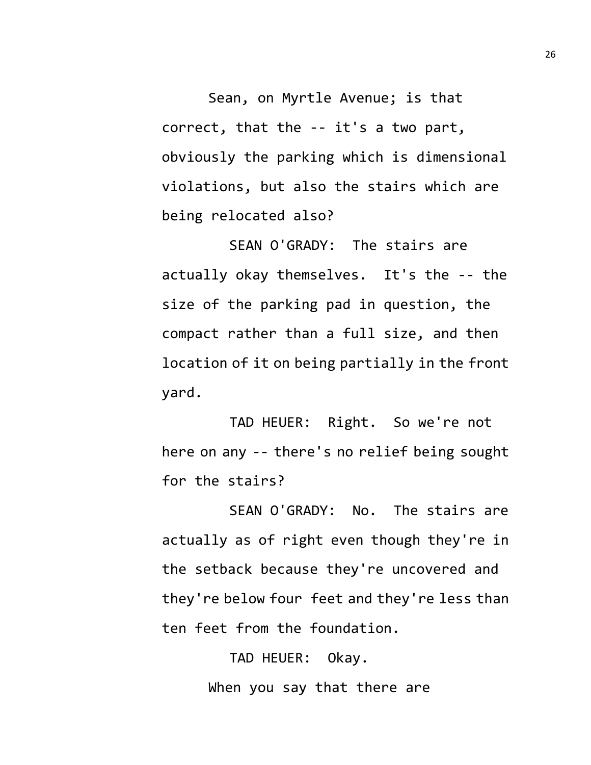Sean, on Myrtle Avenue; is that correct, that the -- it's a two part, obviously the parking which is dimensional violations, but also the stairs which are being relocated also?

SEAN O'GRADY: The stairs are actually okay themselves. It's the -- the size of the parking pad in question, the compact rather than a full size, and then location of it on being partially in the front yard.

TAD HEUER: Right. So we're not here on any -- there's no relief being sought for the stairs?

SEAN O'GRADY: No. The stairs are actually as of right even though they're in the setback because they're uncovered and they're below four feet and they're less than ten feet from the foundation.

> TAD HEUER: Okay. When you say that there are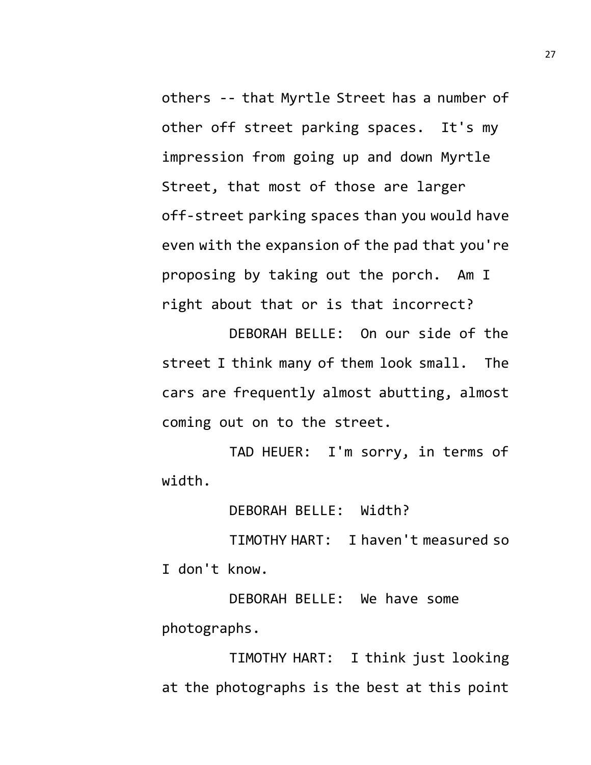others -- that Myrtle Street has a number of other off street parking spaces. It's my impression from going up and down Myrtle Street, that most of those are larger off-street parking spaces than you would have even with the expansion of the pad that you're proposing by taking out the porch. Am I right about that or is that incorrect?

DEBORAH BELLE: On our side of the street I think many of them look small. The cars are frequently almost abutting, almost coming out on to the street.

TAD HEUER: I'm sorry, in terms of width.

DEBORAH BELLE: Width?

TIMOTHY HART: I haven't measured so I don't know.

DEBORAH BELLE: We have some photographs.

TIMOTHY HART: I think just looking at the photographs is the best at this point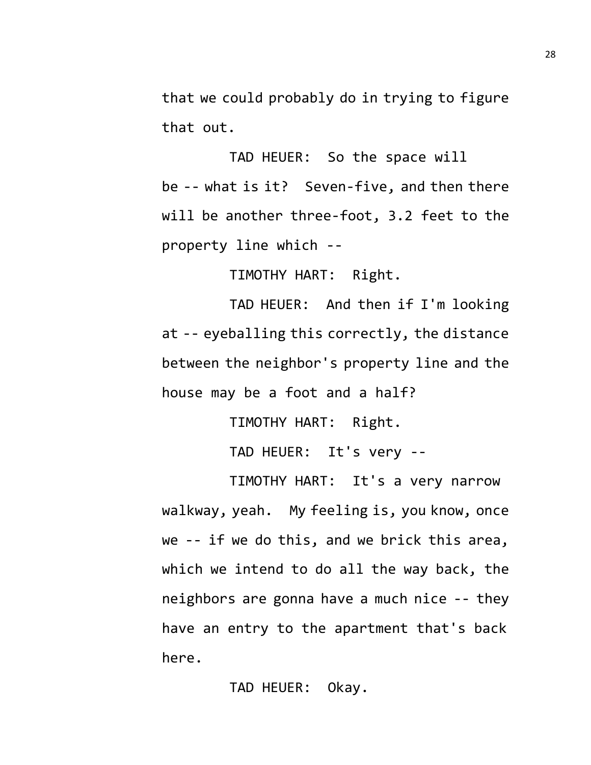that we could probably do in trying to figure that out.

TAD HEUER: So the space will be -- what is it? Seven-five, and then there will be another three-foot, 3.2 feet to the property line which --

TIMOTHY HART: Right.

TAD HEUER: And then if I'm looking at -- eyeballing this correctly, the distance between the neighbor's property line and the house may be a foot and a half?

TIMOTHY HART: Right.

TAD HEUER: It's very --

TIMOTHY HART: It's a very narrow walkway, yeah. My feeling is, you know, once we -- if we do this, and we brick this area, which we intend to do all the way back, the neighbors are gonna have a much nice -- they have an entry to the apartment that's back here.

TAD HEUER: Okay.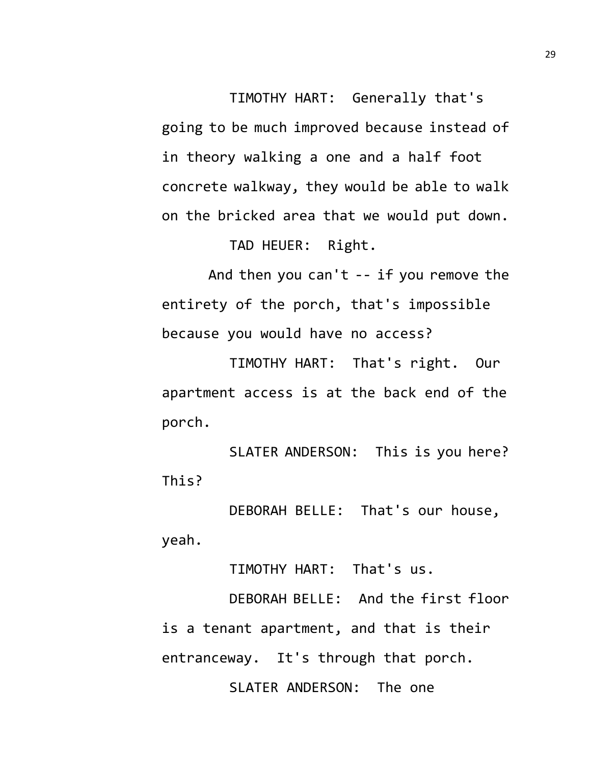TIMOTHY HART: Generally that's going to be much improved because instead of in theory walking a one and a half foot concrete walkway, they would be able to walk on the bricked area that we would put down.

TAD HEUER: Right.

And then you can't -- if you remove the entirety of the porch, that's impossible because you would have no access?

TIMOTHY HART: That's right. Our apartment access is at the back end of the porch.

SLATER ANDERSON: This is you here? This?

DEBORAH BELLE: That's our house, yeah.

TIMOTHY HART: That's us.

DEBORAH BELLE: And the first floor is a tenant apartment, and that is their entranceway. It's through that porch. SLATER ANDERSON: The one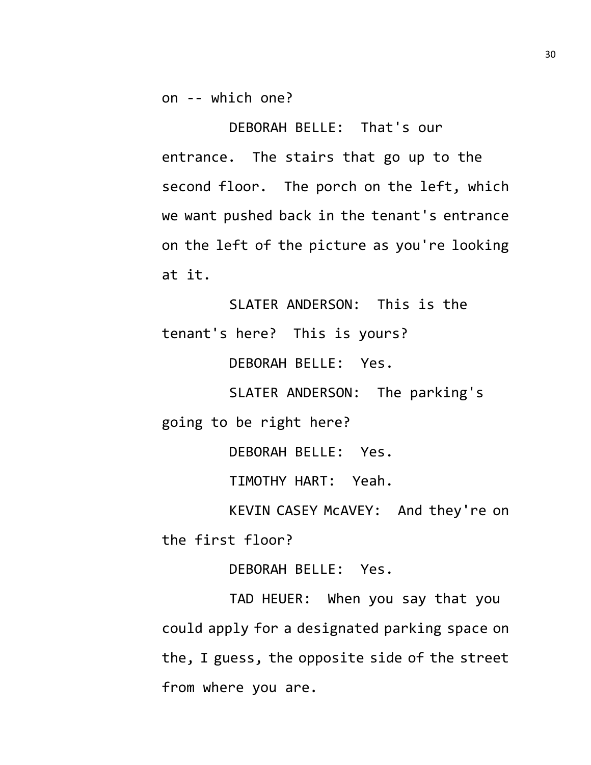on -- which one?

DEBORAH BELLE: That's our entrance. The stairs that go up to the second floor. The porch on the left, which we want pushed back in the tenant's entrance on the left of the picture as you're looking at it.

SLATER ANDERSON: This is the tenant's here? This is yours?

DEBORAH BELLE: Yes.

SLATER ANDERSON: The parking's going to be right here?

DEBORAH BELLE: Yes.

TIMOTHY HART: Yeah.

KEVIN CASEY McAVEY: And they're on the first floor?

DEBORAH BELLE: Yes.

TAD HEUER: When you say that you could apply for a designated parking space on the, I guess, the opposite side of the street from where you are.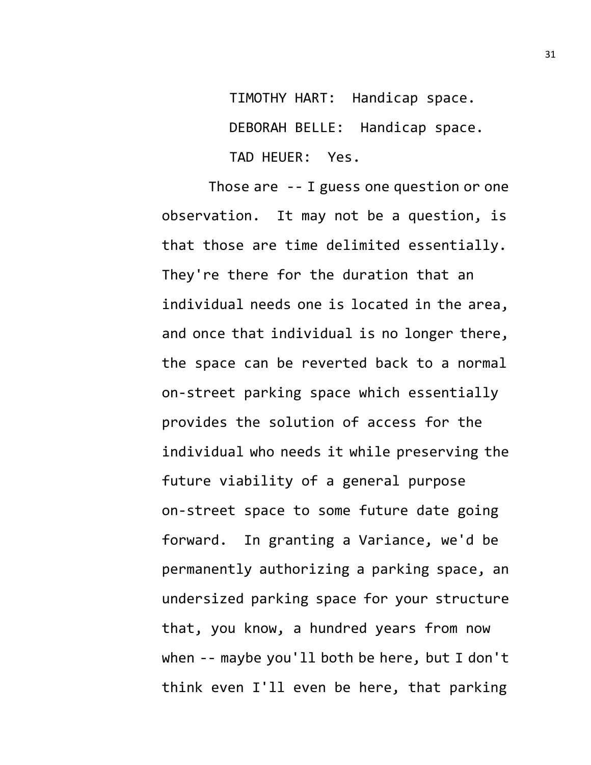TIMOTHY HART: Handicap space. DEBORAH BELLE: Handicap space. TAD HEUER: Yes.

Those are -- I guess one question or one observation. It may not be a question, is that those are time delimited essentially. They're there for the duration that an individual needs one is located in the area, and once that individual is no longer there, the space can be reverted back to a normal on-street parking space which essentially provides the solution of access for the individual who needs it while preserving the future viability of a general purpose on-street space to some future date going forward. In granting a Variance, we'd be permanently authorizing a parking space, an undersized parking space for your structure that, you know, a hundred years from now when -- maybe you'll both be here, but I don't think even I'll even be here, that parking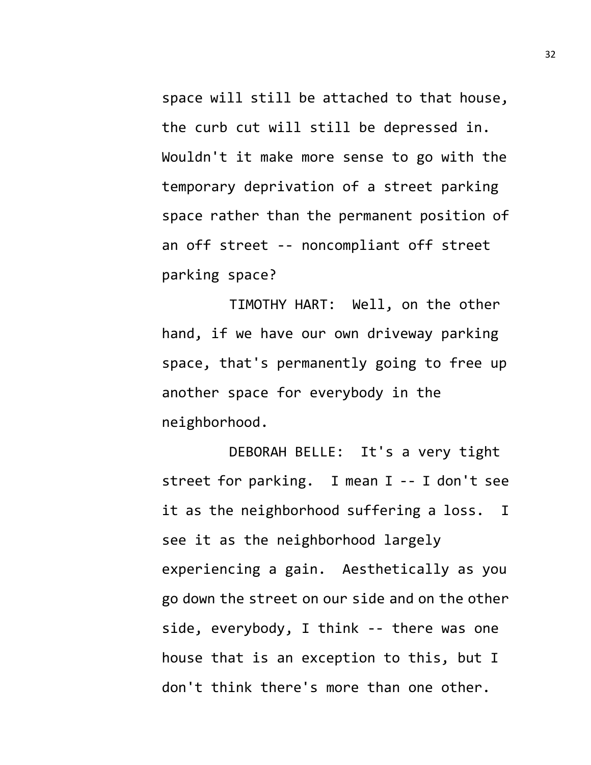space will still be attached to that house, the curb cut will still be depressed in. Wouldn't it make more sense to go with the temporary deprivation of a street parking space rather than the permanent position of an off street -- noncompliant off street parking space?

TIMOTHY HART: Well, on the other hand, if we have our own driveway parking space, that's permanently going to free up another space for everybody in the neighborhood.

DEBORAH BELLE: It's a very tight street for parking. I mean I -- I don't see it as the neighborhood suffering a loss. I see it as the neighborhood largely experiencing a gain. Aesthetically as you go down the street on our side and on the other side, everybody, I think -- there was one house that is an exception to this, but I don't think there's more than one other.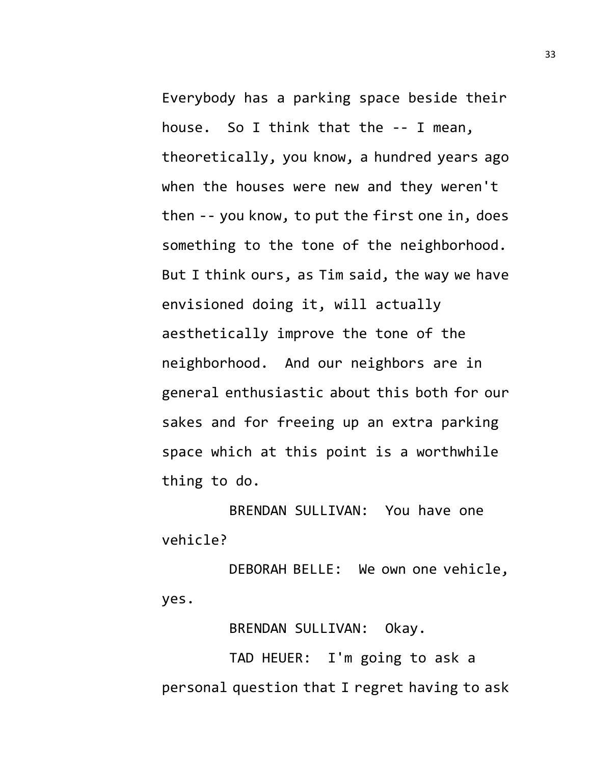Everybody has a parking space beside their house. So I think that the -- I mean, theoretically, you know, a hundred years ago when the houses were new and they weren't then -- you know, to put the first one in, does something to the tone of the neighborhood. But I think ours, as Tim said, the way we have envisioned doing it, will actually aesthetically improve the tone of the neighborhood. And our neighbors are in general enthusiastic about this both for our sakes and for freeing up an extra parking space which at this point is a worthwhile thing to do.

BRENDAN SULLIVAN: You have one vehicle?

DEBORAH BELLE: We own one vehicle, yes.

BRENDAN SULLIVAN: Okay.

TAD HEUER: I'm going to ask a personal question that I regret having to ask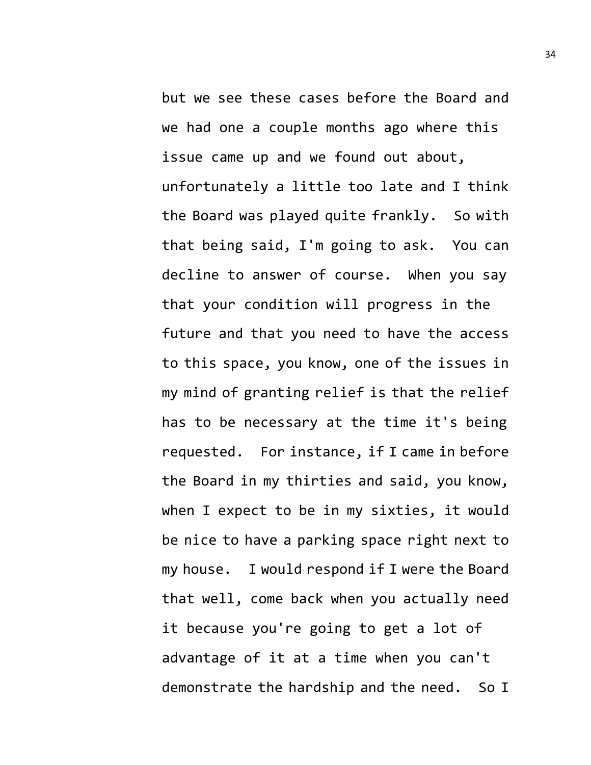but we see these cases before the Board and we had one a couple months ago where this issue came up and we found out about, unfortunately a little too late and I think the Board was played quite frankly. So with that being said, I'm going to ask. You can decline to answer of course. When you say that your condition will progress in the future and that you need to have the access to this space, you know, one of the issues in my mind of granting relief is that the relief has to be necessary at the time it's being requested. For instance, if I came in before the Board in my thirties and said, you know, when I expect to be in my sixties, it would be nice to have a parking space right next to my house. I would respond if I were the Board that well, come back when you actually need it because you're going to get a lot of advantage of it at a time when you can't demonstrate the hardship and the need. So I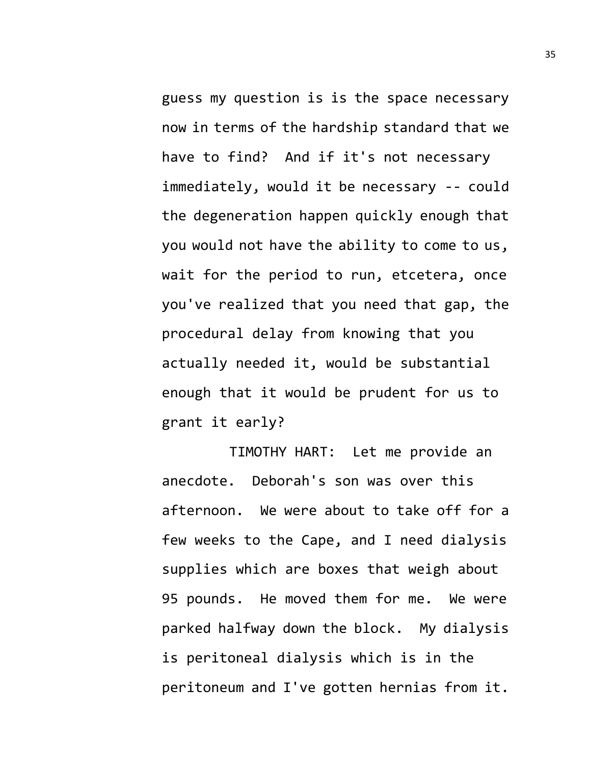guess my question is is the space necessary now in terms of the hardship standard that we have to find? And if it's not necessary immediately, would it be necessary -- could the degeneration happen quickly enough that you would not have the ability to come to us, wait for the period to run, etcetera, once you've realized that you need that gap, the procedural delay from knowing that you actually needed it, would be substantial enough that it would be prudent for us to grant it early?

TIMOTHY HART: Let me provide an anecdote. Deborah's son was over this afternoon. We were about to take off for a few weeks to the Cape, and I need dialysis supplies which are boxes that weigh about 95 pounds. He moved them for me. We were parked halfway down the block. My dialysis is peritoneal dialysis which is in the peritoneum and I've gotten hernias from it.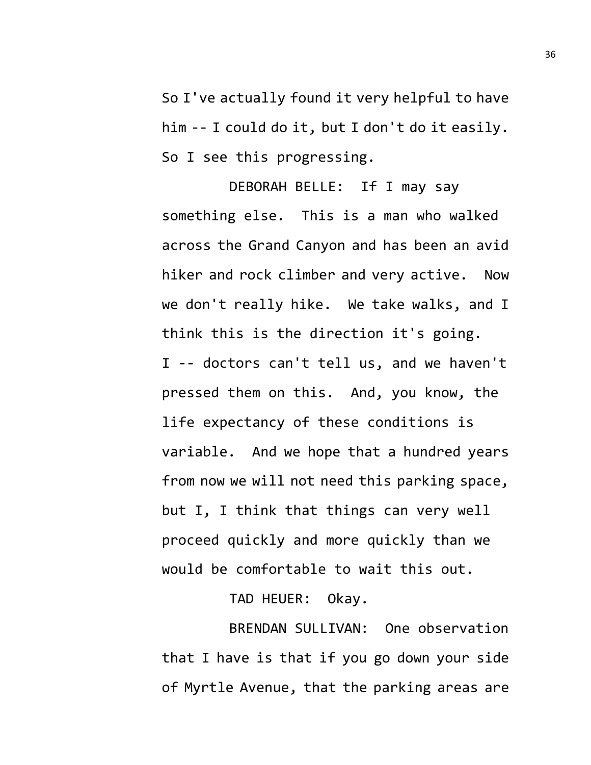So I've actually found it very helpful to have him -- I could do it, but I don't do it easily. So I see this progressing.

DEBORAH BELLE: If I may say something else. This is a man who walked across the Grand Canyon and has been an avid hiker and rock climber and very active. Now we don't really hike. We take walks, and I think this is the direction it's going. I -- doctors can't tell us, and we haven't pressed them on this. And, you know, the life expectancy of these conditions is variable. And we hope that a hundred years from now we will not need this parking space, but I, I think that things can very well proceed quickly and more quickly than we would be comfortable to wait this out.

TAD HEUER: Okay.

BRENDAN SULLIVAN: One observation that I have is that if you go down your side of Myrtle Avenue, that the parking areas are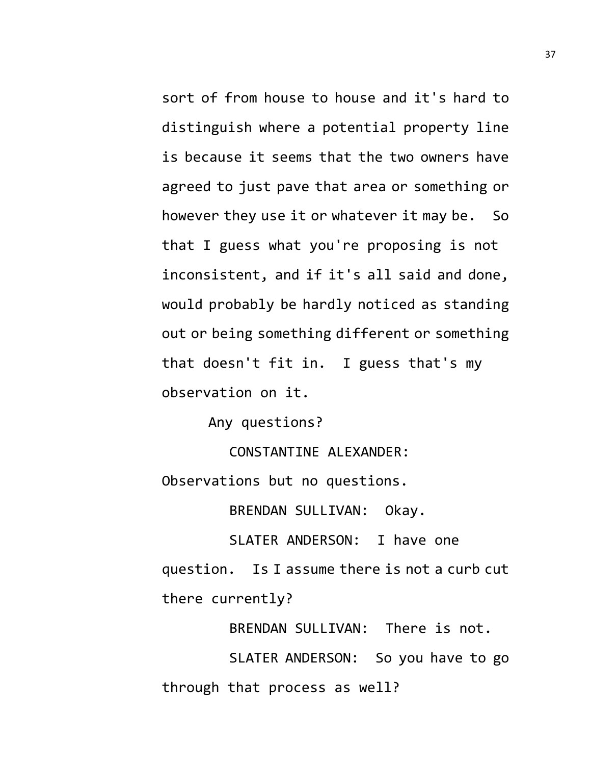sort of from house to house and it's hard to distinguish where a potential property line is because it seems that the two owners have agreed to just pave that area or something or however they use it or whatever it may be. So that I guess what you're proposing is not inconsistent, and if it's all said and done, would probably be hardly noticed as standing out or being something different or something that doesn't fit in. I guess that's my observation on it.

Any questions?

CONSTANTINE ALEXANDER:

Observations but no questions.

BRENDAN SULLIVAN: Okay.

SLATER ANDERSON: I have one question. Is I assume there is not a curb cut there currently?

BRENDAN SULLIVAN: There is not.

SLATER ANDERSON: So you have to go through that process as well?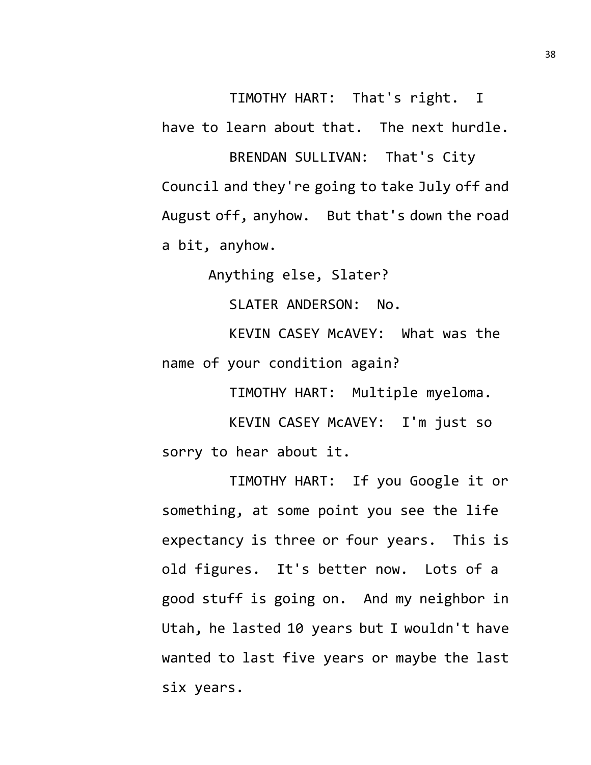TIMOTHY HART: That's right. I have to learn about that. The next hurdle. BRENDAN SULLIVAN: That's City

Council and they're going to take July off and August off, anyhow. But that's down the road a bit, anyhow.

Anything else, Slater?

SLATER ANDERSON: No.

KEVIN CASEY McAVEY: What was the name of your condition again?

TIMOTHY HART: Multiple myeloma.

KEVIN CASEY McAVEY: I'm just so sorry to hear about it.

TIMOTHY HART: If you Google it or something, at some point you see the life expectancy is three or four years. This is old figures. It's better now. Lots of a good stuff is going on. And my neighbor in Utah, he lasted 10 years but I wouldn't have wanted to last five years or maybe the last six years.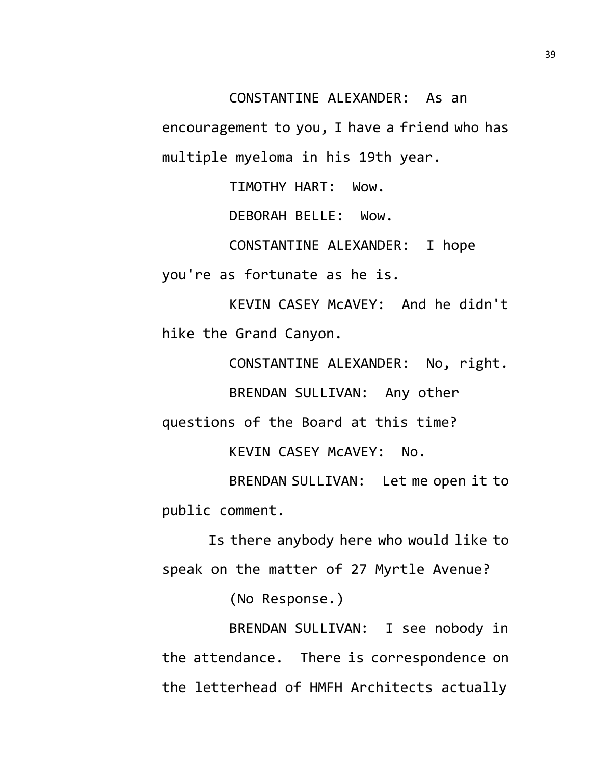CONSTANTINE ALEXANDER: As an

encouragement to you, I have a friend who has multiple myeloma in his 19th year.

TIMOTHY HART: Wow.

DEBORAH BELLE: Wow.

CONSTANTINE ALEXANDER: I hope

you're as fortunate as he is.

KEVIN CASEY McAVEY: And he didn't hike the Grand Canyon.

CONSTANTINE ALEXANDER: No, right.

BRENDAN SULLIVAN: Any other

questions of the Board at this time?

KEVIN CASEY McAVEY: No.

BRENDAN SULLIVAN: Let me open it to public comment.

Is there anybody here who would like to speak on the matter of 27 Myrtle Avenue?

(No Response.)

BRENDAN SULLIVAN: I see nobody in the attendance. There is correspondence on the letterhead of HMFH Architects actually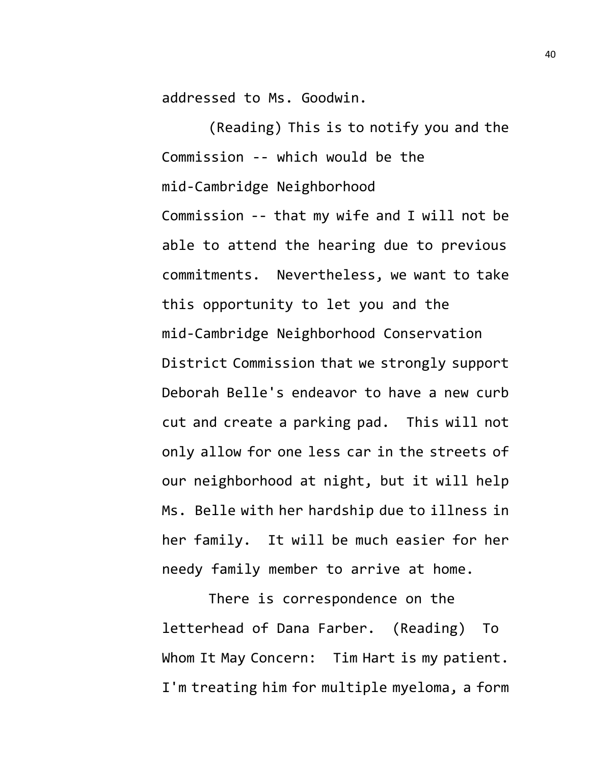addressed to Ms. Goodwin.

(Reading) This is to notify you and the Commission -- which would be the mid-Cambridge Neighborhood Commission -- that my wife and I will not be able to attend the hearing due to previous

commitments. Nevertheless, we want to take this opportunity to let you and the mid-Cambridge Neighborhood Conservation District Commission that we strongly support Deborah Belle's endeavor to have a new curb cut and create a parking pad. This will not only allow for one less car in the streets of our neighborhood at night, but it will help Ms. Belle with her hardship due to illness in her family. It will be much easier for her needy family member to arrive at home.

There is correspondence on the letterhead of Dana Farber. (Reading) To Whom It May Concern: Tim Hart is my patient. I'm treating him for multiple myeloma, a form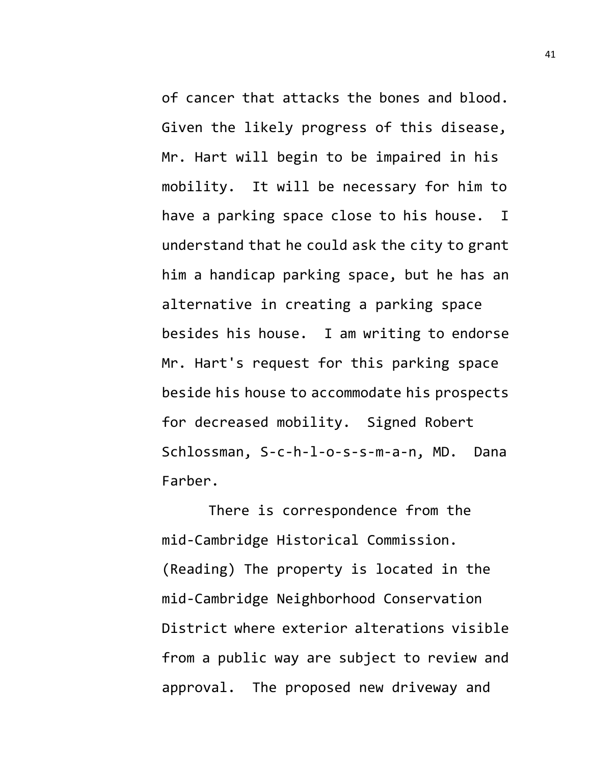of cancer that attacks the bones and blood. Given the likely progress of this disease, Mr. Hart will begin to be impaired in his mobility. It will be necessary for him to have a parking space close to his house. I understand that he could ask the city to grant him a handicap parking space, but he has an alternative in creating a parking space besides his house. I am writing to endorse Mr. Hart's request for this parking space beside his house to accommodate his prospects for decreased mobility. Signed Robert Schlossman, S-c-h-l-o-s-s-m-a-n, MD. Dana Farber.

There is correspondence from the mid-Cambridge Historical Commission. (Reading) The property is located in the mid-Cambridge Neighborhood Conservation District where exterior alterations visible from a public way are subject to review and approval. The proposed new driveway and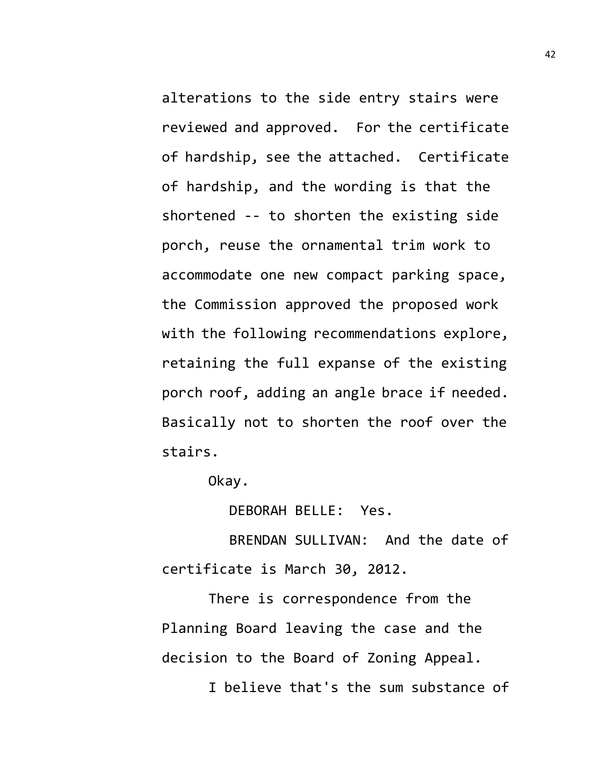alterations to the side entry stairs were reviewed and approved. For the certificate of hardship, see the attached. Certificate of hardship, and the wording is that the shortened -- to shorten the existing side porch, reuse the ornamental trim work to accommodate one new compact parking space, the Commission approved the proposed work with the following recommendations explore, retaining the full expanse of the existing porch roof, adding an angle brace if needed. Basically not to shorten the roof over the stairs.

Okay.

DEBORAH BELLE: Yes.

BRENDAN SULLIVAN: And the date of certificate is March 30, 2012.

There is correspondence from the Planning Board leaving the case and the decision to the Board of Zoning Appeal. I believe that's the sum substance of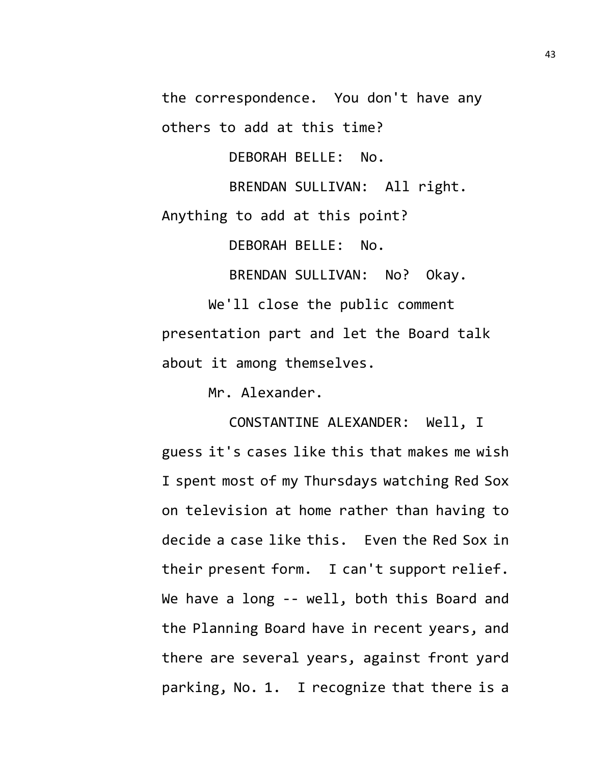the correspondence. You don't have any

others to add at this time?

DEBORAH BELLE: No.

BRENDAN SULLIVAN: All right.

Anything to add at this point?

DEBORAH BELLE: No.

BRENDAN SULLIVAN: No? Okay.

We'll close the public comment presentation part and let the Board talk about it among themselves.

Mr. Alexander.

CONSTANTINE ALEXANDER: Well, I guess it's cases like this that makes me wish I spent most of my Thursdays watching Red Sox on television at home rather than having to decide a case like this. Even the Red Sox in their present form. I can't support relief. We have a long -- well, both this Board and the Planning Board have in recent years, and there are several years, against front yard parking, No. 1. I recognize that there is a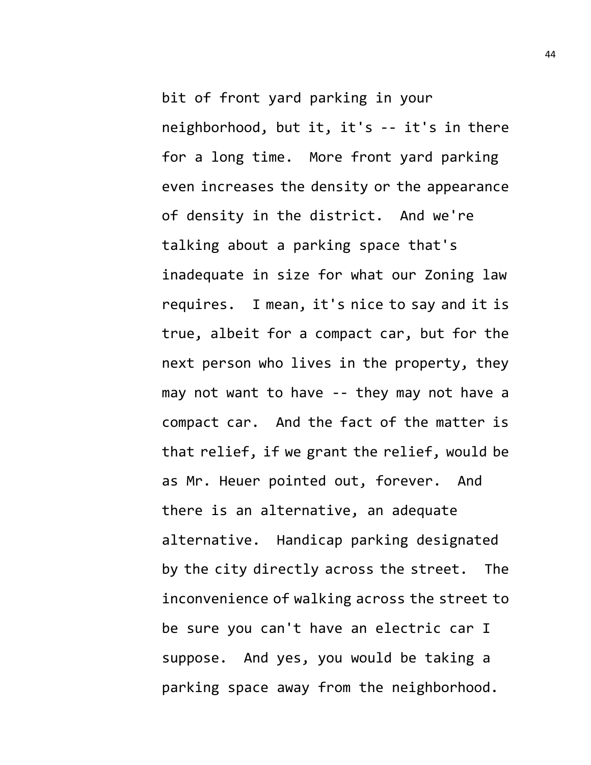bit of front yard parking in your neighborhood, but it, it's -- it's in there for a long time. More front yard parking even increases the density or the appearance of density in the district. And we're talking about a parking space that's inadequate in size for what our Zoning law requires. I mean, it's nice to say and it is true, albeit for a compact car, but for the next person who lives in the property, they may not want to have -- they may not have a compact car. And the fact of the matter is that relief, if we grant the relief, would be as Mr. Heuer pointed out, forever. And there is an alternative, an adequate alternative. Handicap parking designated by the city directly across the street. The inconvenience of walking across the street to be sure you can't have an electric car I suppose. And yes, you would be taking a parking space away from the neighborhood.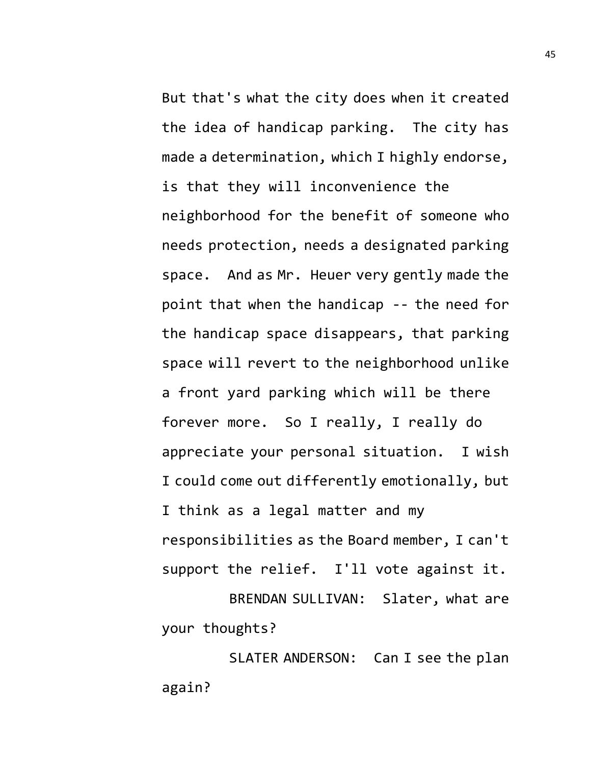But that's what the city does when it created the idea of handicap parking. The city has made a determination, which I highly endorse, is that they will inconvenience the neighborhood for the benefit of someone who needs protection, needs a designated parking space. And as Mr. Heuer very gently made the point that when the handicap -- the need for the handicap space disappears, that parking space will revert to the neighborhood unlike a front yard parking which will be there forever more. So I really, I really do appreciate your personal situation. I wish I could come out differently emotionally, but I think as a legal matter and my responsibilities as the Board member, I can't support the relief. I'll vote against it. BRENDAN SULLIVAN: Slater, what are

your thoughts?

SLATER ANDERSON: Can I see the plan again?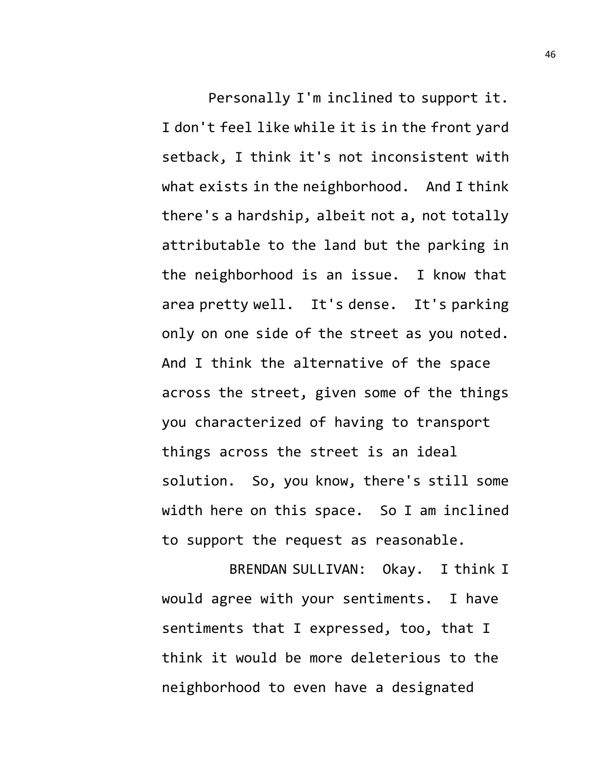Personally I'm inclined to support it. I don't feel like while it is in the front yard setback, I think it's not inconsistent with what exists in the neighborhood. And I think there's a hardship, albeit not a, not totally attributable to the land but the parking in the neighborhood is an issue. I know that area pretty well. It's dense. It's parking only on one side of the street as you noted. And I think the alternative of the space across the street, given some of the things you characterized of having to transport things across the street is an ideal solution. So, you know, there's still some width here on this space. So I am inclined to support the request as reasonable.

BRENDAN SULLIVAN: Okay. I think I would agree with your sentiments. I have sentiments that I expressed, too, that I think it would be more deleterious to the neighborhood to even have a designated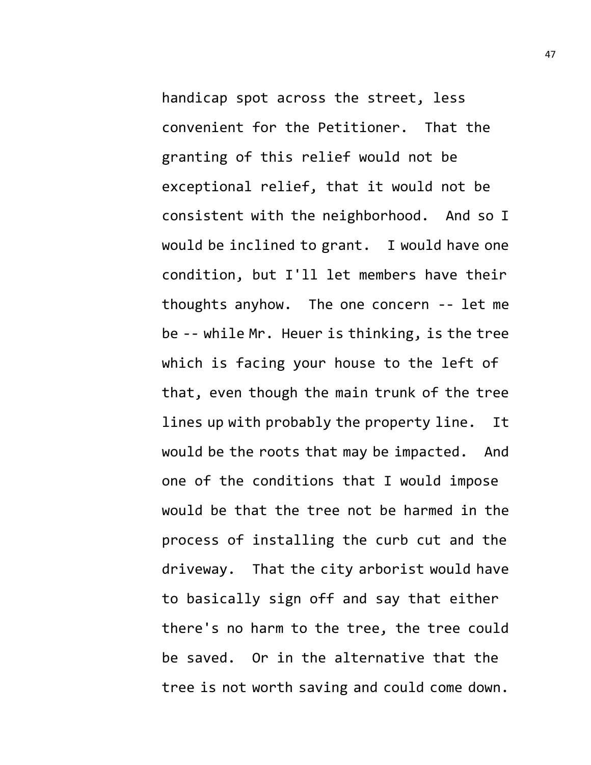handicap spot across the street, less convenient for the Petitioner. That the granting of this relief would not be exceptional relief, that it would not be consistent with the neighborhood. And so I would be inclined to grant. I would have one condition, but I'll let members have their thoughts anyhow. The one concern -- let me be -- while Mr. Heuer is thinking, is the tree which is facing your house to the left of that, even though the main trunk of the tree lines up with probably the property line. It would be the roots that may be impacted. And one of the conditions that I would impose would be that the tree not be harmed in the process of installing the curb cut and the driveway. That the city arborist would have to basically sign off and say that either there's no harm to the tree, the tree could be saved. Or in the alternative that the tree is not worth saving and could come down.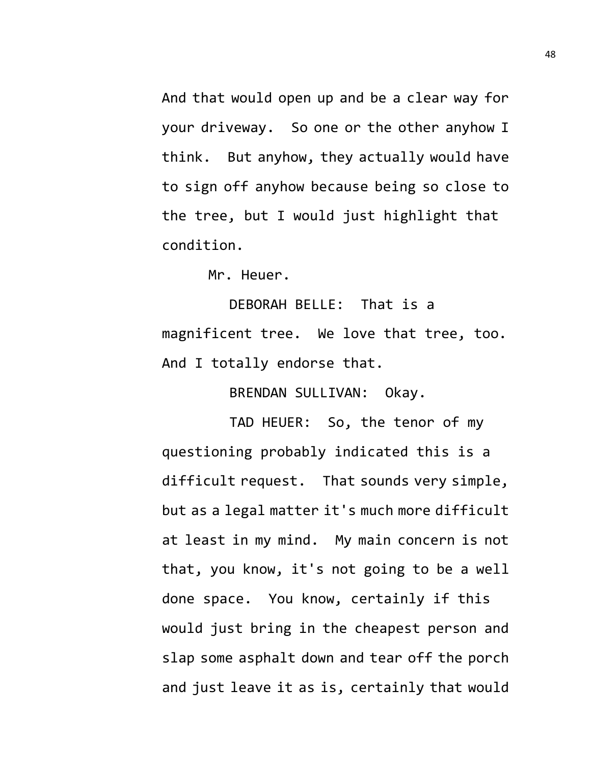And that would open up and be a clear way for your driveway. So one or the other anyhow I think. But anyhow, they actually would have to sign off anyhow because being so close to the tree, but I would just highlight that condition.

Mr. Heuer.

DEBORAH BELLE: That is a magnificent tree. We love that tree, too. And I totally endorse that.

BRENDAN SULLIVAN: Okay.

TAD HEUER: So, the tenor of my questioning probably indicated this is a difficult request. That sounds very simple, but as a legal matter it's much more difficult at least in my mind. My main concern is not that, you know, it's not going to be a well done space. You know, certainly if this would just bring in the cheapest person and slap some asphalt down and tear off the porch and just leave it as is, certainly that would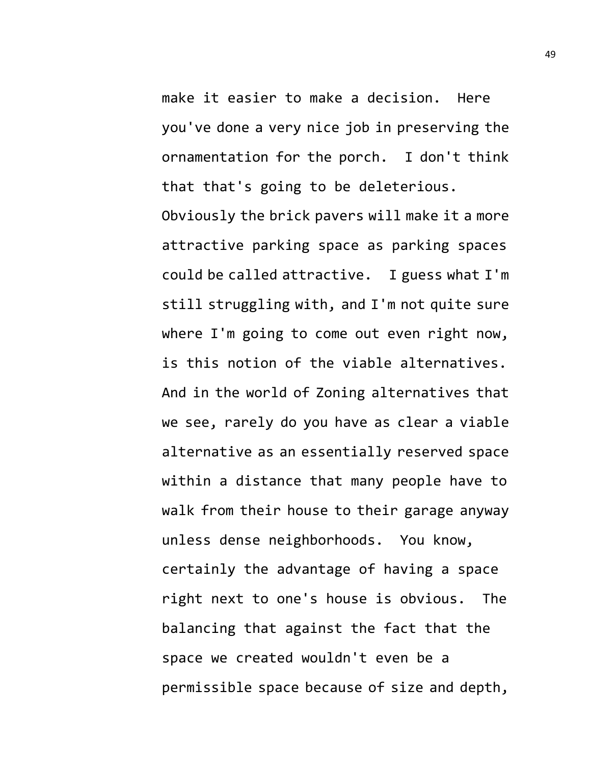make it easier to make a decision. Here you've done a very nice job in preserving the ornamentation for the porch. I don't think that that's going to be deleterious.

Obviously the brick pavers will make it a more attractive parking space as parking spaces could be called attractive. I guess what I'm still struggling with, and I'm not quite sure where I'm going to come out even right now, is this notion of the viable alternatives. And in the world of Zoning alternatives that we see, rarely do you have as clear a viable alternative as an essentially reserved space within a distance that many people have to walk from their house to their garage anyway unless dense neighborhoods. You know, certainly the advantage of having a space right next to one's house is obvious. The balancing that against the fact that the space we created wouldn't even be a permissible space because of size and depth,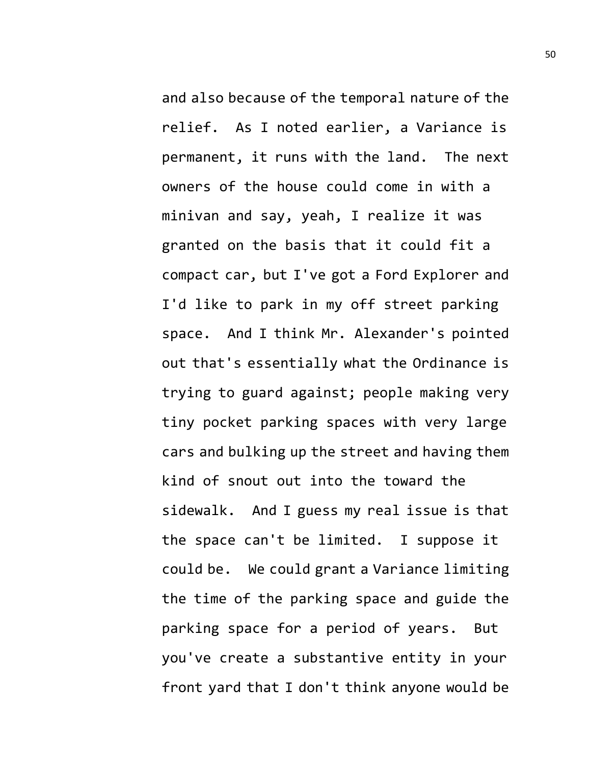and also because of the temporal nature of the relief. As I noted earlier, a Variance is permanent, it runs with the land. The next owners of the house could come in with a minivan and say, yeah, I realize it was granted on the basis that it could fit a compact car, but I've got a Ford Explorer and I'd like to park in my off street parking space. And I think Mr. Alexander's pointed out that's essentially what the Ordinance is trying to guard against; people making very tiny pocket parking spaces with very large cars and bulking up the street and having them kind of snout out into the toward the sidewalk. And I guess my real issue is that the space can't be limited. I suppose it could be. We could grant a Variance limiting the time of the parking space and guide the parking space for a period of years. But you've create a substantive entity in your front yard that I don't think anyone would be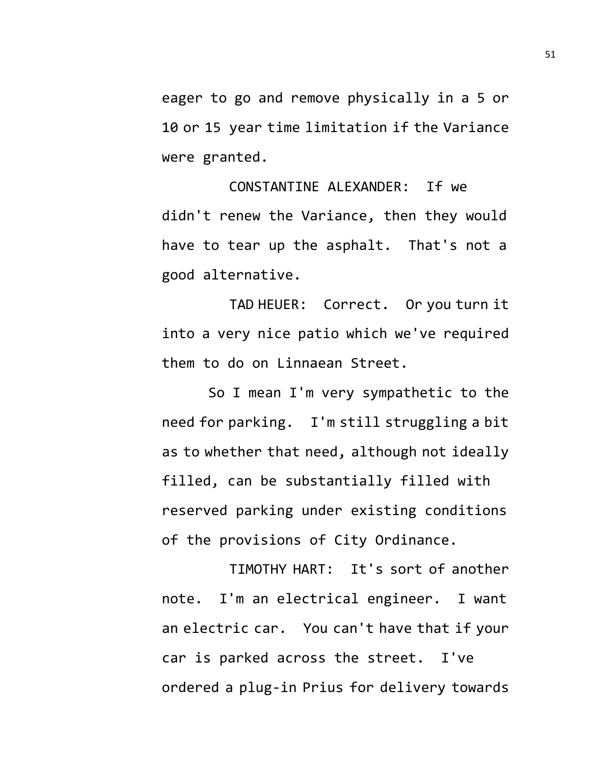eager to go and remove physically in a 5 or 10 or 15 year time limitation if the Variance were granted.

CONSTANTINE ALEXANDER: If we didn't renew the Variance, then they would have to tear up the asphalt. That's not a good alternative.

TAD HEUER: Correct. Or you turn it into a very nice patio which we've required them to do on Linnaean Street.

So I mean I'm very sympathetic to the need for parking. I'm still struggling a bit as to whether that need, although not ideally filled, can be substantially filled with reserved parking under existing conditions of the provisions of City Ordinance.

TIMOTHY HART: It's sort of another note. I'm an electrical engineer. I want an electric car. You can't have that if your car is parked across the street. I've ordered a plug-in Prius for delivery towards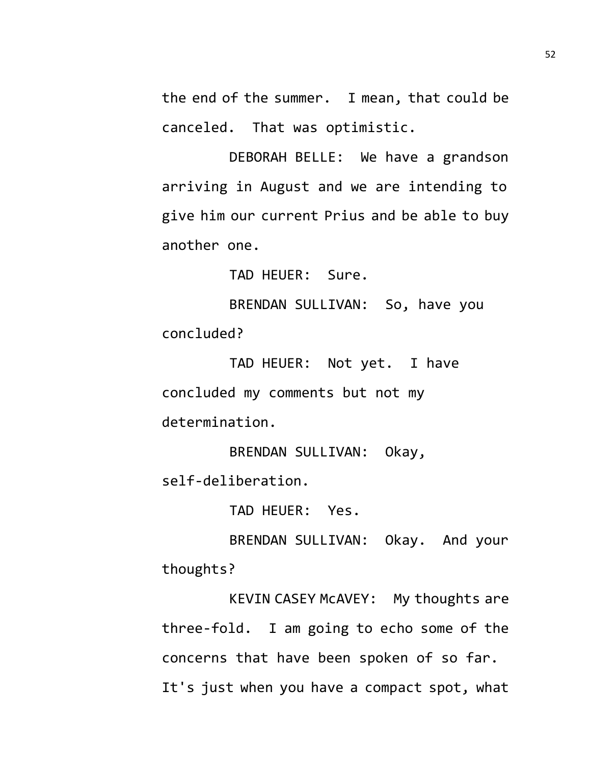the end of the summer. I mean, that could be canceled. That was optimistic.

DEBORAH BELLE: We have a grandson arriving in August and we are intending to give him our current Prius and be able to buy another one.

TAD HEUER: Sure.

BRENDAN SULLIVAN: So, have you concluded?

TAD HEUER: Not yet. I have concluded my comments but not my determination.

BRENDAN SULLIVAN: Okay, self-deliberation.

TAD HEUER: Yes.

BRENDAN SULLIVAN: Okay. And your thoughts?

KEVIN CASEY McAVEY: My thoughts are three-fold. I am going to echo some of the concerns that have been spoken of so far. It's just when you have a compact spot, what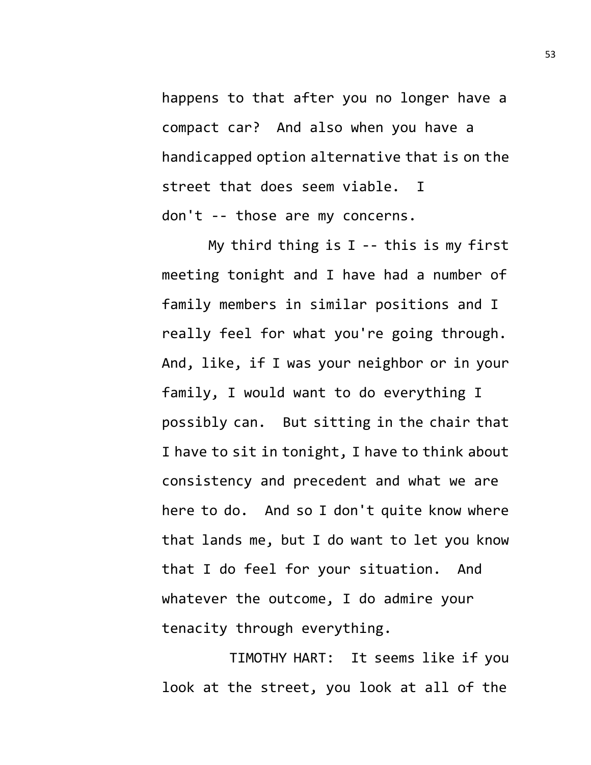happens to that after you no longer have a compact car? And also when you have a handicapped option alternative that is on the street that does seem viable. I don't -- those are my concerns.

My third thing is  $I - -$  this is my first meeting tonight and I have had a number of family members in similar positions and I really feel for what you're going through. And, like, if I was your neighbor or in your family, I would want to do everything I possibly can. But sitting in the chair that I have to sit in tonight, I have to think about consistency and precedent and what we are here to do. And so I don't quite know where that lands me, but I do want to let you know that I do feel for your situation. And whatever the outcome, I do admire your tenacity through everything.

TIMOTHY HART: It seems like if you look at the street, you look at all of the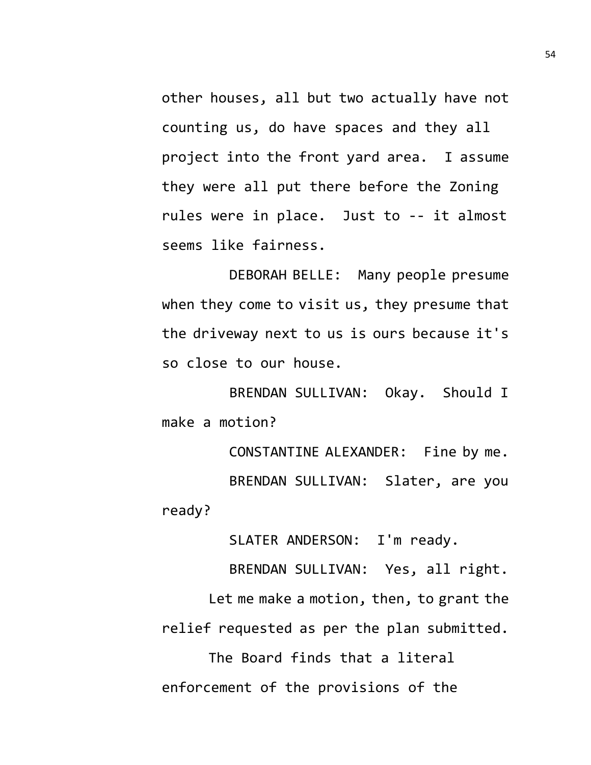other houses, all but two actually have not counting us, do have spaces and they all project into the front yard area. I assume they were all put there before the Zoning rules were in place. Just to -- it almost seems like fairness.

DEBORAH BELLE: Many people presume when they come to visit us, they presume that the driveway next to us is ours because it's so close to our house.

BRENDAN SULLIVAN: Okay. Should I make a motion?

CONSTANTINE ALEXANDER: Fine by me. BRENDAN SULLIVAN: Slater, are you ready?

SLATER ANDERSON: I'm ready.

BRENDAN SULLIVAN: Yes, all right.

Let me make a motion, then, to grant the relief requested as per the plan submitted.

The Board finds that a literal enforcement of the provisions of the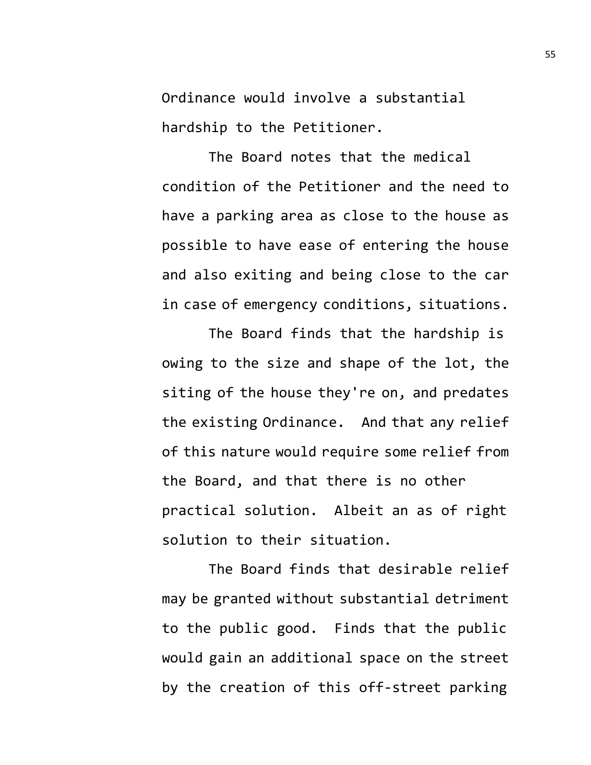Ordinance would involve a substantial hardship to the Petitioner.

The Board notes that the medical condition of the Petitioner and the need to have a parking area as close to the house as possible to have ease of entering the house and also exiting and being close to the car in case of emergency conditions, situations.

The Board finds that the hardship is owing to the size and shape of the lot, the siting of the house they're on, and predates the existing Ordinance. And that any relief of this nature would require some relief from the Board, and that there is no other practical solution. Albeit an as of right solution to their situation.

The Board finds that desirable relief may be granted without substantial detriment to the public good. Finds that the public would gain an additional space on the street by the creation of this off-street parking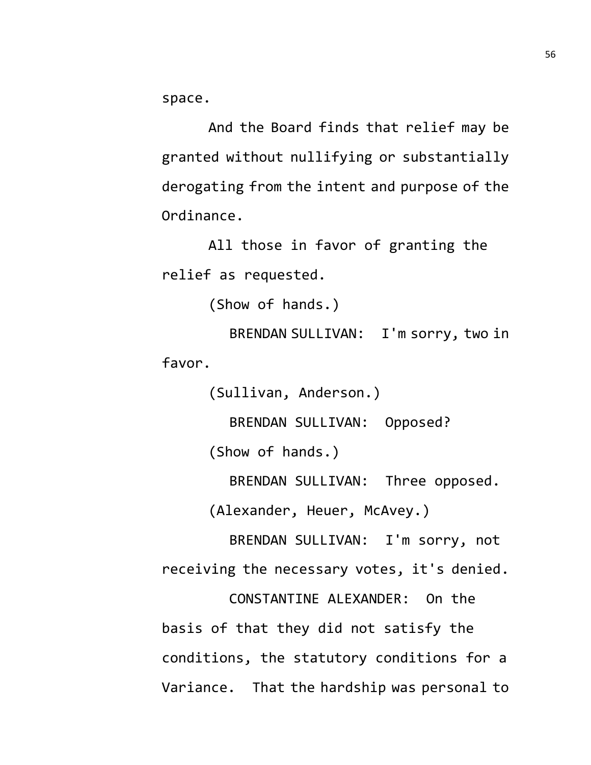space.

And the Board finds that relief may be granted without nullifying or substantially derogating from the intent and purpose of the Ordinance.

All those in favor of granting the relief as requested.

```
(Show of hands.)
```
BRENDAN SULLIVAN: I'm sorry, two in favor.

(Sullivan, Anderson.)

BRENDAN SULLIVAN: Opposed?

(Show of hands.)

BRENDAN SULLIVAN: Three opposed.

(Alexander, Heuer, McAvey.)

BRENDAN SULLIVAN: I'm sorry, not receiving the necessary votes, it's denied.

CONSTANTINE ALEXANDER: On the basis of that they did not satisfy the conditions, the statutory conditions for a Variance. That the hardship was personal to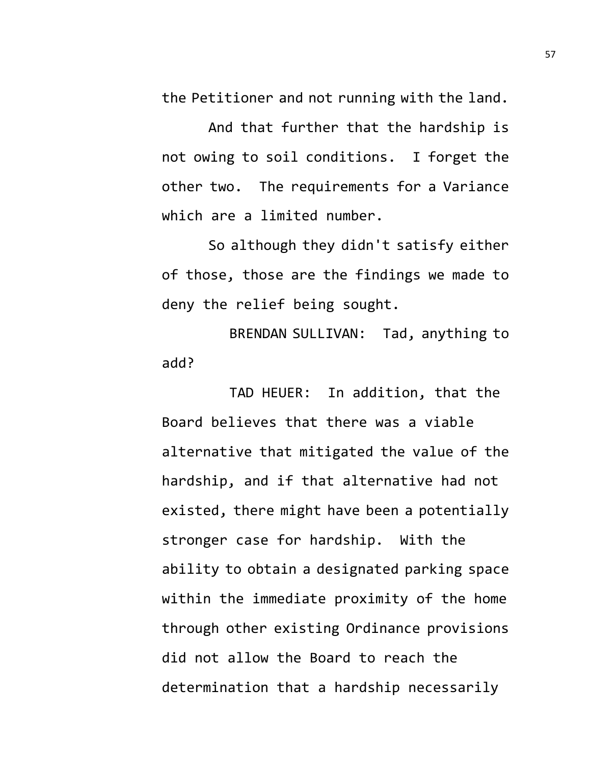the Petitioner and not running with the land.

And that further that the hardship is not owing to soil conditions. I forget the other two. The requirements for a Variance which are a limited number.

So although they didn't satisfy either of those, those are the findings we made to deny the relief being sought.

BRENDAN SULLIVAN: Tad, anything to add?

TAD HEUER: In addition, that the Board believes that there was a viable alternative that mitigated the value of the hardship, and if that alternative had not existed, there might have been a potentially stronger case for hardship. With the ability to obtain a designated parking space within the immediate proximity of the home through other existing Ordinance provisions did not allow the Board to reach the determination that a hardship necessarily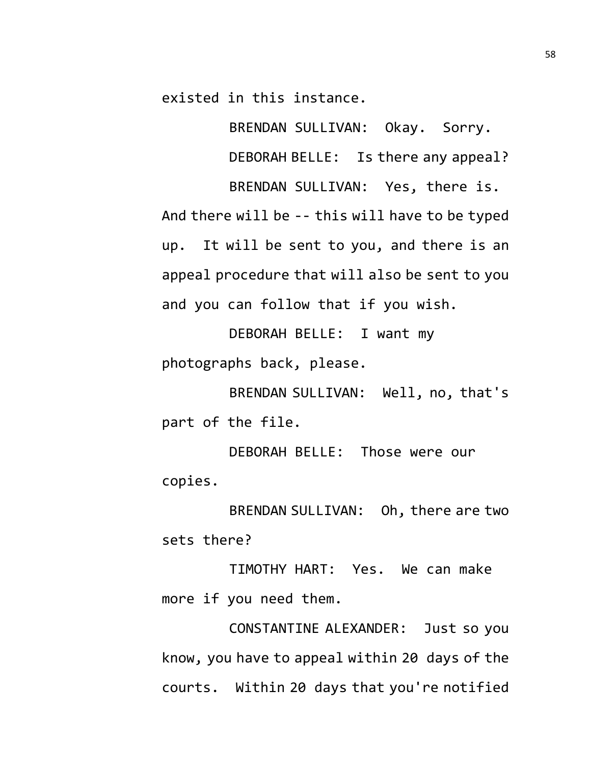existed in this instance.

BRENDAN SULLIVAN: Okay. Sorry. DEBORAH BELLE: Is there any appeal?

BRENDAN SULLIVAN: Yes, there is.

And there will be -- this will have to be typed up. It will be sent to you, and there is an appeal procedure that will also be sent to you and you can follow that if you wish.

DEBORAH BELLE: I want my photographs back, please.

BRENDAN SULLIVAN: Well, no, that's part of the file.

DEBORAH BELLE: Those were our copies.

BRENDAN SULLIVAN: Oh, there are two sets there?

TIMOTHY HART: Yes. We can make more if you need them.

CONSTANTINE ALEXANDER: Just so you know, you have to appeal within 20 days of the courts. Within 20 days that you're notified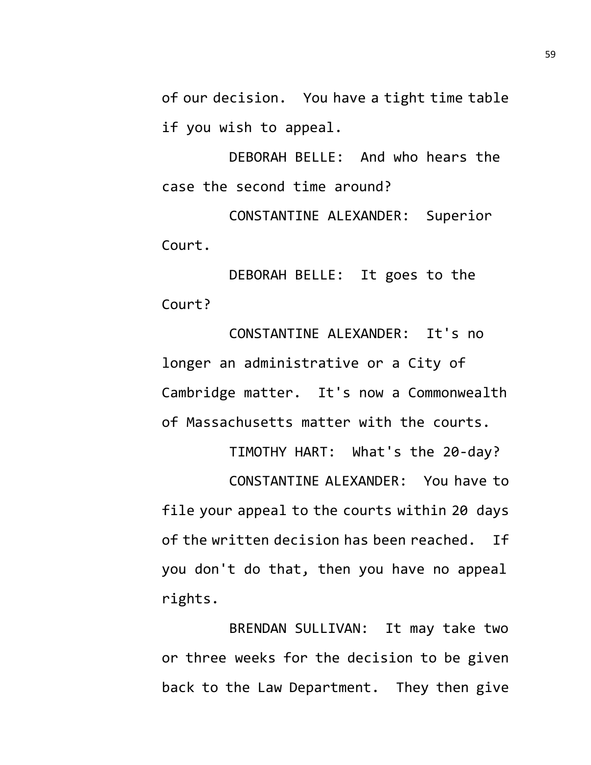of our decision. You have a tight time table if you wish to appeal.

DEBORAH BELLE: And who hears the case the second time around?

CONSTANTINE ALEXANDER: Superior Court.

DEBORAH BELLE: It goes to the Court?

CONSTANTINE ALEXANDER: It's no longer an administrative or a City of Cambridge matter. It's now a Commonwealth of Massachusetts matter with the courts.

TIMOTHY HART: What's the 20-day? CONSTANTINE ALEXANDER: You have to file your appeal to the courts within 20 days of the written decision has been reached. If you don't do that, then you have no appeal rights.

BRENDAN SULLIVAN: It may take two or three weeks for the decision to be given back to the Law Department. They then give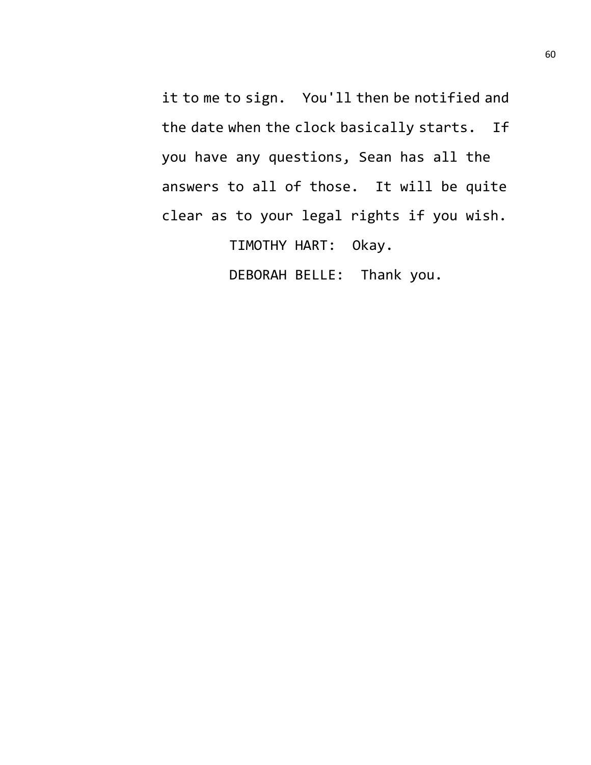it to me to sign. You'll then be notified and the date when the clock basically starts. If you have any questions, Sean has all the answers to all of those. It will be quite clear as to your legal rights if you wish. TIMOTHY HART: Okay.

DEBORAH BELLE: Thank you.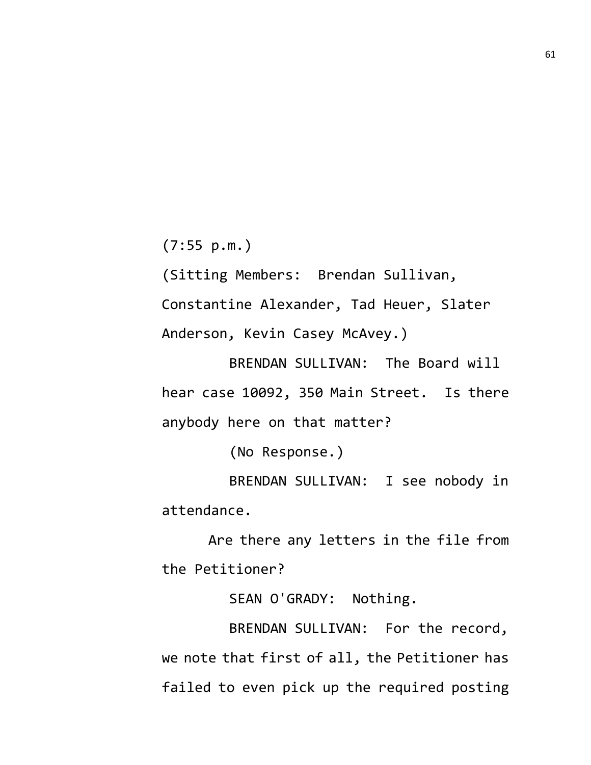(7:55 p.m.)

(Sitting Members: Brendan Sullivan, Constantine Alexander, Tad Heuer, Slater Anderson, Kevin Casey McAvey.)

BRENDAN SULLIVAN: The Board will hear case 10092, 350 Main Street. Is there anybody here on that matter?

(No Response.)

BRENDAN SULLIVAN: I see nobody in attendance.

Are there any letters in the file from the Petitioner?

SEAN O'GRADY: Nothing.

BRENDAN SULLIVAN: For the record, we note that first of all, the Petitioner has failed to even pick up the required posting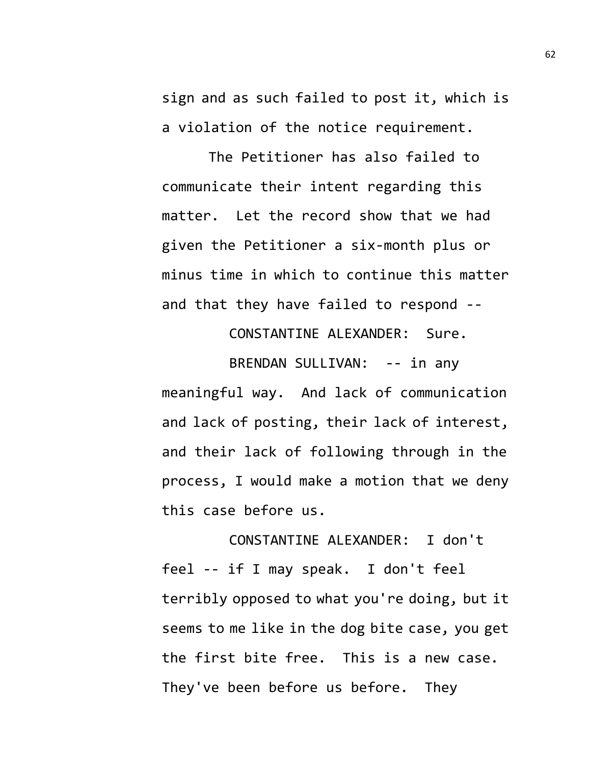sign and as such failed to post it, which is a violation of the notice requirement.

The Petitioner has also failed to communicate their intent regarding this matter. Let the record show that we had given the Petitioner a six-month plus or minus time in which to continue this matter and that they have failed to respond --

CONSTANTINE ALEXANDER: Sure.

BRENDAN SULLIVAN: -- in any meaningful way. And lack of communication and lack of posting, their lack of interest, and their lack of following through in the process, I would make a motion that we deny this case before us.

CONSTANTINE ALEXANDER: I don't feel -- if I may speak. I don't feel terribly opposed to what you're doing, but it seems to me like in the dog bite case, you get the first bite free. This is a new case. They've been before us before. They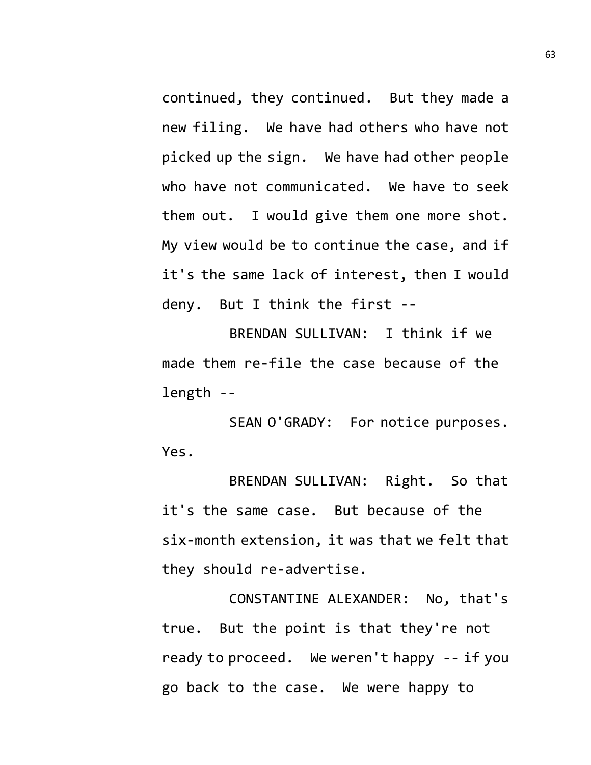continued, they continued. But they made a new filing. We have had others who have not picked up the sign. We have had other people who have not communicated. We have to seek them out. I would give them one more shot. My view would be to continue the case, and if it's the same lack of interest, then I would deny. But I think the first --

BRENDAN SULLIVAN: I think if we made them re-file the case because of the length --

SEAN O'GRADY: For notice purposes. Yes.

BRENDAN SULLIVAN: Right. So that it's the same case. But because of the six-month extension, it was that we felt that they should re-advertise.

CONSTANTINE ALEXANDER: No, that's true. But the point is that they're not ready to proceed. We weren't happy -- if you go back to the case. We were happy to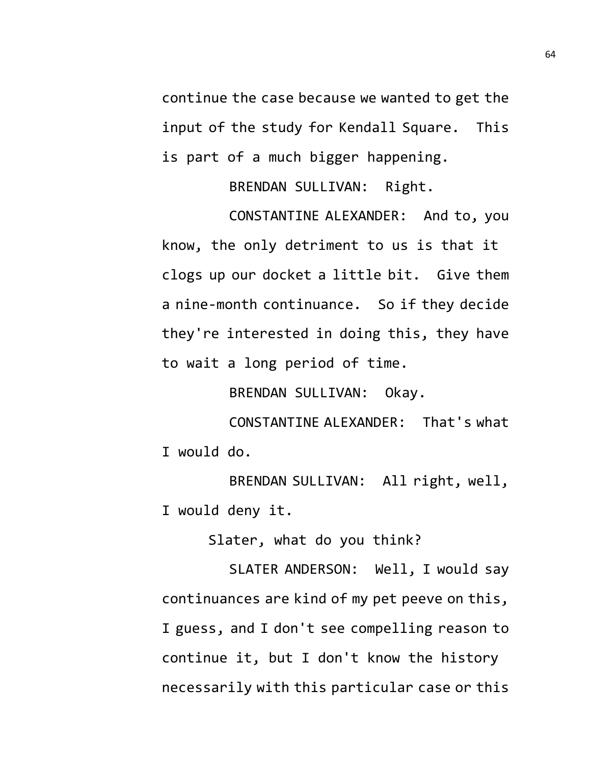continue the case because we wanted to get the input of the study for Kendall Square. This is part of a much bigger happening.

BRENDAN SULLIVAN: Right.

CONSTANTINE ALEXANDER: And to, you know, the only detriment to us is that it clogs up our docket a little bit. Give them a nine-month continuance. So if they decide they're interested in doing this, they have to wait a long period of time.

BRENDAN SULLIVAN: Okay.

CONSTANTINE ALEXANDER: That's what I would do.

BRENDAN SULLIVAN: All right, well, I would deny it.

Slater, what do you think?

SLATER ANDERSON: Well, I would say continuances are kind of my pet peeve on this, I guess, and I don't see compelling reason to continue it, but I don't know the history necessarily with this particular case or this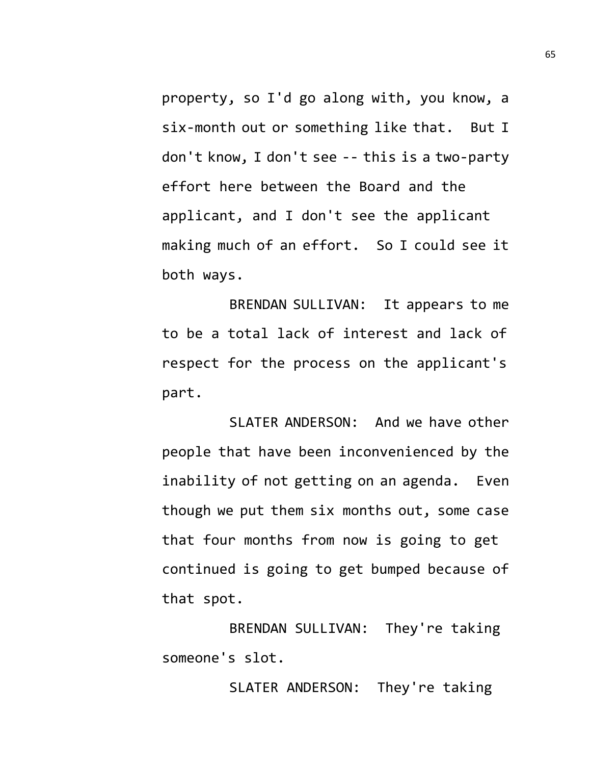property, so I'd go along with, you know, a six-month out or something like that. But I don't know, I don't see -- this is a two-party effort here between the Board and the applicant, and I don't see the applicant making much of an effort. So I could see it both ways.

BRENDAN SULLIVAN: It appears to me to be a total lack of interest and lack of respect for the process on the applicant's part.

SLATER ANDERSON: And we have other people that have been inconvenienced by the inability of not getting on an agenda. Even though we put them six months out, some case that four months from now is going to get continued is going to get bumped because of that spot.

BRENDAN SULLIVAN: They're taking someone's slot.

SLATER ANDERSON: They're taking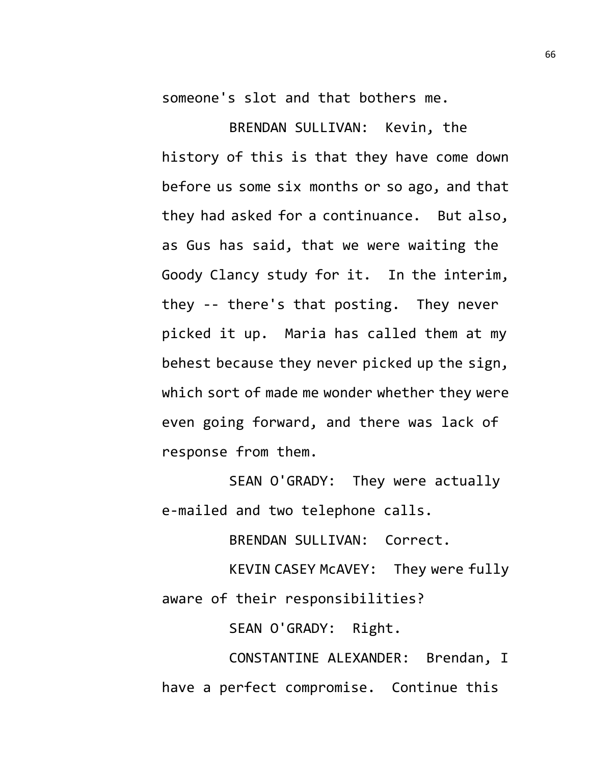someone's slot and that bothers me.

BRENDAN SULLIVAN: Kevin, the history of this is that they have come down before us some six months or so ago, and that they had asked for a continuance. But also, as Gus has said, that we were waiting the Goody Clancy study for it. In the interim, they -- there's that posting. They never picked it up. Maria has called them at my behest because they never picked up the sign, which sort of made me wonder whether they were even going forward, and there was lack of response from them.

SEAN O'GRADY: They were actually e-mailed and two telephone calls.

BRENDAN SULLIVAN: Correct.

KEVIN CASEY McAVEY: They were fully aware of their responsibilities?

SEAN O'GRADY: Right.

CONSTANTINE ALEXANDER: Brendan, I have a perfect compromise. Continue this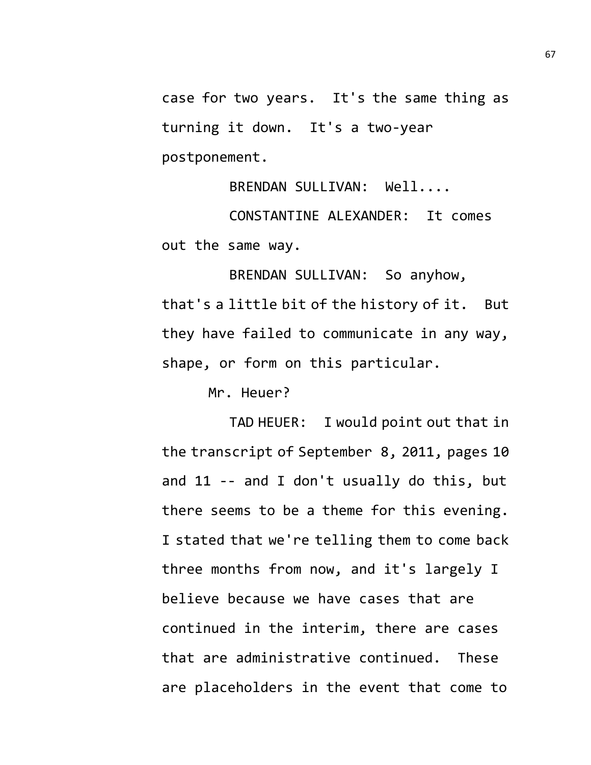case for two years. It's the same thing as turning it down. It's a two-year postponement.

BRENDAN SULLIVAN: Well....

CONSTANTINE ALEXANDER: It comes out the same way.

BRENDAN SULLIVAN: So anyhow, that's a little bit of the history of it. But they have failed to communicate in any way, shape, or form on this particular.

Mr. Heuer?

TAD HEUER: I would point out that in the transcript of September 8, 2011, pages 10 and 11 -- and I don't usually do this, but there seems to be a theme for this evening. I stated that we're telling them to come back three months from now, and it's largely I believe because we have cases that are continued in the interim, there are cases that are administrative continued. These are placeholders in the event that come to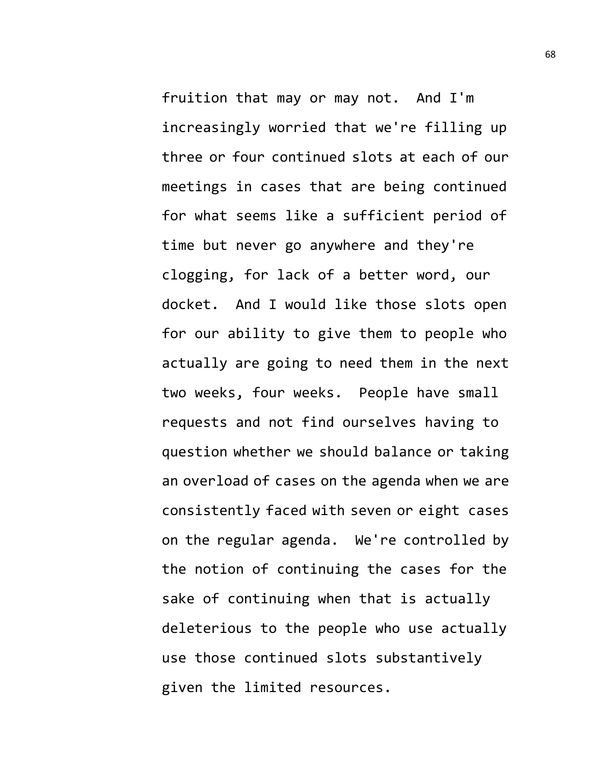fruition that may or may not. And I'm increasingly worried that we're filling up three or four continued slots at each of our meetings in cases that are being continued for what seems like a sufficient period of time but never go anywhere and they're clogging, for lack of a better word, our docket. And I would like those slots open for our ability to give them to people who actually are going to need them in the next two weeks, four weeks. People have small requests and not find ourselves having to question whether we should balance or taking an overload of cases on the agenda when we are consistently faced with seven or eight cases on the regular agenda. We're controlled by the notion of continuing the cases for the sake of continuing when that is actually deleterious to the people who use actually use those continued slots substantively given the limited resources.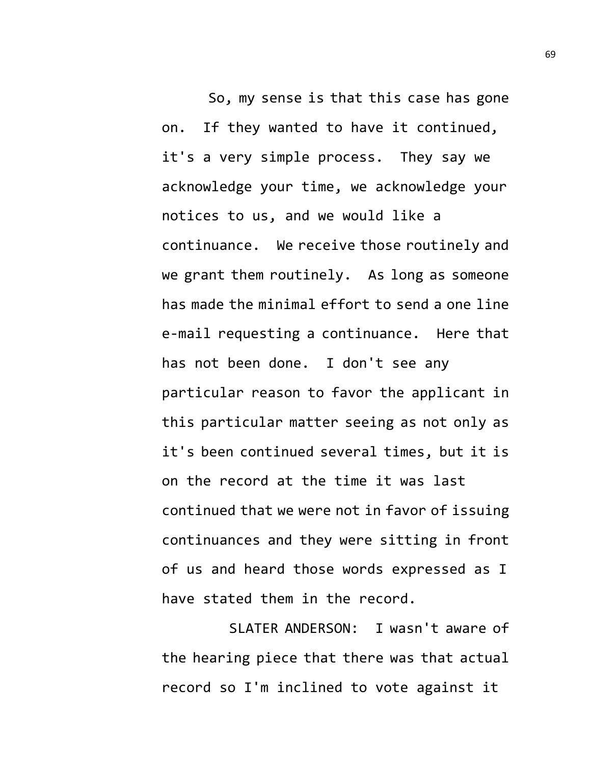So, my sense is that this case has gone on. If they wanted to have it continued, it's a very simple process. They say we acknowledge your time, we acknowledge your notices to us, and we would like a continuance. We receive those routinely and we grant them routinely. As long as someone has made the minimal effort to send a one line e-mail requesting a continuance. Here that has not been done. I don't see any particular reason to favor the applicant in this particular matter seeing as not only as it's been continued several times, but it is on the record at the time it was last continued that we were not in favor of issuing continuances and they were sitting in front of us and heard those words expressed as I have stated them in the record.

SLATER ANDERSON: I wasn't aware of the hearing piece that there was that actual record so I'm inclined to vote against it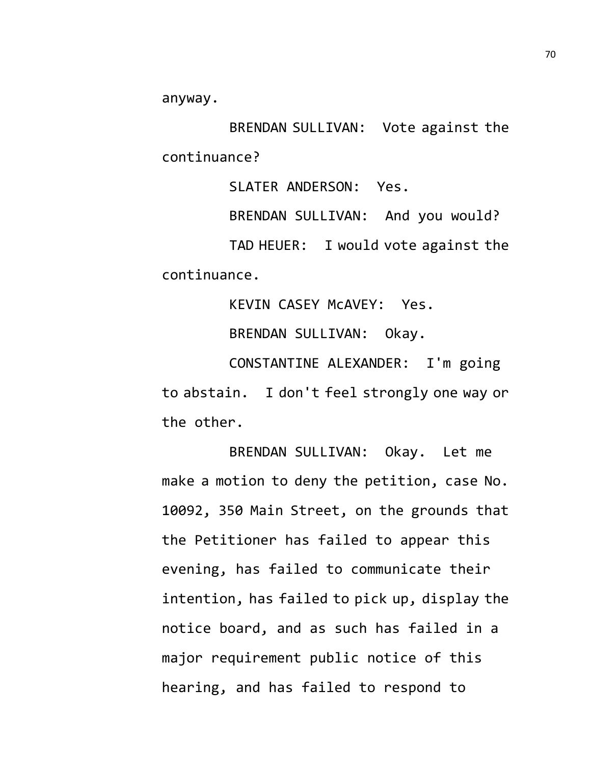anyway.

BRENDAN SULLIVAN: Vote against the continuance?

SLATER ANDERSON: Yes.

BRENDAN SULLIVAN: And you would? TAD HEUER: I would vote against the continuance.

KEVIN CASEY McAVEY: Yes.

BRENDAN SULLIVAN: Okay.

CONSTANTINE ALEXANDER: I'm going to abstain. I don't feel strongly one way or the other.

BRENDAN SULLIVAN: Okay. Let me make a motion to deny the petition, case No. 10092, 350 Main Street, on the grounds that the Petitioner has failed to appear this evening, has failed to communicate their intention, has failed to pick up, display the notice board, and as such has failed in a major requirement public notice of this hearing, and has failed to respond to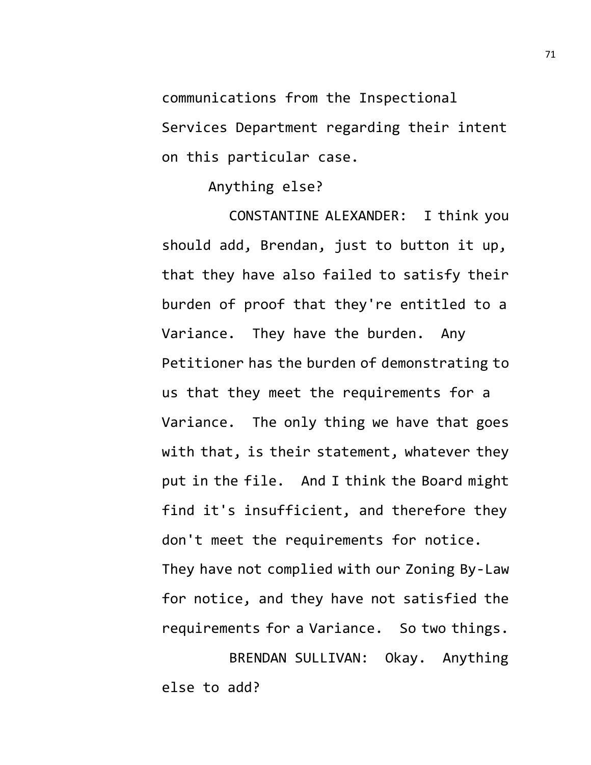communications from the Inspectional

Services Department regarding their intent on this particular case.

Anything else?

CONSTANTINE ALEXANDER: I think you should add, Brendan, just to button it up, that they have also failed to satisfy their burden of proof that they're entitled to a Variance. They have the burden. Any Petitioner has the burden of demonstrating to us that they meet the requirements for a Variance. The only thing we have that goes with that, is their statement, whatever they put in the file. And I think the Board might find it's insufficient, and therefore they don't meet the requirements for notice. They have not complied with our Zoning By-Law for notice, and they have not satisfied the requirements for a Variance. So two things.

BRENDAN SULLIVAN: Okay. Anything else to add?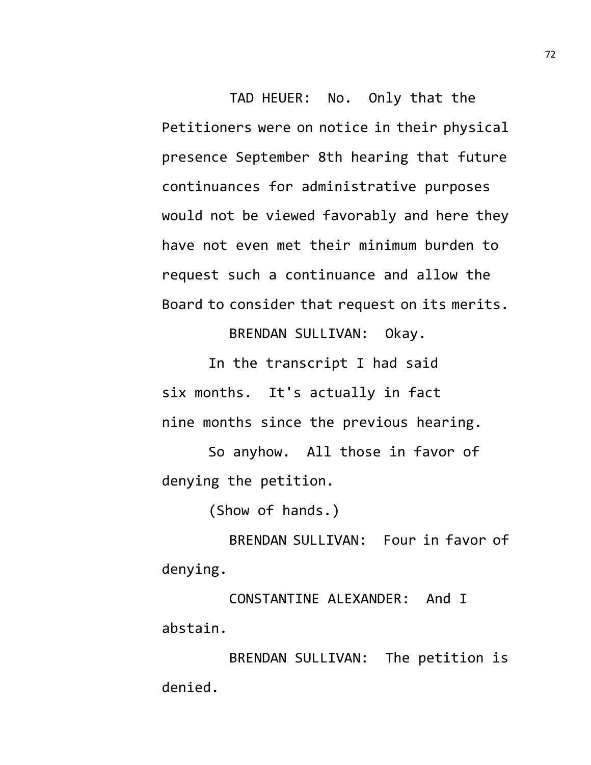TAD HEUER: No. Only that the Petitioners were on notice in their physical presence September 8th hearing that future continuances for administrative purposes would not be viewed favorably and here they have not even met their minimum burden to request such a continuance and allow the Board to consider that request on its merits.

BRENDAN SULLIVAN: Okay.

In the transcript I had said six months. It's actually in fact nine months since the previous hearing.

So anyhow. All those in favor of denying the petition.

(Show of hands.)

BRENDAN SULLIVAN: Four in favor of denying.

CONSTANTINE ALEXANDER: And I abstain.

BRENDAN SULLIVAN: The petition is denied.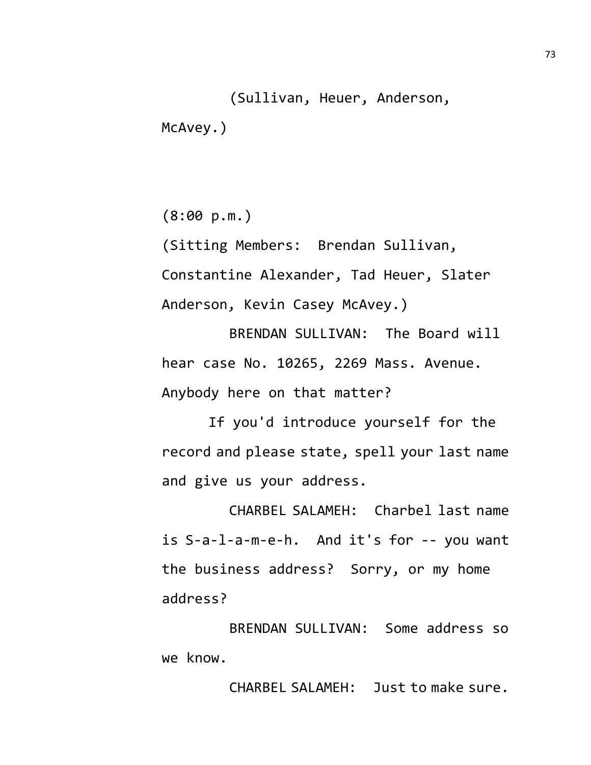(Sullivan, Heuer, Anderson, McAvey.)

(8:00 p.m.)

(Sitting Members: Brendan Sullivan, Constantine Alexander, Tad Heuer, Slater Anderson, Kevin Casey McAvey.)

BRENDAN SULLIVAN: The Board will hear case No. 10265, 2269 Mass. Avenue. Anybody here on that matter?

If you'd introduce yourself for the record and please state, spell your last name and give us your address.

CHARBEL SALAMEH: Charbel last name is S-a-l-a-m-e-h. And it's for -- you want the business address? Sorry, or my home address?

BRENDAN SULLIVAN: Some address so we know.

CHARBEL SALAMEH: Just to make sure.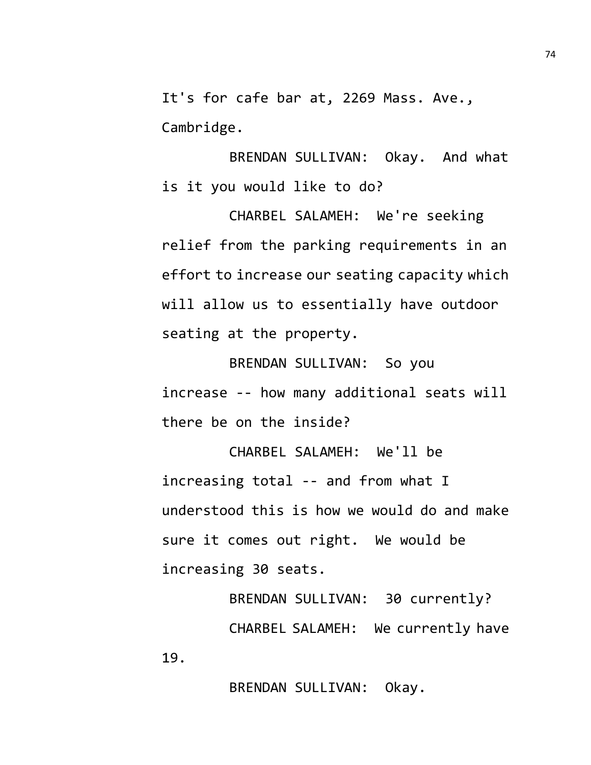It's for cafe bar at, 2269 Mass. Ave., Cambridge.

BRENDAN SULLIVAN: Okay. And what is it you would like to do?

CHARBEL SALAMEH: We're seeking relief from the parking requirements in an effort to increase our seating capacity which will allow us to essentially have outdoor seating at the property.

BRENDAN SULLIVAN: So you increase -- how many additional seats will there be on the inside?

CHARBEL SALAMEH: We'll be increasing total -- and from what I understood this is how we would do and make sure it comes out right. We would be increasing 30 seats.

BRENDAN SULLIVAN: 30 currently? CHARBEL SALAMEH: We currently have 19.

BRENDAN SULLIVAN: Okay.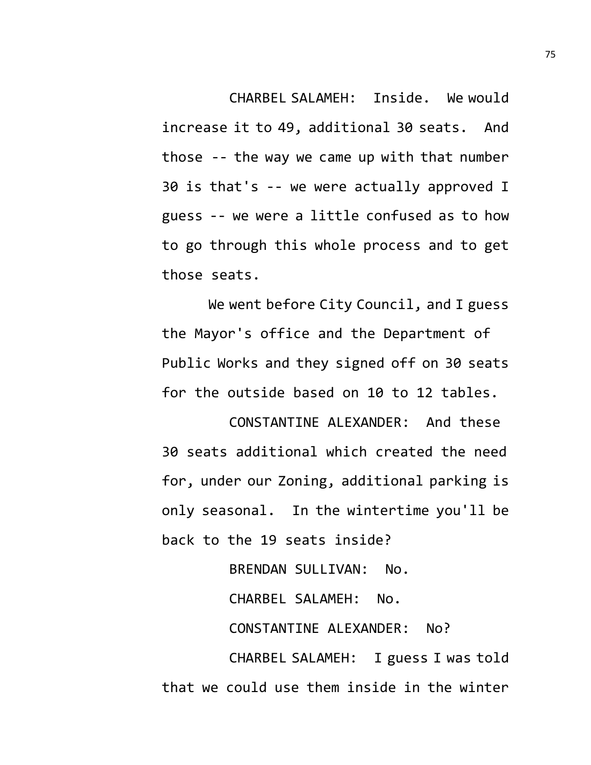CHARBEL SALAMEH: Inside. We would increase it to 49, additional 30 seats. And those -- the way we came up with that number 30 is that's -- we were actually approved I guess -- we were a little confused as to how to go through this whole process and to get those seats.

We went before City Council, and I guess the Mayor's office and the Department of Public Works and they signed off on 30 seats for the outside based on 10 to 12 tables.

CONSTANTINE ALEXANDER: And these 30 seats additional which created the need for, under our Zoning, additional parking is only seasonal. In the wintertime you'll be back to the 19 seats inside?

BRENDAN SULLIVAN: No. CHARBEL SALAMEH: No. CONSTANTINE ALEXANDER: No? CHARBEL SALAMEH: I guess I was told that we could use them inside in the winter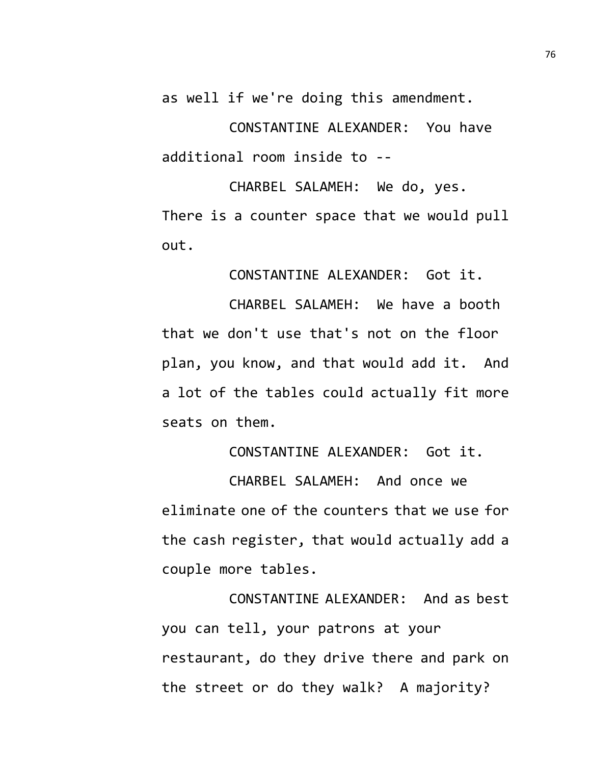as well if we're doing this amendment.

CONSTANTINE ALEXANDER: You have additional room inside to --

CHARBEL SALAMEH: We do, yes. There is a counter space that we would pull out.

CONSTANTINE ALEXANDER: Got it.

CHARBEL SALAMEH: We have a booth that we don't use that's not on the floor plan, you know, and that would add it. And a lot of the tables could actually fit more seats on them.

CONSTANTINE ALEXANDER: Got it.

CHARBEL SALAMEH: And once we eliminate one of the counters that we use for the cash register, that would actually add a couple more tables.

CONSTANTINE ALEXANDER: And as best you can tell, your patrons at your restaurant, do they drive there and park on the street or do they walk? A majority?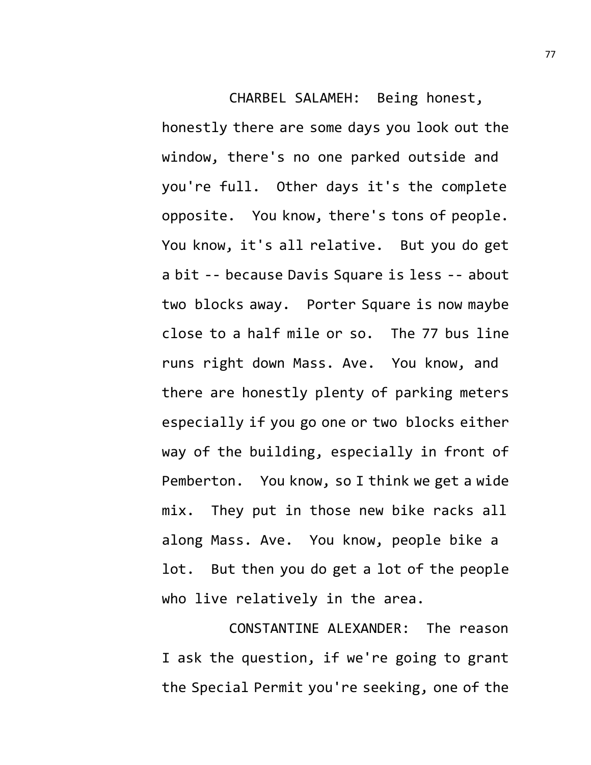CHARBEL SALAMEH: Being honest, honestly there are some days you look out the window, there's no one parked outside and you're full. Other days it's the complete opposite. You know, there's tons of people. You know, it's all relative. But you do get a bit -- because Davis Square is less -- about two blocks away. Porter Square is now maybe close to a half mile or so. The 77 bus line runs right down Mass. Ave. You know, and there are honestly plenty of parking meters especially if you go one or two blocks either way of the building, especially in front of Pemberton. You know, so I think we get a wide mix. They put in those new bike racks all along Mass. Ave. You know, people bike a lot. But then you do get a lot of the people who live relatively in the area.

CONSTANTINE ALEXANDER: The reason I ask the question, if we're going to grant the Special Permit you're seeking, one of the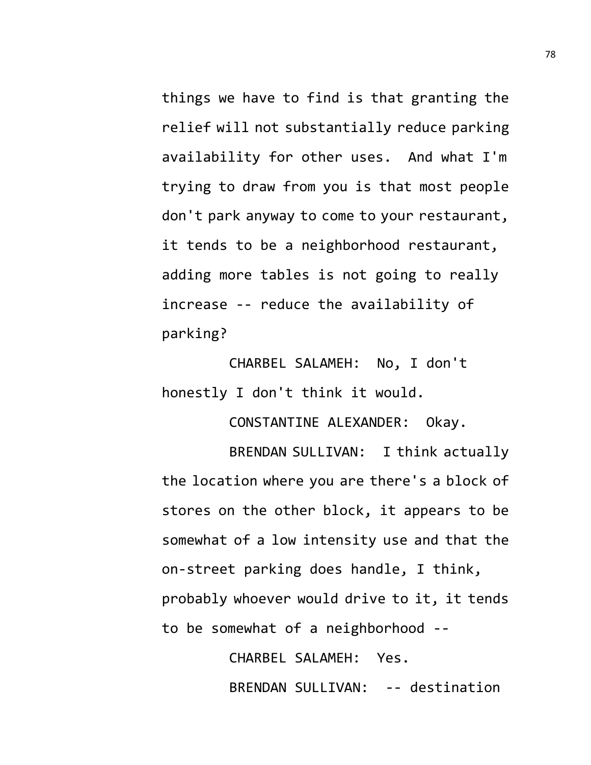things we have to find is that granting the relief will not substantially reduce parking availability for other uses. And what I'm trying to draw from you is that most people don't park anyway to come to your restaurant, it tends to be a neighborhood restaurant, adding more tables is not going to really increase -- reduce the availability of parking?

CHARBEL SALAMEH: No, I don't honestly I don't think it would.

CONSTANTINE ALEXANDER: Okay.

BRENDAN SULLIVAN: I think actually the location where you are there's a block of stores on the other block, it appears to be somewhat of a low intensity use and that the on-street parking does handle, I think, probably whoever would drive to it, it tends to be somewhat of a neighborhood --

> CHARBEL SALAMEH: Yes. BRENDAN SULLIVAN: -- destination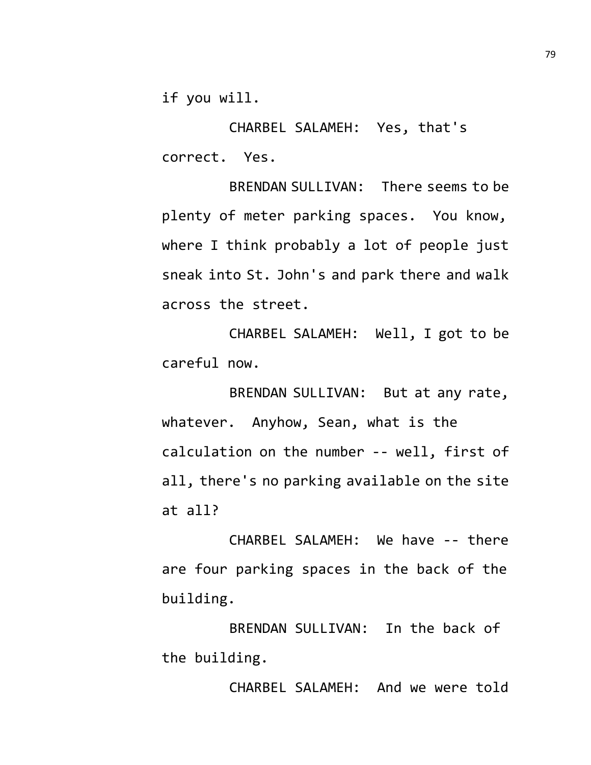if you will.

CHARBEL SALAMEH: Yes, that's correct. Yes.

BRENDAN SULLIVAN: There seems to be plenty of meter parking spaces. You know, where I think probably a lot of people just sneak into St. John's and park there and walk across the street.

CHARBEL SALAMEH: Well, I got to be careful now.

BRENDAN SULLIVAN: But at any rate, whatever. Anyhow, Sean, what is the calculation on the number -- well, first of all, there's no parking available on the site at all?

CHARBEL SALAMEH: We have -- there are four parking spaces in the back of the building.

BRENDAN SULLIVAN: In the back of the building.

CHARBEL SALAMEH: And we were told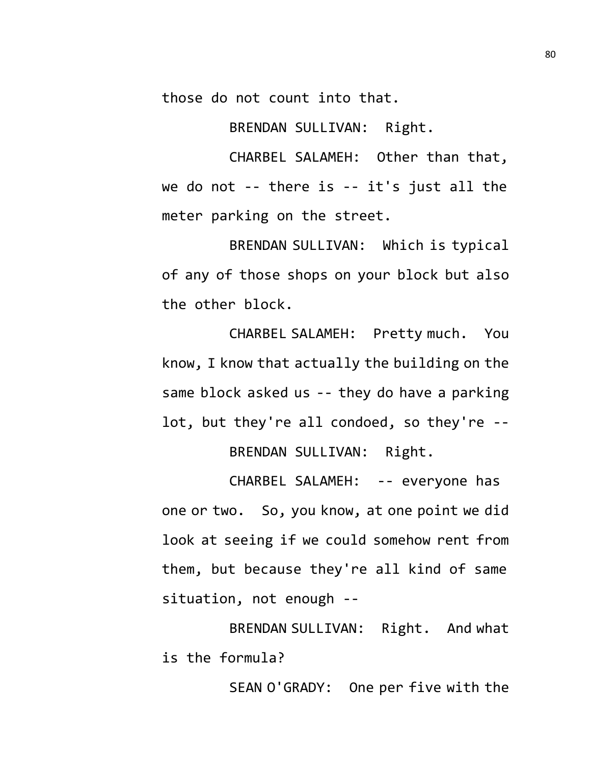those do not count into that.

BRENDAN SULLIVAN: Right.

CHARBEL SALAMEH: Other than that, we do not -- there is -- it's just all the meter parking on the street.

BRENDAN SULLIVAN: Which is typical of any of those shops on your block but also the other block.

CHARBEL SALAMEH: Pretty much. You know, I know that actually the building on the same block asked us -- they do have a parking lot, but they're all condoed, so they're -- BRENDAN SULLIVAN: Right.

CHARBEL SALAMEH: -- everyone has one or two. So, you know, at one point we did look at seeing if we could somehow rent from them, but because they're all kind of same situation, not enough --

BRENDAN SULLIVAN: Right. And what is the formula?

SEAN O'GRADY: One per five with the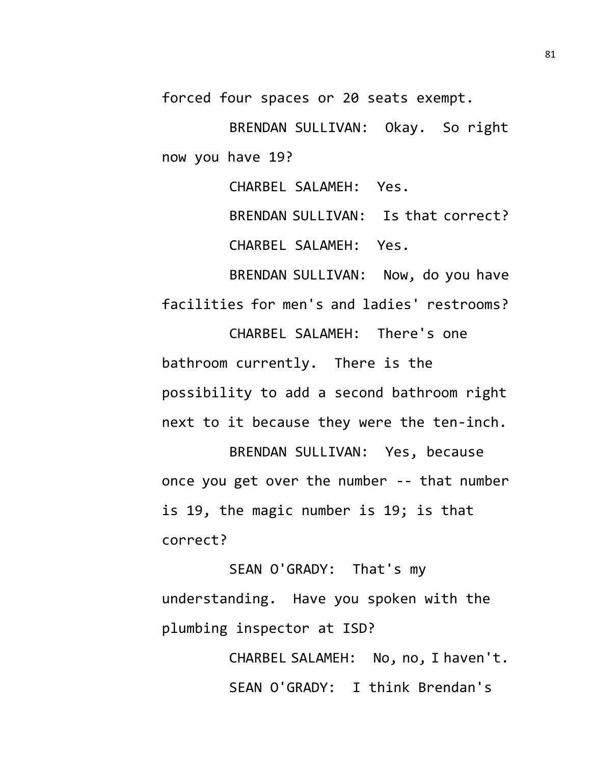forced four spaces or 20 seats exempt.

BRENDAN SULLIVAN: Okay. So right now you have 19?

CHARBEL SALAMEH: Yes.

BRENDAN SULLIVAN: Is that correct? CHARBEL SALAMEH: Yes.

BRENDAN SULLIVAN: Now, do you have facilities for men's and ladies' restrooms?

CHARBEL SALAMEH: There's one bathroom currently. There is the possibility to add a second bathroom right next to it because they were the ten-inch.

BRENDAN SULLIVAN: Yes, because once you get over the number -- that number is 19, the magic number is 19; is that correct?

SEAN O'GRADY: That's my understanding. Have you spoken with the plumbing inspector at ISD?

> CHARBEL SALAMEH: No, no, I haven't. SEAN O'GRADY: I think Brendan's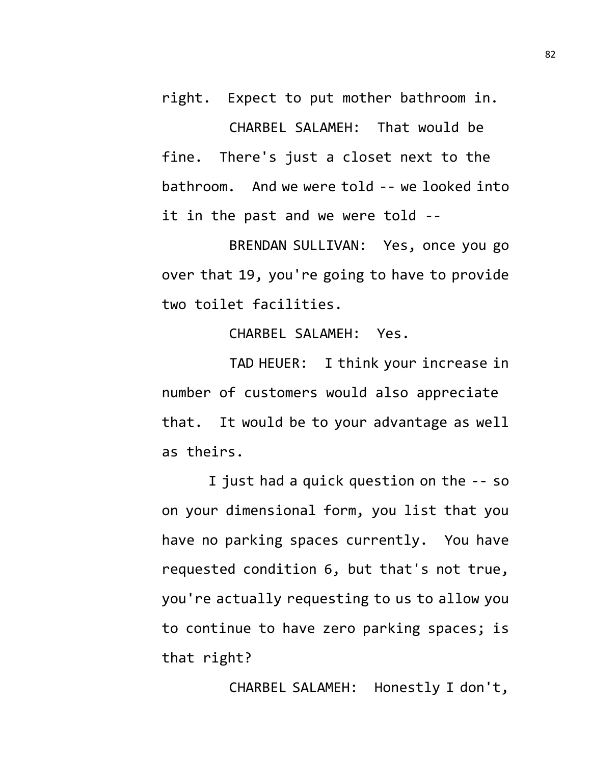right. Expect to put mother bathroom in. CHARBEL SALAMEH: That would be fine. There's just a closet next to the bathroom. And we were told -- we looked into it in the past and we were told --

BRENDAN SULLIVAN: Yes, once you go over that 19, you're going to have to provide two toilet facilities.

CHARBEL SALAMEH: Yes.

TAD HEUER: I think your increase in number of customers would also appreciate that. It would be to your advantage as well as theirs.

I just had a quick question on the -- so on your dimensional form, you list that you have no parking spaces currently. You have requested condition 6, but that's not true, you're actually requesting to us to allow you to continue to have zero parking spaces; is that right?

CHARBEL SALAMEH: Honestly I don't,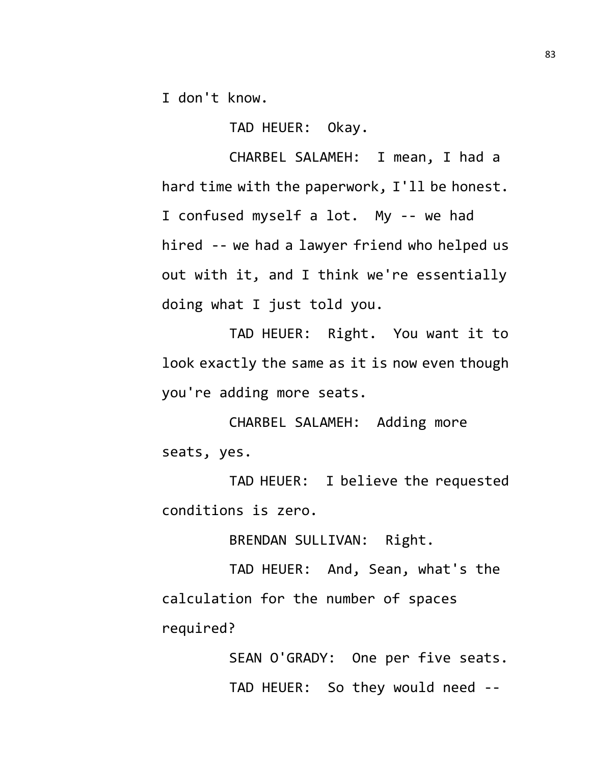I don't know.

TAD HEUER: Okay.

CHARBEL SALAMEH: I mean, I had a hard time with the paperwork, I'll be honest. I confused myself a lot. My -- we had hired -- we had a lawyer friend who helped us out with it, and I think we're essentially doing what I just told you.

TAD HEUER: Right. You want it to look exactly the same as it is now even though you're adding more seats.

CHARBEL SALAMEH: Adding more seats, yes.

TAD HEUER: I believe the requested conditions is zero.

BRENDAN SULLIVAN: Right.

TAD HEUER: And, Sean, what's the calculation for the number of spaces required?

> SEAN O'GRADY: One per five seats. TAD HEUER: So they would need --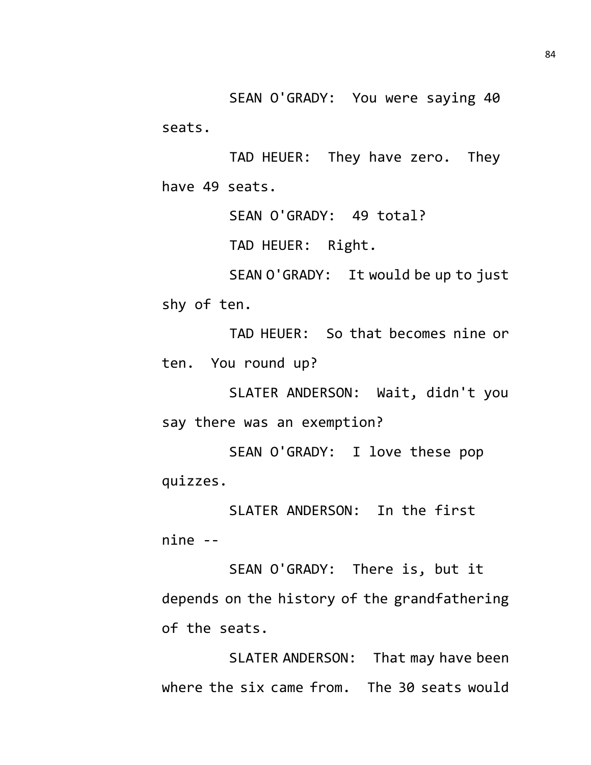SEAN O'GRADY: You were saying 40 seats.

TAD HEUER: They have zero. They have 49 seats.

SEAN O'GRADY: 49 total?

TAD HEUER: Right.

SEAN O'GRADY: It would be up to just shy of ten.

TAD HEUER: So that becomes nine or ten. You round up?

SLATER ANDERSON: Wait, didn't you say there was an exemption?

SEAN O'GRADY: I love these pop quizzes.

SLATER ANDERSON: In the first nine --

SEAN O'GRADY: There is, but it depends on the history of the grandfathering of the seats.

SLATER ANDERSON: That may have been where the six came from. The 30 seats would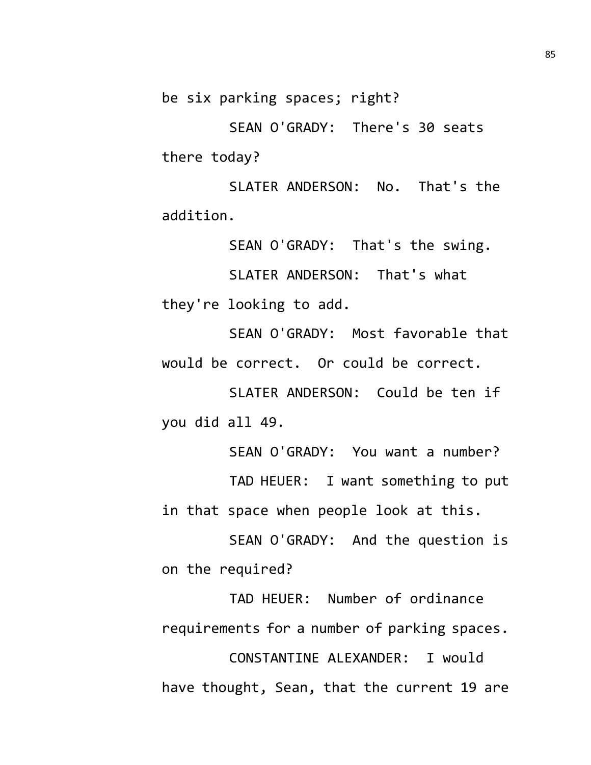be six parking spaces; right?

SEAN O'GRADY: There's 30 seats there today?

SLATER ANDERSON: No. That's the addition.

SEAN O'GRADY: That's the swing.

SLATER ANDERSON: That's what they're looking to add.

SEAN O'GRADY: Most favorable that would be correct. Or could be correct.

SLATER ANDERSON: Could be ten if you did all 49.

SEAN O'GRADY: You want a number?

TAD HEUER: I want something to put in that space when people look at this.

SEAN O'GRADY: And the question is on the required?

TAD HEUER: Number of ordinance requirements for a number of parking spaces.

CONSTANTINE ALEXANDER: I would have thought, Sean, that the current 19 are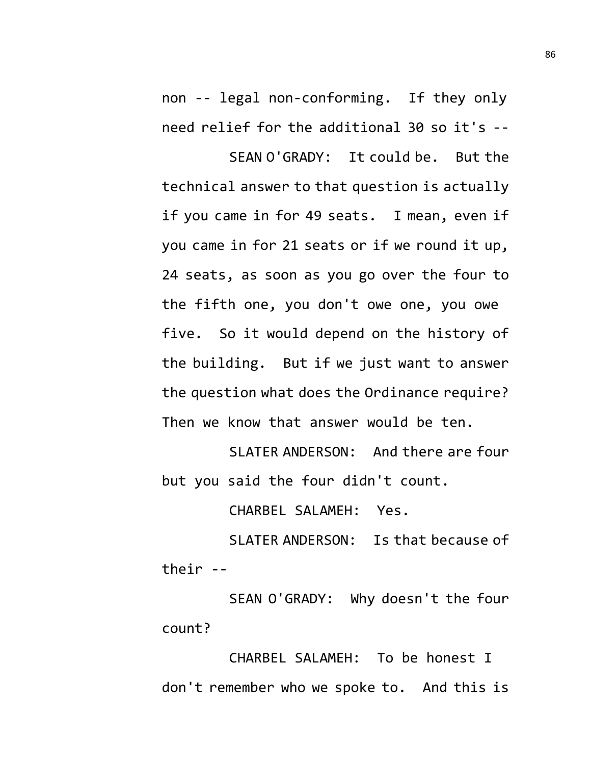non -- legal non-conforming. If they only need relief for the additional 30 so it's --

SEAN O'GRADY: It could be. But the technical answer to that question is actually if you came in for 49 seats. I mean, even if you came in for 21 seats or if we round it up, 24 seats, as soon as you go over the four to the fifth one, you don't owe one, you owe five. So it would depend on the history of the building. But if we just want to answer the question what does the Ordinance require? Then we know that answer would be ten.

SLATER ANDERSON: And there are four but you said the four didn't count.

CHARBEL SALAMEH: Yes.

SLATER ANDERSON: Is that because of their --

SEAN O'GRADY: Why doesn't the four count?

CHARBEL SALAMEH: To be honest I don't remember who we spoke to. And this is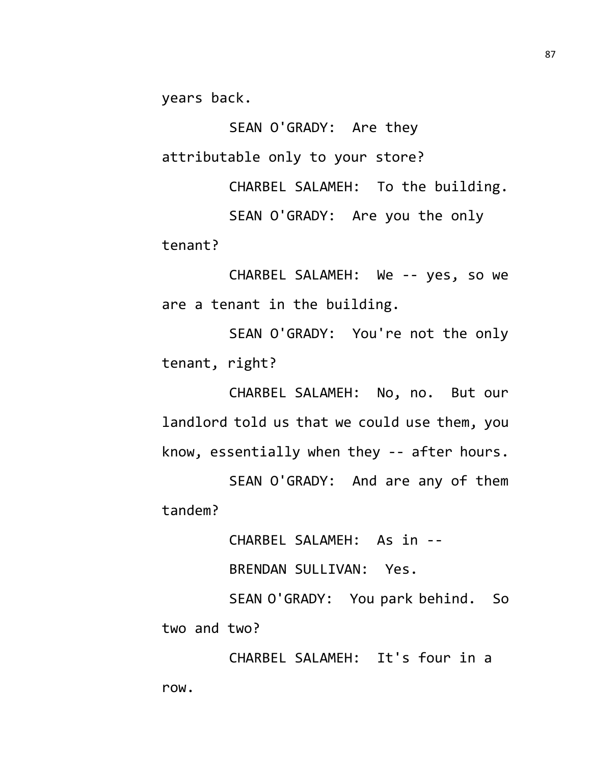years back.

SEAN O'GRADY: Are they attributable only to your store?

CHARBEL SALAMEH: To the building.

SEAN O'GRADY: Are you the only tenant?

CHARBEL SALAMEH: We -- yes, so we are a tenant in the building.

SEAN O'GRADY: You're not the only tenant, right?

CHARBEL SALAMEH: No, no. But our landlord told us that we could use them, you know, essentially when they -- after hours.

SEAN O'GRADY: And are any of them tandem?

CHARBEL SALAMEH: As in --

BRENDAN SULLIVAN: Yes.

SEAN O'GRADY: You park behind. So two and two?

CHARBEL SALAMEH: It's four in a row.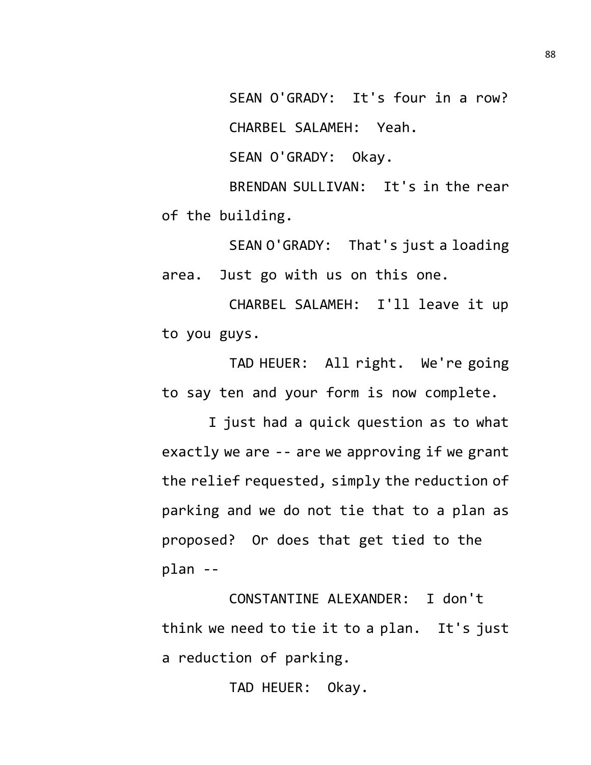SEAN O'GRADY: It's four in a row? CHARBEL SALAMEH: Yeah.

SEAN O'GRADY: Okay.

BRENDAN SULLIVAN: It's in the rear of the building.

SEAN O'GRADY: That's just a loading area. Just go with us on this one.

CHARBEL SALAMEH: I'll leave it up to you guys.

TAD HEUER: All right. We're going to say ten and your form is now complete.

I just had a quick question as to what exactly we are -- are we approving if we grant the relief requested, simply the reduction of parking and we do not tie that to a plan as proposed? Or does that get tied to the plan --

CONSTANTINE ALEXANDER: I don't think we need to tie it to a plan. It's just a reduction of parking.

TAD HEUER: Okay.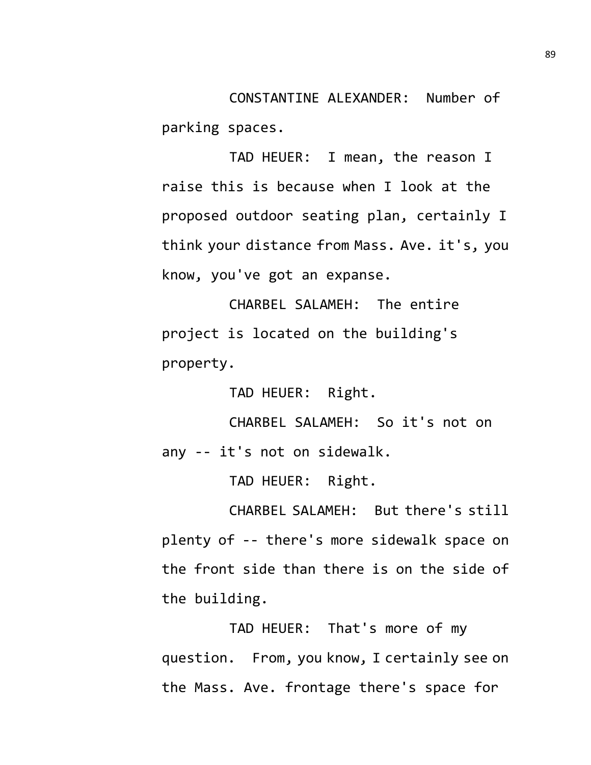CONSTANTINE ALEXANDER: Number of parking spaces.

TAD HEUER: I mean, the reason I raise this is because when I look at the proposed outdoor seating plan, certainly I think your distance from Mass. Ave. it's, you know, you've got an expanse.

CHARBEL SALAMEH: The entire project is located on the building's property.

TAD HEUER: Right.

CHARBEL SALAMEH: So it's not on any -- it's not on sidewalk.

TAD HEUER: Right.

CHARBEL SALAMEH: But there's still plenty of -- there's more sidewalk space on the front side than there is on the side of the building.

TAD HEUER: That's more of my question. From, you know, I certainly see on the Mass. Ave. frontage there's space for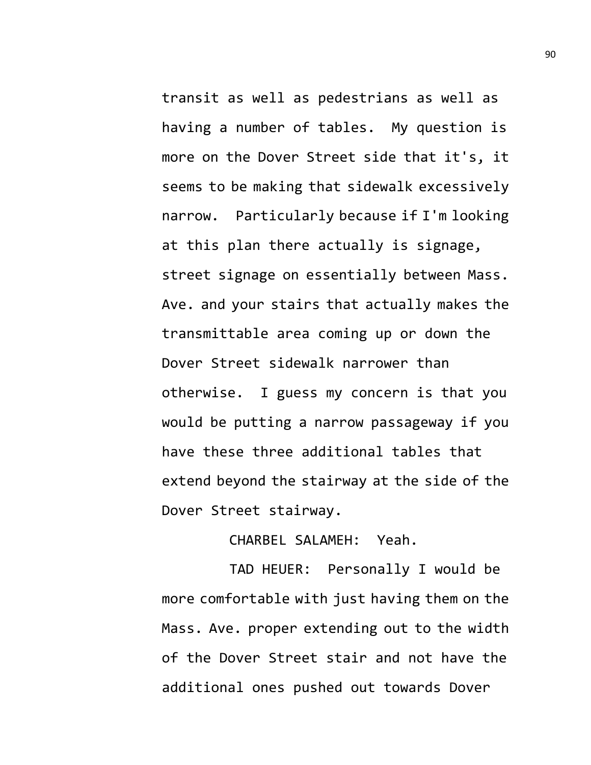transit as well as pedestrians as well as having a number of tables. My question is more on the Dover Street side that it's, it seems to be making that sidewalk excessively narrow. Particularly because if I'm looking at this plan there actually is signage, street signage on essentially between Mass. Ave. and your stairs that actually makes the transmittable area coming up or down the Dover Street sidewalk narrower than otherwise. I guess my concern is that you would be putting a narrow passageway if you have these three additional tables that extend beyond the stairway at the side of the Dover Street stairway.

## CHARBEL SALAMEH: Yeah.

TAD HEUER: Personally I would be more comfortable with just having them on the Mass. Ave. proper extending out to the width of the Dover Street stair and not have the additional ones pushed out towards Dover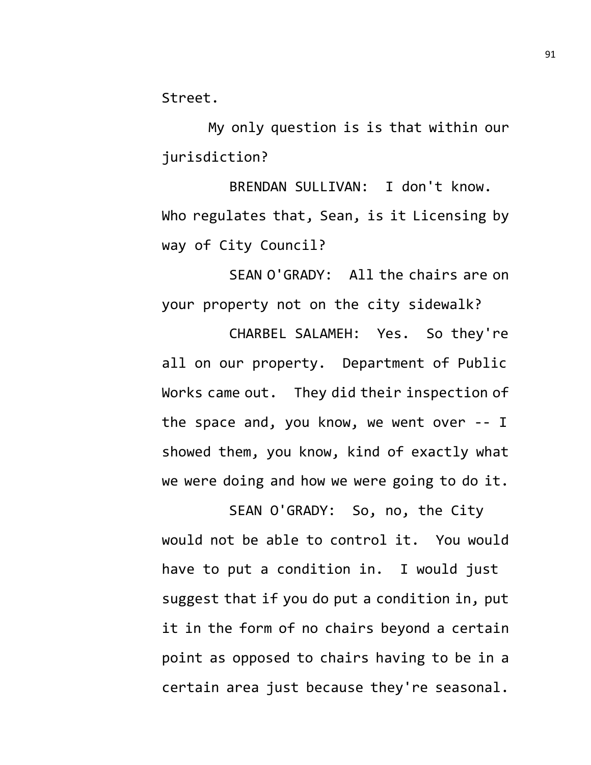Street.

My only question is is that within our jurisdiction?

BRENDAN SULLIVAN: I don't know. Who regulates that, Sean, is it Licensing by way of City Council?

SEAN O'GRADY: All the chairs are on your property not on the city sidewalk?

CHARBEL SALAMEH: Yes. So they're all on our property. Department of Public Works came out. They did their inspection of the space and, you know, we went over -- I showed them, you know, kind of exactly what we were doing and how we were going to do it.

SEAN O'GRADY: So, no, the City would not be able to control it. You would have to put a condition in. I would just suggest that if you do put a condition in, put it in the form of no chairs beyond a certain point as opposed to chairs having to be in a certain area just because they're seasonal.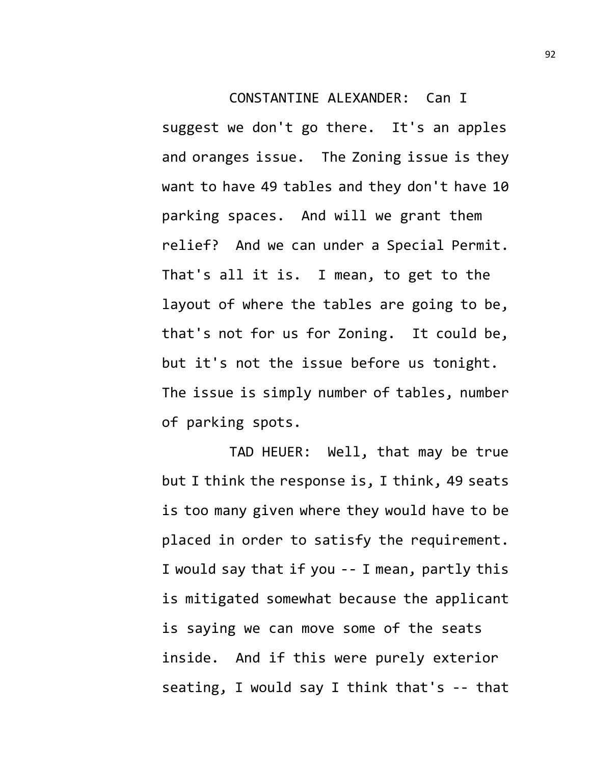## CONSTANTINE ALEXANDER: Can I

suggest we don't go there. It's an apples and oranges issue. The Zoning issue is they want to have 49 tables and they don't have 10 parking spaces. And will we grant them relief? And we can under a Special Permit. That's all it is. I mean, to get to the layout of where the tables are going to be, that's not for us for Zoning. It could be, but it's not the issue before us tonight. The issue is simply number of tables, number of parking spots.

TAD HEUER: Well, that may be true but I think the response is, I think, 49 seats is too many given where they would have to be placed in order to satisfy the requirement. I would say that if you -- I mean, partly this is mitigated somewhat because the applicant is saying we can move some of the seats inside. And if this were purely exterior seating, I would say I think that's -- that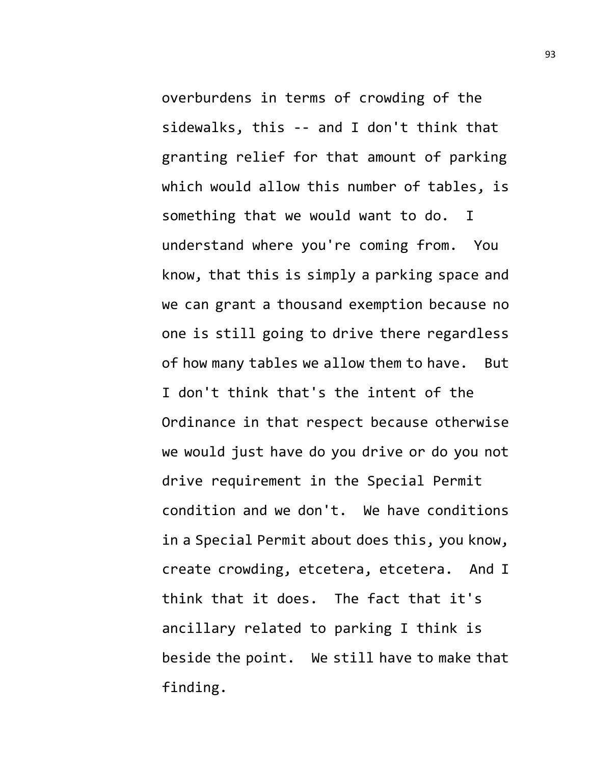overburdens in terms of crowding of the sidewalks, this -- and I don't think that granting relief for that amount of parking which would allow this number of tables, is something that we would want to do. I understand where you're coming from. You know, that this is simply a parking space and we can grant a thousand exemption because no one is still going to drive there regardless of how many tables we allow them to have. But I don't think that's the intent of the Ordinance in that respect because otherwise we would just have do you drive or do you not drive requirement in the Special Permit condition and we don't. We have conditions in a Special Permit about does this, you know, create crowding, etcetera, etcetera. And I think that it does. The fact that it's ancillary related to parking I think is beside the point. We still have to make that finding.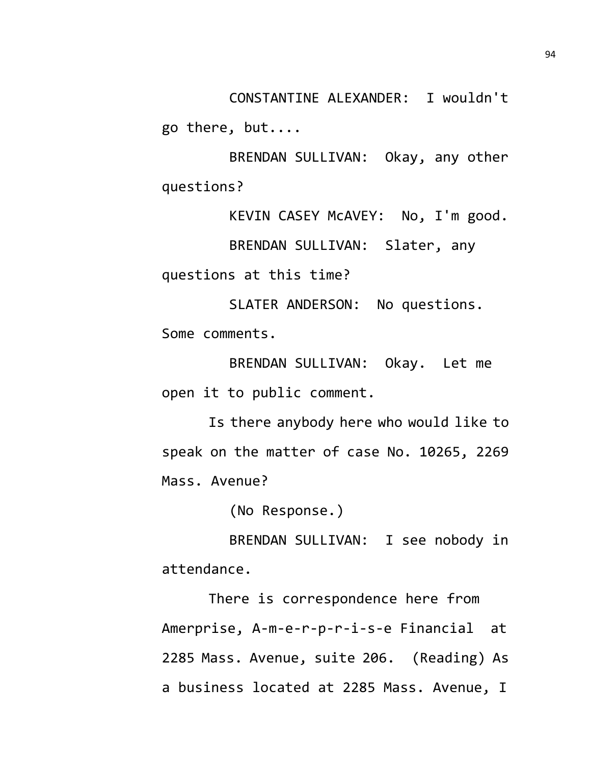CONSTANTINE ALEXANDER: I wouldn't go there, but....

BRENDAN SULLIVAN: Okay, any other questions?

KEVIN CASEY McAVEY: No, I'm good.

BRENDAN SULLIVAN: Slater, any

questions at this time?

SLATER ANDERSON: No questions. Some comments.

BRENDAN SULLIVAN: Okay. Let me open it to public comment.

Is there anybody here who would like to speak on the matter of case No. 10265, 2269 Mass. Avenue?

(No Response.)

BRENDAN SULLIVAN: I see nobody in attendance.

There is correspondence here from Amerprise, A-m-e-r-p-r-i-s-e Financial at 2285 Mass. Avenue, suite 206. (Reading) As a business located at 2285 Mass. Avenue, I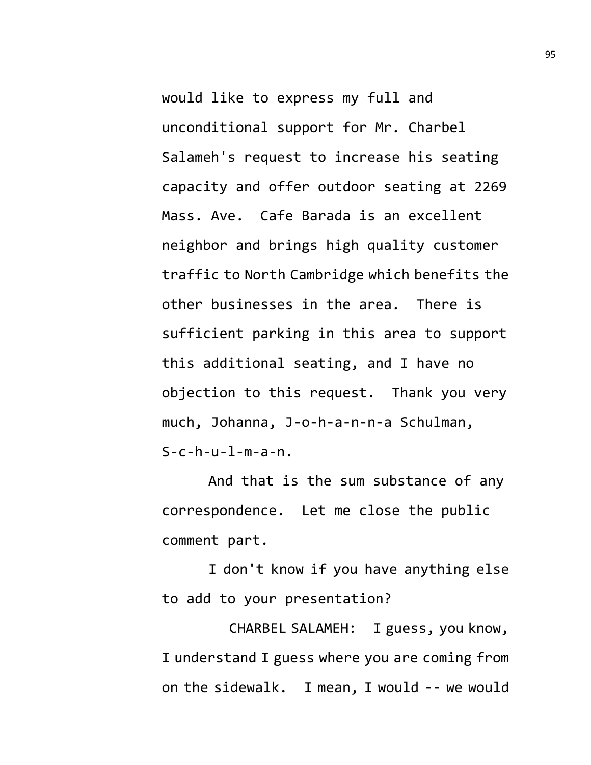would like to express my full and unconditional support for Mr. Charbel Salameh's request to increase his seating capacity and offer outdoor seating at 2269 Mass. Ave. Cafe Barada is an excellent neighbor and brings high quality customer traffic to North Cambridge which benefits the other businesses in the area. There is sufficient parking in this area to support this additional seating, and I have no objection to this request. Thank you very much, Johanna, J-o-h-a-n-n-a Schulman,  $S-c-h-u-1-m-a-n$ .

And that is the sum substance of any correspondence. Let me close the public comment part.

I don't know if you have anything else to add to your presentation?

CHARBEL SALAMEH: I guess, you know, I understand I guess where you are coming from on the sidewalk. I mean, I would -- we would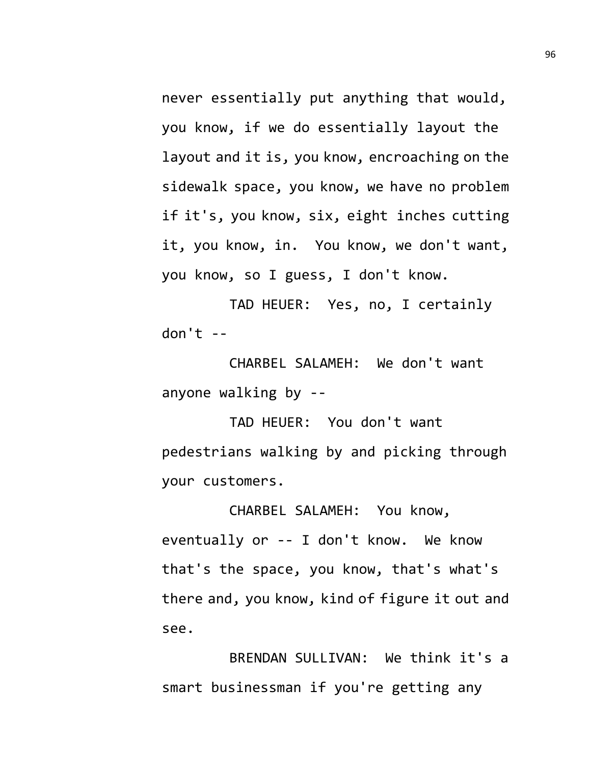never essentially put anything that would, you know, if we do essentially layout the layout and it is, you know, encroaching on the sidewalk space, you know, we have no problem if it's, you know, six, eight inches cutting it, you know, in. You know, we don't want, you know, so I guess, I don't know.

TAD HEUER: Yes, no, I certainly don't  $-$ 

CHARBEL SALAMEH: We don't want anyone walking by --

TAD HEUER: You don't want pedestrians walking by and picking through your customers.

CHARBEL SALAMEH: You know, eventually or -- I don't know. We know that's the space, you know, that's what's there and, you know, kind of figure it out and see.

BRENDAN SULLIVAN: We think it's a smart businessman if you're getting any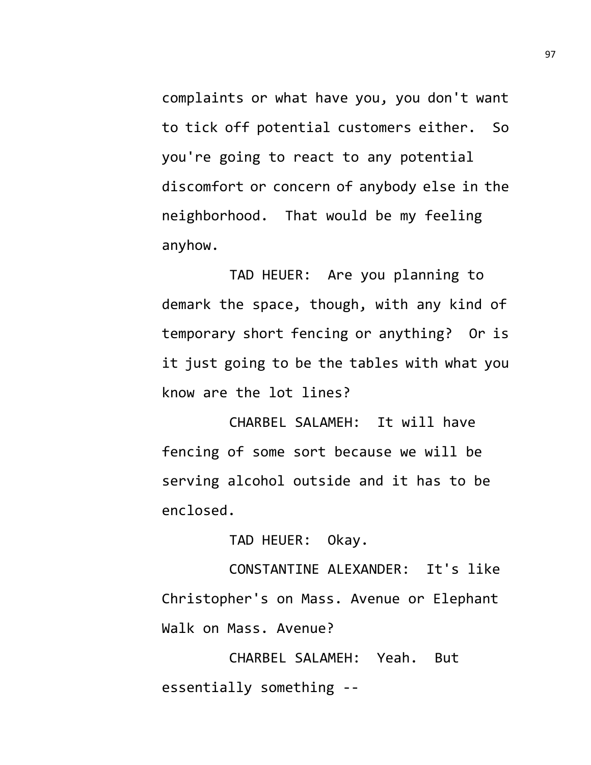complaints or what have you, you don't want to tick off potential customers either. So you're going to react to any potential discomfort or concern of anybody else in the neighborhood. That would be my feeling anyhow.

TAD HEUER: Are you planning to demark the space, though, with any kind of temporary short fencing or anything? Or is it just going to be the tables with what you know are the lot lines?

CHARBEL SALAMEH: It will have fencing of some sort because we will be serving alcohol outside and it has to be enclosed.

TAD HEUER: Okay.

CONSTANTINE ALEXANDER: It's like Christopher's on Mass. Avenue or Elephant Walk on Mass. Avenue?

CHARBEL SALAMEH: Yeah. But essentially something --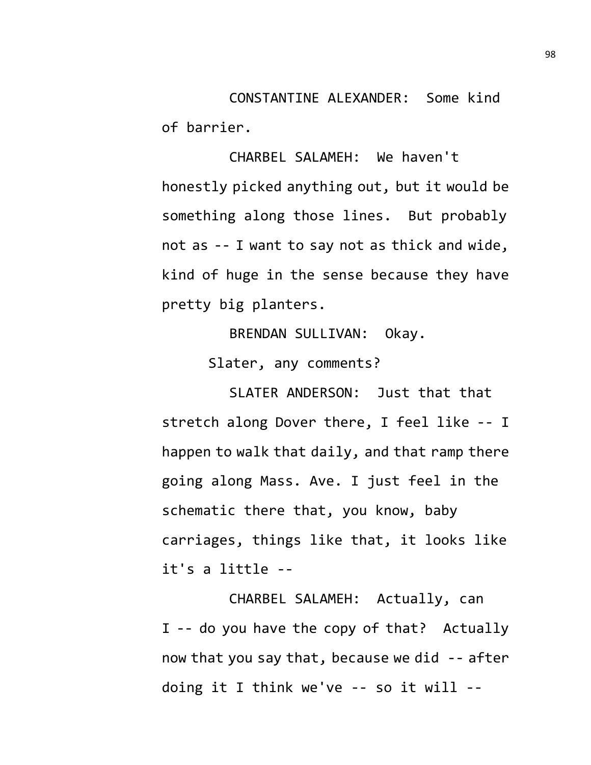CONSTANTINE ALEXANDER: Some kind of barrier.

CHARBEL SALAMEH: We haven't honestly picked anything out, but it would be something along those lines. But probably not as -- I want to say not as thick and wide, kind of huge in the sense because they have pretty big planters.

BRENDAN SULLIVAN: Okay.

Slater, any comments?

SLATER ANDERSON: Just that that stretch along Dover there, I feel like -- I happen to walk that daily, and that ramp there going along Mass. Ave. I just feel in the schematic there that, you know, baby carriages, things like that, it looks like it's a little --

CHARBEL SALAMEH: Actually, can I -- do you have the copy of that? Actually now that you say that, because we did -- after doing it I think we've -- so it will --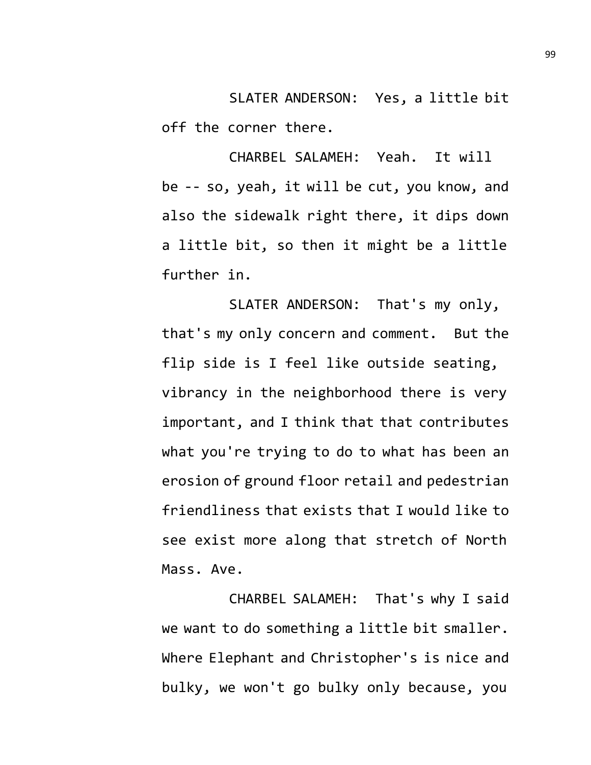SLATER ANDERSON: Yes, a little bit off the corner there.

CHARBEL SALAMEH: Yeah. It will be -- so, yeah, it will be cut, you know, and also the sidewalk right there, it dips down a little bit, so then it might be a little further in.

SLATER ANDERSON: That's my only, that's my only concern and comment. But the flip side is I feel like outside seating, vibrancy in the neighborhood there is very important, and I think that that contributes what you're trying to do to what has been an erosion of ground floor retail and pedestrian friendliness that exists that I would like to see exist more along that stretch of North Mass. Ave.

CHARBEL SALAMEH: That's why I said we want to do something a little bit smaller. Where Elephant and Christopher's is nice and bulky, we won't go bulky only because, you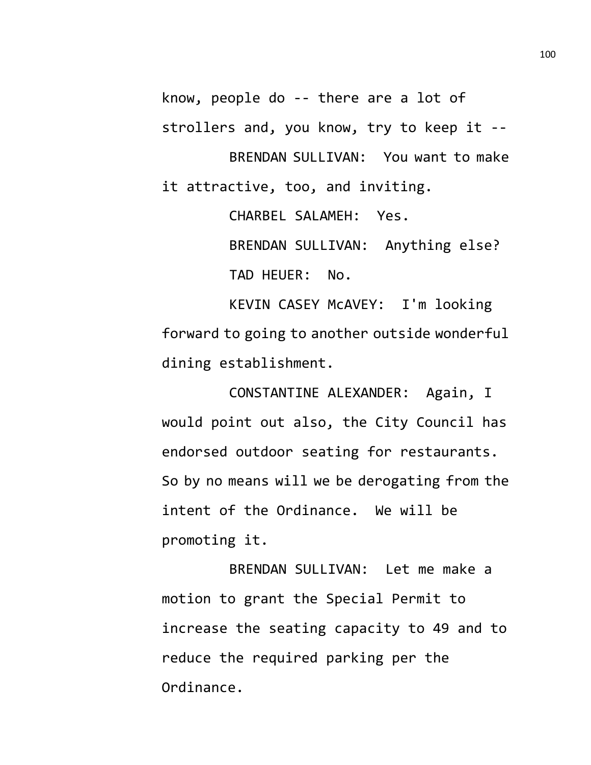know, people do -- there are a lot of strollers and, you know, try to keep it -- BRENDAN SULLIVAN: You want to make it attractive, too, and inviting.

> CHARBEL SALAMEH: Yes. BRENDAN SULLIVAN: Anything else? TAD HEUER: No.

KEVIN CASEY McAVEY: I'm looking forward to going to another outside wonderful dining establishment.

CONSTANTINE ALEXANDER: Again, I would point out also, the City Council has endorsed outdoor seating for restaurants. So by no means will we be derogating from the intent of the Ordinance. We will be promoting it.

BRENDAN SULLIVAN: Let me make a motion to grant the Special Permit to increase the seating capacity to 49 and to reduce the required parking per the Ordinance.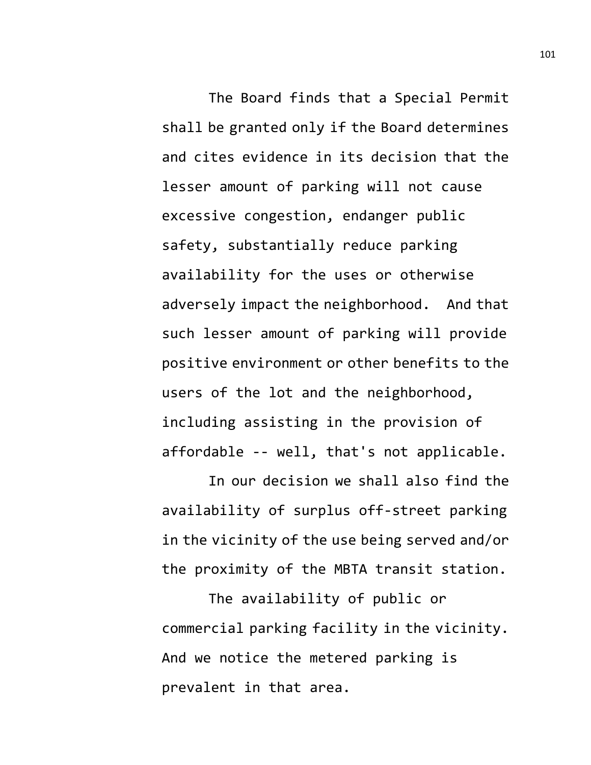The Board finds that a Special Permit shall be granted only if the Board determines and cites evidence in its decision that the lesser amount of parking will not cause excessive congestion, endanger public safety, substantially reduce parking availability for the uses or otherwise adversely impact the neighborhood. And that such lesser amount of parking will provide positive environment or other benefits to the users of the lot and the neighborhood, including assisting in the provision of affordable -- well, that's not applicable.

In our decision we shall also find the availability of surplus off-street parking in the vicinity of the use being served and/or the proximity of the MBTA transit station.

The availability of public or commercial parking facility in the vicinity. And we notice the metered parking is prevalent in that area.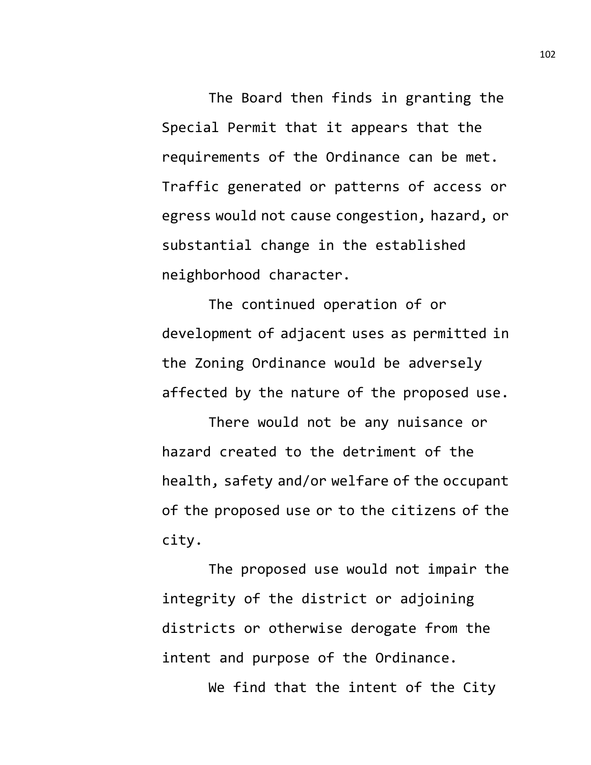The Board then finds in granting the Special Permit that it appears that the requirements of the Ordinance can be met. Traffic generated or patterns of access or egress would not cause congestion, hazard, or substantial change in the established neighborhood character.

The continued operation of or development of adjacent uses as permitted in the Zoning Ordinance would be adversely affected by the nature of the proposed use.

There would not be any nuisance or hazard created to the detriment of the health, safety and/or welfare of the occupant of the proposed use or to the citizens of the city.

The proposed use would not impair the integrity of the district or adjoining districts or otherwise derogate from the intent and purpose of the Ordinance.

We find that the intent of the City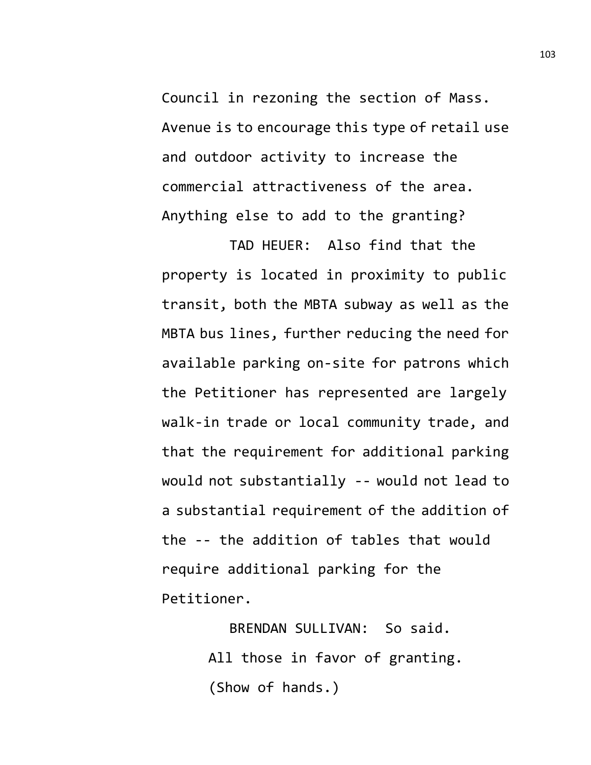Council in rezoning the section of Mass. Avenue is to encourage this type of retail use and outdoor activity to increase the commercial attractiveness of the area. Anything else to add to the granting?

TAD HEUER: Also find that the property is located in proximity to public transit, both the MBTA subway as well as the MBTA bus lines, further reducing the need for available parking on-site for patrons which the Petitioner has represented are largely walk-in trade or local community trade, and that the requirement for additional parking would not substantially -- would not lead to a substantial requirement of the addition of the -- the addition of tables that would require additional parking for the Petitioner.

> BRENDAN SULLIVAN: So said. All those in favor of granting. (Show of hands.)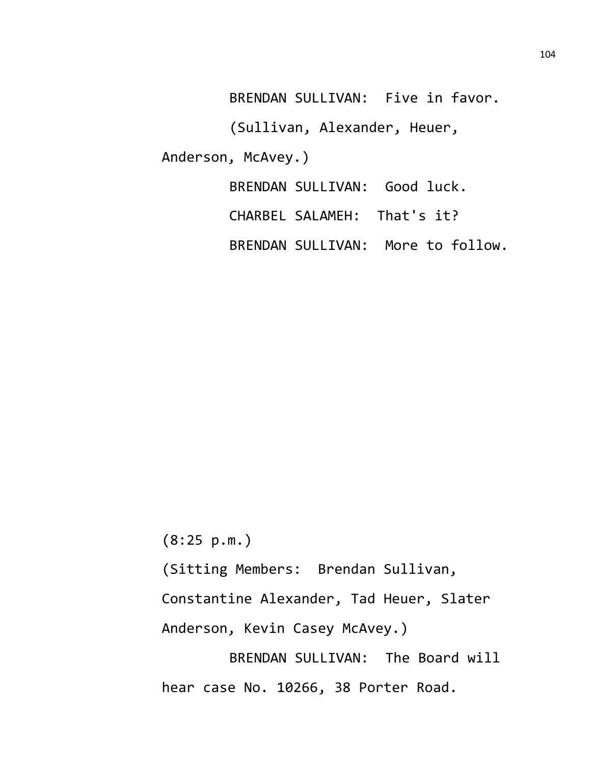BRENDAN SULLIVAN: Five in favor.

(Sullivan, Alexander, Heuer,

Anderson, McAvey.)

BRENDAN SULLIVAN: Good luck.

CHARBEL SALAMEH: That's it?

BRENDAN SULLIVAN: More to follow.

(8:25 p.m.)

(Sitting Members: Brendan Sullivan,

Constantine Alexander, Tad Heuer, Slater

Anderson, Kevin Casey McAvey.)

BRENDAN SULLIVAN: The Board will hear case No. 10266, 38 Porter Road.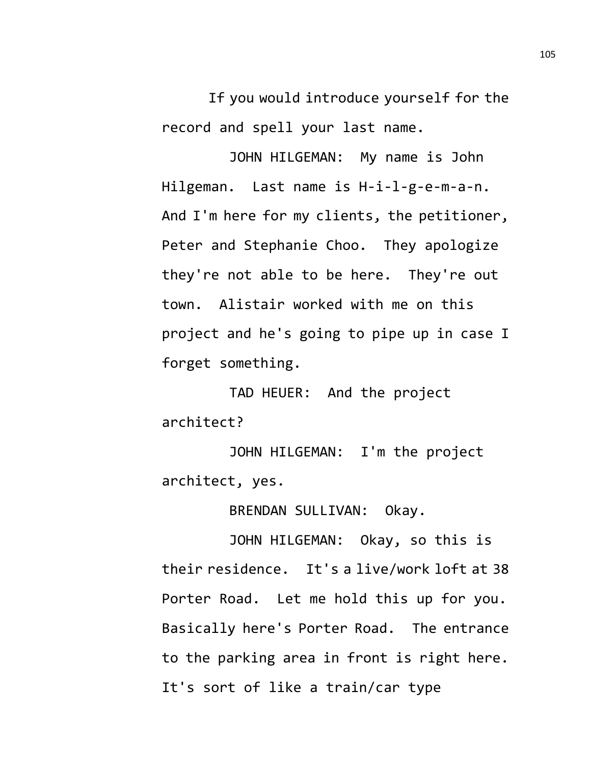If you would introduce yourself for the record and spell your last name.

JOHN HILGEMAN: My name is John Hilgeman. Last name is H-i-l-g-e-m-a-n. And I'm here for my clients, the petitioner, Peter and Stephanie Choo. They apologize they're not able to be here. They're out town. Alistair worked with me on this project and he's going to pipe up in case I forget something.

TAD HEUER: And the project architect?

JOHN HILGEMAN: I'm the project architect, yes.

BRENDAN SULLIVAN: Okay.

JOHN HILGEMAN: Okay, so this is their residence. It's a live/work loft at 38 Porter Road. Let me hold this up for you. Basically here's Porter Road. The entrance to the parking area in front is right here. It's sort of like a train/car type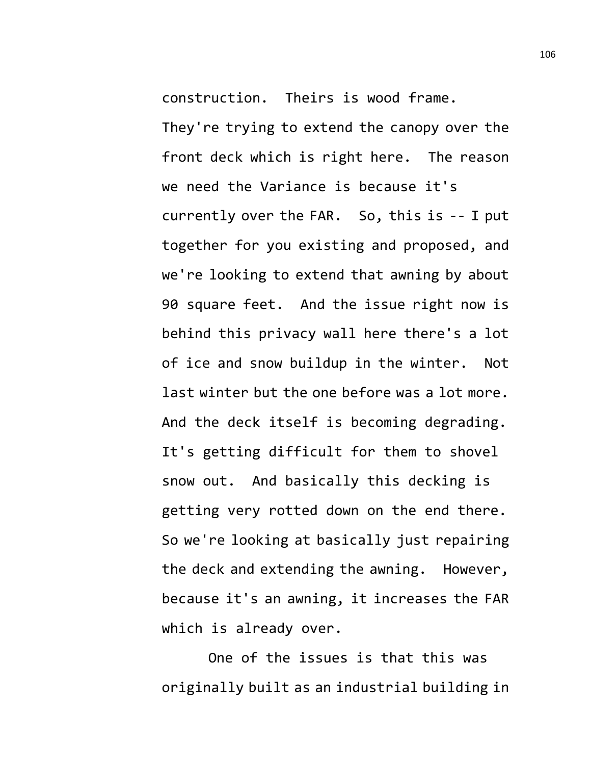construction. Theirs is wood frame.

They're trying to extend the canopy over the front deck which is right here. The reason we need the Variance is because it's currently over the FAR. So, this is -- I put together for you existing and proposed, and we're looking to extend that awning by about 90 square feet. And the issue right now is behind this privacy wall here there's a lot of ice and snow buildup in the winter. Not last winter but the one before was a lot more. And the deck itself is becoming degrading. It's getting difficult for them to shovel snow out. And basically this decking is getting very rotted down on the end there. So we're looking at basically just repairing the deck and extending the awning. However, because it's an awning, it increases the FAR which is already over.

One of the issues is that this was originally built as an industrial building in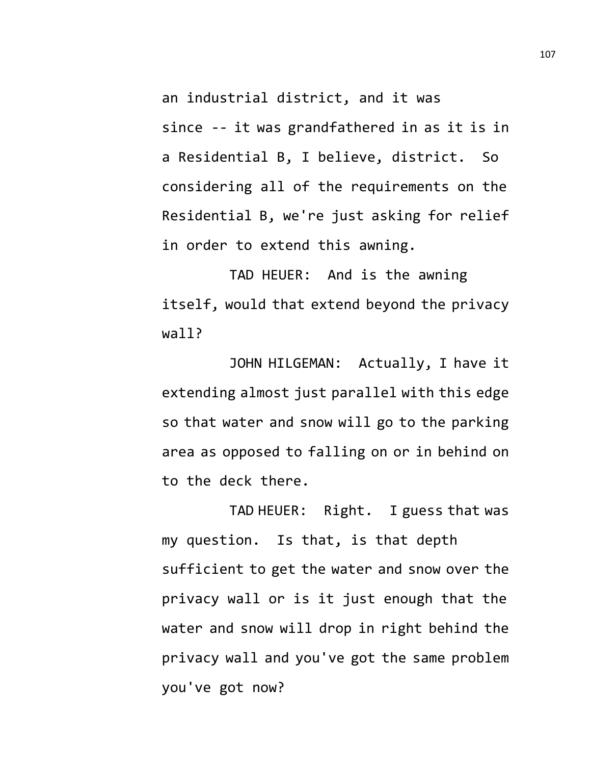an industrial district, and it was since -- it was grandfathered in as it is in a Residential B, I believe, district. So considering all of the requirements on the Residential B, we're just asking for relief in order to extend this awning.

TAD HEUER: And is the awning itself, would that extend beyond the privacy wall?

JOHN HILGEMAN: Actually, I have it extending almost just parallel with this edge so that water and snow will go to the parking area as opposed to falling on or in behind on to the deck there.

TAD HEUER: Right. I guess that was my question. Is that, is that depth sufficient to get the water and snow over the privacy wall or is it just enough that the water and snow will drop in right behind the privacy wall and you've got the same problem you've got now?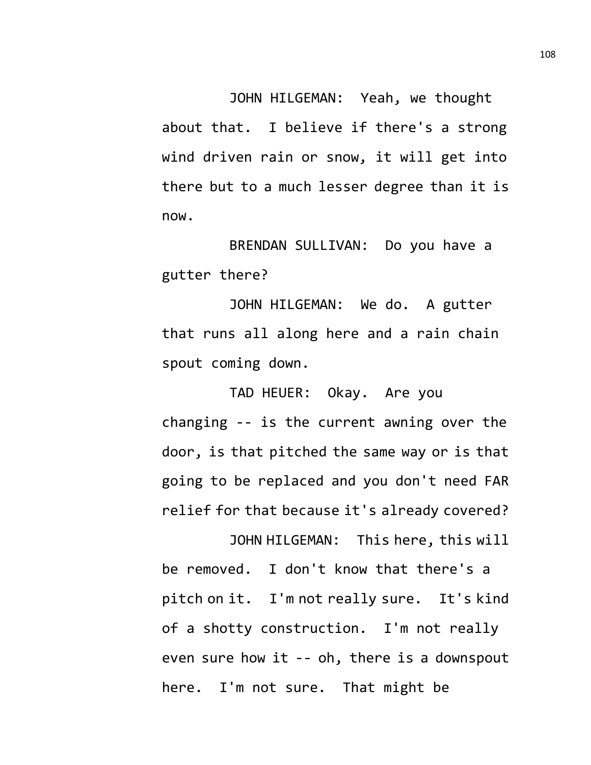JOHN HILGEMAN: Yeah, we thought about that. I believe if there's a strong wind driven rain or snow, it will get into there but to a much lesser degree than it is now.

BRENDAN SULLIVAN: Do you have a gutter there?

JOHN HILGEMAN: We do. A gutter that runs all along here and a rain chain spout coming down.

TAD HEUER: Okay. Are you changing -- is the current awning over the door, is that pitched the same way or is that going to be replaced and you don't need FAR relief for that because it's already covered?

JOHN HILGEMAN: This here, this will be removed. I don't know that there's a pitch on it. I'm not really sure. It's kind of a shotty construction. I'm not really even sure how it -- oh, there is a downspout here. I'm not sure. That might be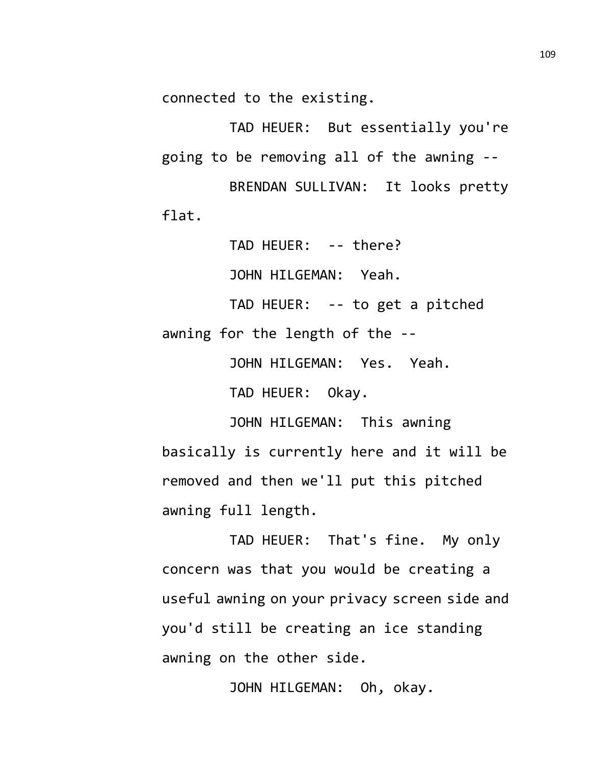connected to the existing.

TAD HEUER: But essentially you're going to be removing all of the awning --

BRENDAN SULLIVAN: It looks pretty flat.

> TAD HEUER: -- there? JOHN HILGEMAN: Yeah.

TAD HEUER: -- to get a pitched awning for the length of the --

JOHN HILGEMAN: Yes. Yeah.

TAD HEUER: Okay.

JOHN HILGEMAN: This awning basically is currently here and it will be removed and then we'll put this pitched awning full length.

TAD HEUER: That's fine. My only concern was that you would be creating a useful awning on your privacy screen side and you'd still be creating an ice standing awning on the other side.

JOHN HILGEMAN: Oh, okay.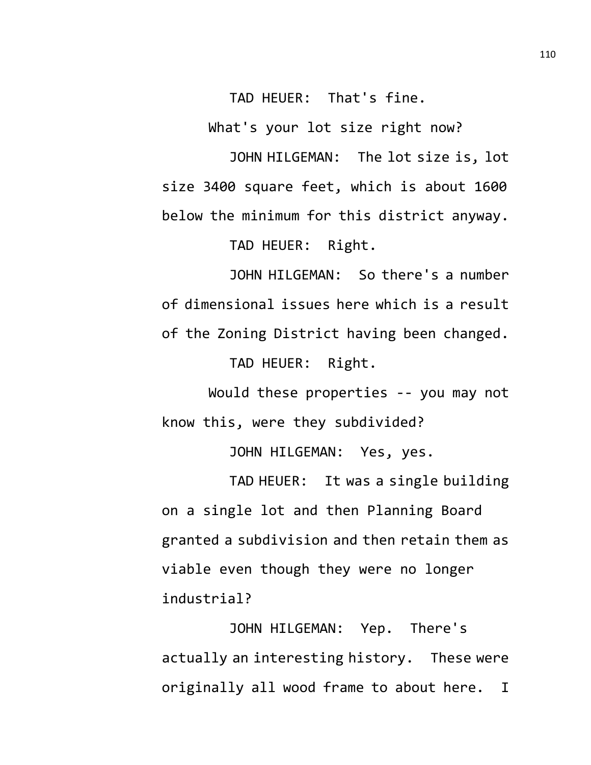TAD HEUER: That's fine.

What's your lot size right now?

JOHN HILGEMAN: The lot size is, lot size 3400 square feet, which is about 1600 below the minimum for this district anyway.

TAD HEUER: Right.

JOHN HILGEMAN: So there's a number of dimensional issues here which is a result of the Zoning District having been changed.

TAD HEUER: Right.

Would these properties -- you may not know this, were they subdivided?

JOHN HILGEMAN: Yes, yes.

TAD HEUER: It was a single building on a single lot and then Planning Board granted a subdivision and then retain them as viable even though they were no longer industrial?

JOHN HILGEMAN: Yep. There's actually an interesting history. These were originally all wood frame to about here. I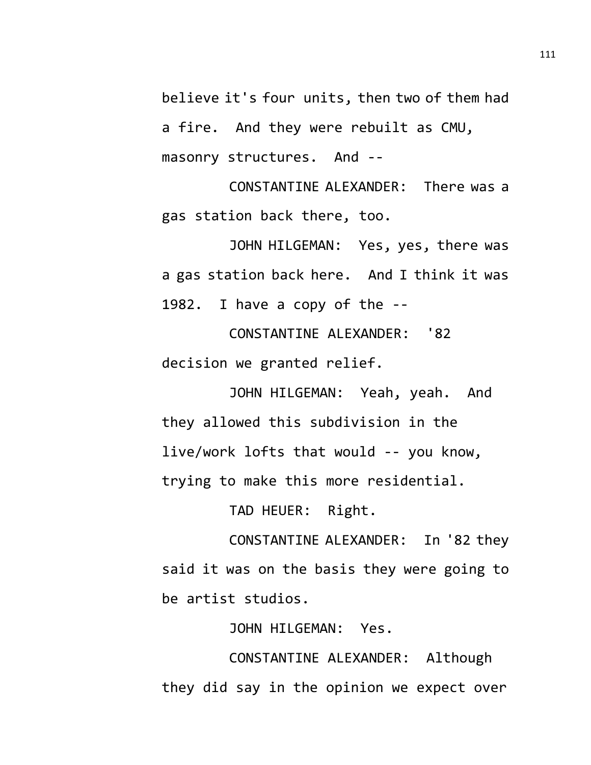believe it's four units, then two of them had a fire. And they were rebuilt as CMU, masonry structures. And --

CONSTANTINE ALEXANDER: There was a gas station back there, too.

JOHN HILGEMAN: Yes, yes, there was a gas station back here. And I think it was 1982. I have a copy of the --

CONSTANTINE ALEXANDER: '82 decision we granted relief.

JOHN HILGEMAN: Yeah, yeah. And they allowed this subdivision in the live/work lofts that would -- you know, trying to make this more residential.

TAD HEUER: Right.

CONSTANTINE ALEXANDER: In '82 they said it was on the basis they were going to be artist studios.

JOHN HILGEMAN: Yes.

CONSTANTINE ALEXANDER: Although they did say in the opinion we expect over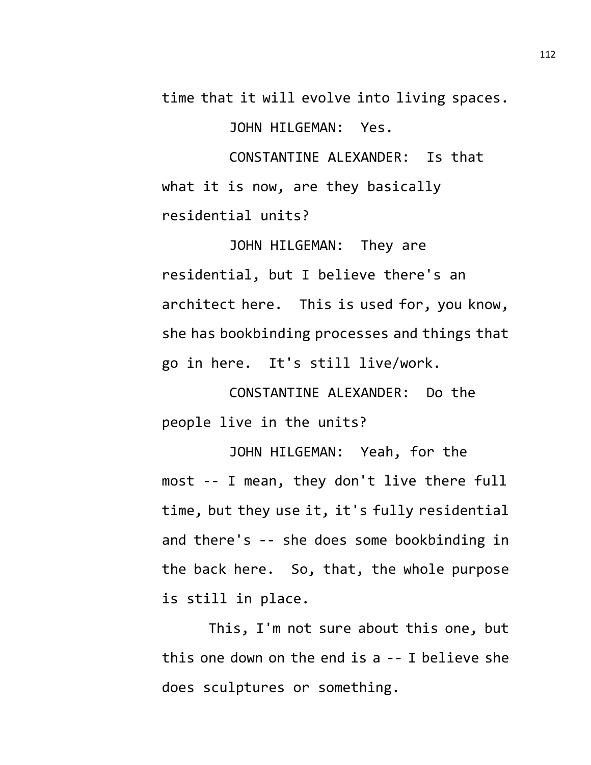time that it will evolve into living spaces.

JOHN HILGEMAN: Yes.

CONSTANTINE ALEXANDER: Is that what it is now, are they basically residential units?

JOHN HILGEMAN: They are residential, but I believe there's an architect here. This is used for, you know, she has bookbinding processes and things that go in here. It's still live/work.

CONSTANTINE ALEXANDER: Do the people live in the units?

JOHN HILGEMAN: Yeah, for the most -- I mean, they don't live there full time, but they use it, it's fully residential and there's -- she does some bookbinding in the back here. So, that, the whole purpose is still in place.

This, I'm not sure about this one, but this one down on the end is a -- I believe she does sculptures or something.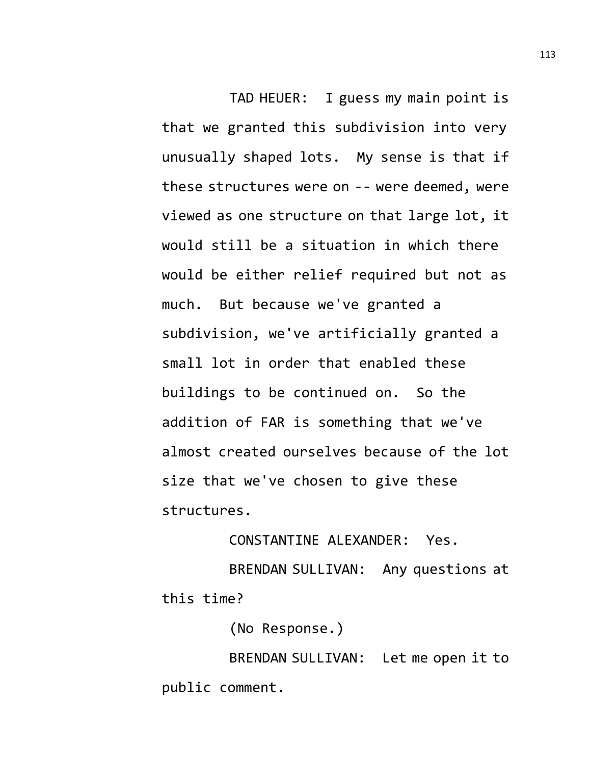TAD HEUER: I guess my main point is that we granted this subdivision into very unusually shaped lots. My sense is that if these structures were on -- were deemed, were viewed as one structure on that large lot, it would still be a situation in which there would be either relief required but not as much. But because we've granted a subdivision, we've artificially granted a small lot in order that enabled these buildings to be continued on. So the addition of FAR is something that we've almost created ourselves because of the lot size that we've chosen to give these structures.

## CONSTANTINE ALEXANDER: Yes.

BRENDAN SULLIVAN: Any questions at this time?

(No Response.)

BRENDAN SULLIVAN: Let me open it to public comment.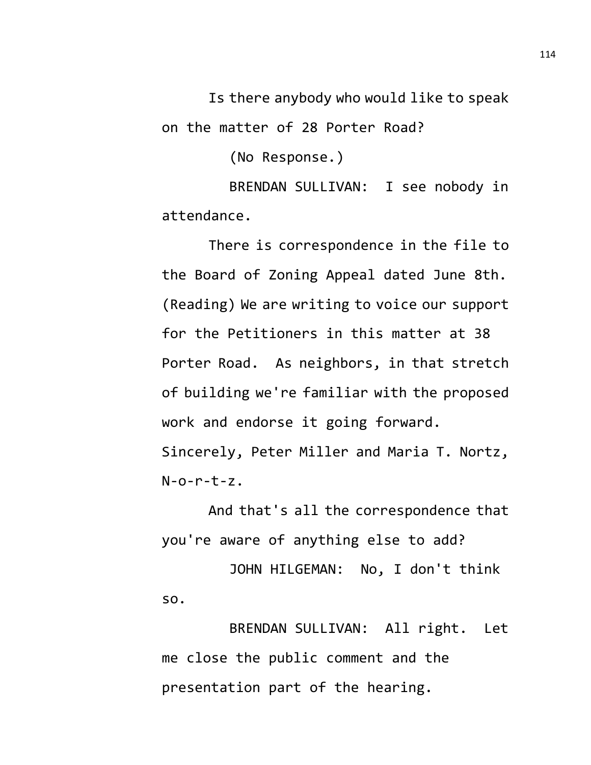Is there anybody who would like to speak on the matter of 28 Porter Road?

(No Response.)

BRENDAN SULLIVAN: I see nobody in attendance.

There is correspondence in the file to the Board of Zoning Appeal dated June 8th. (Reading) We are writing to voice our support for the Petitioners in this matter at 38 Porter Road. As neighbors, in that stretch of building we're familiar with the proposed work and endorse it going forward. Sincerely, Peter Miller and Maria T. Nortz,  $N$ -o-r-t-z.

And that's all the correspondence that you're aware of anything else to add?

JOHN HILGEMAN: No, I don't think so.

BRENDAN SULLIVAN: All right. Let me close the public comment and the presentation part of the hearing.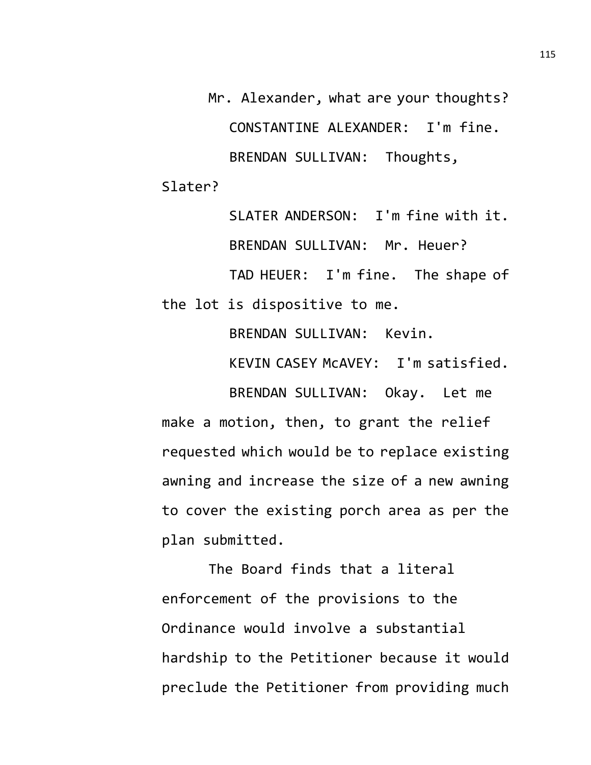Mr. Alexander, what are your thoughts? CONSTANTINE ALEXANDER: I'm fine. BRENDAN SULLIVAN: Thoughts, Slater?

SLATER ANDERSON: I'm fine with it. BRENDAN SULLIVAN: Mr. Heuer? TAD HEUER: I'm fine. The shape of the lot is dispositive to me.

BRENDAN SULLIVAN: Kevin.

KEVIN CASEY McAVEY: I'm satisfied.

BRENDAN SULLIVAN: Okay. Let me make a motion, then, to grant the relief requested which would be to replace existing awning and increase the size of a new awning to cover the existing porch area as per the plan submitted.

The Board finds that a literal enforcement of the provisions to the Ordinance would involve a substantial hardship to the Petitioner because it would preclude the Petitioner from providing much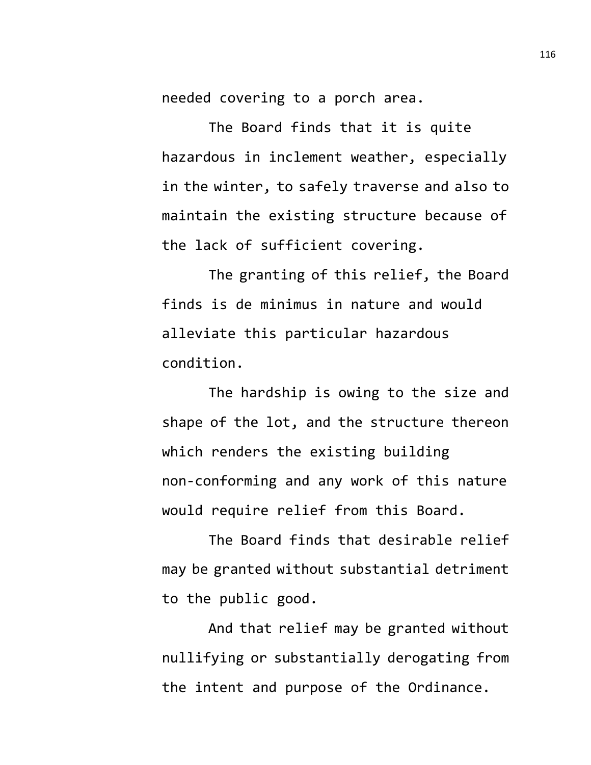needed covering to a porch area.

The Board finds that it is quite hazardous in inclement weather, especially in the winter, to safely traverse and also to maintain the existing structure because of the lack of sufficient covering.

The granting of this relief, the Board finds is de minimus in nature and would alleviate this particular hazardous condition.

The hardship is owing to the size and shape of the lot, and the structure thereon which renders the existing building non-conforming and any work of this nature would require relief from this Board.

The Board finds that desirable relief may be granted without substantial detriment to the public good.

And that relief may be granted without nullifying or substantially derogating from the intent and purpose of the Ordinance.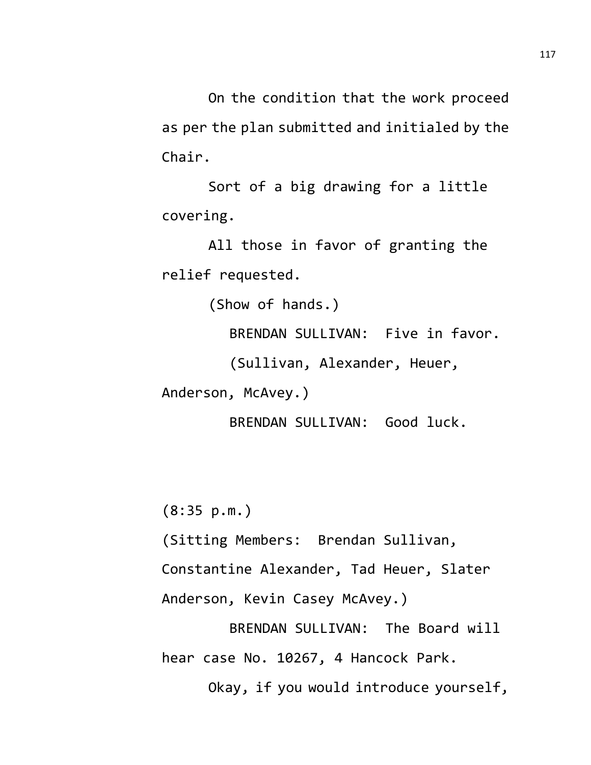On the condition that the work proceed as per the plan submitted and initialed by the Chair.

Sort of a big drawing for a little covering.

All those in favor of granting the relief requested.

(Show of hands.)

BRENDAN SULLIVAN: Five in favor.

(Sullivan, Alexander, Heuer,

Anderson, McAvey.)

BRENDAN SULLIVAN: Good luck.

(8:35 p.m.)

(Sitting Members: Brendan Sullivan,

Constantine Alexander, Tad Heuer, Slater

Anderson, Kevin Casey McAvey.)

BRENDAN SULLIVAN: The Board will hear case No. 10267, 4 Hancock Park.

Okay, if you would introduce yourself,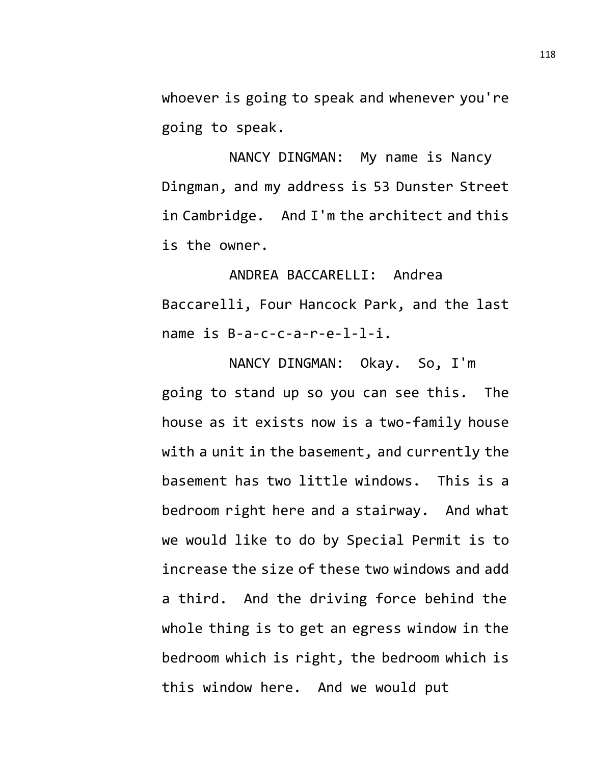whoever is going to speak and whenever you're going to speak.

NANCY DINGMAN: My name is Nancy Dingman, and my address is 53 Dunster Street in Cambridge. And I'm the architect and this is the owner.

ANDREA BACCARELLI: Andrea Baccarelli, Four Hancock Park, and the last name is B-a-c-c-a-r-e-l-l-i.

NANCY DINGMAN: Okay. So, I'm going to stand up so you can see this. The house as it exists now is a two-family house with a unit in the basement, and currently the basement has two little windows. This is a bedroom right here and a stairway. And what we would like to do by Special Permit is to increase the size of these two windows and add a third. And the driving force behind the whole thing is to get an egress window in the bedroom which is right, the bedroom which is this window here. And we would put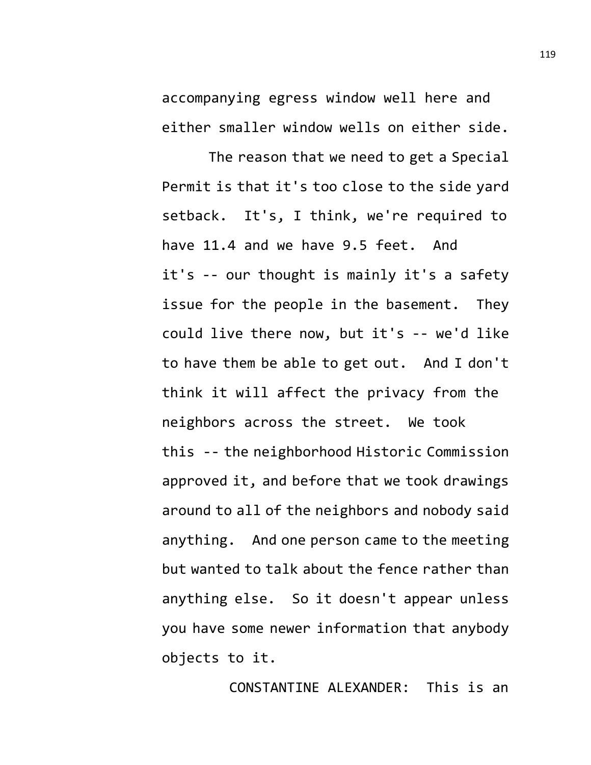accompanying egress window well here and either smaller window wells on either side.

The reason that we need to get a Special Permit is that it's too close to the side yard setback. It's, I think, we're required to have 11.4 and we have 9.5 feet. And it's -- our thought is mainly it's a safety issue for the people in the basement. They could live there now, but it's -- we'd like to have them be able to get out. And I don't think it will affect the privacy from the neighbors across the street. We took this -- the neighborhood Historic Commission approved it, and before that we took drawings around to all of the neighbors and nobody said anything. And one person came to the meeting but wanted to talk about the fence rather than anything else. So it doesn't appear unless you have some newer information that anybody objects to it.

CONSTANTINE ALEXANDER: This is an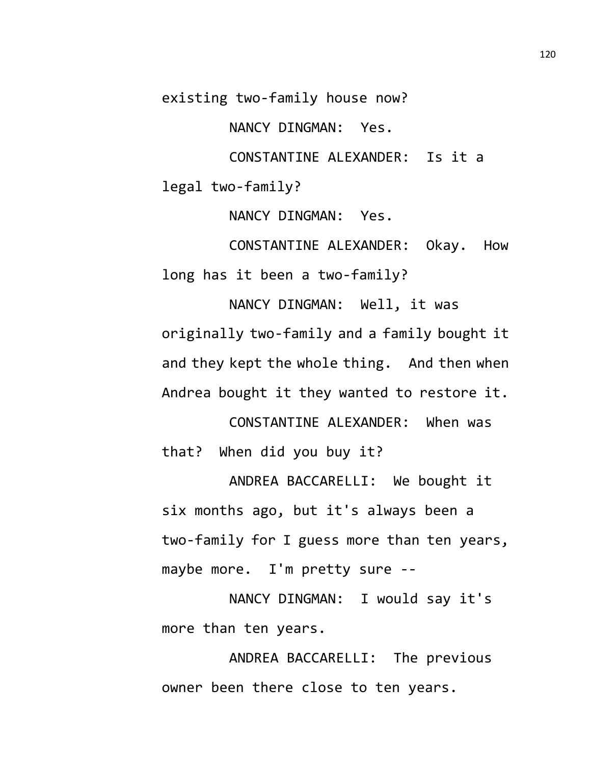existing two-family house now?

NANCY DINGMAN: Yes.

CONSTANTINE ALEXANDER: Is it a

legal two-family?

NANCY DINGMAN: Yes.

CONSTANTINE ALEXANDER: Okay. How long has it been a two-family?

NANCY DINGMAN: Well, it was originally two-family and a family bought it and they kept the whole thing. And then when Andrea bought it they wanted to restore it.

CONSTANTINE ALEXANDER: When was that? When did you buy it?

ANDREA BACCARELLI: We bought it six months ago, but it's always been a two-family for I guess more than ten years, maybe more. I'm pretty sure --

NANCY DINGMAN: I would say it's more than ten years.

ANDREA BACCARELLI: The previous owner been there close to ten years.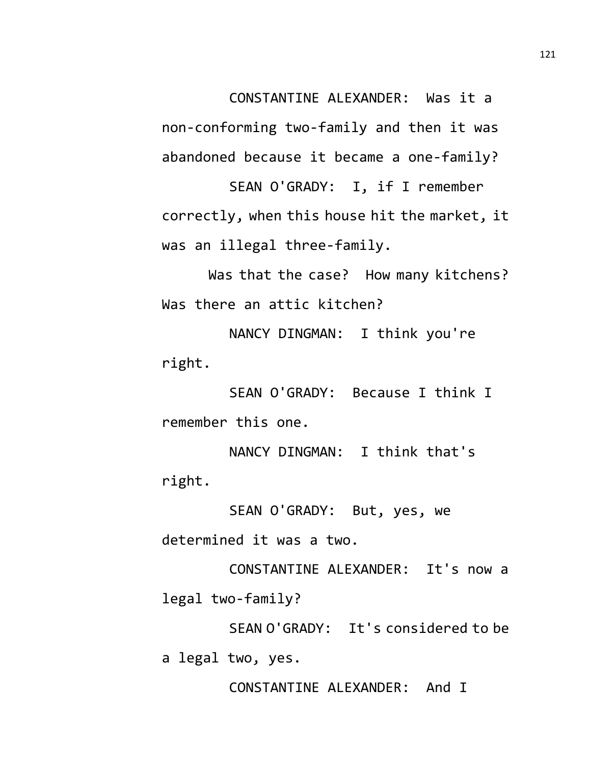CONSTANTINE ALEXANDER: Was it a

non-conforming two-family and then it was abandoned because it became a one-family?

SEAN O'GRADY: I, if I remember correctly, when this house hit the market, it was an illegal three-family.

Was that the case? How many kitchens? Was there an attic kitchen?

NANCY DINGMAN: I think you're right.

SEAN O'GRADY: Because I think I remember this one.

NANCY DINGMAN: I think that's right.

SEAN O'GRADY: But, yes, we determined it was a two.

CONSTANTINE ALEXANDER: It's now a legal two-family?

SEAN O'GRADY: It's considered to be a legal two, yes.

CONSTANTINE ALEXANDER: And I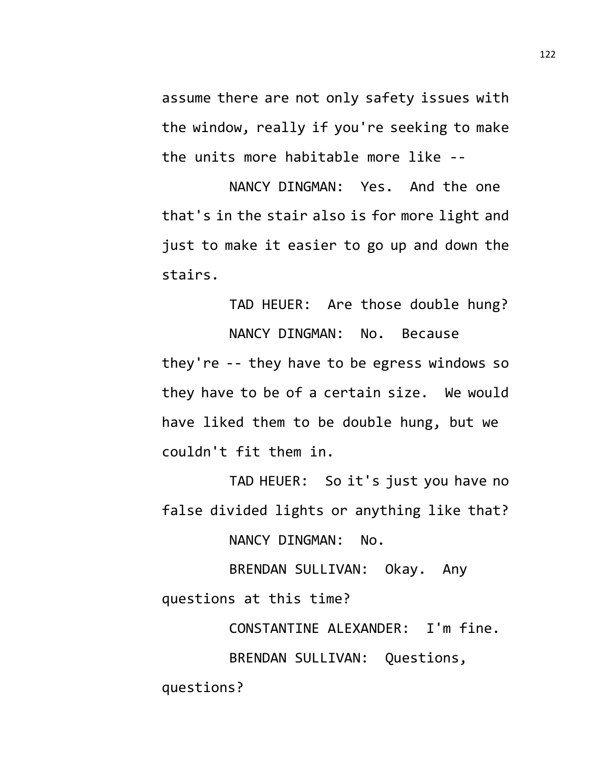assume there are not only safety issues with the window, really if you're seeking to make the units more habitable more like --

NANCY DINGMAN: Yes. And the one that's in the stair also is for more light and just to make it easier to go up and down the stairs.

TAD HEUER: Are those double hung? NANCY DINGMAN: No. Because they're -- they have to be egress windows so they have to be of a certain size. We would have liked them to be double hung, but we couldn't fit them in.

TAD HEUER: So it's just you have no false divided lights or anything like that?

NANCY DINGMAN: No.

BRENDAN SULLIVAN: Okay. Any questions at this time?

> CONSTANTINE ALEXANDER: I'm fine. BRENDAN SULLIVAN: Questions,

questions?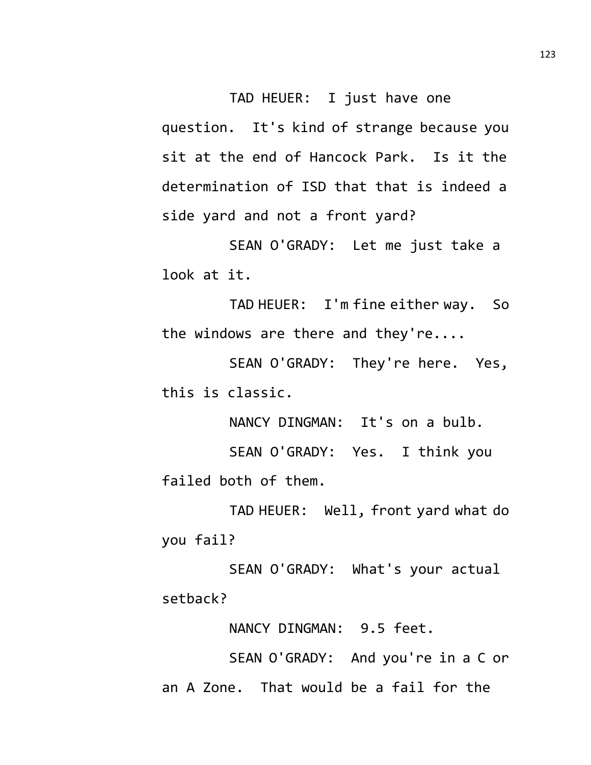TAD HEUER: I just have one question. It's kind of strange because you sit at the end of Hancock Park. Is it the determination of ISD that that is indeed a side yard and not a front yard?

SEAN O'GRADY: Let me just take a look at it.

TAD HEUER: I'm fine either way. So the windows are there and they're....

SEAN O'GRADY: They're here. Yes, this is classic.

NANCY DINGMAN: It's on a bulb.

SEAN O'GRADY: Yes. I think you failed both of them.

TAD HEUER: Well, front yard what do you fail?

SEAN O'GRADY: What's your actual setback?

NANCY DINGMAN: 9.5 feet.

SEAN O'GRADY: And you're in a C or an A Zone. That would be a fail for the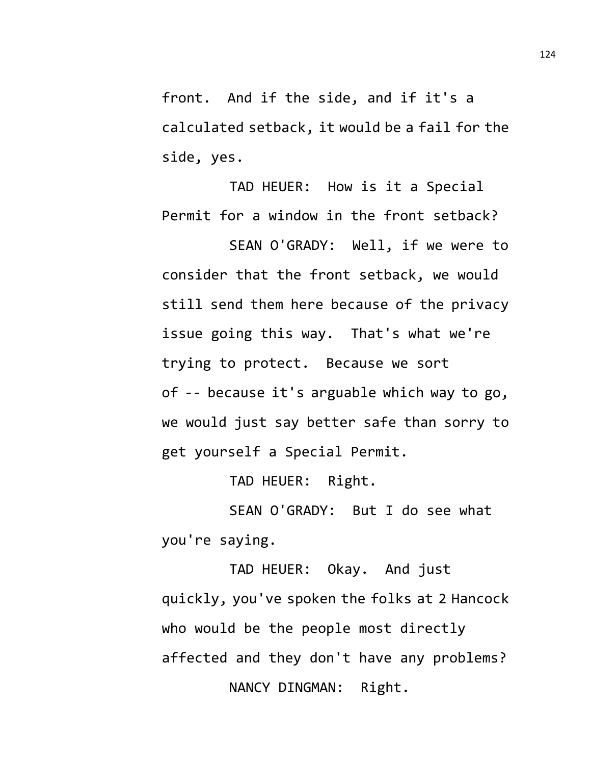front. And if the side, and if it's a calculated setback, it would be a fail for the side, yes.

TAD HEUER: How is it a Special Permit for a window in the front setback?

SEAN O'GRADY: Well, if we were to consider that the front setback, we would still send them here because of the privacy issue going this way. That's what we're trying to protect. Because we sort of -- because it's arguable which way to go, we would just say better safe than sorry to get yourself a Special Permit.

TAD HEUER: Right.

SEAN O'GRADY: But I do see what you're saying.

TAD HEUER: Okay. And just quickly, you've spoken the folks at 2 Hancock who would be the people most directly affected and they don't have any problems? NANCY DINGMAN: Right.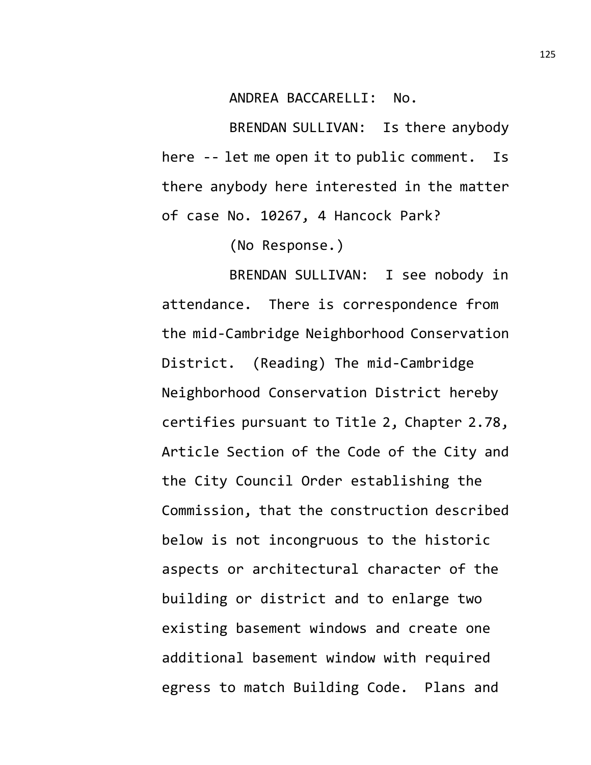ANDREA BACCARELLI: No.

BRENDAN SULLIVAN: Is there anybody here -- let me open it to public comment. Is there anybody here interested in the matter of case No. 10267, 4 Hancock Park?

(No Response.)

BRENDAN SULLIVAN: I see nobody in attendance. There is correspondence from the mid-Cambridge Neighborhood Conservation District. (Reading) The mid-Cambridge Neighborhood Conservation District hereby certifies pursuant to Title 2, Chapter 2.78, Article Section of the Code of the City and the City Council Order establishing the Commission, that the construction described below is not incongruous to the historic aspects or architectural character of the building or district and to enlarge two existing basement windows and create one additional basement window with required egress to match Building Code. Plans and

125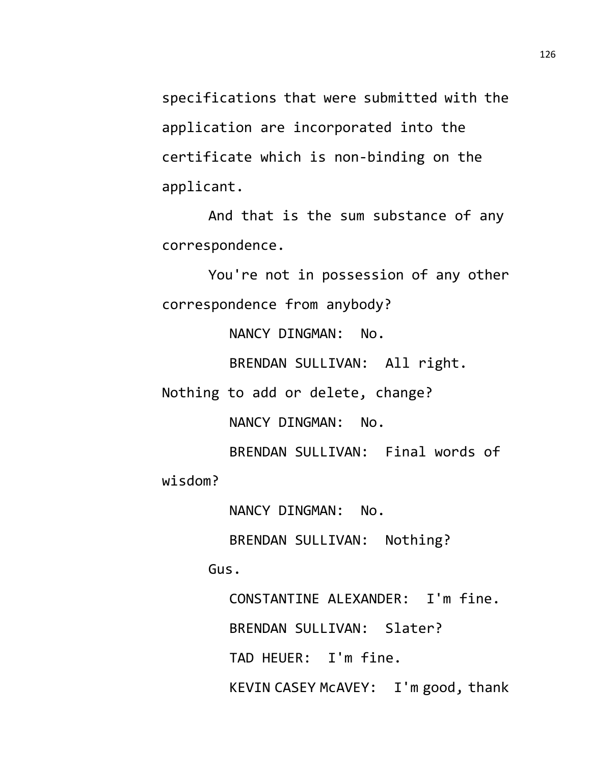specifications that were submitted with the application are incorporated into the certificate which is non-binding on the applicant.

And that is the sum substance of any correspondence.

You're not in possession of any other correspondence from anybody?

NANCY DINGMAN: No.

BRENDAN SULLIVAN: All right.

Nothing to add or delete, change?

NANCY DINGMAN: No.

BRENDAN SULLIVAN: Final words of

wisdom?

NANCY DINGMAN: No.

BRENDAN SULLIVAN: Nothing?

Gus.

CONSTANTINE ALEXANDER: I'm fine. BRENDAN SULLIVAN: Slater? TAD HEUER: I'm fine. KEVIN CASEY McAVEY: I'm good, thank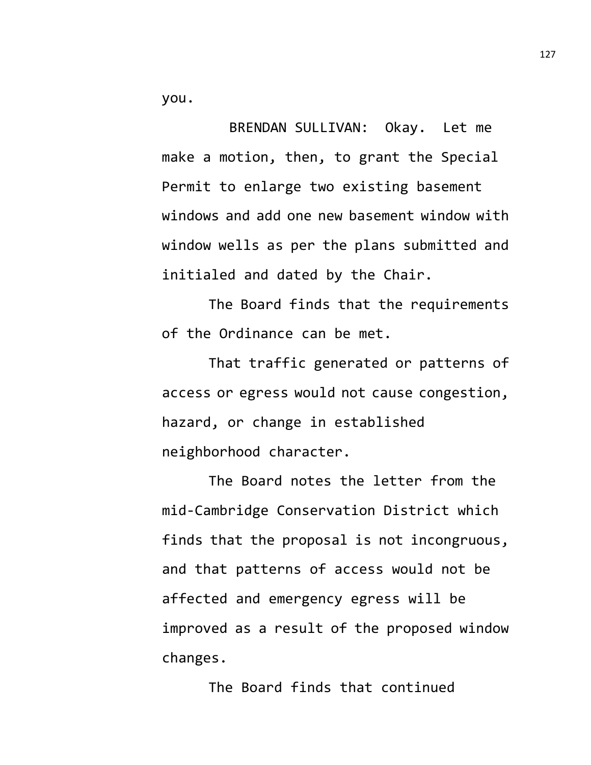you.

BRENDAN SULLIVAN: Okay. Let me make a motion, then, to grant the Special Permit to enlarge two existing basement windows and add one new basement window with window wells as per the plans submitted and initialed and dated by the Chair.

The Board finds that the requirements of the Ordinance can be met.

That traffic generated or patterns of access or egress would not cause congestion, hazard, or change in established neighborhood character.

The Board notes the letter from the mid-Cambridge Conservation District which finds that the proposal is not incongruous, and that patterns of access would not be affected and emergency egress will be improved as a result of the proposed window changes.

The Board finds that continued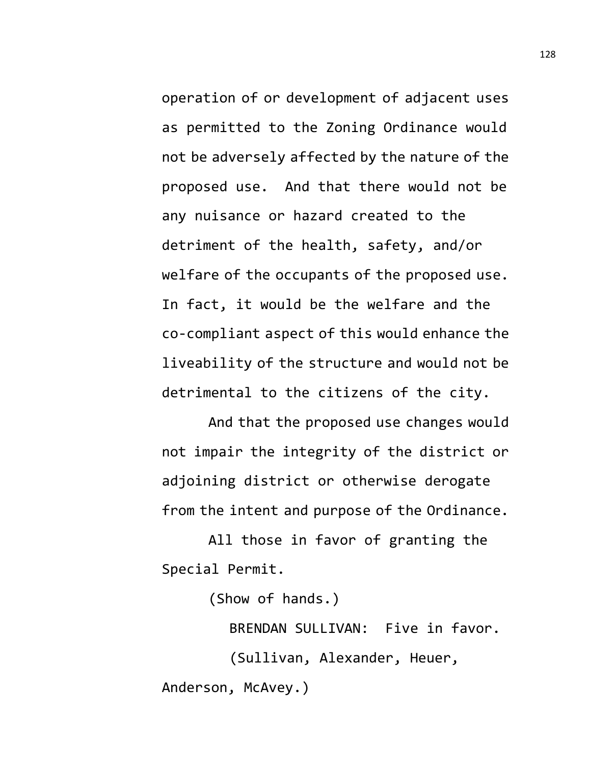operation of or development of adjacent uses as permitted to the Zoning Ordinance would not be adversely affected by the nature of the proposed use. And that there would not be any nuisance or hazard created to the detriment of the health, safety, and/or welfare of the occupants of the proposed use. In fact, it would be the welfare and the co-compliant aspect of this would enhance the liveability of the structure and would not be detrimental to the citizens of the city.

And that the proposed use changes would not impair the integrity of the district or adjoining district or otherwise derogate from the intent and purpose of the Ordinance.

All those in favor of granting the Special Permit.

(Show of hands.)

BRENDAN SULLIVAN: Five in favor. (Sullivan, Alexander, Heuer, Anderson, McAvey.)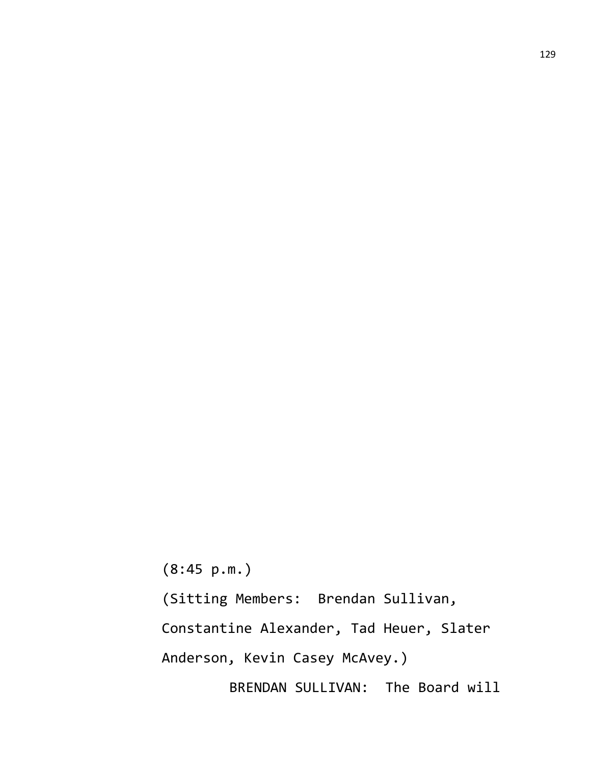(8:45 p.m.) (Sitting Members: Brendan Sullivan,

Constantine Alexander, Tad Heuer, Slater

Anderson, Kevin Casey McAvey.)

BRENDAN SULLIVAN: The Board will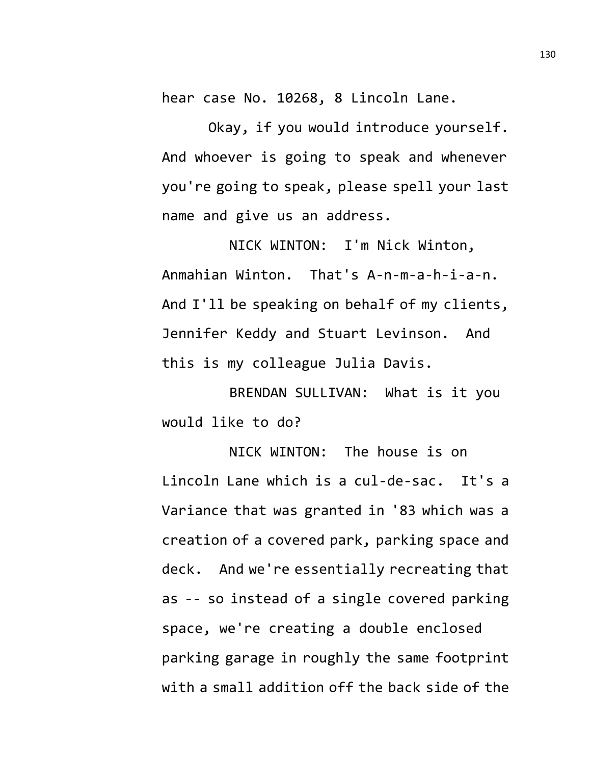hear case No. 10268, 8 Lincoln Lane.

Okay, if you would introduce yourself. And whoever is going to speak and whenever you're going to speak, please spell your last name and give us an address.

NICK WINTON: I'm Nick Winton, Anmahian Winton. That's A-n-m-a-h-i-a-n. And I'll be speaking on behalf of my clients, Jennifer Keddy and Stuart Levinson. And this is my colleague Julia Davis.

BRENDAN SULLIVAN: What is it you would like to do?

NICK WINTON: The house is on Lincoln Lane which is a cul-de-sac. It's a Variance that was granted in '83 which was a creation of a covered park, parking space and deck. And we're essentially recreating that as -- so instead of a single covered parking

space, we're creating a double enclosed parking garage in roughly the same footprint with a small addition off the back side of the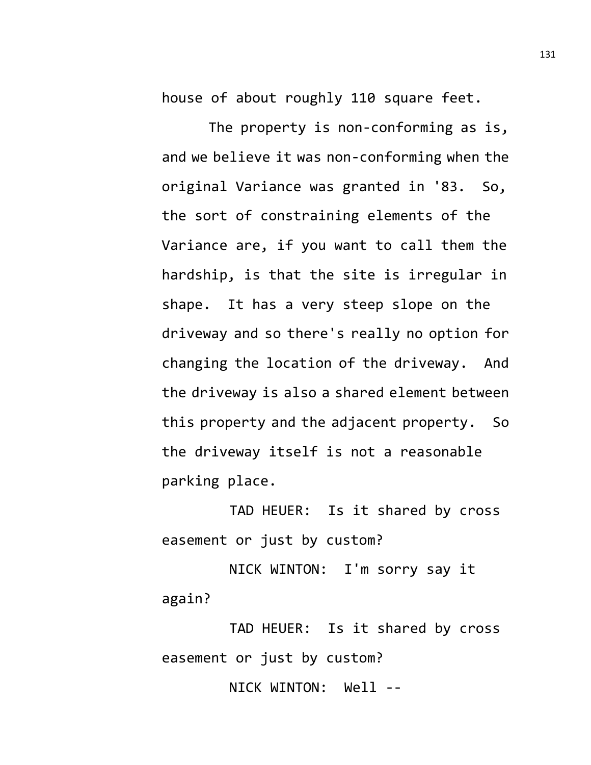house of about roughly 110 square feet.

The property is non-conforming as is, and we believe it was non-conforming when the original Variance was granted in '83. So, the sort of constraining elements of the Variance are, if you want to call them the hardship, is that the site is irregular in shape. It has a very steep slope on the driveway and so there's really no option for changing the location of the driveway. And the driveway is also a shared element between this property and the adjacent property. So the driveway itself is not a reasonable parking place.

TAD HEUER: Is it shared by cross easement or just by custom?

NICK WINTON: I'm sorry say it again?

TAD HEUER: Is it shared by cross easement or just by custom?

NICK WINTON: Well --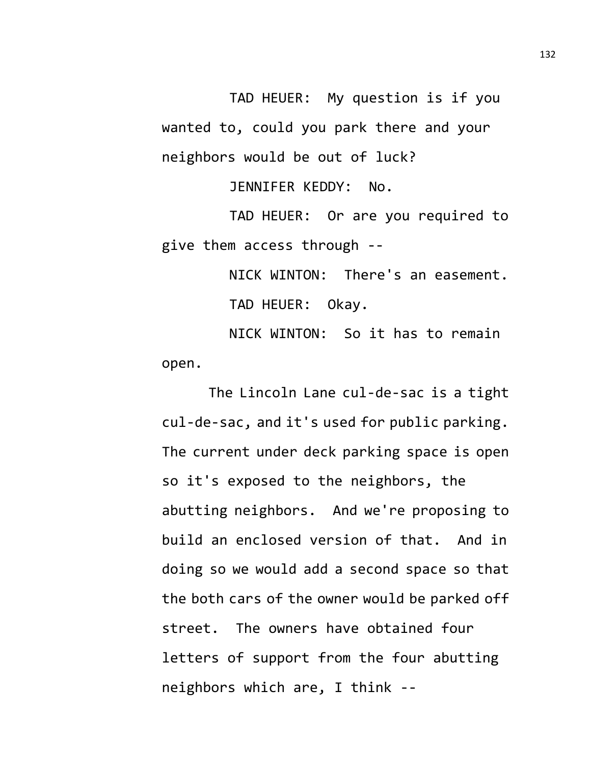TAD HEUER: My question is if you wanted to, could you park there and your neighbors would be out of luck?

JENNIFER KEDDY: No.

TAD HEUER: Or are you required to give them access through --

> NICK WINTON: There's an easement. TAD HEUER: Okay.

NICK WINTON: So it has to remain open.

The Lincoln Lane cul-de-sac is a tight cul-de-sac, and it's used for public parking. The current under deck parking space is open so it's exposed to the neighbors, the abutting neighbors. And we're proposing to build an enclosed version of that. And in doing so we would add a second space so that the both cars of the owner would be parked off street. The owners have obtained four letters of support from the four abutting neighbors which are, I think --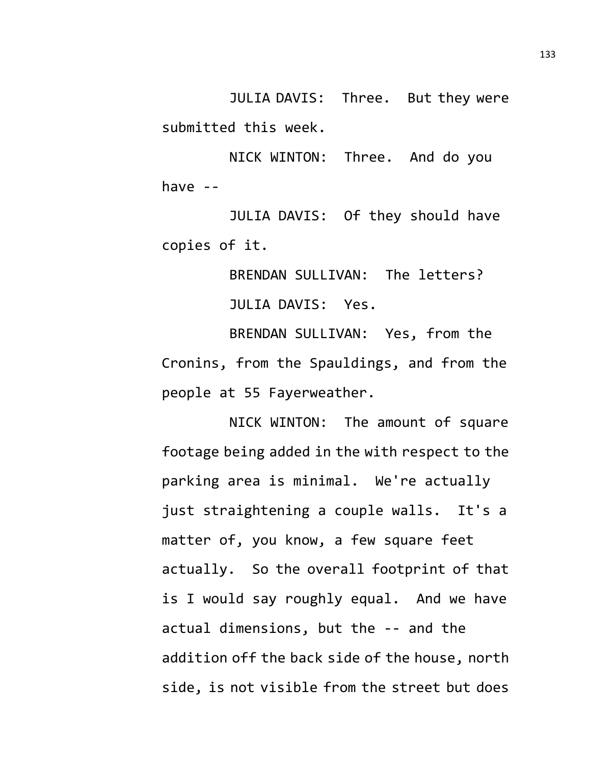JULIA DAVIS: Three. But they were submitted this week.

NICK WINTON: Three. And do you have --

JULIA DAVIS: Of they should have copies of it.

> BRENDAN SULLIVAN: The letters? JULIA DAVIS: Yes.

BRENDAN SULLIVAN: Yes, from the Cronins, from the Spauldings, and from the people at 55 Fayerweather.

NICK WINTON: The amount of square footage being added in the with respect to the parking area is minimal. We're actually just straightening a couple walls. It's a matter of, you know, a few square feet actually. So the overall footprint of that is I would say roughly equal. And we have actual dimensions, but the -- and the addition off the back side of the house, north side, is not visible from the street but does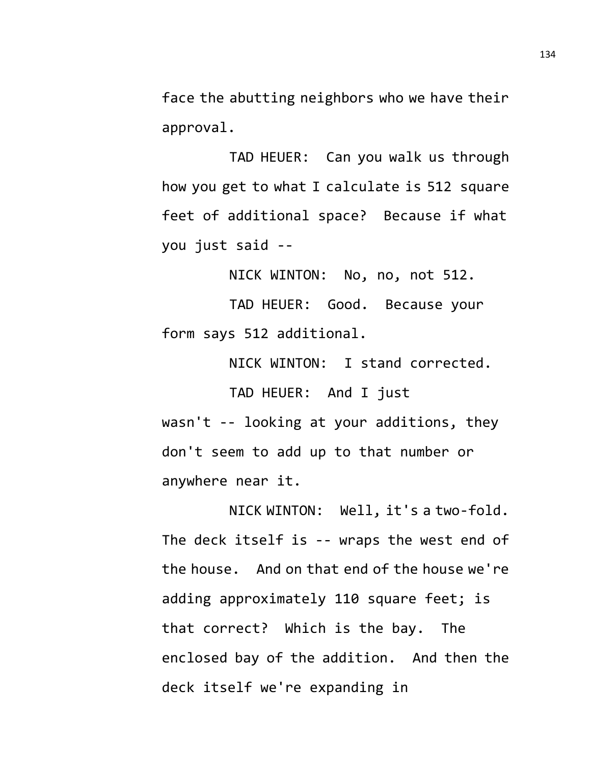face the abutting neighbors who we have their approval.

TAD HEUER: Can you walk us through how you get to what I calculate is 512 square feet of additional space? Because if what you just said --

NICK WINTON: No, no, not 512.

TAD HEUER: Good. Because your form says 512 additional.

NICK WINTON: I stand corrected.

TAD HEUER: And I just wasn't -- looking at your additions, they don't seem to add up to that number or anywhere near it.

NICK WINTON: Well, it's a two-fold. The deck itself is -- wraps the west end of the house. And on that end of the house we're adding approximately 110 square feet; is that correct? Which is the bay. The enclosed bay of the addition. And then the deck itself we're expanding in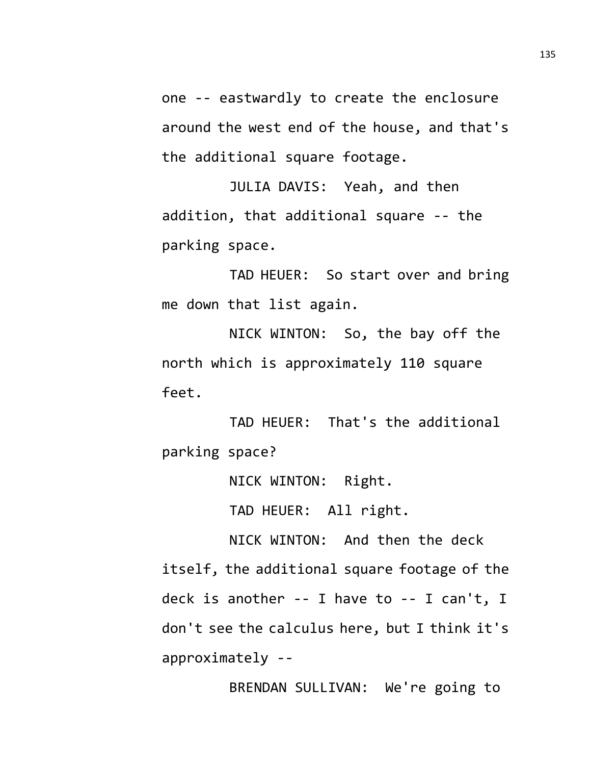one -- eastwardly to create the enclosure around the west end of the house, and that's the additional square footage.

JULIA DAVIS: Yeah, and then addition, that additional square -- the parking space.

TAD HEUER: So start over and bring me down that list again.

NICK WINTON: So, the bay off the north which is approximately 110 square feet.

TAD HEUER: That's the additional parking space?

NICK WINTON: Right.

TAD HEUER: All right.

NICK WINTON: And then the deck itself, the additional square footage of the deck is another -- I have to -- I can't, I don't see the calculus here, but I think it's approximately --

BRENDAN SULLIVAN: We're going to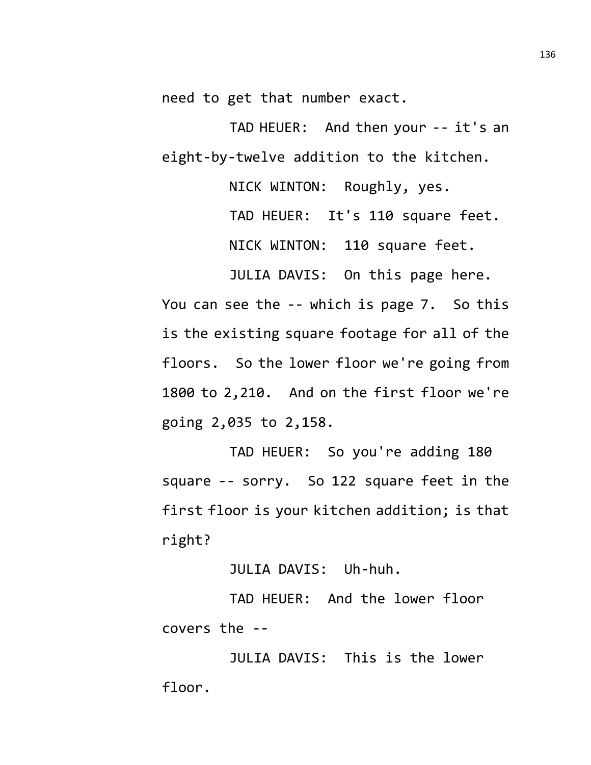need to get that number exact.

TAD HEUER: And then your -- it's an eight-by-twelve addition to the kitchen.

NICK WINTON: Roughly, yes.

TAD HEUER: It's 110 square feet.

NICK WINTON: 110 square feet.

JULIA DAVIS: On this page here.

You can see the -- which is page 7. So this is the existing square footage for all of the floors. So the lower floor we're going from 1800 to 2,210. And on the first floor we're going 2,035 to 2,158.

TAD HEUER: So you're adding 180 square -- sorry. So 122 square feet in the first floor is your kitchen addition; is that right?

JULIA DAVIS: Uh-huh.

TAD HEUER: And the lower floor covers the --

JULIA DAVIS: This is the lower floor.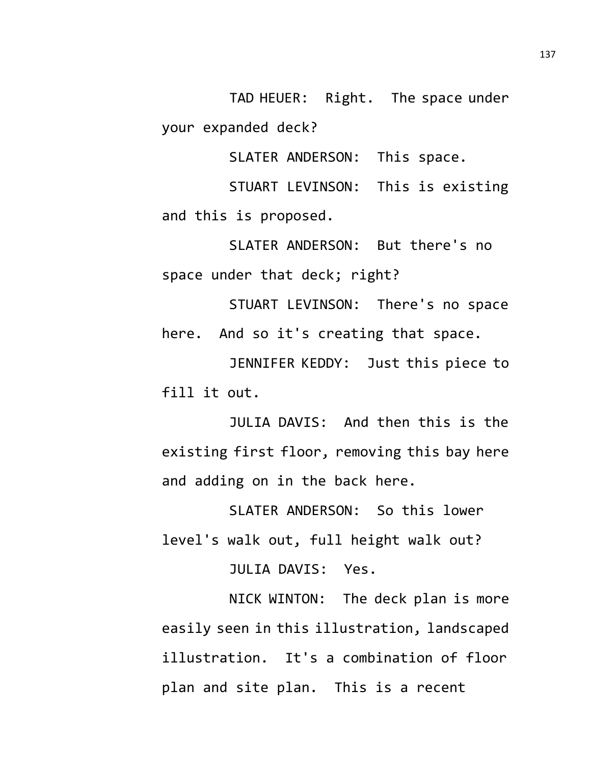TAD HEUER: Right. The space under your expanded deck?

SLATER ANDERSON: This space.

STUART LEVINSON: This is existing and this is proposed.

SLATER ANDERSON: But there's no space under that deck; right?

STUART LEVINSON: There's no space here. And so it's creating that space.

JENNIFER KEDDY: Just this piece to fill it out.

JULIA DAVIS: And then this is the existing first floor, removing this bay here and adding on in the back here.

SLATER ANDERSON: So this lower level's walk out, full height walk out?

JULIA DAVIS: Yes.

NICK WINTON: The deck plan is more easily seen in this illustration, landscaped illustration. It's a combination of floor plan and site plan. This is a recent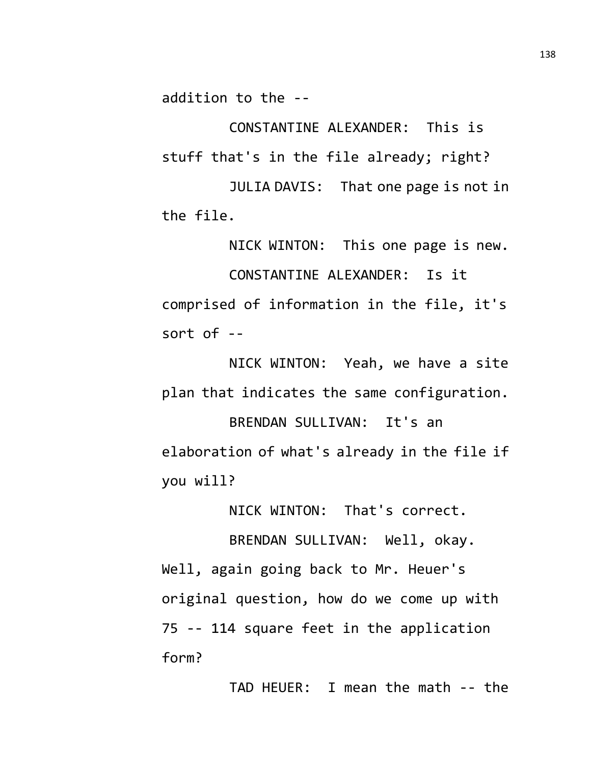addition to the --

CONSTANTINE ALEXANDER: This is stuff that's in the file already; right?

JULIA DAVIS: That one page is not in the file.

NICK WINTON: This one page is new. CONSTANTINE ALEXANDER: Is it comprised of information in the file, it's sort of  $-$ 

NICK WINTON: Yeah, we have a site plan that indicates the same configuration. BRENDAN SULLIVAN: It's an elaboration of what's already in the file if you will?

NICK WINTON: That's correct.

BRENDAN SULLIVAN: Well, okay. Well, again going back to Mr. Heuer's original question, how do we come up with 75 -- 114 square feet in the application form?

TAD HEUER: I mean the math -- the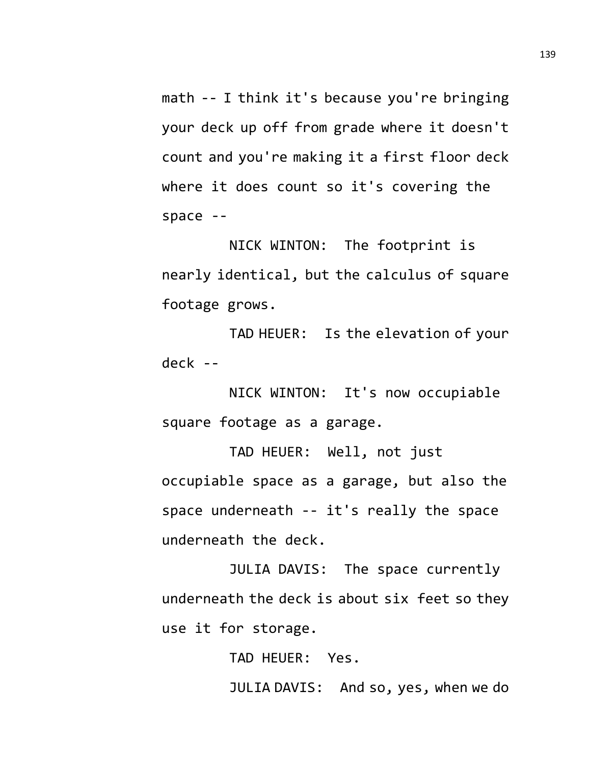math -- I think it's because you're bringing your deck up off from grade where it doesn't count and you're making it a first floor deck where it does count so it's covering the space --

NICK WINTON: The footprint is nearly identical, but the calculus of square footage grows.

TAD HEUER: Is the elevation of your deck --

NICK WINTON: It's now occupiable square footage as a garage.

TAD HEUER: Well, not just occupiable space as a garage, but also the space underneath -- it's really the space underneath the deck.

JULIA DAVIS: The space currently underneath the deck is about six feet so they use it for storage.

> TAD HEUER: Yes. JULIA DAVIS: And so, yes, when we do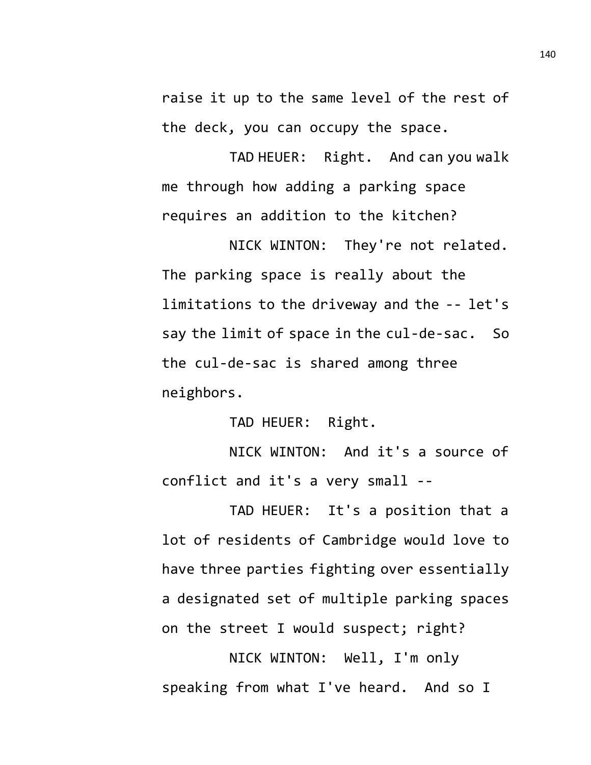raise it up to the same level of the rest of the deck, you can occupy the space.

TAD HEUER: Right. And can you walk me through how adding a parking space requires an addition to the kitchen?

NICK WINTON: They're not related. The parking space is really about the limitations to the driveway and the -- let's say the limit of space in the cul-de-sac. So the cul-de-sac is shared among three neighbors.

TAD HEUER: Right.

NICK WINTON: And it's a source of conflict and it's a very small --

TAD HEUER: It's a position that a lot of residents of Cambridge would love to have three parties fighting over essentially a designated set of multiple parking spaces on the street I would suspect; right?

NICK WINTON: Well, I'm only speaking from what I've heard. And so I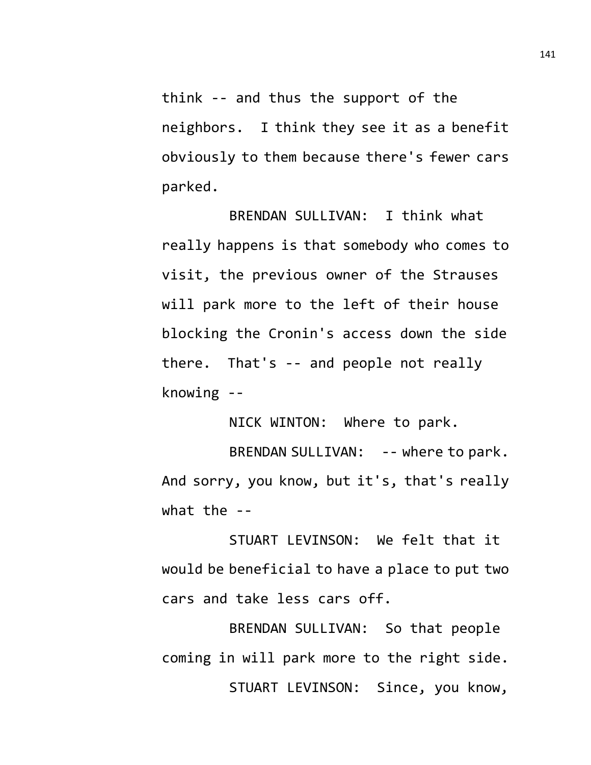think -- and thus the support of the neighbors. I think they see it as a benefit obviously to them because there's fewer cars parked.

BRENDAN SULLIVAN: I think what really happens is that somebody who comes to visit, the previous owner of the Strauses will park more to the left of their house blocking the Cronin's access down the side there. That's -- and people not really knowing --

NICK WINTON: Where to park.

BRENDAN SULLIVAN: -- where to park. And sorry, you know, but it's, that's really what the --

STUART LEVINSON: We felt that it would be beneficial to have a place to put two cars and take less cars off.

BRENDAN SULLIVAN: So that people coming in will park more to the right side. STUART LEVINSON: Since, you know,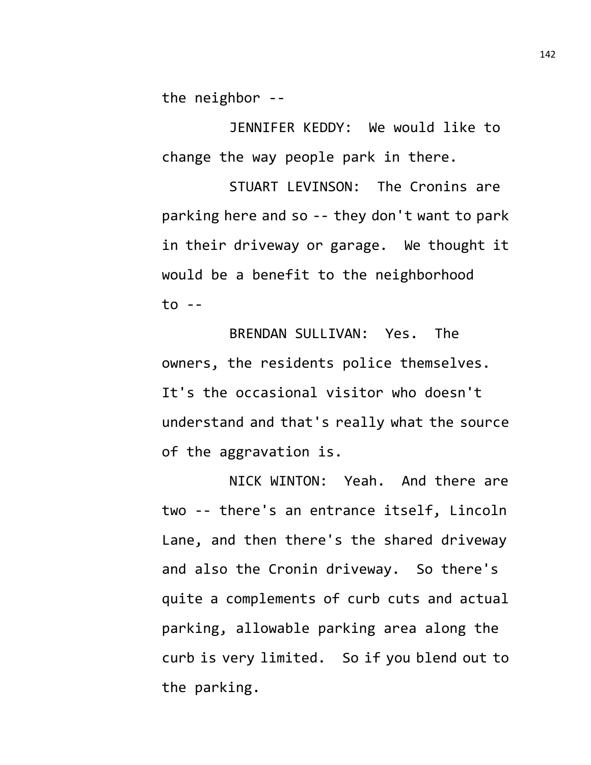the neighbor --

JENNIFER KEDDY: We would like to change the way people park in there.

STUART LEVINSON: The Cronins are parking here and so -- they don't want to park in their driveway or garage. We thought it would be a benefit to the neighborhood to --

BRENDAN SULLIVAN: Yes. The owners, the residents police themselves. It's the occasional visitor who doesn't understand and that's really what the source of the aggravation is.

NICK WINTON: Yeah. And there are two -- there's an entrance itself, Lincoln Lane, and then there's the shared driveway and also the Cronin driveway. So there's quite a complements of curb cuts and actual parking, allowable parking area along the curb is very limited. So if you blend out to the parking.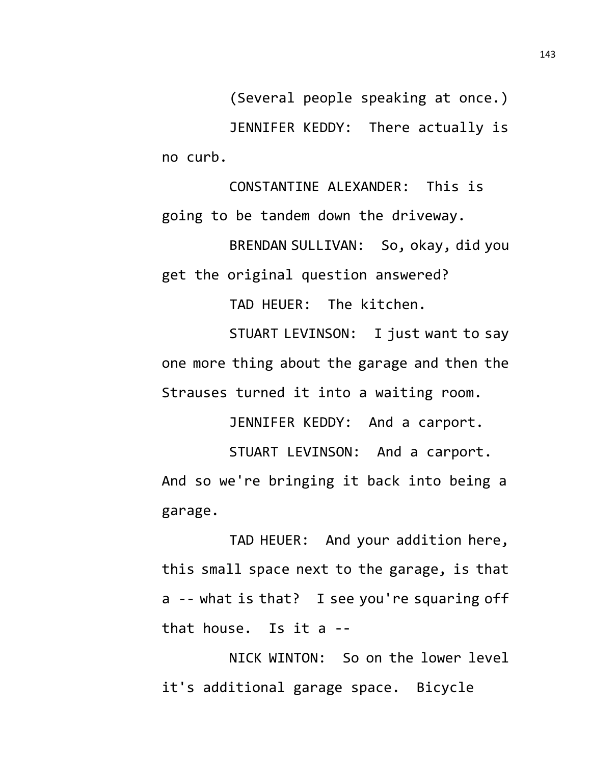(Several people speaking at once.) JENNIFER KEDDY: There actually is no curb.

CONSTANTINE ALEXANDER: This is going to be tandem down the driveway.

BRENDAN SULLIVAN: So, okay, did you get the original question answered?

TAD HEUER: The kitchen.

STUART LEVINSON: I just want to say one more thing about the garage and then the Strauses turned it into a waiting room.

JENNIFER KEDDY: And a carport.

STUART LEVINSON: And a carport. And so we're bringing it back into being a garage.

TAD HEUER: And your addition here, this small space next to the garage, is that a -- what is that? I see you're squaring off that house. Is it a --

NICK WINTON: So on the lower level it's additional garage space. Bicycle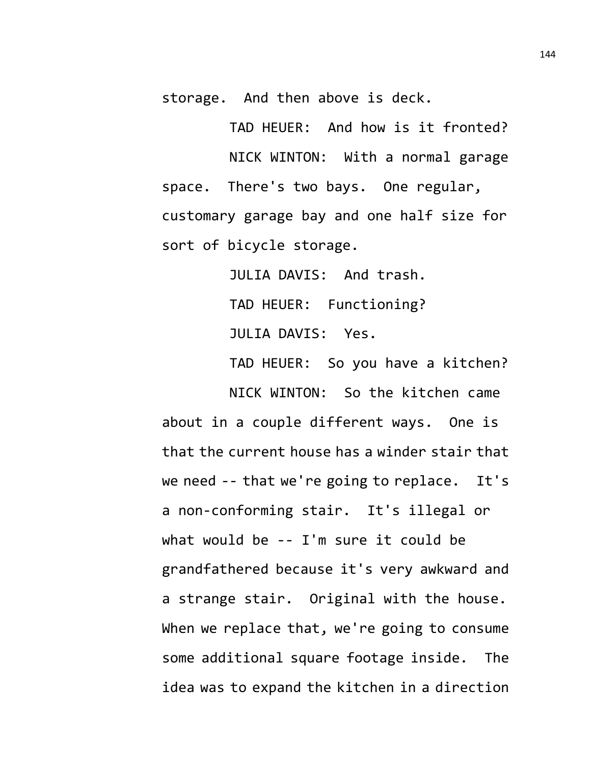storage. And then above is deck.

TAD HEUER: And how is it fronted? NICK WINTON: With a normal garage space. There's two bays. One regular, customary garage bay and one half size for sort of bicycle storage.

> JULIA DAVIS: And trash. TAD HEUER: Functioning? JULIA DAVIS: Yes.

TAD HEUER: So you have a kitchen? NICK WINTON: So the kitchen came

about in a couple different ways. One is that the current house has a winder stair that we need -- that we're going to replace. It's a non-conforming stair. It's illegal or what would be -- I'm sure it could be grandfathered because it's very awkward and a strange stair. Original with the house. When we replace that, we're going to consume some additional square footage inside. The idea was to expand the kitchen in a direction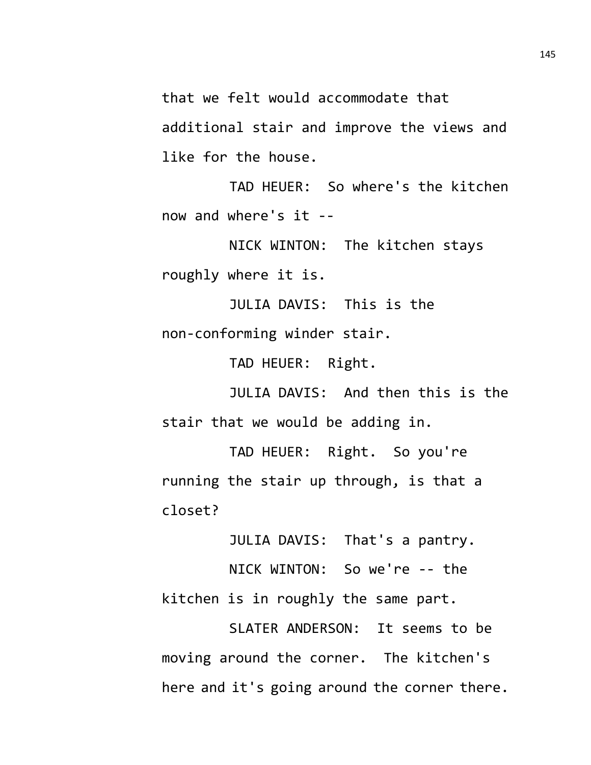that we felt would accommodate that additional stair and improve the views and like for the house.

TAD HEUER: So where's the kitchen now and where's it --

NICK WINTON: The kitchen stays roughly where it is.

JULIA DAVIS: This is the non-conforming winder stair.

TAD HEUER: Right.

JULIA DAVIS: And then this is the stair that we would be adding in.

TAD HEUER: Right. So you're running the stair up through, is that a closet?

JULIA DAVIS: That's a pantry.

NICK WINTON: So we're -- the kitchen is in roughly the same part.

SLATER ANDERSON: It seems to be moving around the corner. The kitchen's here and it's going around the corner there.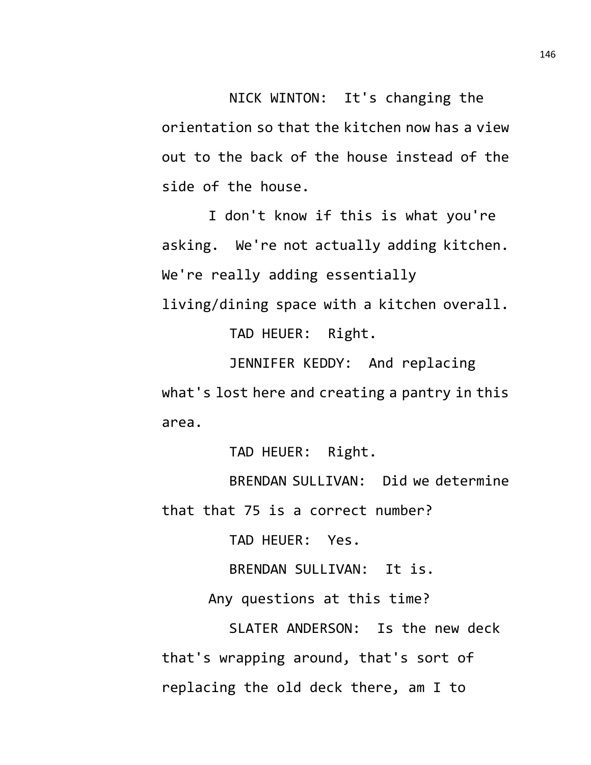NICK WINTON: It's changing the orientation so that the kitchen now has a view out to the back of the house instead of the side of the house.

I don't know if this is what you're asking. We're not actually adding kitchen. We're really adding essentially living/dining space with a kitchen overall.

TAD HEUER: Right.

JENNIFER KEDDY: And replacing what's lost here and creating a pantry in this area.

TAD HEUER: Right.

BRENDAN SULLIVAN: Did we determine that that 75 is a correct number?

TAD HEUER: Yes.

BRENDAN SULLIVAN: It is.

Any questions at this time?

SLATER ANDERSON: Is the new deck that's wrapping around, that's sort of replacing the old deck there, am I to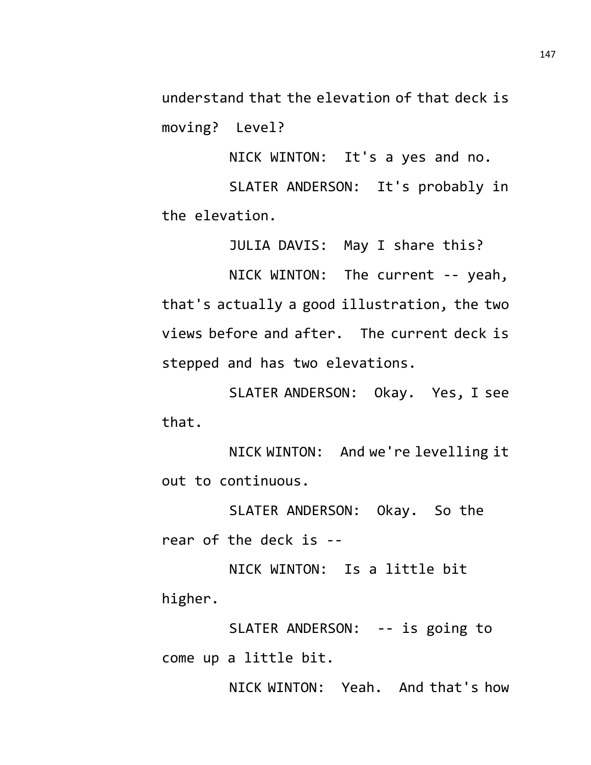understand that the elevation of that deck is moving? Level?

NICK WINTON: It's a yes and no.

SLATER ANDERSON: It's probably in the elevation.

JULIA DAVIS: May I share this?

NICK WINTON: The current -- yeah, that's actually a good illustration, the two views before and after. The current deck is stepped and has two elevations.

SLATER ANDERSON: Okay. Yes, I see that.

NICK WINTON: And we're levelling it out to continuous.

SLATER ANDERSON: Okay. So the rear of the deck is --

NICK WINTON: Is a little bit higher.

SLATER ANDERSON: -- is going to come up a little bit.

NICK WINTON: Yeah. And that's how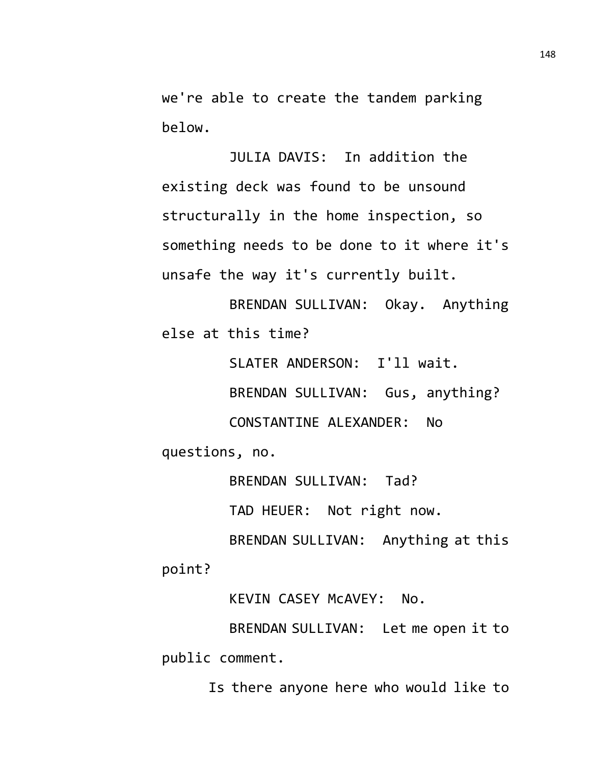we're able to create the tandem parking below.

JULIA DAVIS: In addition the existing deck was found to be unsound structurally in the home inspection, so something needs to be done to it where it's unsafe the way it's currently built.

BRENDAN SULLIVAN: Okay. Anything else at this time?

SLATER ANDERSON: I'll wait.

BRENDAN SULLIVAN: Gus, anything?

CONSTANTINE ALEXANDER: No

questions, no.

BRENDAN SULLIVAN: Tad?

TAD HEUER: Not right now.

BRENDAN SULLIVAN: Anything at this point?

KEVIN CASEY McAVEY: No.

BRENDAN SULLIVAN: Let me open it to public comment.

Is there anyone here who would like to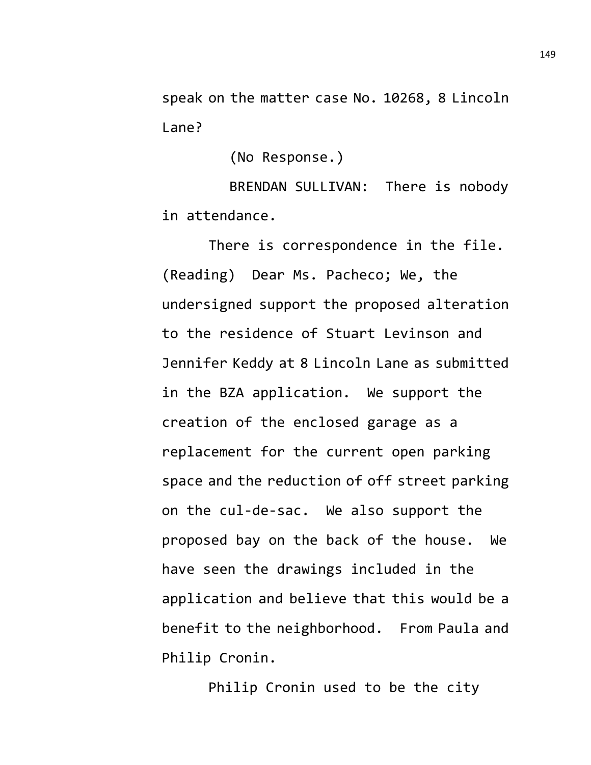speak on the matter case No. 10268, 8 Lincoln Lane?

(No Response.)

BRENDAN SULLIVAN: There is nobody in attendance.

There is correspondence in the file. (Reading) Dear Ms. Pacheco; We, the undersigned support the proposed alteration to the residence of Stuart Levinson and Jennifer Keddy at 8 Lincoln Lane as submitted in the BZA application. We support the creation of the enclosed garage as a replacement for the current open parking space and the reduction of off street parking on the cul-de-sac. We also support the proposed bay on the back of the house. We have seen the drawings included in the application and believe that this would be a benefit to the neighborhood. From Paula and Philip Cronin.

Philip Cronin used to be the city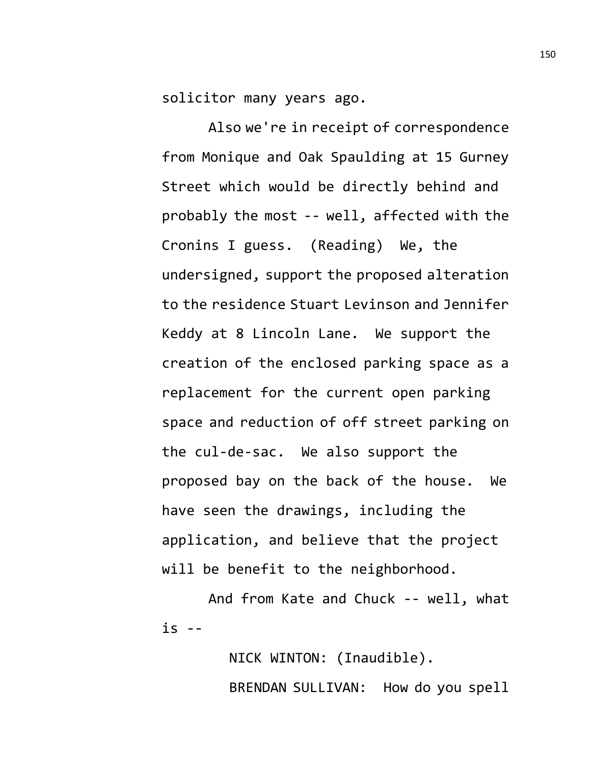solicitor many years ago.

Also we're in receipt of correspondence from Monique and Oak Spaulding at 15 Gurney Street which would be directly behind and probably the most -- well, affected with the Cronins I guess. (Reading) We, the undersigned, support the proposed alteration to the residence Stuart Levinson and Jennifer Keddy at 8 Lincoln Lane. We support the creation of the enclosed parking space as a replacement for the current open parking space and reduction of off street parking on the cul-de-sac. We also support the proposed bay on the back of the house. We have seen the drawings, including the application, and believe that the project will be benefit to the neighborhood.

And from Kate and Chuck -- well, what  $iS - -$ 

> NICK WINTON: (Inaudible). BRENDAN SULLIVAN: How do you spell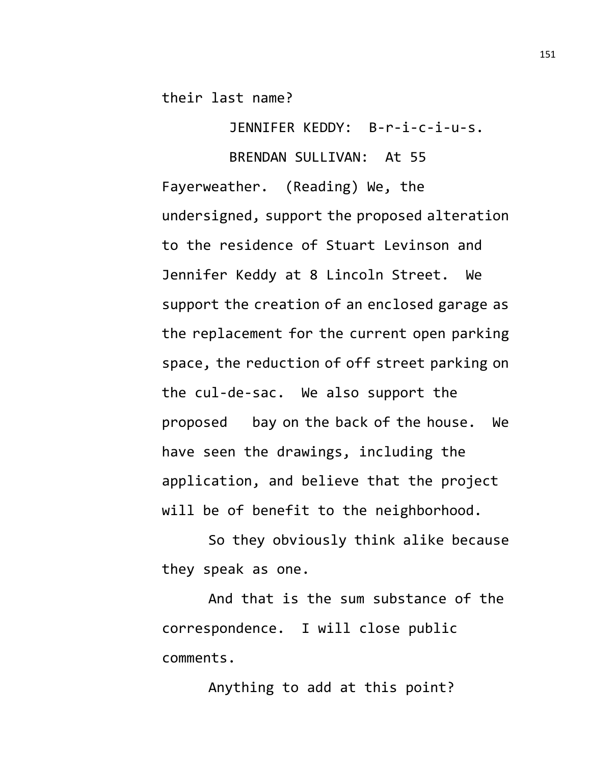their last name?

JENNIFER KEDDY: B-r-i-c-i-u-s.

BRENDAN SULLIVAN: At 55 Fayerweather. (Reading) We, the undersigned, support the proposed alteration to the residence of Stuart Levinson and Jennifer Keddy at 8 Lincoln Street. We support the creation of an enclosed garage as the replacement for the current open parking space, the reduction of off street parking on the cul-de-sac. We also support the proposed bay on the back of the house. We have seen the drawings, including the application, and believe that the project will be of benefit to the neighborhood.

So they obviously think alike because they speak as one.

And that is the sum substance of the correspondence. I will close public comments.

Anything to add at this point?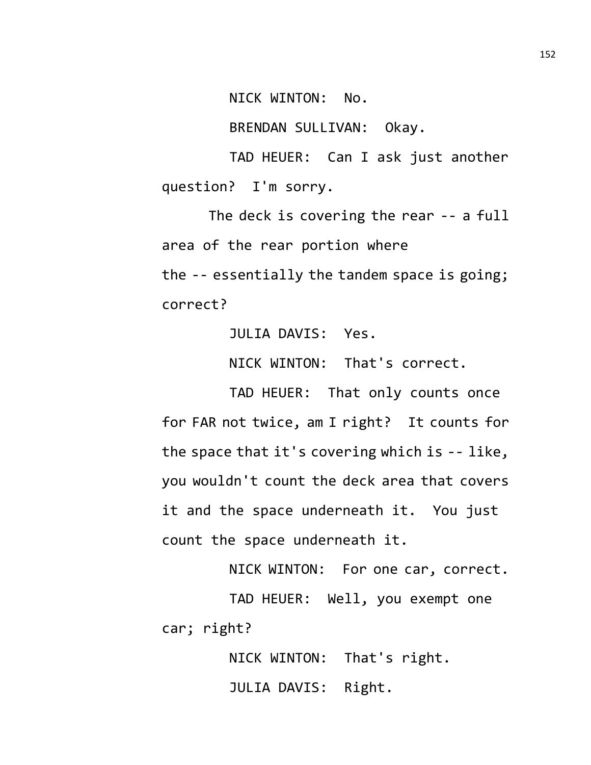NICK WINTON: No.

BRENDAN SULLIVAN: Okay.

TAD HEUER: Can I ask just another question? I'm sorry.

The deck is covering the rear -- a full area of the rear portion where the -- essentially the tandem space is going; correct?

JULIA DAVIS: Yes.

NICK WINTON: That's correct.

TAD HEUER: That only counts once for FAR not twice, am I right? It counts for the space that it's covering which is -- like, you wouldn't count the deck area that covers it and the space underneath it. You just count the space underneath it.

NICK WINTON: For one car, correct.

TAD HEUER: Well, you exempt one car; right?

> NICK WINTON: That's right. JULIA DAVIS: Right.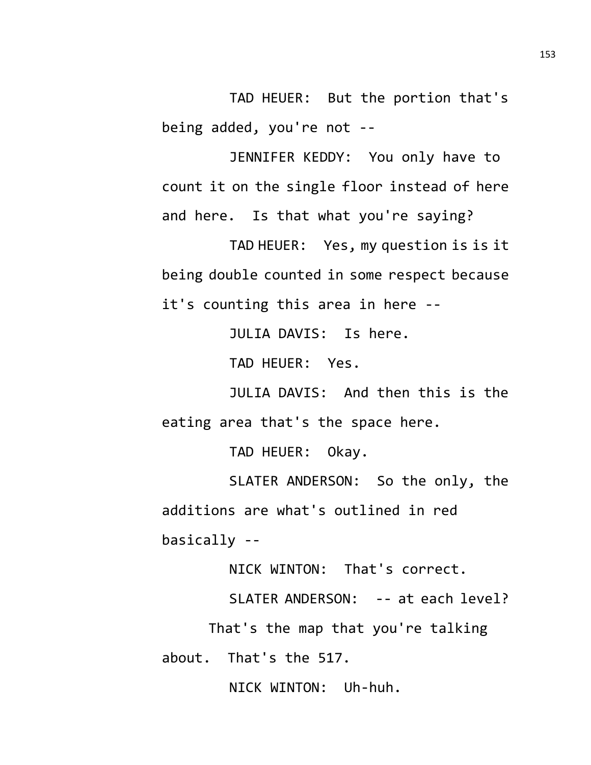TAD HEUER: But the portion that's being added, you're not --

JENNIFER KEDDY: You only have to count it on the single floor instead of here and here. Is that what you're saying?

TAD HEUER: Yes, my question is is it being double counted in some respect because it's counting this area in here --

JULIA DAVIS: Is here.

TAD HEUER: Yes.

JULIA DAVIS: And then this is the eating area that's the space here.

TAD HEUER: Okay.

SLATER ANDERSON: So the only, the additions are what's outlined in red basically --

NICK WINTON: That's correct.

SLATER ANDERSON: -- at each level?

That's the map that you're talking

about. That's the 517.

NICK WINTON: Uh-huh.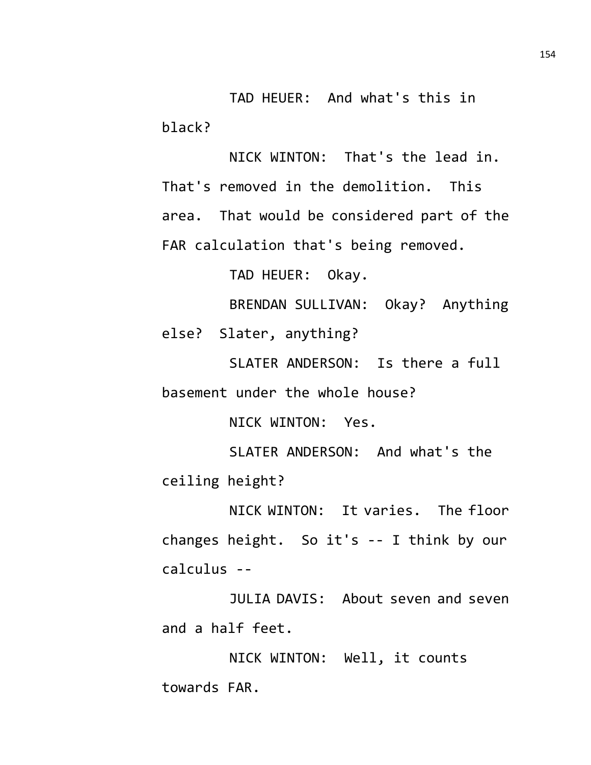TAD HEUER: And what's this in black?

NICK WINTON: That's the lead in. That's removed in the demolition. This area. That would be considered part of the FAR calculation that's being removed.

TAD HEUER: Okay.

BRENDAN SULLIVAN: Okay? Anything else? Slater, anything?

SLATER ANDERSON: Is there a full basement under the whole house?

NICK WINTON: Yes.

SLATER ANDERSON: And what's the ceiling height?

NICK WINTON: It varies. The floor changes height. So it's -- I think by our calculus --

JULIA DAVIS: About seven and seven and a half feet.

NICK WINTON: Well, it counts towards FAR.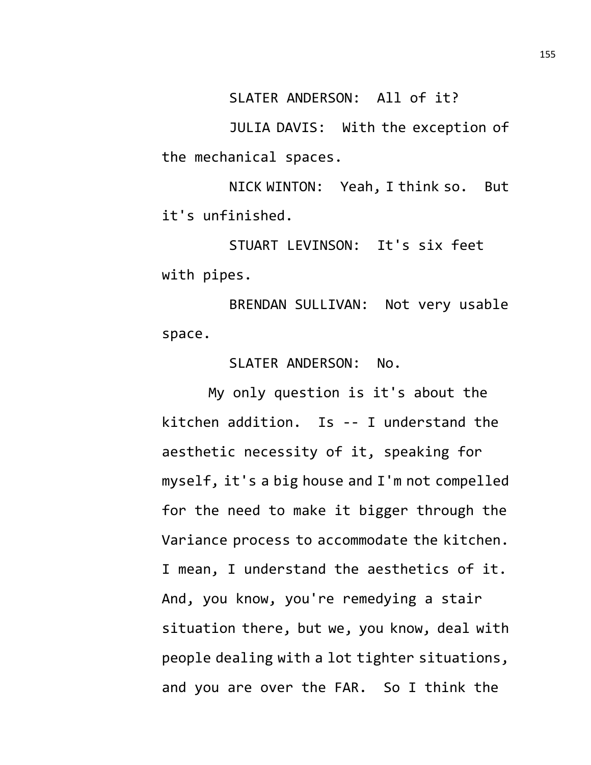SLATER ANDERSON: All of it?

JULIA DAVIS: With the exception of the mechanical spaces.

NICK WINTON: Yeah, I think so. But it's unfinished.

STUART LEVINSON: It's six feet with pipes.

BRENDAN SULLIVAN: Not very usable space.

SLATER ANDERSON: No.

My only question is it's about the kitchen addition. Is -- I understand the aesthetic necessity of it, speaking for myself, it's a big house and I'm not compelled for the need to make it bigger through the Variance process to accommodate the kitchen. I mean, I understand the aesthetics of it. And, you know, you're remedying a stair situation there, but we, you know, deal with people dealing with a lot tighter situations, and you are over the FAR. So I think the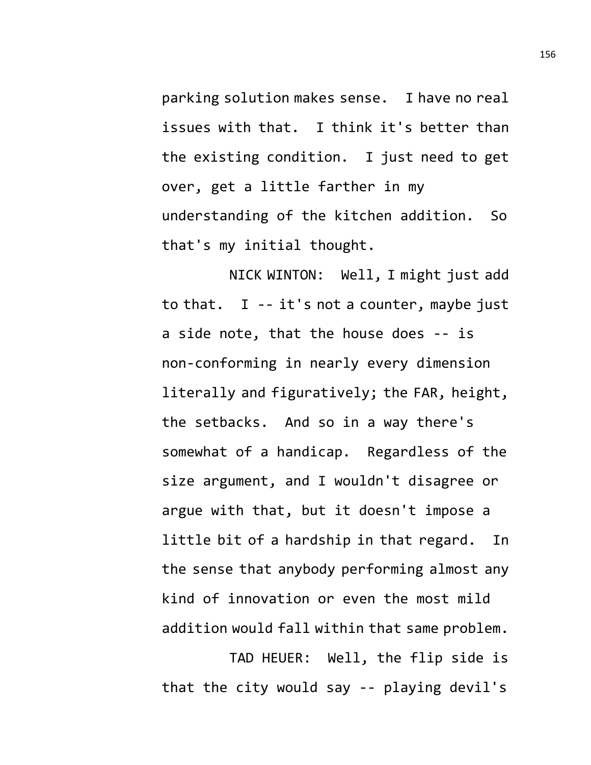parking solution makes sense. I have no real issues with that. I think it's better than the existing condition. I just need to get over, get a little farther in my understanding of the kitchen addition. So that's my initial thought.

NICK WINTON: Well, I might just add to that. I -- it's not a counter, maybe just a side note, that the house does -- is non-conforming in nearly every dimension literally and figuratively; the FAR, height, the setbacks. And so in a way there's somewhat of a handicap. Regardless of the size argument, and I wouldn't disagree or argue with that, but it doesn't impose a little bit of a hardship in that regard. In the sense that anybody performing almost any kind of innovation or even the most mild addition would fall within that same problem.

TAD HEUER: Well, the flip side is that the city would say -- playing devil's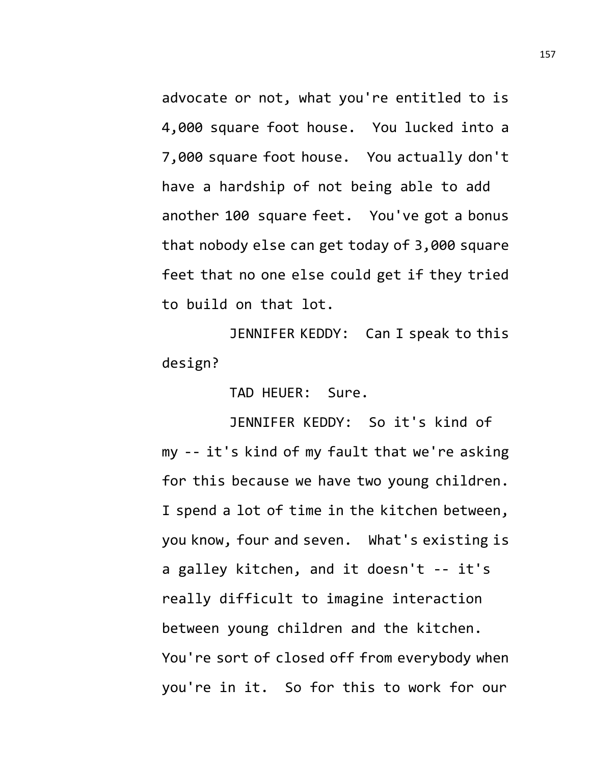advocate or not, what you're entitled to is 4,000 square foot house. You lucked into a 7,000 square foot house. You actually don't have a hardship of not being able to add another 100 square feet. You've got a bonus that nobody else can get today of 3,000 square feet that no one else could get if they tried to build on that lot.

JENNIFER KEDDY: Can I speak to this design?

TAD HEUER: Sure.

JENNIFER KEDDY: So it's kind of my -- it's kind of my fault that we're asking for this because we have two young children. I spend a lot of time in the kitchen between, you know, four and seven. What's existing is a galley kitchen, and it doesn't -- it's really difficult to imagine interaction between young children and the kitchen. You're sort of closed off from everybody when you're in it. So for this to work for our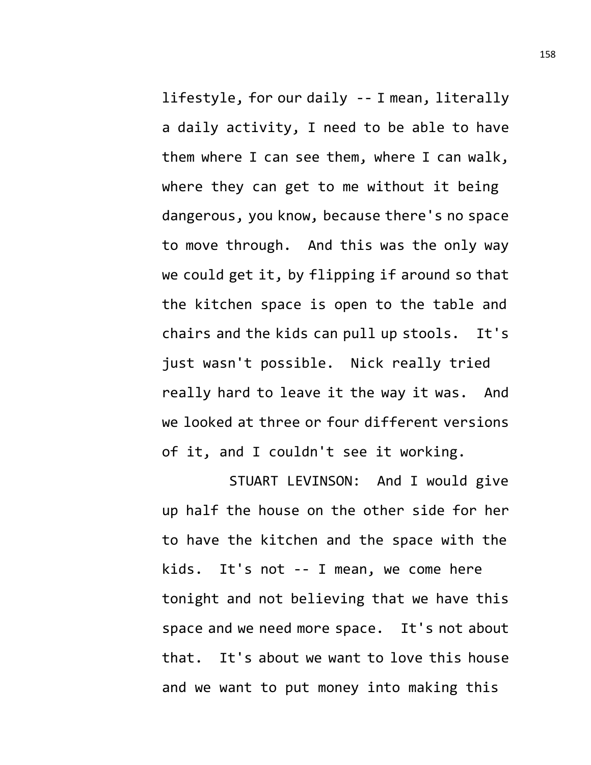lifestyle, for our daily -- I mean, literally a daily activity, I need to be able to have them where I can see them, where I can walk, where they can get to me without it being dangerous, you know, because there's no space to move through. And this was the only way we could get it, by flipping if around so that the kitchen space is open to the table and chairs and the kids can pull up stools. It's just wasn't possible. Nick really tried really hard to leave it the way it was. And we looked at three or four different versions of it, and I couldn't see it working.

STUART LEVINSON: And I would give up half the house on the other side for her to have the kitchen and the space with the kids. It's not -- I mean, we come here tonight and not believing that we have this space and we need more space. It's not about that. It's about we want to love this house and we want to put money into making this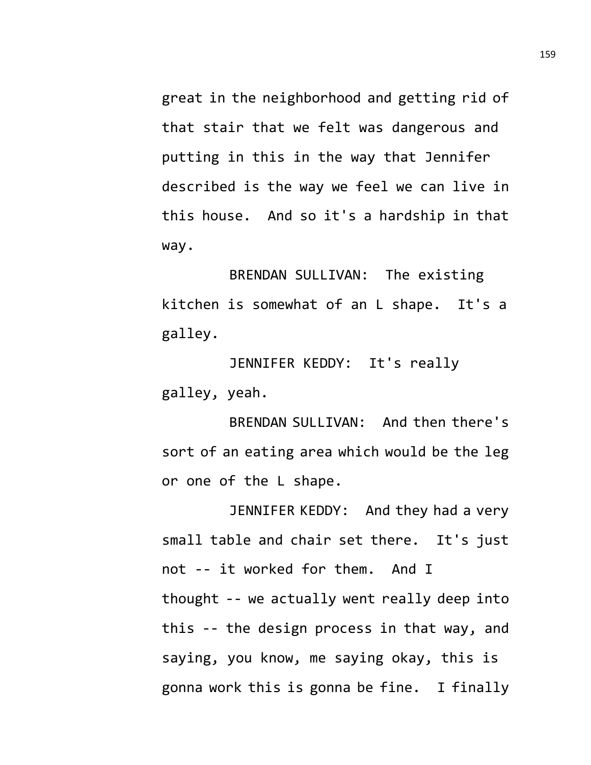great in the neighborhood and getting rid of that stair that we felt was dangerous and putting in this in the way that Jennifer described is the way we feel we can live in this house. And so it's a hardship in that way.

BRENDAN SULLIVAN: The existing kitchen is somewhat of an L shape. It's a galley.

JENNIFER KEDDY: It's really galley, yeah.

BRENDAN SULLIVAN: And then there's sort of an eating area which would be the leg or one of the L shape.

JENNIFER KEDDY: And they had a very small table and chair set there. It's just not -- it worked for them. And I thought -- we actually went really deep into this -- the design process in that way, and saying, you know, me saying okay, this is gonna work this is gonna be fine. I finally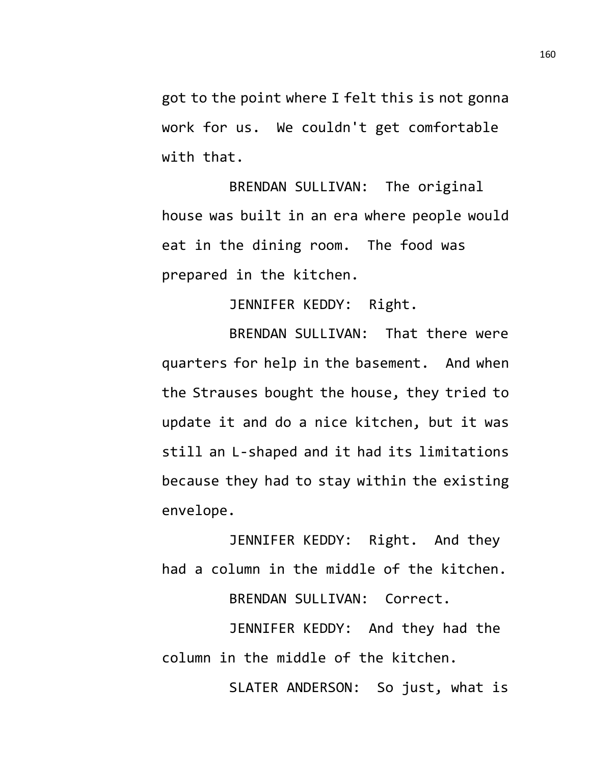got to the point where I felt this is not gonna work for us. We couldn't get comfortable with that.

BRENDAN SULLIVAN: The original house was built in an era where people would eat in the dining room. The food was prepared in the kitchen.

JENNIFER KEDDY: Right.

BRENDAN SULLIVAN: That there were quarters for help in the basement. And when the Strauses bought the house, they tried to update it and do a nice kitchen, but it was still an L-shaped and it had its limitations because they had to stay within the existing envelope.

JENNIFER KEDDY: Right. And they had a column in the middle of the kitchen. BRENDAN SULLIVAN: Correct.

JENNIFER KEDDY: And they had the column in the middle of the kitchen.

SLATER ANDERSON: So just, what is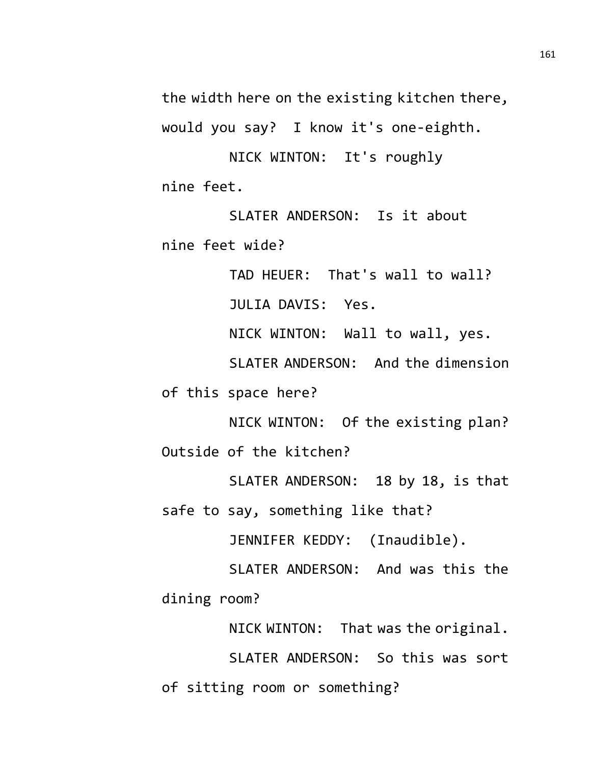the width here on the existing kitchen there, would you say? I know it's one-eighth.

NICK WINTON: It's roughly nine feet.

SLATER ANDERSON: Is it about nine feet wide?

TAD HEUER: That's wall to wall?

JULIA DAVIS: Yes.

NICK WINTON: Wall to wall, yes.

SLATER ANDERSON: And the dimension

of this space here?

NICK WINTON: Of the existing plan? Outside of the kitchen?

SLATER ANDERSON: 18 by 18, is that safe to say, something like that?

JENNIFER KEDDY: (Inaudible).

SLATER ANDERSON: And was this the dining room?

NICK WINTON: That was the original. SLATER ANDERSON: So this was sort of sitting room or something?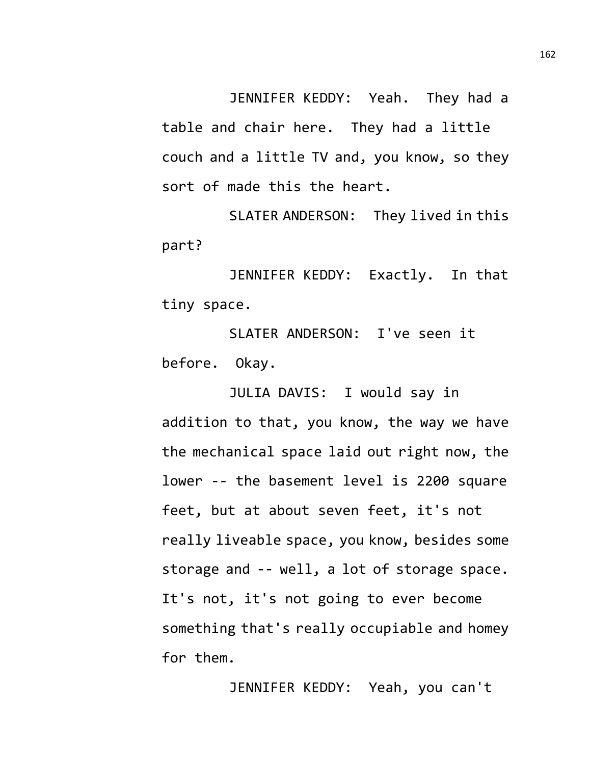JENNIFER KEDDY: Yeah. They had a table and chair here. They had a little couch and a little TV and, you know, so they sort of made this the heart.

SLATER ANDERSON: They lived in this part?

JENNIFER KEDDY: Exactly. In that tiny space.

SLATER ANDERSON: I've seen it before. Okay.

JULIA DAVIS: I would say in addition to that, you know, the way we have the mechanical space laid out right now, the lower -- the basement level is 2200 square feet, but at about seven feet, it's not really liveable space, you know, besides some storage and -- well, a lot of storage space. It's not, it's not going to ever become something that's really occupiable and homey for them.

JENNIFER KEDDY: Yeah, you can't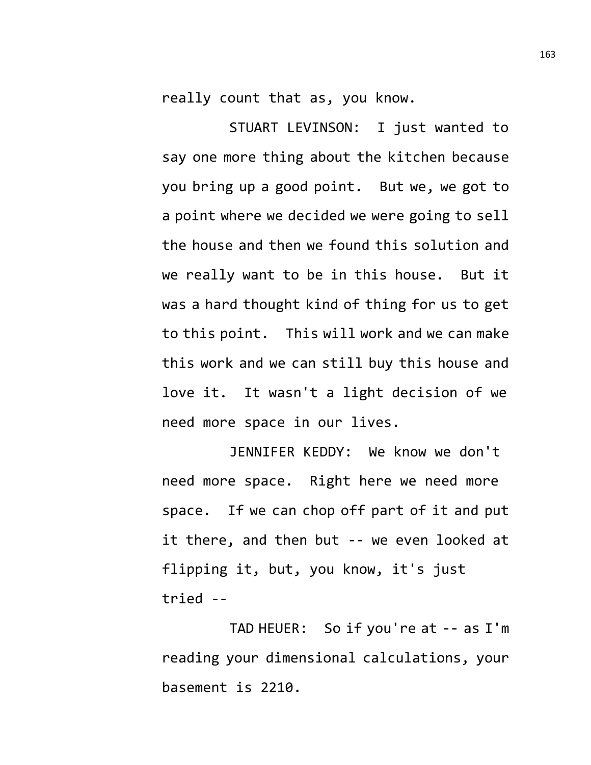really count that as, you know.

STUART LEVINSON: I just wanted to say one more thing about the kitchen because you bring up a good point. But we, we got to a point where we decided we were going to sell the house and then we found this solution and we really want to be in this house. But it was a hard thought kind of thing for us to get to this point. This will work and we can make this work and we can still buy this house and love it. It wasn't a light decision of we need more space in our lives.

JENNIFER KEDDY: We know we don't need more space. Right here we need more space. If we can chop off part of it and put it there, and then but -- we even looked at flipping it, but, you know, it's just tried --

TAD HEUER: So if you're at -- as I'm reading your dimensional calculations, your basement is 2210.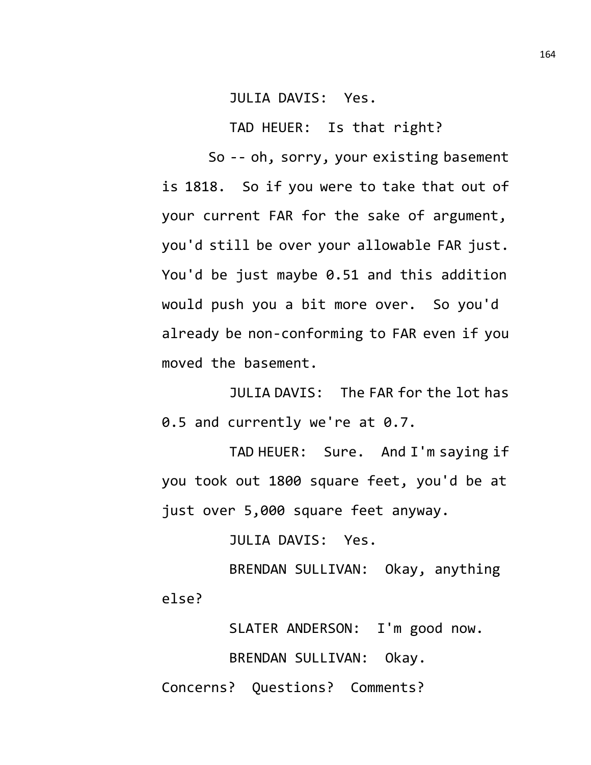JULIA DAVIS: Yes.

TAD HEUER: Is that right?

So -- oh, sorry, your existing basement is 1818. So if you were to take that out of your current FAR for the sake of argument, you'd still be over your allowable FAR just. You'd be just maybe 0.51 and this addition would push you a bit more over. So you'd already be non-conforming to FAR even if you moved the basement.

JULIA DAVIS: The FAR for the lot has 0.5 and currently we're at 0.7.

TAD HEUER: Sure. And I'm saying if you took out 1800 square feet, you'd be at just over 5,000 square feet anyway.

JULIA DAVIS: Yes.

BRENDAN SULLIVAN: Okay, anything else?

SLATER ANDERSON: I'm good now. BRENDAN SULLIVAN: Okay. Concerns? Questions? Comments?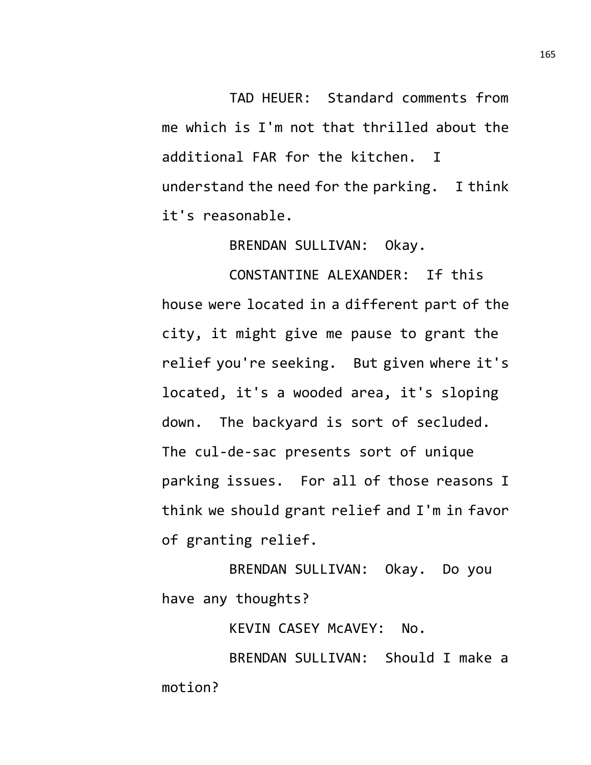TAD HEUER: Standard comments from me which is I'm not that thrilled about the additional FAR for the kitchen. I understand the need for the parking. I think it's reasonable.

BRENDAN SULLIVAN: Okay.

CONSTANTINE ALEXANDER: If this house were located in a different part of the city, it might give me pause to grant the relief you're seeking. But given where it's located, it's a wooded area, it's sloping down. The backyard is sort of secluded. The cul-de-sac presents sort of unique parking issues. For all of those reasons I think we should grant relief and I'm in favor of granting relief.

BRENDAN SULLIVAN: Okay. Do you have any thoughts?

KEVIN CASEY McAVEY: No.

BRENDAN SULLIVAN: Should I make a motion?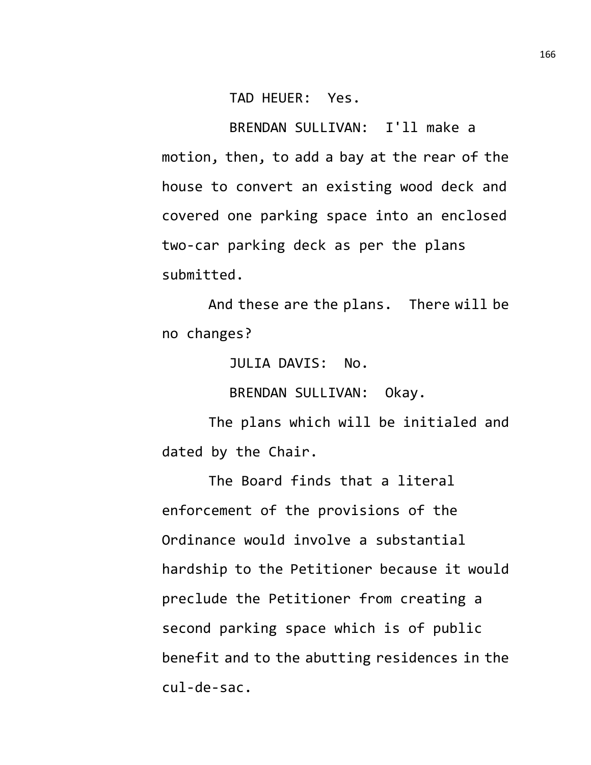TAD HEUER: Yes.

BRENDAN SULLIVAN: I'll make a motion, then, to add a bay at the rear of the house to convert an existing wood deck and covered one parking space into an enclosed two-car parking deck as per the plans submitted.

And these are the plans. There will be no changes?

JULIA DAVIS: No.

BRENDAN SULLIVAN: Okay.

The plans which will be initialed and dated by the Chair.

The Board finds that a literal enforcement of the provisions of the Ordinance would involve a substantial hardship to the Petitioner because it would preclude the Petitioner from creating a second parking space which is of public benefit and to the abutting residences in the cul-de-sac.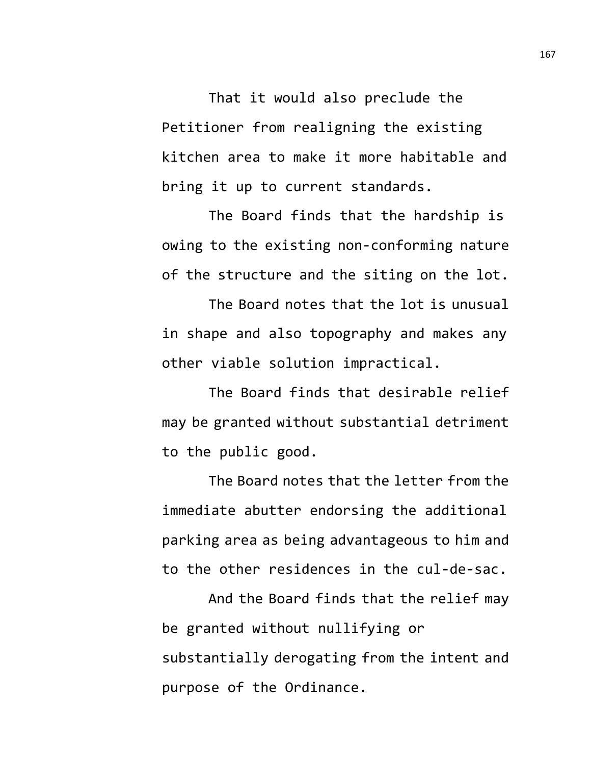That it would also preclude the Petitioner from realigning the existing kitchen area to make it more habitable and bring it up to current standards.

The Board finds that the hardship is owing to the existing non-conforming nature of the structure and the siting on the lot.

The Board notes that the lot is unusual in shape and also topography and makes any other viable solution impractical.

The Board finds that desirable relief may be granted without substantial detriment to the public good.

The Board notes that the letter from the immediate abutter endorsing the additional parking area as being advantageous to him and to the other residences in the cul-de-sac.

And the Board finds that the relief may be granted without nullifying or substantially derogating from the intent and purpose of the Ordinance.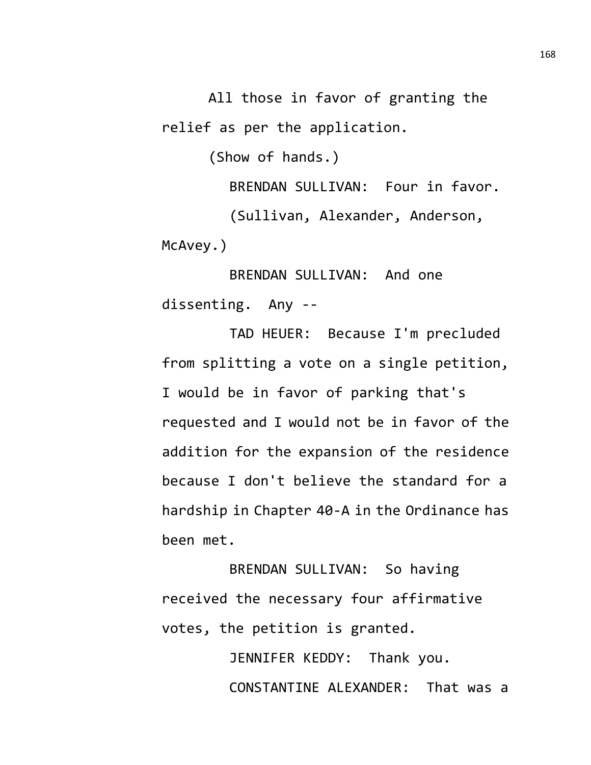All those in favor of granting the relief as per the application.

(Show of hands.)

BRENDAN SULLIVAN: Four in favor. (Sullivan, Alexander, Anderson, McAvey.)

BRENDAN SULLIVAN: And one dissenting. Any --

TAD HEUER: Because I'm precluded from splitting a vote on a single petition, I would be in favor of parking that's requested and I would not be in favor of the addition for the expansion of the residence because I don't believe the standard for a hardship in Chapter 40-A in the Ordinance has been met.

BRENDAN SULLIVAN: So having received the necessary four affirmative votes, the petition is granted.

> JENNIFER KEDDY: Thank you. CONSTANTINE ALEXANDER: That was a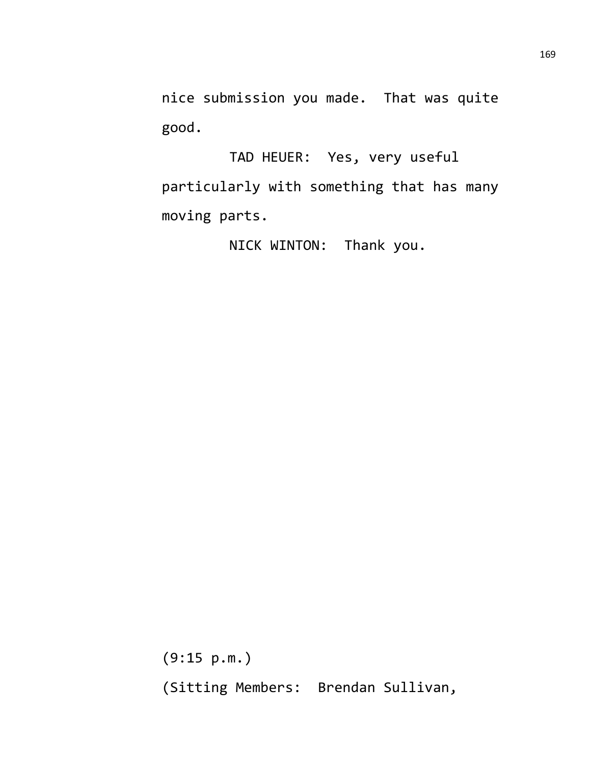nice submission you made. That was quite good.

TAD HEUER: Yes, very useful particularly with something that has many moving parts.

NICK WINTON: Thank you.

(9:15 p.m.) (Sitting Members: Brendan Sullivan,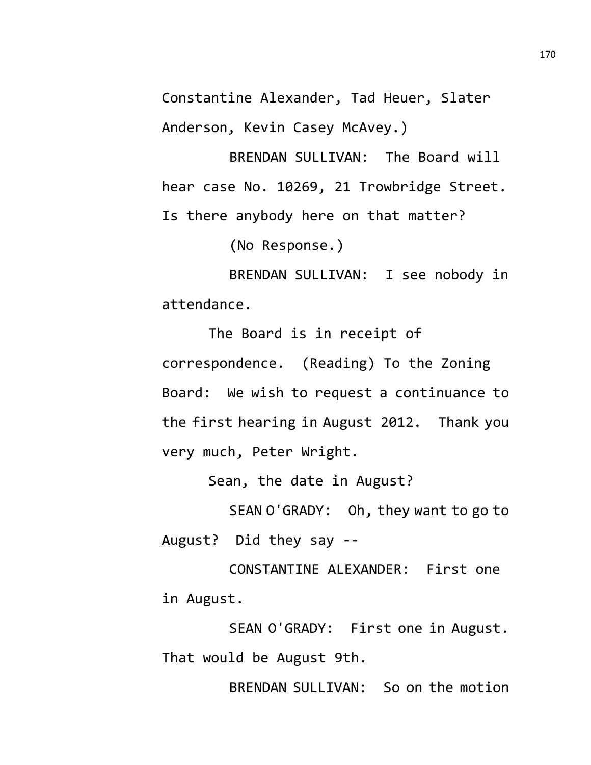Constantine Alexander, Tad Heuer, Slater Anderson, Kevin Casey McAvey.)

BRENDAN SULLIVAN: The Board will hear case No. 10269, 21 Trowbridge Street. Is there anybody here on that matter?

(No Response.)

BRENDAN SULLIVAN: I see nobody in attendance.

The Board is in receipt of correspondence. (Reading) To the Zoning Board: We wish to request a continuance to the first hearing in August 2012. Thank you very much, Peter Wright.

Sean, the date in August?

SEAN O'GRADY: Oh, they want to go to August? Did they say --

CONSTANTINE ALEXANDER: First one in August.

SEAN O'GRADY: First one in August. That would be August 9th.

BRENDAN SULLIVAN: So on the motion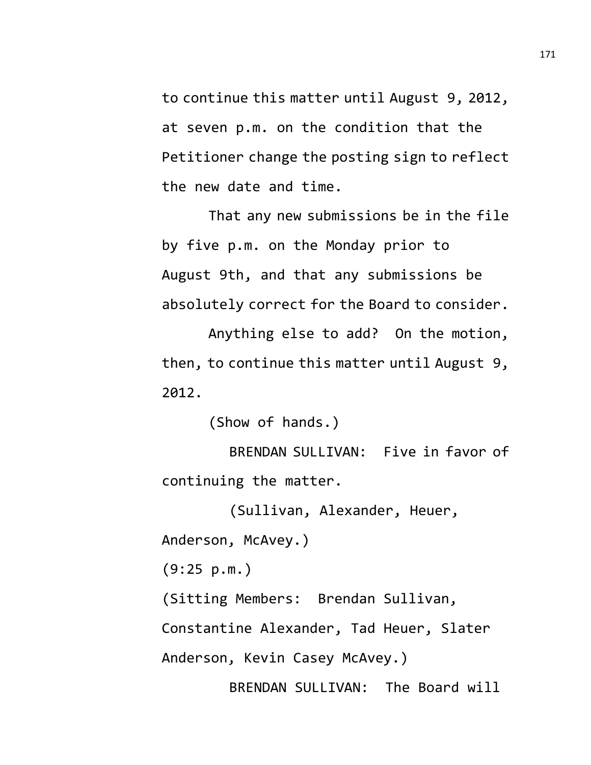to continue this matter until August 9, 2012, at seven p.m. on the condition that the Petitioner change the posting sign to reflect the new date and time.

That any new submissions be in the file by five p.m. on the Monday prior to August 9th, and that any submissions be absolutely correct for the Board to consider.

Anything else to add? On the motion, then, to continue this matter until August 9, 2012.

(Show of hands.)

BRENDAN SULLIVAN: Five in favor of continuing the matter.

(Sullivan, Alexander, Heuer, Anderson, McAvey.)

(9:25 p.m.)

(Sitting Members: Brendan Sullivan,

Constantine Alexander, Tad Heuer, Slater

Anderson, Kevin Casey McAvey.)

BRENDAN SULLIVAN: The Board will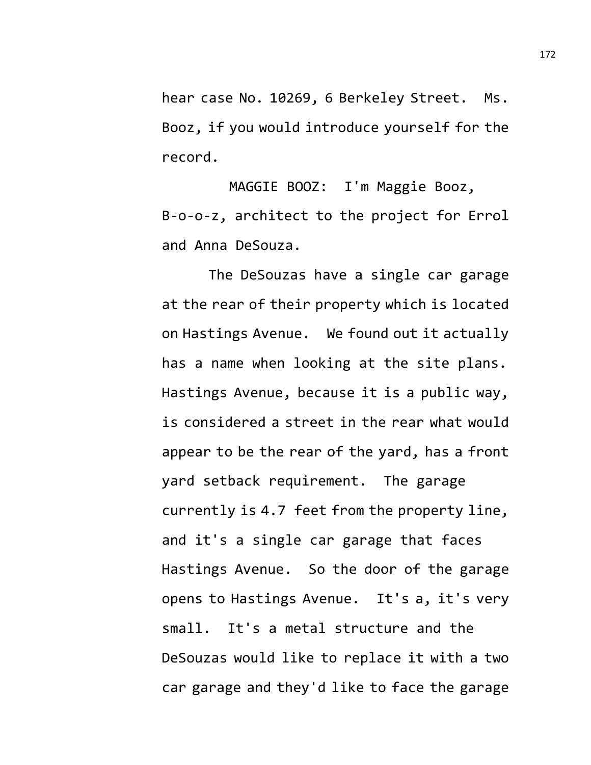hear case No. 10269, 6 Berkeley Street. Ms. Booz, if you would introduce yourself for the record.

MAGGIE BOOZ: I'm Maggie Booz, B-o-o-z, architect to the project for Errol and Anna DeSouza.

The DeSouzas have a single car garage at the rear of their property which is located on Hastings Avenue. We found out it actually has a name when looking at the site plans. Hastings Avenue, because it is a public way, is considered a street in the rear what would appear to be the rear of the yard, has a front yard setback requirement. The garage currently is 4.7 feet from the property line, and it's a single car garage that faces Hastings Avenue. So the door of the garage opens to Hastings Avenue. It's a, it's very small. It's a metal structure and the DeSouzas would like to replace it with a two car garage and they'd like to face the garage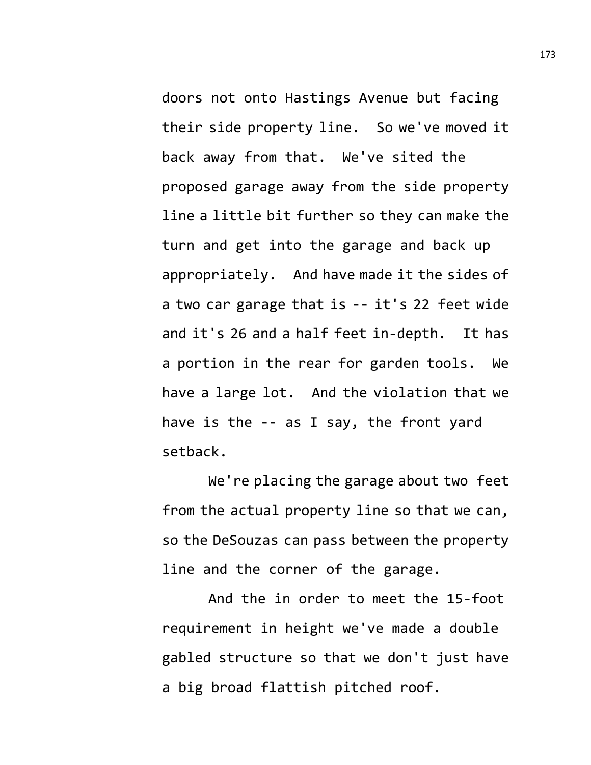doors not onto Hastings Avenue but facing their side property line. So we've moved it back away from that. We've sited the proposed garage away from the side property line a little bit further so they can make the turn and get into the garage and back up appropriately. And have made it the sides of a two car garage that is -- it's 22 feet wide and it's 26 and a half feet in-depth. It has a portion in the rear for garden tools. We have a large lot. And the violation that we have is the -- as I say, the front yard setback.

We're placing the garage about two feet from the actual property line so that we can, so the DeSouzas can pass between the property line and the corner of the garage.

And the in order to meet the 15-foot requirement in height we've made a double gabled structure so that we don't just have a big broad flattish pitched roof.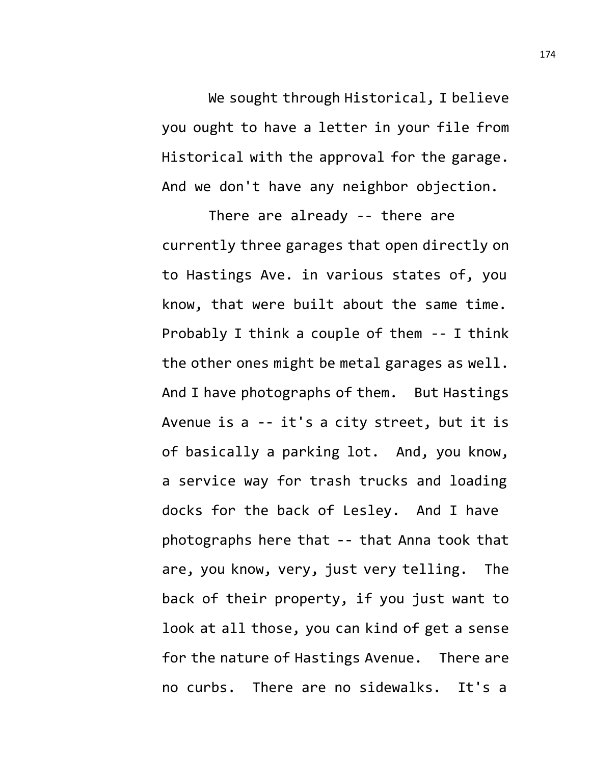We sought through Historical, I believe you ought to have a letter in your file from Historical with the approval for the garage. And we don't have any neighbor objection.

There are already -- there are currently three garages that open directly on to Hastings Ave. in various states of, you know, that were built about the same time. Probably I think a couple of them -- I think the other ones might be metal garages as well. And I have photographs of them. But Hastings Avenue is a -- it's a city street, but it is of basically a parking lot. And, you know, a service way for trash trucks and loading docks for the back of Lesley. And I have photographs here that -- that Anna took that are, you know, very, just very telling. The back of their property, if you just want to look at all those, you can kind of get a sense for the nature of Hastings Avenue. There are no curbs. There are no sidewalks. It's a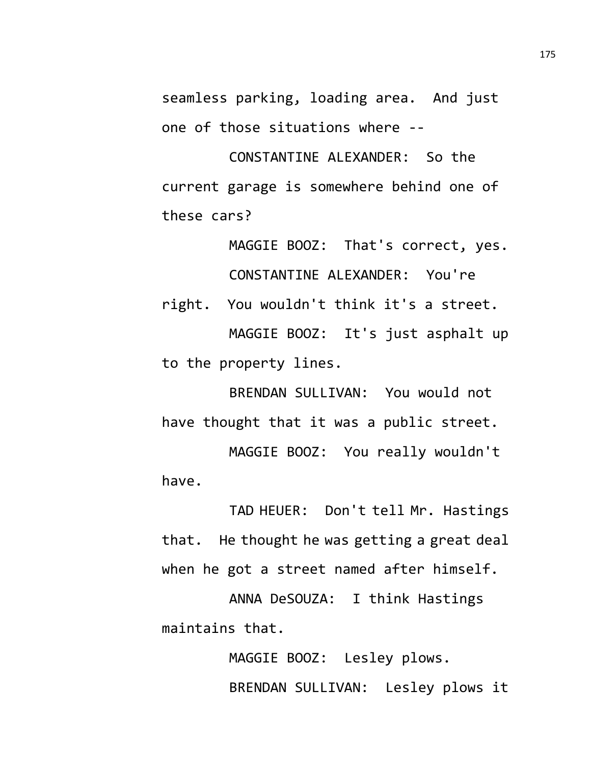seamless parking, loading area. And just one of those situations where --

CONSTANTINE ALEXANDER: So the current garage is somewhere behind one of these cars?

MAGGIE BOOZ: That's correct, yes. CONSTANTINE ALEXANDER: You're

right. You wouldn't think it's a street. MAGGIE BOOZ: It's just asphalt up to the property lines.

BRENDAN SULLIVAN: You would not have thought that it was a public street.

MAGGIE BOOZ: You really wouldn't have.

TAD HEUER: Don't tell Mr. Hastings that. He thought he was getting a great deal when he got a street named after himself.

ANNA DeSOUZA: I think Hastings maintains that.

> MAGGIE BOOZ: Lesley plows. BRENDAN SULLIVAN: Lesley plows it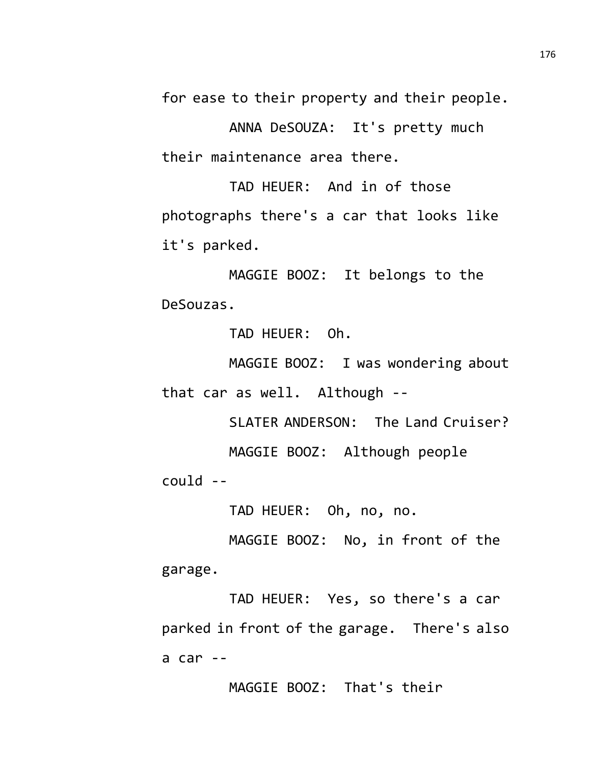for ease to their property and their people.

ANNA DeSOUZA: It's pretty much their maintenance area there.

TAD HEUER: And in of those photographs there's a car that looks like it's parked.

MAGGIE BOOZ: It belongs to the DeSouzas.

TAD HEUER: Oh.

MAGGIE BOOZ: I was wondering about that car as well. Although --

SLATER ANDERSON: The Land Cruiser? MAGGIE BOOZ: Although people could --

TAD HEUER: Oh, no, no.

MAGGIE BOOZ: No, in front of the garage.

TAD HEUER: Yes, so there's a car parked in front of the garage. There's also a car --

MAGGIE BOOZ: That's their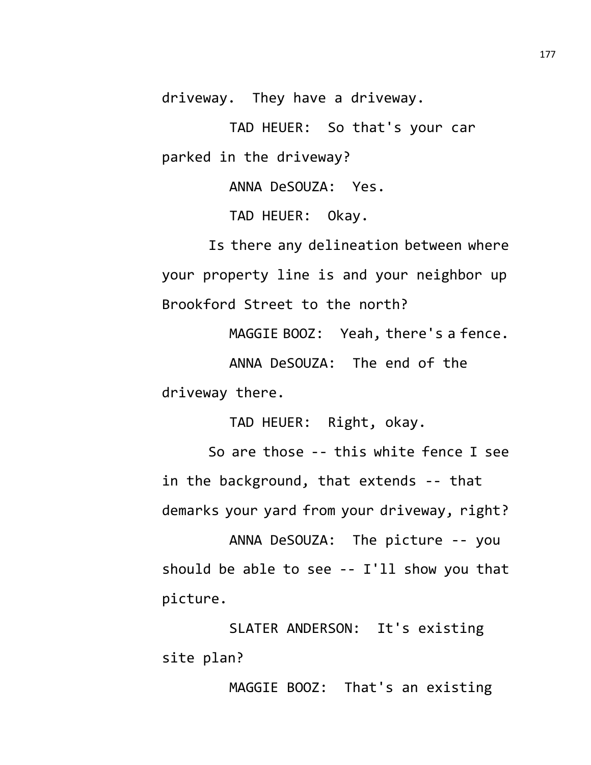driveway. They have a driveway.

TAD HEUER: So that's your car parked in the driveway?

ANNA DeSOUZA: Yes.

TAD HEUER: Okay.

Is there any delineation between where your property line is and your neighbor up Brookford Street to the north?

MAGGIE BOOZ: Yeah, there's a fence. ANNA DeSOUZA: The end of the driveway there.

TAD HEUER: Right, okay.

So are those -- this white fence I see in the background, that extends -- that demarks your yard from your driveway, right?

ANNA DeSOUZA: The picture -- you should be able to see -- I'll show you that picture.

SLATER ANDERSON: It's existing site plan?

MAGGIE BOOZ: That's an existing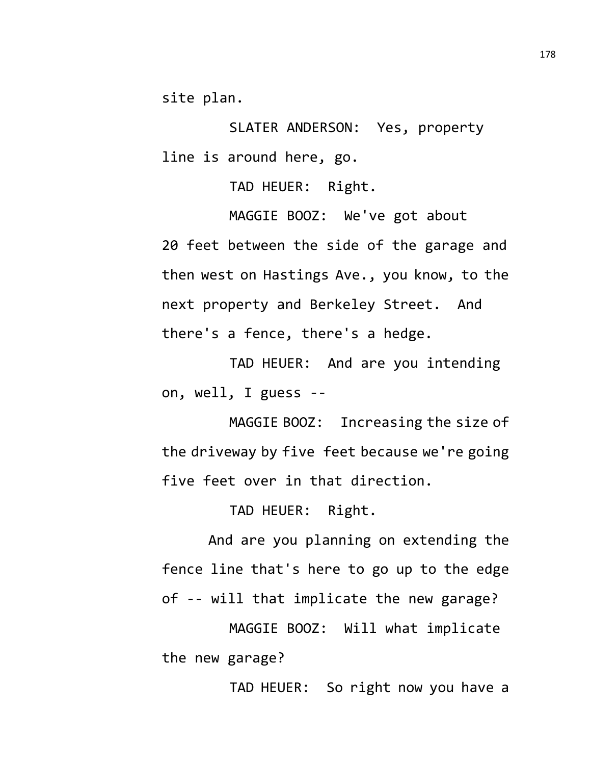site plan.

SLATER ANDERSON: Yes, property line is around here, go.

TAD HEUER: Right.

MAGGIE BOOZ: We've got about 20 feet between the side of the garage and then west on Hastings Ave., you know, to the next property and Berkeley Street. And there's a fence, there's a hedge.

TAD HEUER: And are you intending on, well, I guess --

MAGGIE BOOZ: Increasing the size of the driveway by five feet because we're going five feet over in that direction.

TAD HEUER: Right.

And are you planning on extending the fence line that's here to go up to the edge of -- will that implicate the new garage?

MAGGIE BOOZ: Will what implicate the new garage?

TAD HEUER: So right now you have a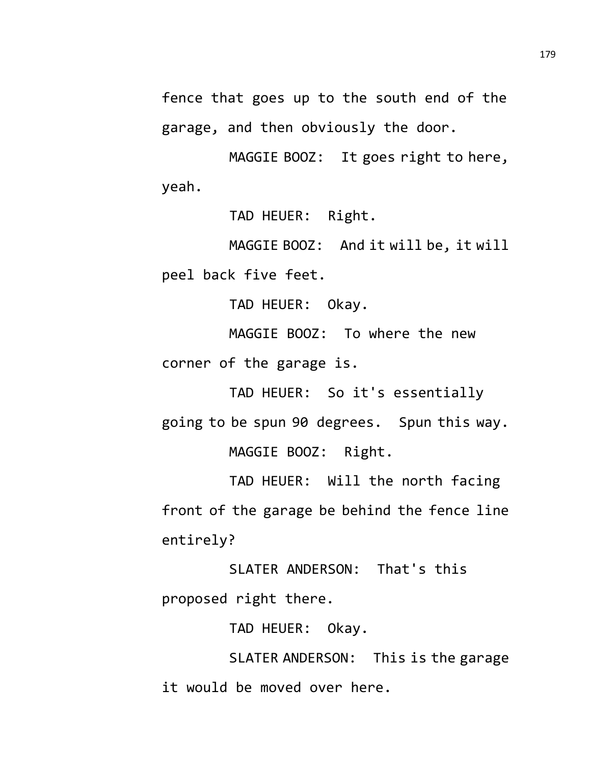fence that goes up to the south end of the garage, and then obviously the door.

MAGGIE BOOZ: It goes right to here, yeah.

TAD HEUER: Right.

MAGGIE BOOZ: And it will be, it will peel back five feet.

TAD HEUER: Okay.

MAGGIE BOOZ: To where the new corner of the garage is.

TAD HEUER: So it's essentially going to be spun 90 degrees. Spun this way. MAGGIE BOOZ: Right.

TAD HEUER: Will the north facing front of the garage be behind the fence line entirely?

SLATER ANDERSON: That's this proposed right there.

TAD HEUER: Okay.

SLATER ANDERSON: This is the garage it would be moved over here.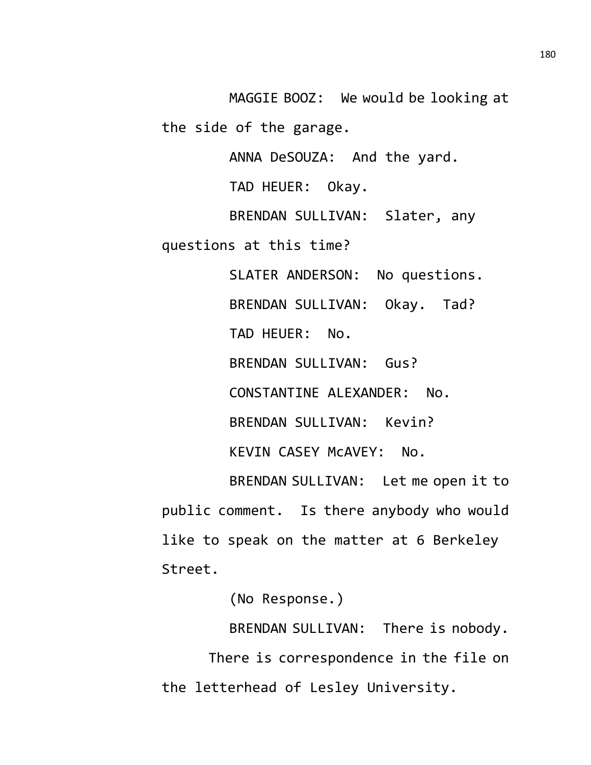MAGGIE BOOZ: We would be looking at the side of the garage.

ANNA DeSOUZA: And the yard.

TAD HEUER: Okay.

BRENDAN SULLIVAN: Slater, any

questions at this time?

SLATER ANDERSON: No questions. BRENDAN SULLIVAN: Okay. Tad? TAD HEUER: No. BRENDAN SULLIVAN: Gus? CONSTANTINE ALEXANDER: No. BRENDAN SULLIVAN: Kevin? KEVIN CASEY McAVEY: No.

BRENDAN SULLIVAN: Let me open it to public comment. Is there anybody who would like to speak on the matter at 6 Berkeley Street.

(No Response.)

BRENDAN SULLIVAN: There is nobody.

There is correspondence in the file on the letterhead of Lesley University.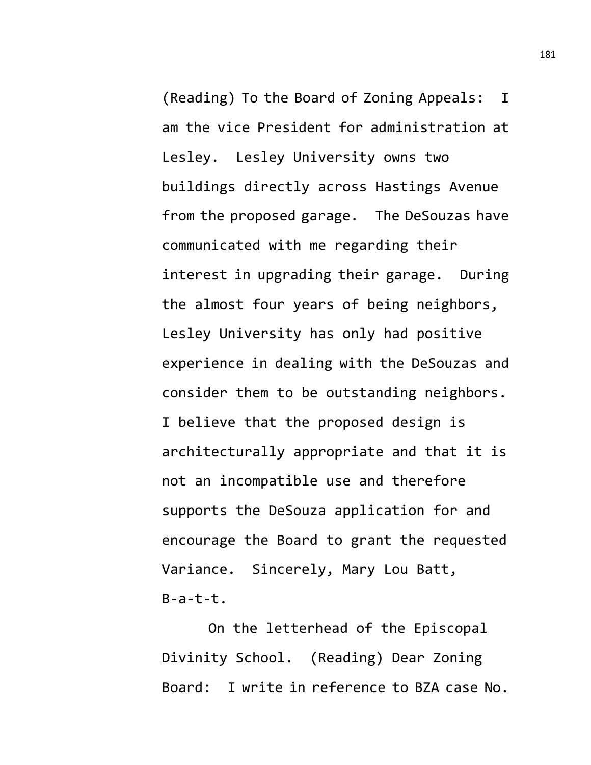(Reading) To the Board of Zoning Appeals: I am the vice President for administration at Lesley. Lesley University owns two buildings directly across Hastings Avenue from the proposed garage. The DeSouzas have communicated with me regarding their interest in upgrading their garage. During the almost four years of being neighbors, Lesley University has only had positive experience in dealing with the DeSouzas and consider them to be outstanding neighbors. I believe that the proposed design is architecturally appropriate and that it is not an incompatible use and therefore supports the DeSouza application for and encourage the Board to grant the requested Variance. Sincerely, Mary Lou Batt,  $B-a-t-t$ .

On the letterhead of the Episcopal Divinity School. (Reading) Dear Zoning Board: I write in reference to BZA case No.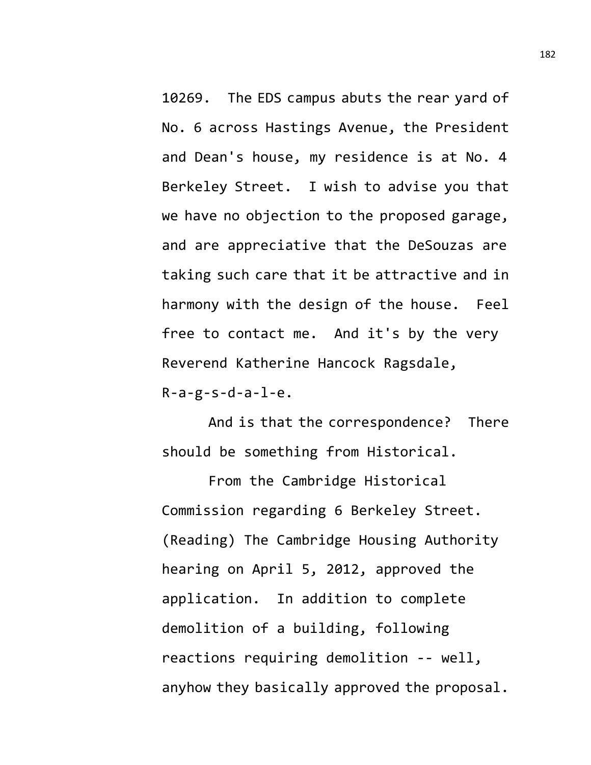10269. The EDS campus abuts the rear yard of No. 6 across Hastings Avenue, the President and Dean's house, my residence is at No. 4 Berkeley Street. I wish to advise you that we have no objection to the proposed garage, and are appreciative that the DeSouzas are taking such care that it be attractive and in harmony with the design of the house. Feel free to contact me. And it's by the very Reverend Katherine Hancock Ragsdale,  $R-a-g-s-d-a-1-e.$ 

And is that the correspondence? There should be something from Historical.

From the Cambridge Historical Commission regarding 6 Berkeley Street. (Reading) The Cambridge Housing Authority hearing on April 5, 2012, approved the application. In addition to complete demolition of a building, following reactions requiring demolition -- well, anyhow they basically approved the proposal.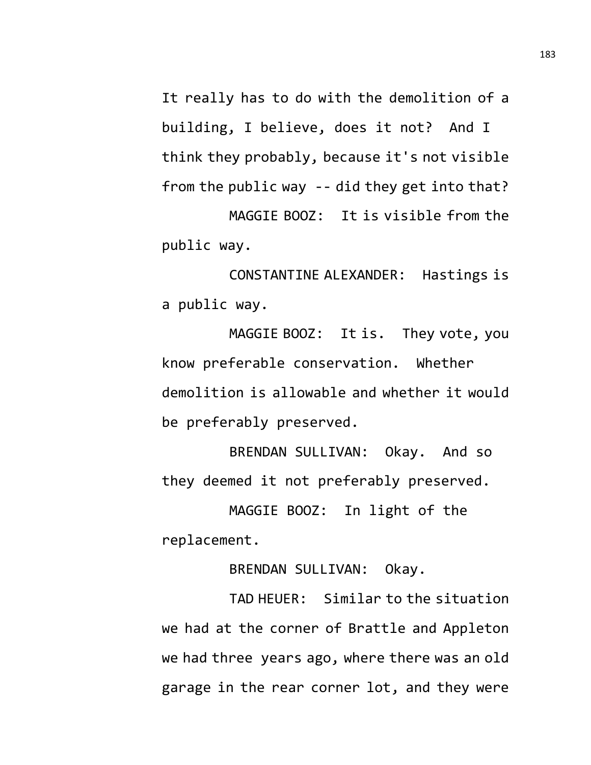It really has to do with the demolition of a building, I believe, does it not? And I think they probably, because it's not visible from the public way -- did they get into that?

MAGGIE BOOZ: It is visible from the public way.

CONSTANTINE ALEXANDER: Hastings is a public way.

MAGGIE BOOZ: It is. They vote, you know preferable conservation. Whether demolition is allowable and whether it would be preferably preserved.

BRENDAN SULLIVAN: Okay. And so they deemed it not preferably preserved.

MAGGIE BOOZ: In light of the replacement.

BRENDAN SULLIVAN: Okay.

TAD HEUER: Similar to the situation we had at the corner of Brattle and Appleton we had three years ago, where there was an old garage in the rear corner lot, and they were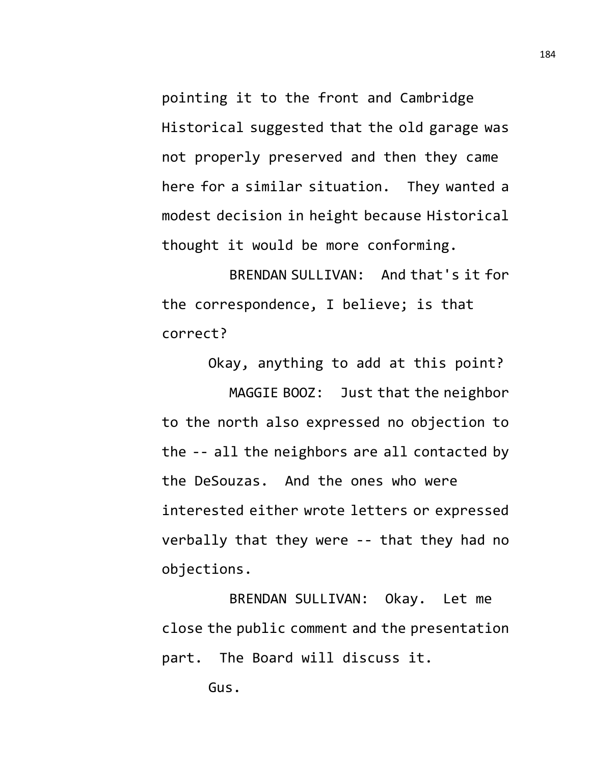pointing it to the front and Cambridge Historical suggested that the old garage was not properly preserved and then they came here for a similar situation. They wanted a modest decision in height because Historical thought it would be more conforming.

BRENDAN SULLIVAN: And that's it for the correspondence, I believe; is that correct?

Okay, anything to add at this point? MAGGIE BOOZ: Just that the neighbor to the north also expressed no objection to the -- all the neighbors are all contacted by the DeSouzas. And the ones who were interested either wrote letters or expressed verbally that they were -- that they had no objections.

BRENDAN SULLIVAN: Okay. Let me close the public comment and the presentation part. The Board will discuss it.

Gus.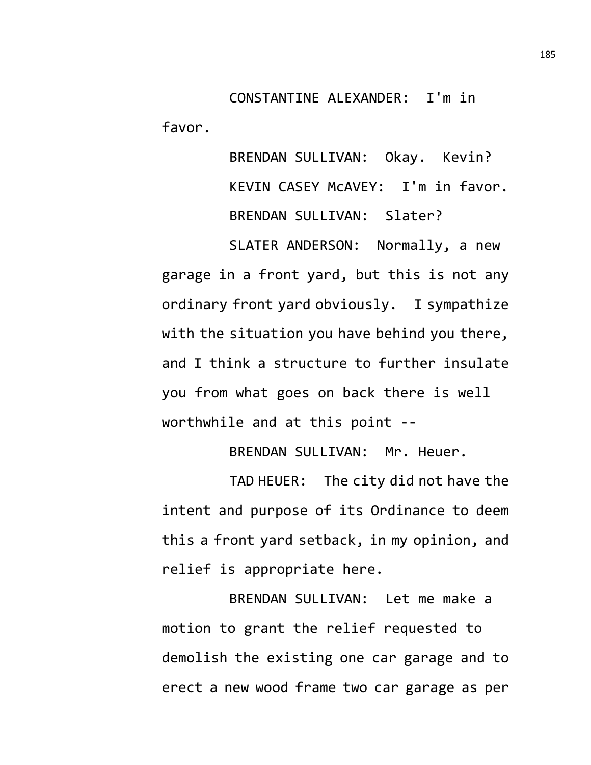CONSTANTINE ALEXANDER: I'm in favor.

> BRENDAN SULLIVAN: Okay. Kevin? KEVIN CASEY McAVEY: I'm in favor. BRENDAN SULLIVAN: Slater?

SLATER ANDERSON: Normally, a new garage in a front yard, but this is not any ordinary front yard obviously. I sympathize with the situation you have behind you there, and I think a structure to further insulate you from what goes on back there is well worthwhile and at this point --

BRENDAN SULLIVAN: Mr. Heuer.

TAD HEUER: The city did not have the intent and purpose of its Ordinance to deem this a front yard setback, in my opinion, and relief is appropriate here.

BRENDAN SULLIVAN: Let me make a motion to grant the relief requested to demolish the existing one car garage and to erect a new wood frame two car garage as per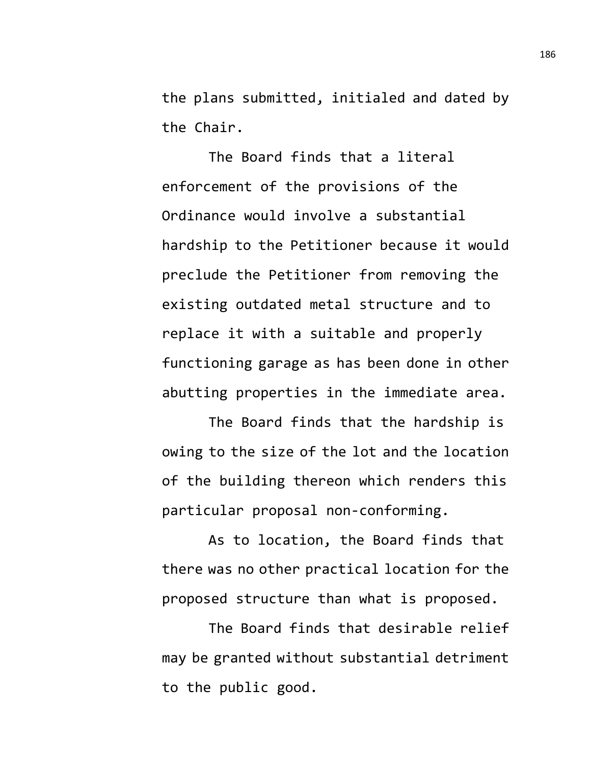the plans submitted, initialed and dated by the Chair.

The Board finds that a literal enforcement of the provisions of the Ordinance would involve a substantial hardship to the Petitioner because it would preclude the Petitioner from removing the existing outdated metal structure and to replace it with a suitable and properly functioning garage as has been done in other abutting properties in the immediate area.

The Board finds that the hardship is owing to the size of the lot and the location of the building thereon which renders this particular proposal non-conforming.

As to location, the Board finds that there was no other practical location for the proposed structure than what is proposed.

The Board finds that desirable relief may be granted without substantial detriment to the public good.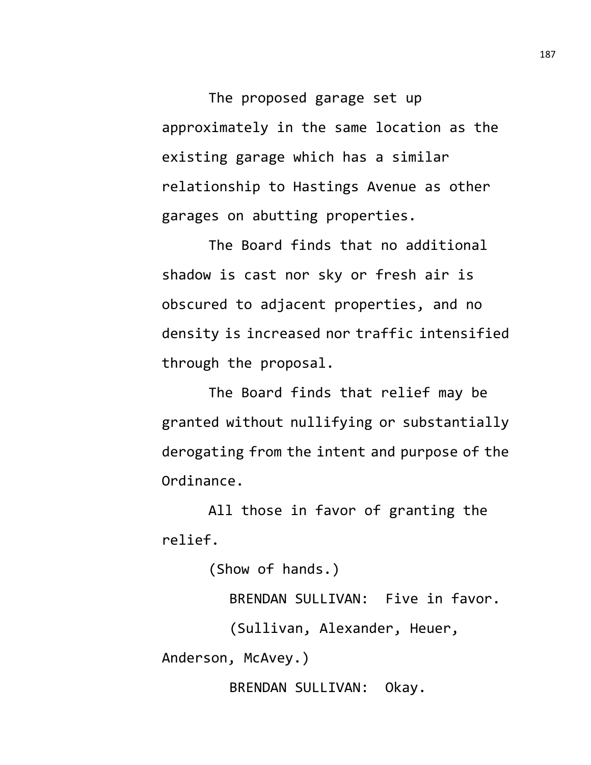The proposed garage set up approximately in the same location as the existing garage which has a similar relationship to Hastings Avenue as other garages on abutting properties.

The Board finds that no additional shadow is cast nor sky or fresh air is obscured to adjacent properties, and no density is increased nor traffic intensified through the proposal.

The Board finds that relief may be granted without nullifying or substantially derogating from the intent and purpose of the Ordinance.

All those in favor of granting the relief.

(Show of hands.) BRENDAN SULLIVAN: Five in favor. (Sullivan, Alexander, Heuer, Anderson, McAvey.) BRENDAN SULLIVAN: Okay.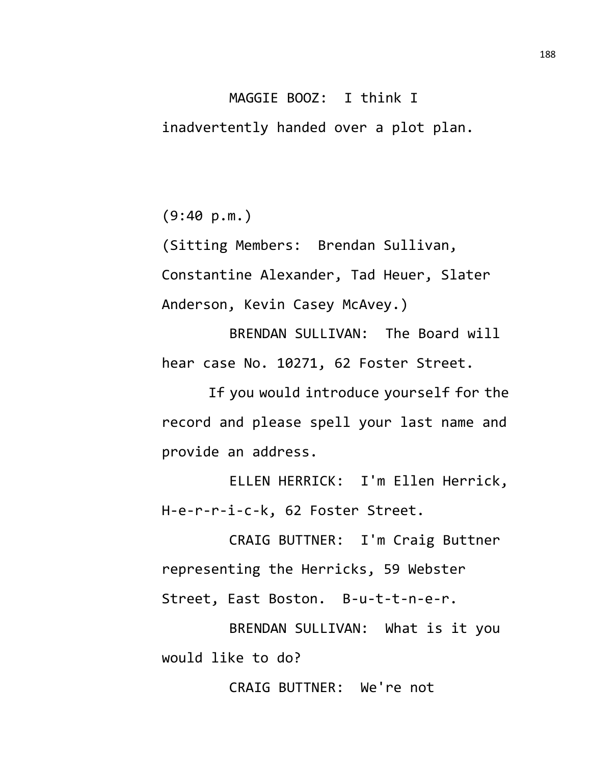## MAGGIE BOOZ: I think I

inadvertently handed over a plot plan.

(9:40 p.m.)

(Sitting Members: Brendan Sullivan, Constantine Alexander, Tad Heuer, Slater Anderson, Kevin Casey McAvey.)

BRENDAN SULLIVAN: The Board will hear case No. 10271, 62 Foster Street.

If you would introduce yourself for the record and please spell your last name and provide an address.

ELLEN HERRICK: I'm Ellen Herrick, H-e-r-r-i-c-k, 62 Foster Street.

CRAIG BUTTNER: I'm Craig Buttner representing the Herricks, 59 Webster Street, East Boston. B-u-t-t-n-e-r.

BRENDAN SULLIVAN: What is it you would like to do?

CRAIG BUTTNER: We're not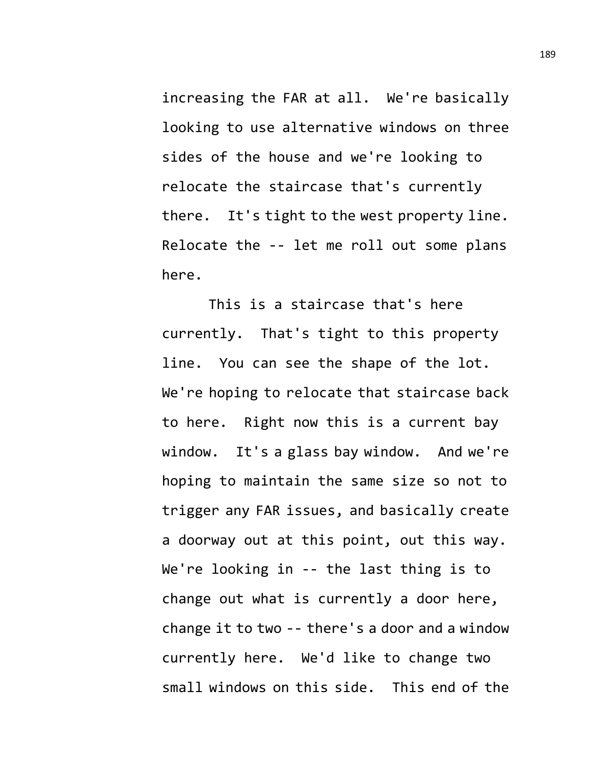increasing the FAR at all. We're basically looking to use alternative windows on three sides of the house and we're looking to relocate the staircase that's currently there. It's tight to the west property line. Relocate the -- let me roll out some plans here.

This is a staircase that's here currently. That's tight to this property line. You can see the shape of the lot. We're hoping to relocate that staircase back to here. Right now this is a current bay window. It's a glass bay window. And we're hoping to maintain the same size so not to trigger any FAR issues, and basically create a doorway out at this point, out this way. We're looking in -- the last thing is to change out what is currently a door here, change it to two -- there's a door and a window currently here. We'd like to change two small windows on this side. This end of the 189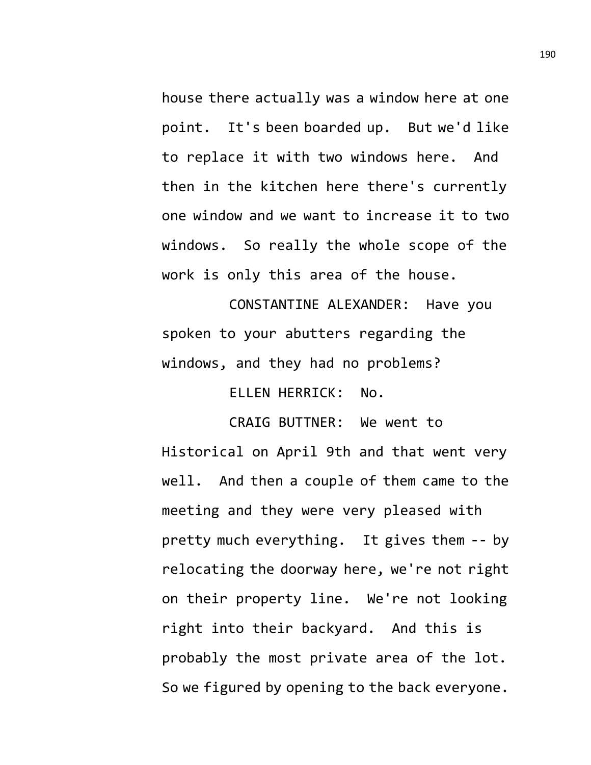house there actually was a window here at one point. It's been boarded up. But we'd like to replace it with two windows here. And then in the kitchen here there's currently one window and we want to increase it to two windows. So really the whole scope of the work is only this area of the house.

CONSTANTINE ALEXANDER: Have you spoken to your abutters regarding the windows, and they had no problems?

ELLEN HERRICK: No.

CRAIG BUTTNER: We went to Historical on April 9th and that went very well. And then a couple of them came to the meeting and they were very pleased with pretty much everything. It gives them -- by relocating the doorway here, we're not right on their property line. We're not looking right into their backyard. And this is probably the most private area of the lot. So we figured by opening to the back everyone.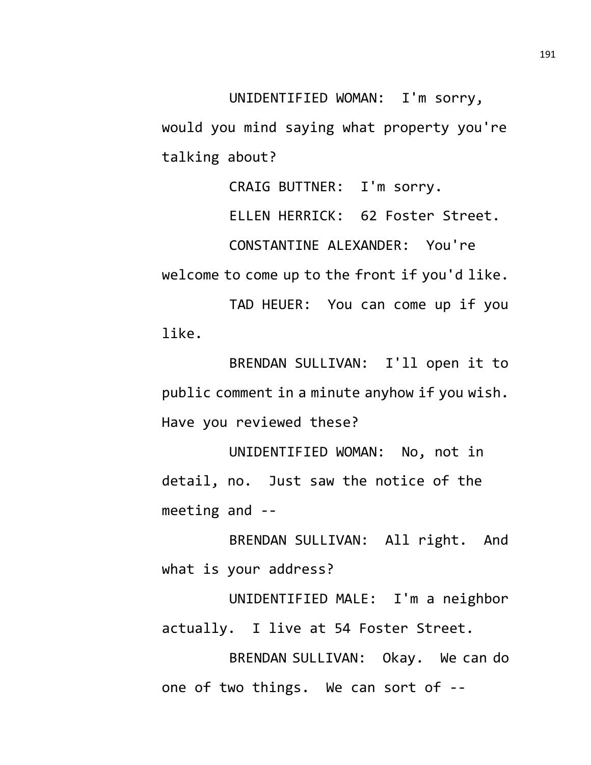UNIDENTIFIED WOMAN: I'm sorry, would you mind saying what property you're talking about?

CRAIG BUTTNER: I'm sorry.

ELLEN HERRICK: 62 Foster Street.

CONSTANTINE ALEXANDER: You're

welcome to come up to the front if you'd like.

TAD HEUER: You can come up if you like.

BRENDAN SULLIVAN: I'll open it to public comment in a minute anyhow if you wish. Have you reviewed these?

UNIDENTIFIED WOMAN: No, not in detail, no. Just saw the notice of the meeting and --

BRENDAN SULLIVAN: All right. And what is your address?

UNIDENTIFIED MALE: I'm a neighbor actually. I live at 54 Foster Street.

BRENDAN SULLIVAN: Okay. We can do one of two things. We can sort of --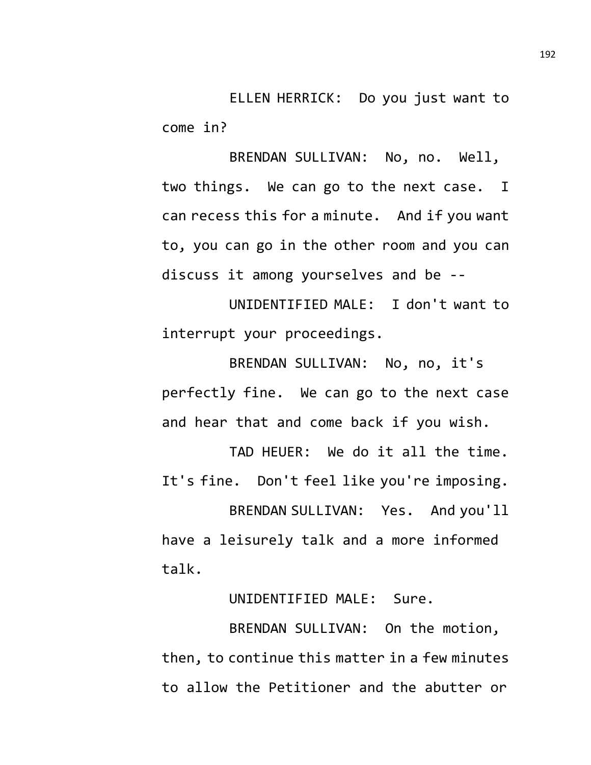ELLEN HERRICK: Do you just want to come in?

BRENDAN SULLIVAN: No, no. Well, two things. We can go to the next case. I can recess this for a minute. And if you want to, you can go in the other room and you can discuss it among yourselves and be --

UNIDENTIFIED MALE: I don't want to interrupt your proceedings.

BRENDAN SULLIVAN: No, no, it's perfectly fine. We can go to the next case and hear that and come back if you wish.

TAD HEUER: We do it all the time. It's fine. Don't feel like you're imposing.

BRENDAN SULLIVAN: Yes. And you'll have a leisurely talk and a more informed talk.

UNIDENTIFIED MALE: Sure.

BRENDAN SULLIVAN: On the motion, then, to continue this matter in a few minutes to allow the Petitioner and the abutter or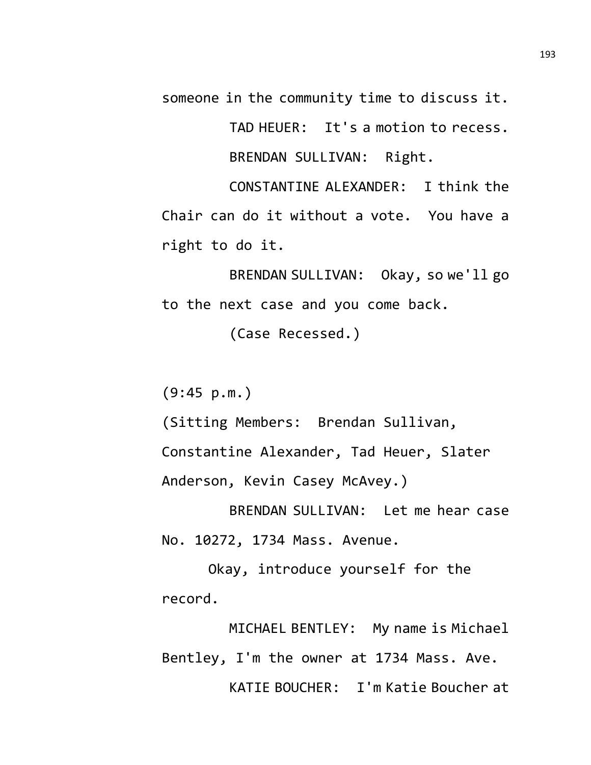someone in the community time to discuss it.

TAD HEUER: It's a motion to recess. BRENDAN SULLIVAN: Right.

CONSTANTINE ALEXANDER: I think the Chair can do it without a vote. You have a right to do it.

BRENDAN SULLIVAN: Okay, so we'll go to the next case and you come back.

(Case Recessed.)

 $(9:45 p.m.)$ 

(Sitting Members: Brendan Sullivan,

Constantine Alexander, Tad Heuer, Slater Anderson, Kevin Casey McAvey.)

BRENDAN SULLIVAN: Let me hear case No. 10272, 1734 Mass. Avenue.

Okay, introduce yourself for the record.

MICHAEL BENTLEY: My name is Michael Bentley, I'm the owner at 1734 Mass. Ave. KATIE BOUCHER: I'm Katie Boucher at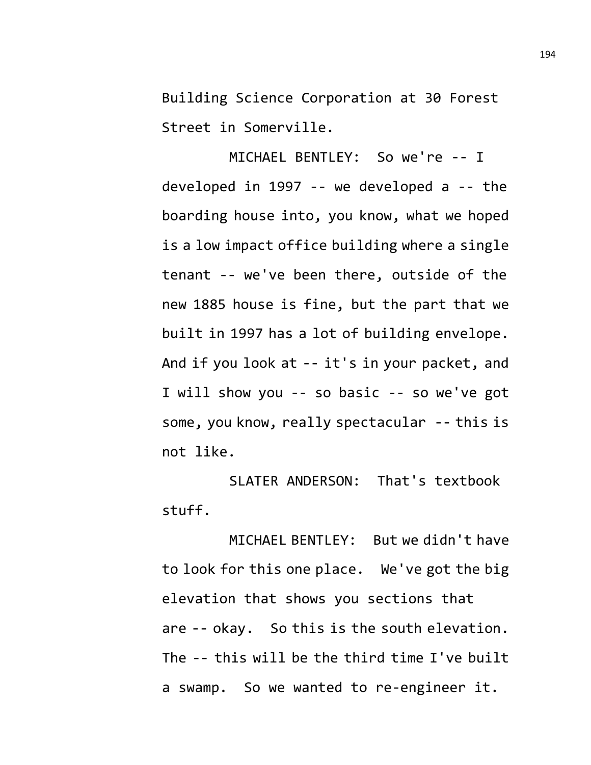Building Science Corporation at 30 Forest Street in Somerville.

MICHAEL BENTLEY: So we're -- I developed in 1997 -- we developed a -- the boarding house into, you know, what we hoped is a low impact office building where a single tenant -- we've been there, outside of the new 1885 house is fine, but the part that we built in 1997 has a lot of building envelope. And if you look at -- it's in your packet, and I will show you -- so basic -- so we've got some, you know, really spectacular -- this is not like.

SLATER ANDERSON: That's textbook stuff.

MICHAEL BENTLEY: But we didn't have to look for this one place. We've got the big elevation that shows you sections that are -- okay. So this is the south elevation. The -- this will be the third time I've built a swamp. So we wanted to re-engineer it.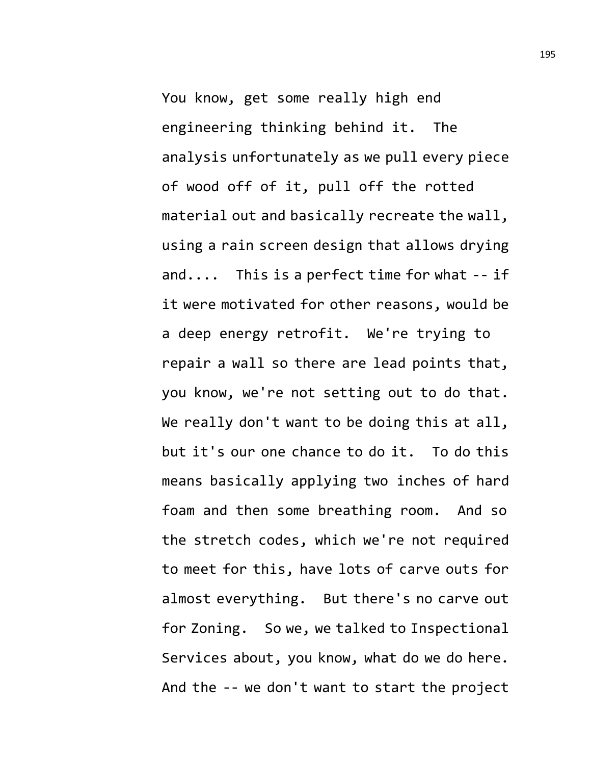You know, get some really high end engineering thinking behind it. The analysis unfortunately as we pull every piece of wood off of it, pull off the rotted material out and basically recreate the wall, using a rain screen design that allows drying and.... This is a perfect time for what -- if it were motivated for other reasons, would be a deep energy retrofit. We're trying to repair a wall so there are lead points that, you know, we're not setting out to do that. We really don't want to be doing this at all, but it's our one chance to do it. To do this means basically applying two inches of hard foam and then some breathing room. And so the stretch codes, which we're not required to meet for this, have lots of carve outs for almost everything. But there's no carve out for Zoning. So we, we talked to Inspectional Services about, you know, what do we do here. And the -- we don't want to start the project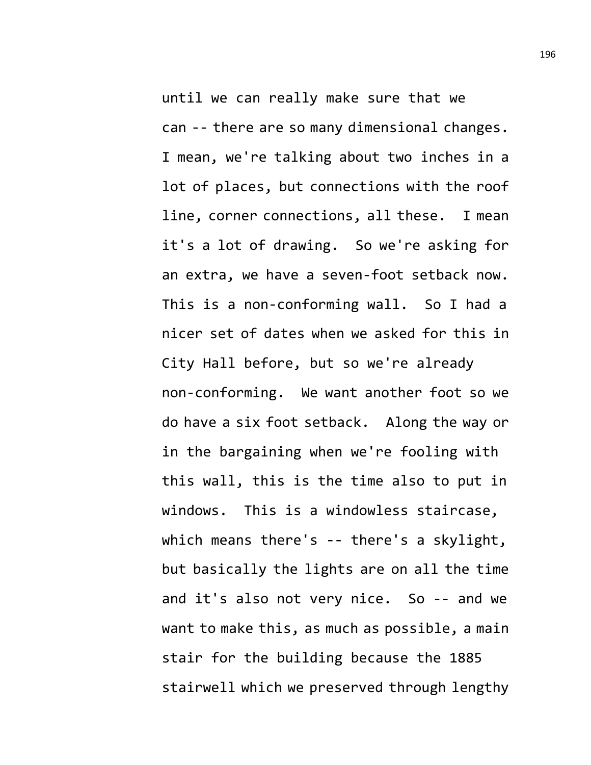until we can really make sure that we can -- there are so many dimensional changes. I mean, we're talking about two inches in a lot of places, but connections with the roof line, corner connections, all these. I mean it's a lot of drawing. So we're asking for an extra, we have a seven-foot setback now. This is a non-conforming wall. So I had a nicer set of dates when we asked for this in City Hall before, but so we're already non-conforming. We want another foot so we do have a six foot setback. Along the way or in the bargaining when we're fooling with this wall, this is the time also to put in windows. This is a windowless staircase, which means there's -- there's a skylight, but basically the lights are on all the time and it's also not very nice. So -- and we want to make this, as much as possible, a main stair for the building because the 1885 stairwell which we preserved through lengthy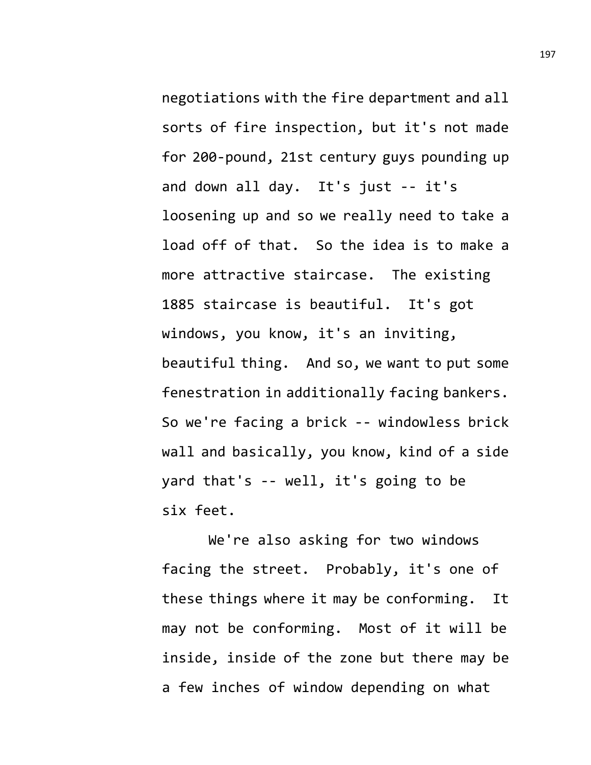negotiations with the fire department and all sorts of fire inspection, but it's not made for 200-pound, 21st century guys pounding up and down all day. It's just -- it's loosening up and so we really need to take a load off of that. So the idea is to make a more attractive staircase. The existing 1885 staircase is beautiful. It's got windows, you know, it's an inviting, beautiful thing. And so, we want to put some fenestration in additionally facing bankers. So we're facing a brick -- windowless brick wall and basically, you know, kind of a side yard that's -- well, it's going to be six feet.

We're also asking for two windows facing the street. Probably, it's one of these things where it may be conforming. It may not be conforming. Most of it will be inside, inside of the zone but there may be a few inches of window depending on what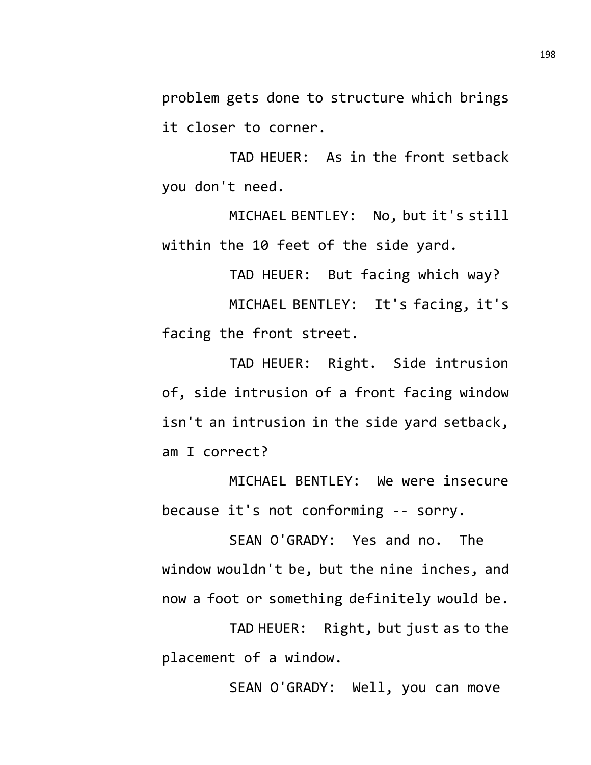problem gets done to structure which brings it closer to corner.

TAD HEUER: As in the front setback you don't need.

MICHAEL BENTLEY: No, but it's still within the 10 feet of the side yard.

TAD HEUER: But facing which way? MICHAEL BENTLEY: It's facing, it's facing the front street.

TAD HEUER: Right. Side intrusion of, side intrusion of a front facing window isn't an intrusion in the side yard setback, am I correct?

MICHAEL BENTLEY: We were insecure because it's not conforming -- sorry.

SEAN O'GRADY: Yes and no. The window wouldn't be, but the nine inches, and now a foot or something definitely would be.

TAD HEUER: Right, but just as to the placement of a window.

SEAN O'GRADY: Well, you can move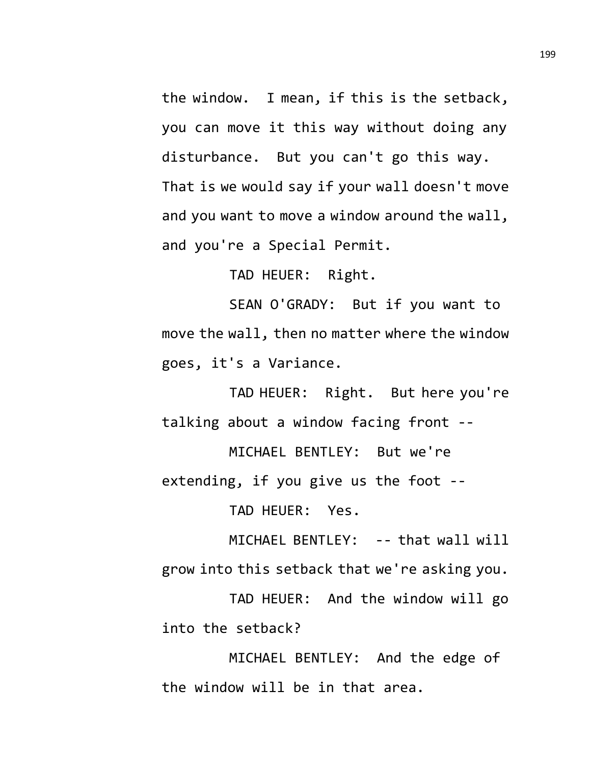the window. I mean, if this is the setback, you can move it this way without doing any disturbance. But you can't go this way. That is we would say if your wall doesn't move and you want to move a window around the wall, and you're a Special Permit.

TAD HEUER: Right.

SEAN O'GRADY: But if you want to move the wall, then no matter where the window goes, it's a Variance.

TAD HEUER: Right. But here you're talking about a window facing front --

MICHAEL BENTLEY: But we're extending, if you give us the foot --

TAD HEUER: Yes.

MICHAEL BENTLEY: -- that wall will grow into this setback that we're asking you.

TAD HEUER: And the window will go into the setback?

MICHAEL BENTLEY: And the edge of the window will be in that area.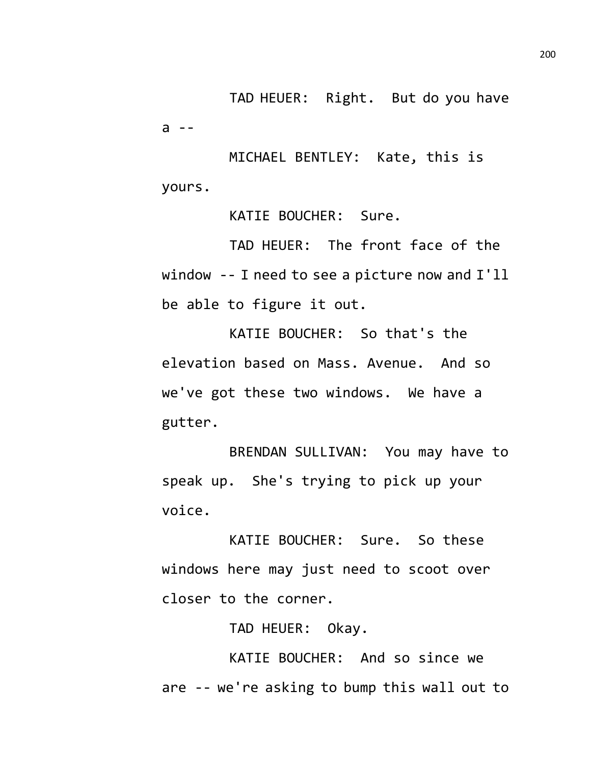TAD HEUER: Right. But do you have a --

MICHAEL BENTLEY: Kate, this is yours.

KATIE BOUCHER: Sure.

TAD HEUER: The front face of the window -- I need to see a picture now and I'll be able to figure it out.

KATIE BOUCHER: So that's the elevation based on Mass. Avenue. And so we've got these two windows. We have a gutter.

BRENDAN SULLIVAN: You may have to speak up. She's trying to pick up your voice.

KATIE BOUCHER: Sure. So these windows here may just need to scoot over closer to the corner.

TAD HEUER: Okay.

KATIE BOUCHER: And so since we are -- we're asking to bump this wall out to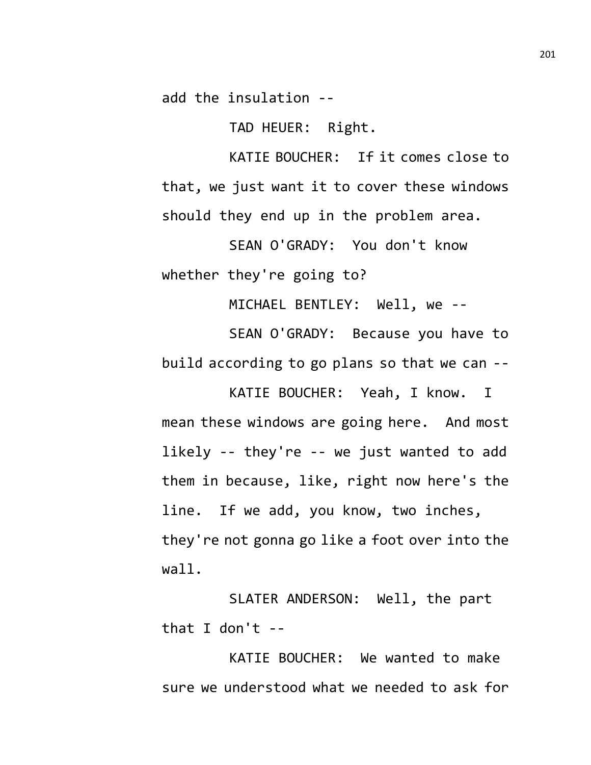add the insulation --

TAD HEUER: Right.

KATIE BOUCHER: If it comes close to that, we just want it to cover these windows should they end up in the problem area.

SEAN O'GRADY: You don't know whether they're going to?

MICHAEL BENTLEY: Well, we --

SEAN O'GRADY: Because you have to build according to go plans so that we can --

KATIE BOUCHER: Yeah, I know. I mean these windows are going here. And most likely -- they're -- we just wanted to add them in because, like, right now here's the line. If we add, you know, two inches, they're not gonna go like a foot over into the wall.

SLATER ANDERSON: Well, the part that I don't  $-$ 

KATIE BOUCHER: We wanted to make sure we understood what we needed to ask for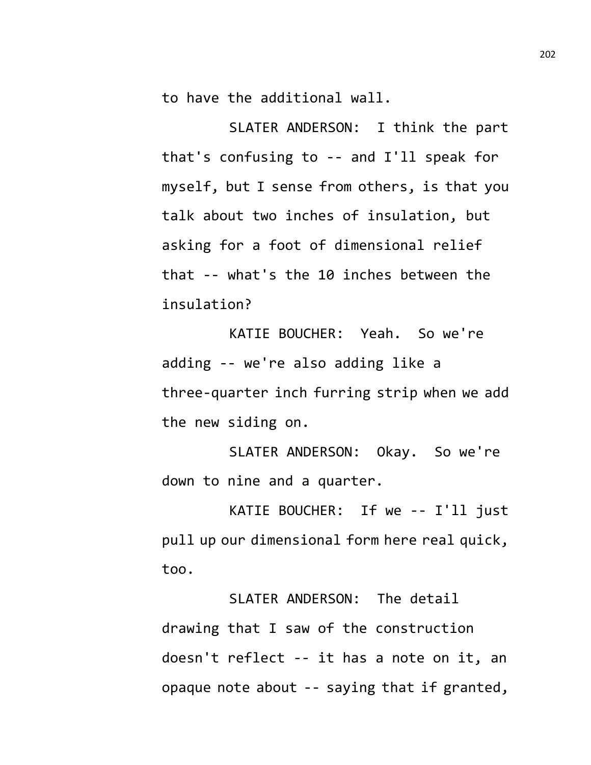to have the additional wall.

SLATER ANDERSON: I think the part that's confusing to -- and I'll speak for myself, but I sense from others, is that you talk about two inches of insulation, but asking for a foot of dimensional relief that -- what's the 10 inches between the insulation?

KATIE BOUCHER: Yeah. So we're adding -- we're also adding like a three-quarter inch furring strip when we add the new siding on.

SLATER ANDERSON: Okay. So we're down to nine and a quarter.

KATIE BOUCHER: If we -- I'll just pull up our dimensional form here real quick, too.

SLATER ANDERSON: The detail drawing that I saw of the construction doesn't reflect -- it has a note on it, an opaque note about -- saying that if granted,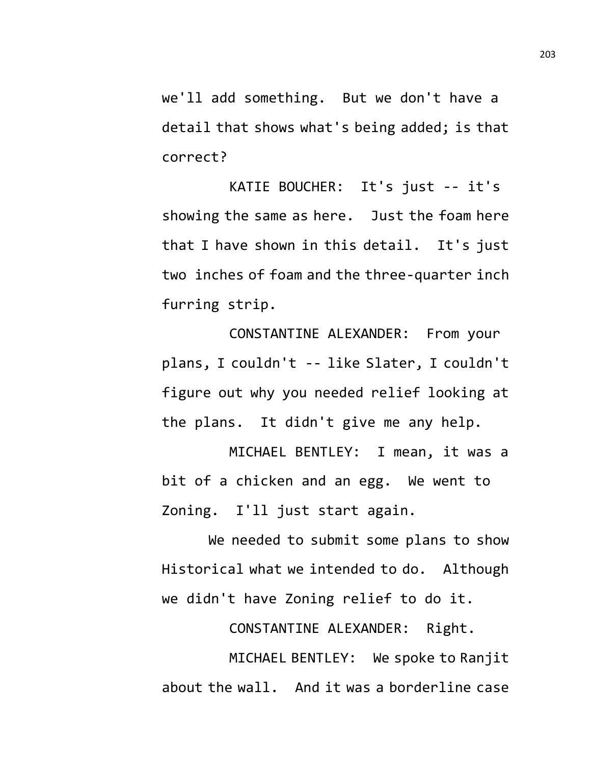we'll add something. But we don't have a detail that shows what's being added; is that correct?

KATIE BOUCHER: It's just -- it's showing the same as here. Just the foam here that I have shown in this detail. It's just two inches of foam and the three-quarter inch furring strip.

CONSTANTINE ALEXANDER: From your plans, I couldn't -- like Slater, I couldn't figure out why you needed relief looking at the plans. It didn't give me any help.

MICHAEL BENTLEY: I mean, it was a bit of a chicken and an egg. We went to Zoning. I'll just start again.

We needed to submit some plans to show Historical what we intended to do. Although we didn't have Zoning relief to do it.

CONSTANTINE ALEXANDER: Right.

MICHAEL BENTLEY: We spoke to Ranjit about the wall. And it was a borderline case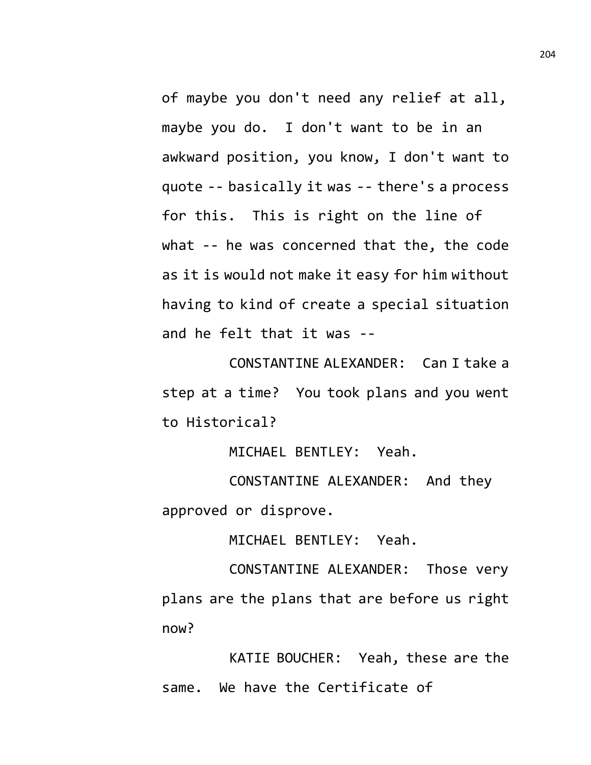of maybe you don't need any relief at all, maybe you do. I don't want to be in an awkward position, you know, I don't want to quote -- basically it was -- there's a process for this. This is right on the line of what -- he was concerned that the, the code as it is would not make it easy for him without having to kind of create a special situation and he felt that it was --

CONSTANTINE ALEXANDER: Can I take a step at a time? You took plans and you went to Historical?

MICHAEL BENTLEY: Yeah.

CONSTANTINE ALEXANDER: And they approved or disprove.

MICHAEL BENTLEY: Yeah.

CONSTANTINE ALEXANDER: Those very plans are the plans that are before us right now?

KATIE BOUCHER: Yeah, these are the same. We have the Certificate of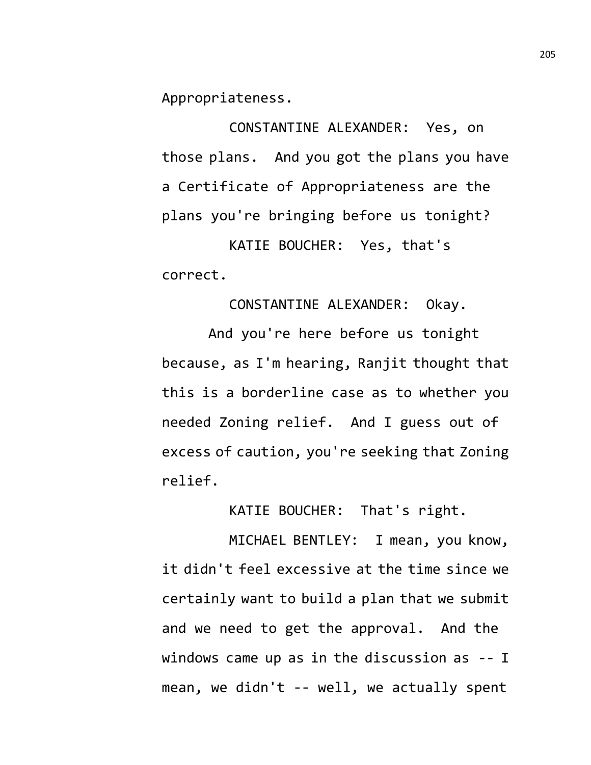Appropriateness.

CONSTANTINE ALEXANDER: Yes, on those plans. And you got the plans you have a Certificate of Appropriateness are the plans you're bringing before us tonight?

KATIE BOUCHER: Yes, that's correct.

CONSTANTINE ALEXANDER: Okay.

And you're here before us tonight because, as I'm hearing, Ranjit thought that this is a borderline case as to whether you needed Zoning relief. And I guess out of excess of caution, you're seeking that Zoning relief.

KATIE BOUCHER: That's right.

MICHAEL BENTLEY: I mean, you know, it didn't feel excessive at the time since we certainly want to build a plan that we submit and we need to get the approval. And the windows came up as in the discussion as -- I mean, we didn't -- well, we actually spent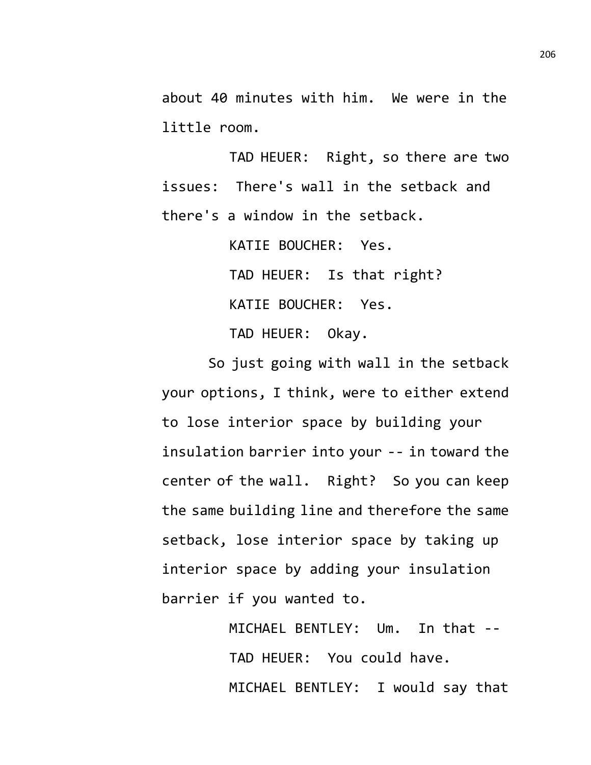about 40 minutes with him. We were in the little room.

TAD HEUER: Right, so there are two issues: There's wall in the setback and there's a window in the setback.

> KATIE BOUCHER: Yes. TAD HEUER: Is that right? KATIE BOUCHER: Yes. TAD HEUER: Okay.

So just going with wall in the setback your options, I think, were to either extend to lose interior space by building your insulation barrier into your -- in toward the center of the wall. Right? So you can keep the same building line and therefore the same setback, lose interior space by taking up interior space by adding your insulation barrier if you wanted to.

> MICHAEL BENTLEY: Um. In that -- TAD HEUER: You could have. MICHAEL BENTLEY: I would say that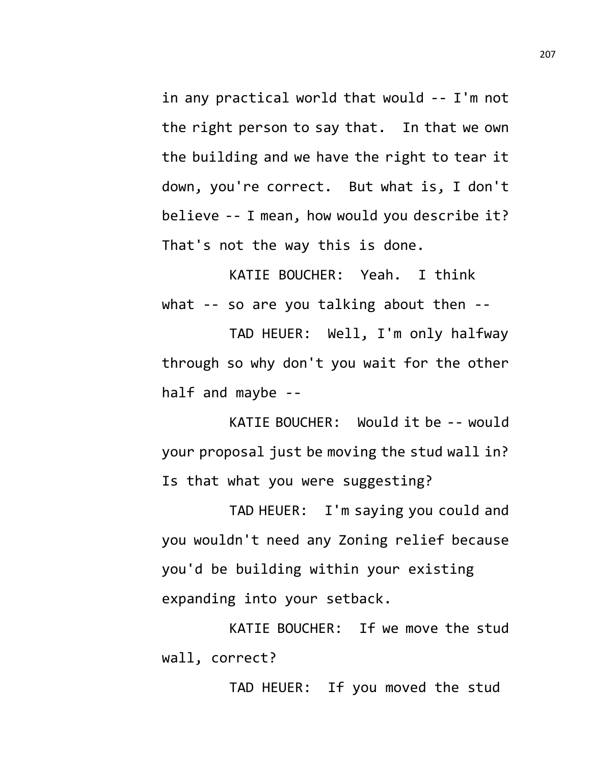in any practical world that would -- I'm not the right person to say that. In that we own the building and we have the right to tear it down, you're correct. But what is, I don't believe -- I mean, how would you describe it? That's not the way this is done.

KATIE BOUCHER: Yeah. I think what -- so are you talking about then --

TAD HEUER: Well, I'm only halfway through so why don't you wait for the other half and maybe --

KATIE BOUCHER: Would it be -- would your proposal just be moving the stud wall in? Is that what you were suggesting?

TAD HEUER: I'm saying you could and you wouldn't need any Zoning relief because you'd be building within your existing expanding into your setback.

KATIE BOUCHER: If we move the stud wall, correct?

TAD HEUER: If you moved the stud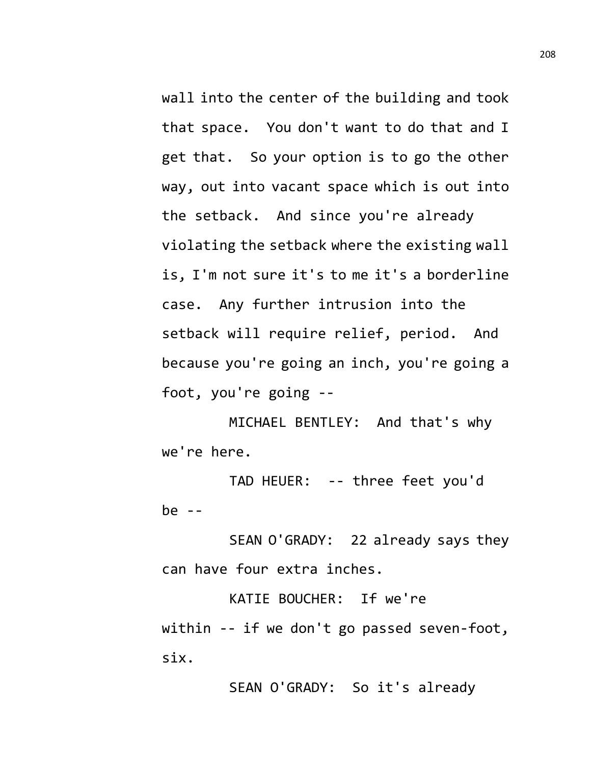wall into the center of the building and took that space. You don't want to do that and I get that. So your option is to go the other way, out into vacant space which is out into the setback. And since you're already violating the setback where the existing wall is, I'm not sure it's to me it's a borderline case. Any further intrusion into the setback will require relief, period. And because you're going an inch, you're going a foot, you're going --

MICHAEL BENTLEY: And that's why we're here.

TAD HEUER: -- three feet you'd be --

SEAN O'GRADY: 22 already says they can have four extra inches.

KATIE BOUCHER: If we're within -- if we don't go passed seven-foot, six.

SEAN O'GRADY: So it's already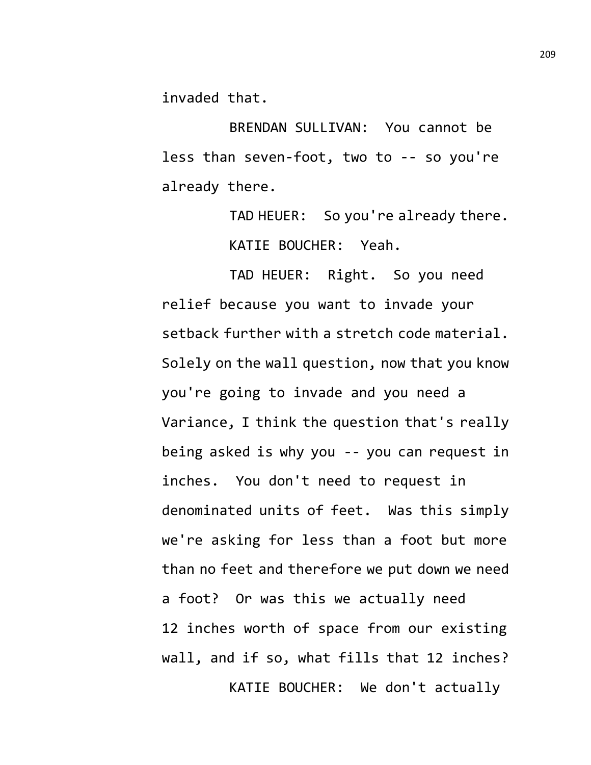invaded that.

BRENDAN SULLIVAN: You cannot be less than seven-foot, two to -- so you're already there.

> TAD HEUER: So you're already there. KATIE BOUCHER: Yeah.

TAD HEUER: Right. So you need relief because you want to invade your setback further with a stretch code material. Solely on the wall question, now that you know you're going to invade and you need a Variance, I think the question that's really being asked is why you -- you can request in inches. You don't need to request in denominated units of feet. Was this simply we're asking for less than a foot but more than no feet and therefore we put down we need a foot? Or was this we actually need 12 inches worth of space from our existing wall, and if so, what fills that 12 inches? KATIE BOUCHER: We don't actually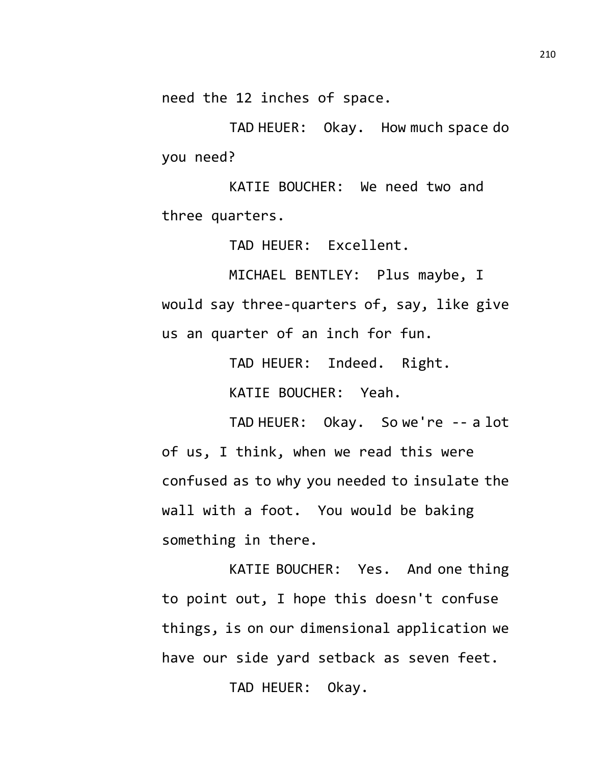need the 12 inches of space.

TAD HEUER: Okay. How much space do you need?

KATIE BOUCHER: We need two and three quarters.

TAD HEUER: Excellent.

MICHAEL BENTLEY: Plus maybe, I would say three-quarters of, say, like give us an quarter of an inch for fun.

> TAD HEUER: Indeed. Right. KATIE BOUCHER: Yeah.

TAD HEUER: Okay. So we're -- a lot of us, I think, when we read this were confused as to why you needed to insulate the wall with a foot. You would be baking something in there.

KATIE BOUCHER: Yes. And one thing to point out, I hope this doesn't confuse things, is on our dimensional application we have our side yard setback as seven feet.

TAD HEUER: Okay.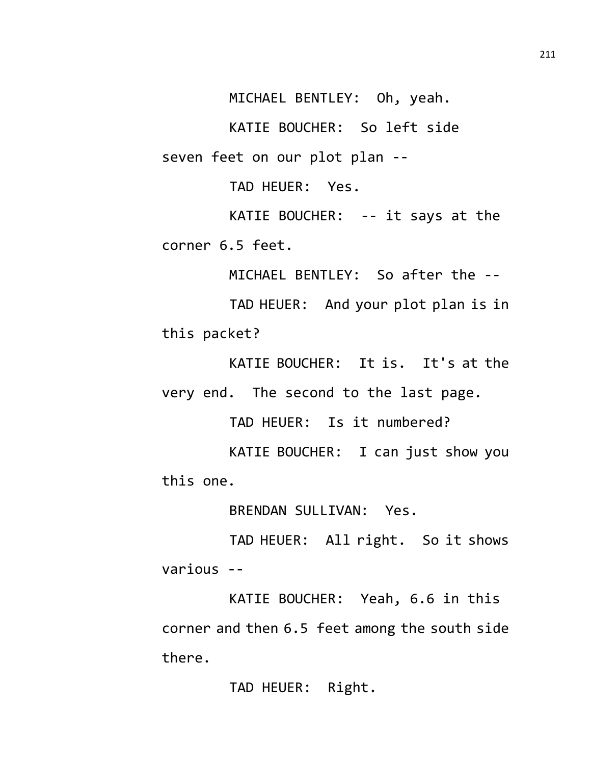MICHAEL BENTLEY: Oh, yeah.

KATIE BOUCHER: So left side seven feet on our plot plan --

TAD HEUER: Yes.

KATIE BOUCHER: -- it says at the corner 6.5 feet.

MICHAEL BENTLEY: So after the --

TAD HEUER: And your plot plan is in this packet?

KATIE BOUCHER: It is. It's at the very end. The second to the last page.

TAD HEUER: Is it numbered?

KATIE BOUCHER: I can just show you this one.

BRENDAN SULLIVAN: Yes.

TAD HEUER: All right. So it shows various --

KATIE BOUCHER: Yeah, 6.6 in this corner and then 6.5 feet among the south side there.

TAD HEUER: Right.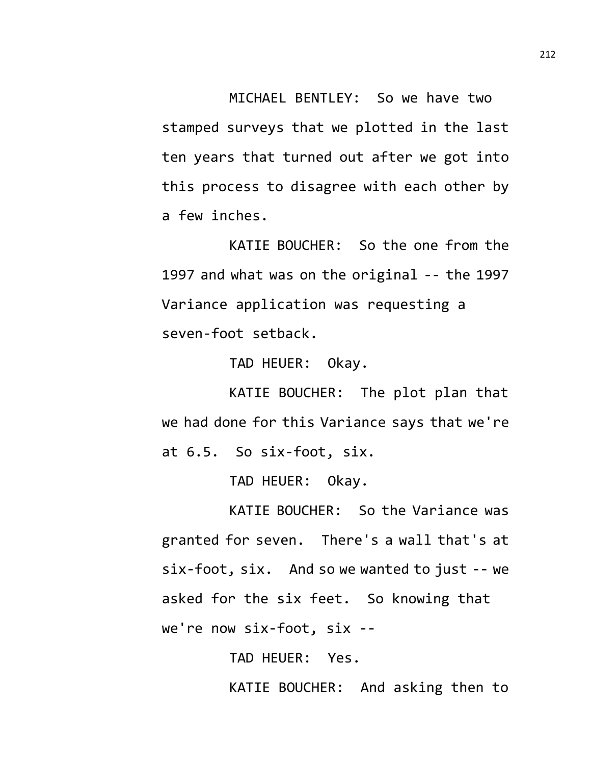MICHAEL BENTLEY: So we have two stamped surveys that we plotted in the last ten years that turned out after we got into this process to disagree with each other by a few inches.

KATIE BOUCHER: So the one from the 1997 and what was on the original -- the 1997 Variance application was requesting a seven-foot setback.

TAD HEUER: Okay.

KATIE BOUCHER: The plot plan that we had done for this Variance says that we're at 6.5. So six-foot, six.

TAD HEUER: Okay.

KATIE BOUCHER: So the Variance was granted for seven. There's a wall that's at six-foot, six. And so we wanted to just -- we asked for the six feet. So knowing that we're now six-foot, six --

> TAD HEUER: Yes. KATIE BOUCHER: And asking then to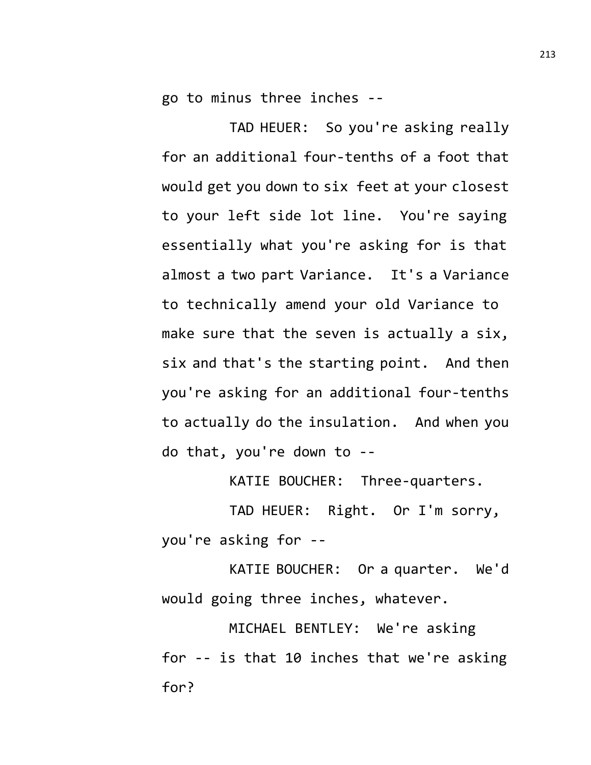go to minus three inches --

TAD HEUER: So you're asking really for an additional four-tenths of a foot that would get you down to six feet at your closest to your left side lot line. You're saying essentially what you're asking for is that almost a two part Variance. It's a Variance to technically amend your old Variance to make sure that the seven is actually a six, six and that's the starting point. And then you're asking for an additional four-tenths to actually do the insulation. And when you do that, you're down to --

KATIE BOUCHER: Three-quarters.

TAD HEUER: Right. Or I'm sorry, you're asking for --

KATIE BOUCHER: Or a quarter. We'd would going three inches, whatever.

MICHAEL BENTLEY: We're asking for -- is that 10 inches that we're asking for?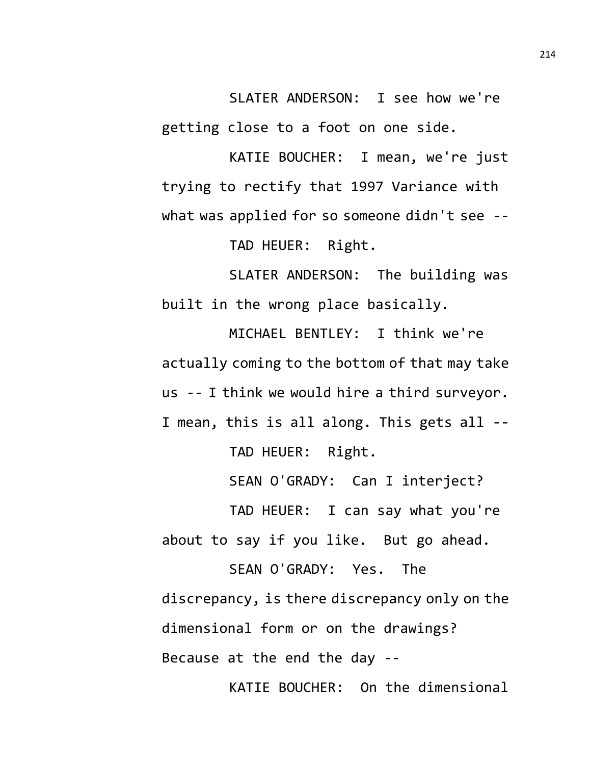SLATER ANDERSON: I see how we're getting close to a foot on one side.

KATIE BOUCHER: I mean, we're just trying to rectify that 1997 Variance with what was applied for so someone didn't see --

TAD HEUER: Right.

SLATER ANDERSON: The building was built in the wrong place basically.

MICHAEL BENTLEY: I think we're actually coming to the bottom of that may take us -- I think we would hire a third surveyor. I mean, this is all along. This gets all --

TAD HEUER: Right.

SEAN O'GRADY: Can I interject?

TAD HEUER: I can say what you're about to say if you like. But go ahead.

SEAN O'GRADY: Yes. The discrepancy, is there discrepancy only on the dimensional form or on the drawings? Because at the end the day --

KATIE BOUCHER: On the dimensional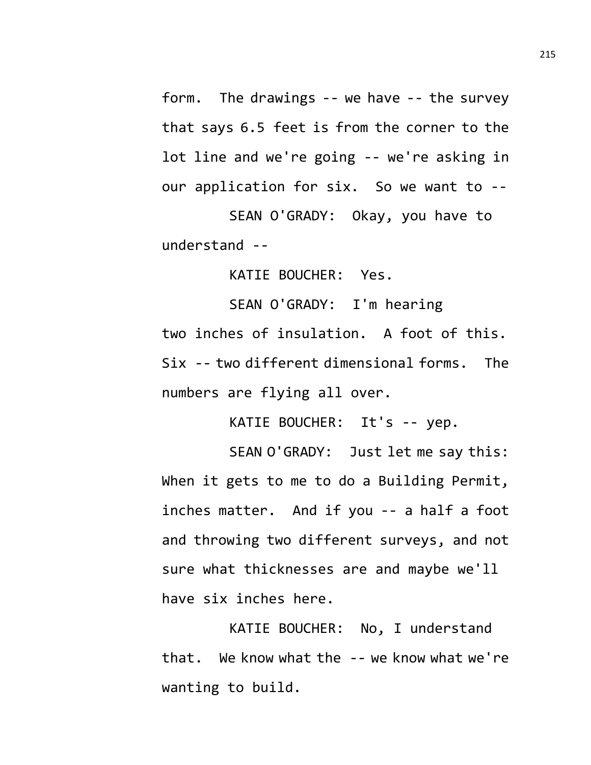form. The drawings -- we have -- the survey that says 6.5 feet is from the corner to the lot line and we're going -- we're asking in our application for six. So we want to --

SEAN O'GRADY: Okay, you have to understand --

KATIE BOUCHER: Yes.

SEAN O'GRADY: I'm hearing two inches of insulation. A foot of this. Six -- two different dimensional forms. The numbers are flying all over.

KATIE BOUCHER: It's -- yep.

SEAN O'GRADY: Just let me say this: When it gets to me to do a Building Permit, inches matter. And if you -- a half a foot and throwing two different surveys, and not sure what thicknesses are and maybe we'll have six inches here.

KATIE BOUCHER: No, I understand that. We know what the -- we know what we're wanting to build.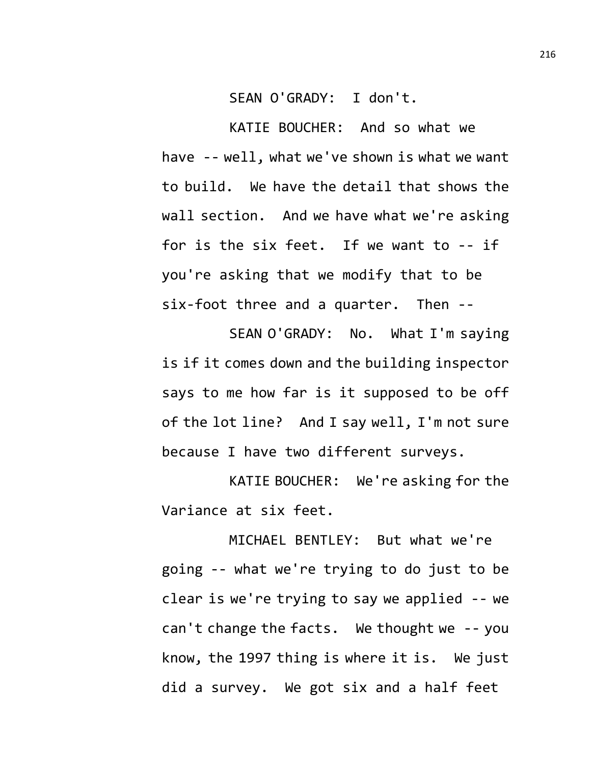SEAN O'GRADY: I don't.

KATIE BOUCHER: And so what we have -- well, what we've shown is what we want to build. We have the detail that shows the wall section. And we have what we're asking for is the six feet. If we want to -- if you're asking that we modify that to be six-foot three and a quarter. Then --

SEAN O'GRADY: No. What I'm saying is if it comes down and the building inspector says to me how far is it supposed to be off of the lot line? And I say well, I'm not sure because I have two different surveys.

KATIE BOUCHER: We're asking for the Variance at six feet.

MICHAEL BENTLEY: But what we're going -- what we're trying to do just to be clear is we're trying to say we applied -- we can't change the facts. We thought we -- you know, the 1997 thing is where it is. We just did a survey. We got six and a half feet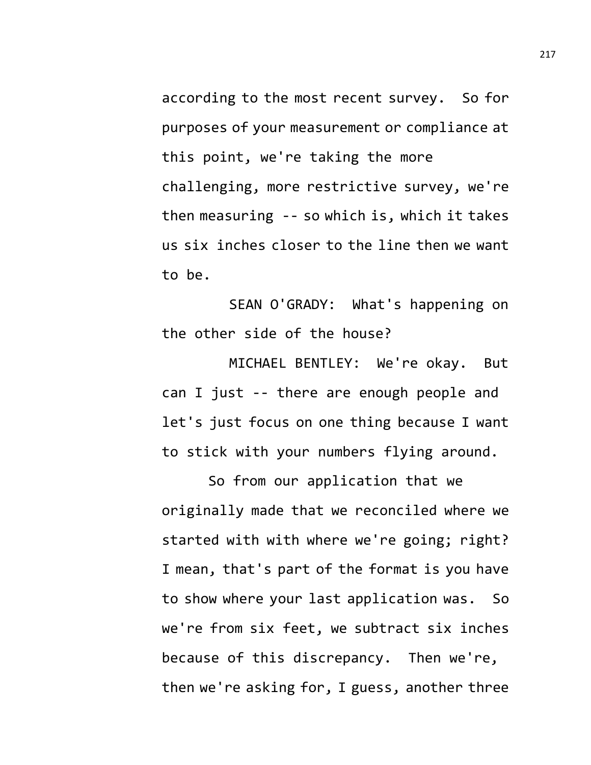according to the most recent survey. So for purposes of your measurement or compliance at this point, we're taking the more challenging, more restrictive survey, we're then measuring -- so which is, which it takes us six inches closer to the line then we want to be.

SEAN O'GRADY: What's happening on the other side of the house?

MICHAEL BENTLEY: We're okay. But can I just -- there are enough people and let's just focus on one thing because I want to stick with your numbers flying around.

So from our application that we originally made that we reconciled where we started with with where we're going; right? I mean, that's part of the format is you have to show where your last application was. So we're from six feet, we subtract six inches because of this discrepancy. Then we're, then we're asking for, I guess, another three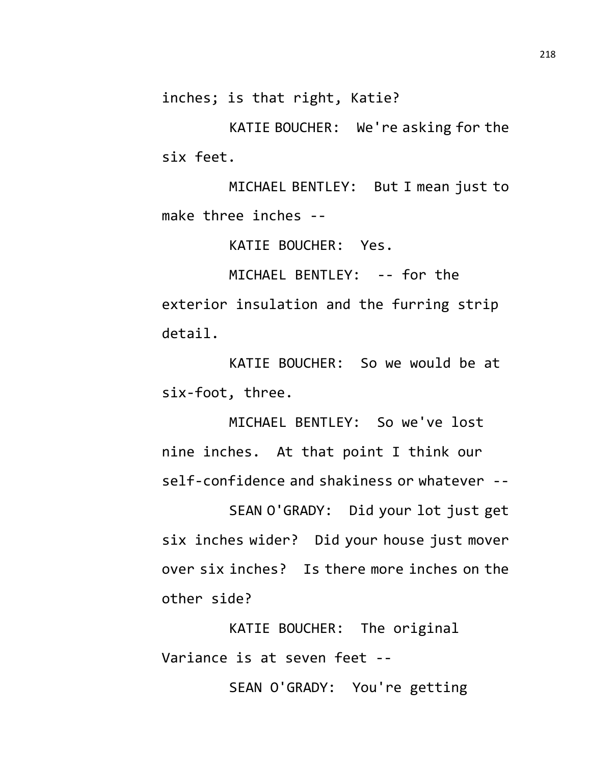inches; is that right, Katie?

KATIE BOUCHER: We're asking for the six feet.

MICHAEL BENTLEY: But I mean just to make three inches --

KATIE BOUCHER: Yes.

MICHAEL BENTLEY: -- for the exterior insulation and the furring strip detail.

KATIE BOUCHER: So we would be at six-foot, three.

MICHAEL BENTLEY: So we've lost nine inches. At that point I think our self-confidence and shakiness or whatever --

SEAN O'GRADY: Did your lot just get six inches wider? Did your house just mover over six inches? Is there more inches on the other side?

KATIE BOUCHER: The original Variance is at seven feet --

SEAN O'GRADY: You're getting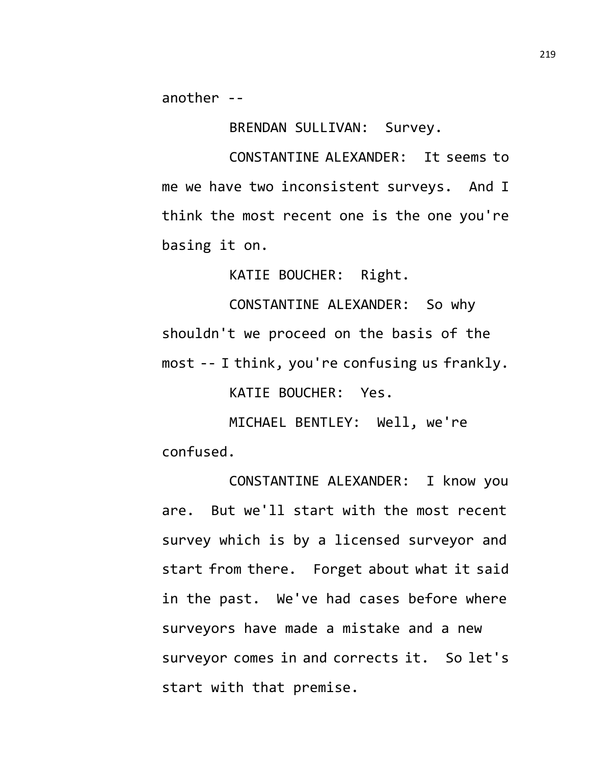another --

BRENDAN SULLIVAN: Survey.

CONSTANTINE ALEXANDER: It seems to me we have two inconsistent surveys. And I think the most recent one is the one you're basing it on.

KATIE BOUCHER: Right.

CONSTANTINE ALEXANDER: So why shouldn't we proceed on the basis of the most -- I think, you're confusing us frankly.

KATIE BOUCHER: Yes.

MICHAEL BENTLEY: Well, we're confused.

CONSTANTINE ALEXANDER: I know you are. But we'll start with the most recent survey which is by a licensed surveyor and start from there. Forget about what it said in the past. We've had cases before where surveyors have made a mistake and a new surveyor comes in and corrects it. So let's start with that premise.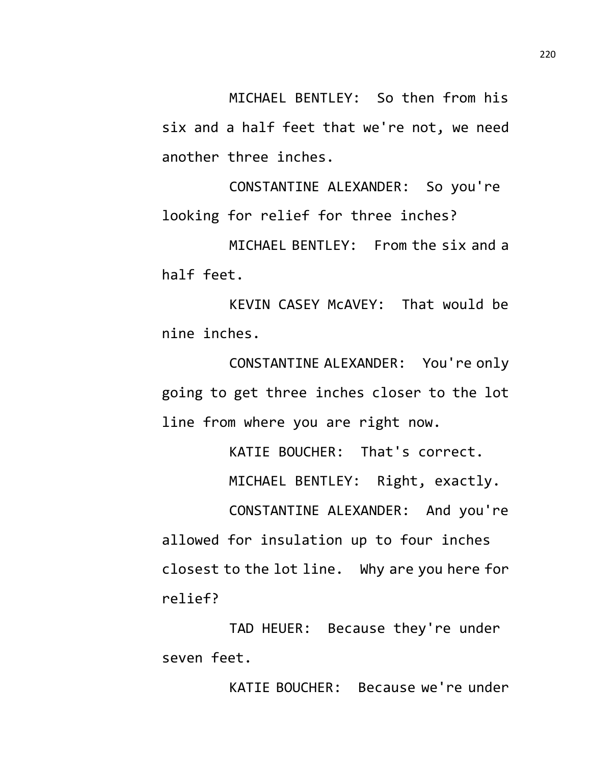MICHAEL BENTLEY: So then from his six and a half feet that we're not, we need another three inches.

CONSTANTINE ALEXANDER: So you're looking for relief for three inches?

MICHAEL BENTLEY: From the six and a half feet.

KEVIN CASEY McAVEY: That would be nine inches.

CONSTANTINE ALEXANDER: You're only going to get three inches closer to the lot line from where you are right now.

KATIE BOUCHER: That's correct.

MICHAEL BENTLEY: Right, exactly.

CONSTANTINE ALEXANDER: And you're allowed for insulation up to four inches closest to the lot line. Why are you here for relief?

TAD HEUER: Because they're under seven feet.

KATIE BOUCHER: Because we're under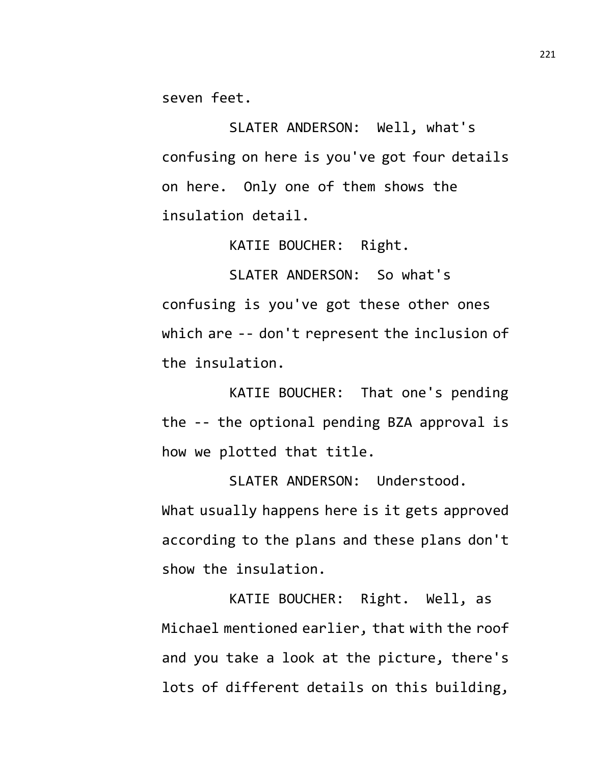seven feet.

SLATER ANDERSON: Well, what's confusing on here is you've got four details on here. Only one of them shows the insulation detail.

KATIE BOUCHER: Right.

SLATER ANDERSON: So what's confusing is you've got these other ones which are -- don't represent the inclusion of the insulation.

KATIE BOUCHER: That one's pending the -- the optional pending BZA approval is how we plotted that title.

SLATER ANDERSON: Understood. What usually happens here is it gets approved according to the plans and these plans don't show the insulation.

KATIE BOUCHER: Right. Well, as Michael mentioned earlier, that with the roof and you take a look at the picture, there's lots of different details on this building,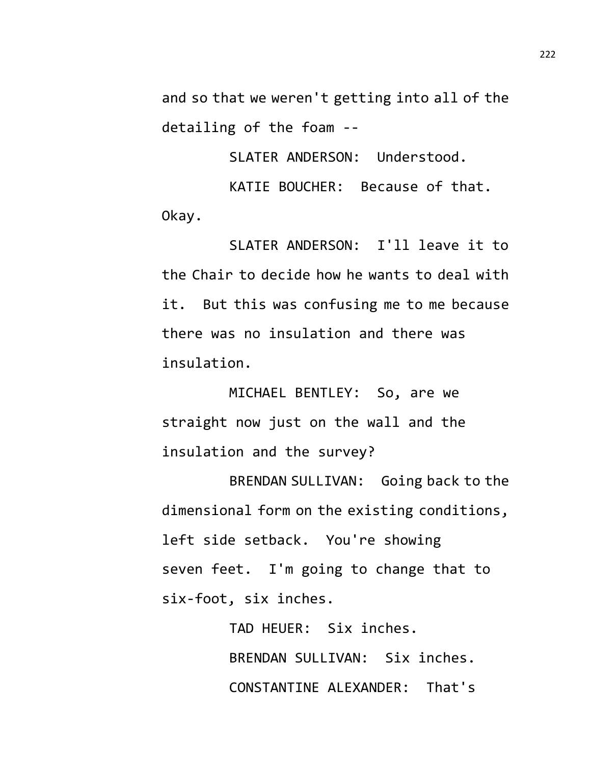and so that we weren't getting into all of the detailing of the foam --

SLATER ANDERSON: Understood.

KATIE BOUCHER: Because of that. Okay.

SLATER ANDERSON: I'll leave it to the Chair to decide how he wants to deal with it. But this was confusing me to me because there was no insulation and there was insulation.

MICHAEL BENTLEY: So, are we straight now just on the wall and the insulation and the survey?

BRENDAN SULLIVAN: Going back to the dimensional form on the existing conditions, left side setback. You're showing seven feet. I'm going to change that to six-foot, six inches.

> TAD HEUER: Six inches. BRENDAN SULLIVAN: Six inches. CONSTANTINE ALEXANDER: That's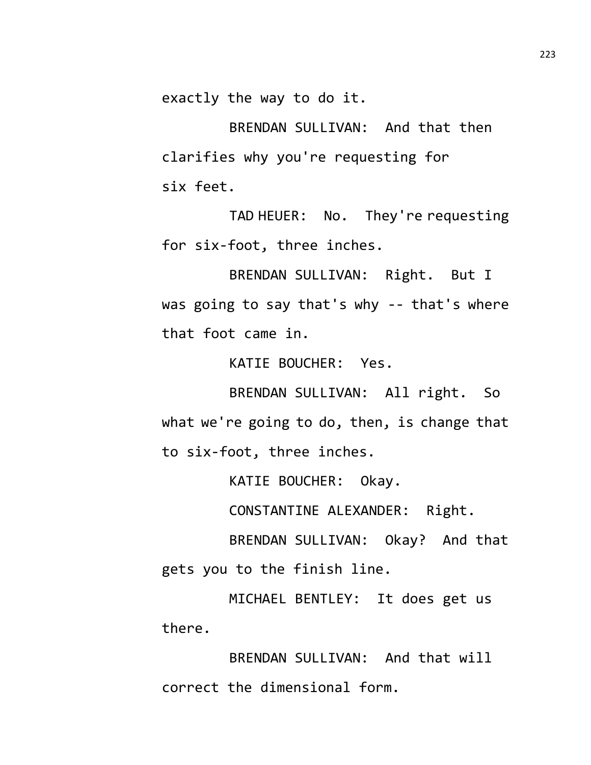exactly the way to do it.

BRENDAN SULLIVAN: And that then clarifies why you're requesting for six feet.

TAD HEUER: No. They're requesting for six-foot, three inches.

BRENDAN SULLIVAN: Right. But I was going to say that's why -- that's where that foot came in.

KATIE BOUCHER: Yes.

BRENDAN SULLIVAN: All right. So what we're going to do, then, is change that to six-foot, three inches.

KATIE BOUCHER: Okay.

CONSTANTINE ALEXANDER: Right.

BRENDAN SULLIVAN: Okay? And that gets you to the finish line.

MICHAEL BENTLEY: It does get us there.

BRENDAN SULLIVAN: And that will correct the dimensional form.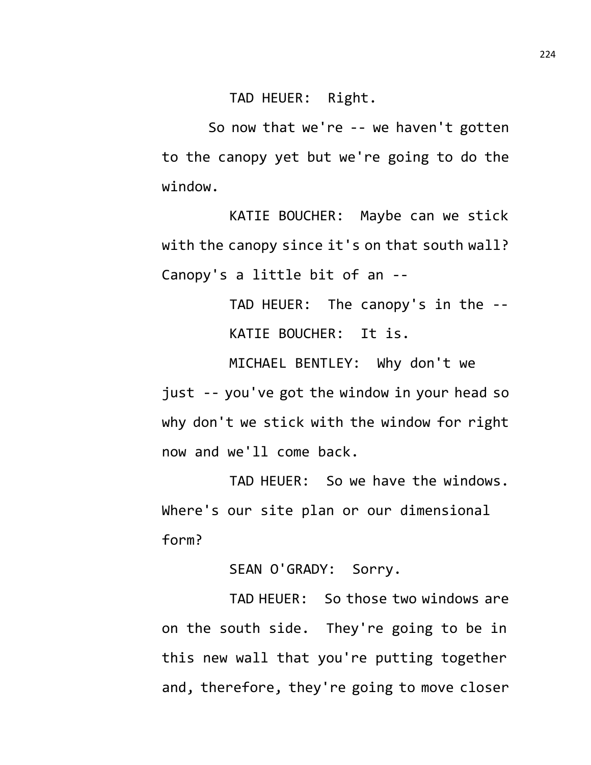TAD HEUER: Right.

So now that we're -- we haven't gotten to the canopy yet but we're going to do the window.

KATIE BOUCHER: Maybe can we stick with the canopy since it's on that south wall? Canopy's a little bit of an --

> TAD HEUER: The canopy's in the -- KATIE BOUCHER: It is.

MICHAEL BENTLEY: Why don't we just -- you've got the window in your head so why don't we stick with the window for right now and we'll come back.

TAD HEUER: So we have the windows. Where's our site plan or our dimensional form?

SEAN O'GRADY: Sorry.

TAD HEUER: So those two windows are on the south side. They're going to be in this new wall that you're putting together and, therefore, they're going to move closer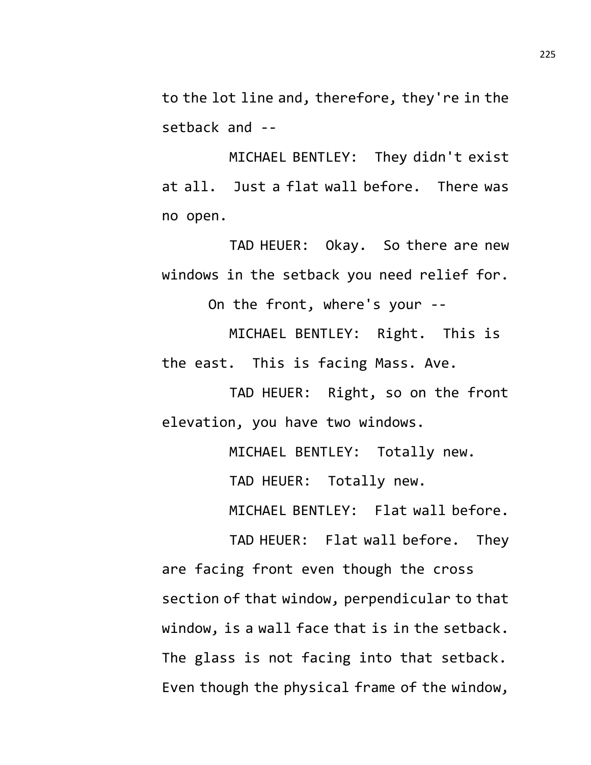to the lot line and, therefore, they're in the setback and --

MICHAEL BENTLEY: They didn't exist at all. Just a flat wall before. There was no open.

TAD HEUER: Okay. So there are new windows in the setback you need relief for.

On the front, where's your --

MICHAEL BENTLEY: Right. This is the east. This is facing Mass. Ave.

TAD HEUER: Right, so on the front elevation, you have two windows.

MICHAEL BENTLEY: Totally new.

TAD HEUER: Totally new.

MICHAEL BENTLEY: Flat wall before.

TAD HEUER: Flat wall before. They are facing front even though the cross section of that window, perpendicular to that window, is a wall face that is in the setback. The glass is not facing into that setback. Even though the physical frame of the window,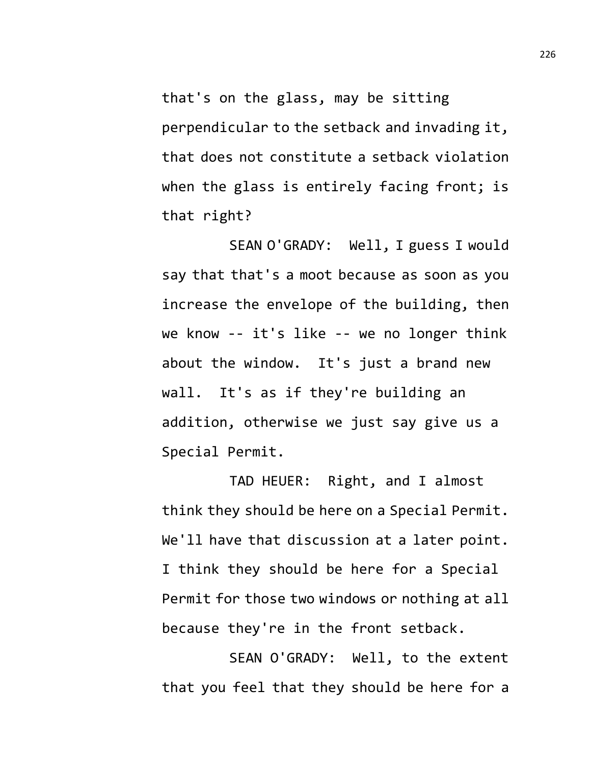that's on the glass, may be sitting perpendicular to the setback and invading it, that does not constitute a setback violation when the glass is entirely facing front; is that right?

SEAN O'GRADY: Well, I guess I would say that that's a moot because as soon as you increase the envelope of the building, then we know -- it's like -- we no longer think about the window. It's just a brand new wall. It's as if they're building an addition, otherwise we just say give us a Special Permit.

TAD HEUER: Right, and I almost think they should be here on a Special Permit. We'll have that discussion at a later point. I think they should be here for a Special Permit for those two windows or nothing at all because they're in the front setback.

SEAN O'GRADY: Well, to the extent that you feel that they should be here for a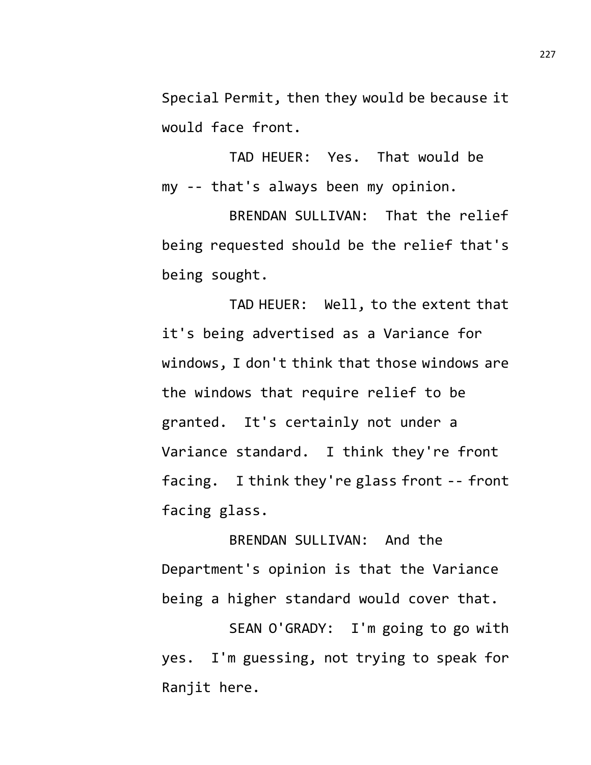Special Permit, then they would be because it would face front.

TAD HEUER: Yes. That would be my -- that's always been my opinion.

BRENDAN SULLIVAN: That the relief being requested should be the relief that's being sought.

TAD HEUER: Well, to the extent that it's being advertised as a Variance for windows, I don't think that those windows are the windows that require relief to be granted. It's certainly not under a Variance standard. I think they're front facing. I think they're glass front -- front facing glass.

BRENDAN SULLIVAN: And the Department's opinion is that the Variance being a higher standard would cover that.

SEAN O'GRADY: I'm going to go with yes. I'm guessing, not trying to speak for Ranjit here.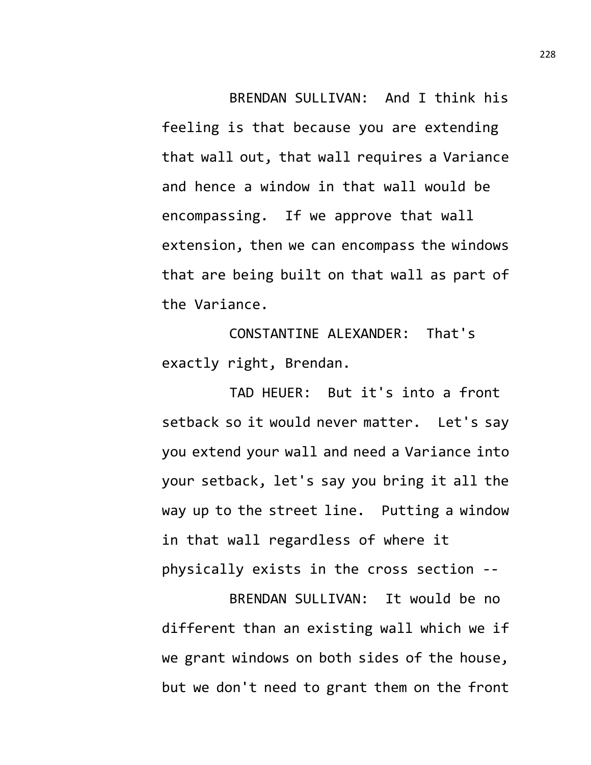BRENDAN SULLIVAN: And I think his feeling is that because you are extending that wall out, that wall requires a Variance and hence a window in that wall would be encompassing. If we approve that wall extension, then we can encompass the windows that are being built on that wall as part of the Variance.

CONSTANTINE ALEXANDER: That's exactly right, Brendan.

TAD HEUER: But it's into a front setback so it would never matter. Let's say you extend your wall and need a Variance into your setback, let's say you bring it all the way up to the street line. Putting a window in that wall regardless of where it physically exists in the cross section --

BRENDAN SULLIVAN: It would be no different than an existing wall which we if we grant windows on both sides of the house, but we don't need to grant them on the front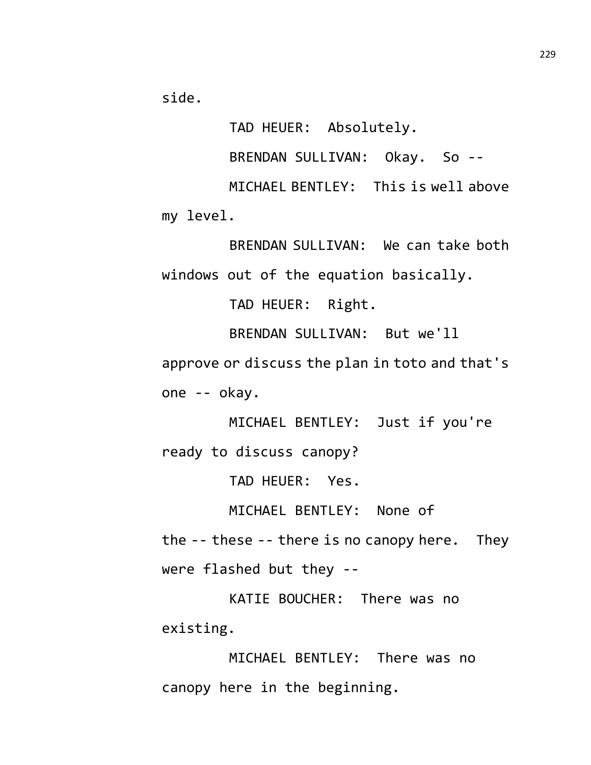side.

TAD HEUER: Absolutely.

BRENDAN SULLIVAN: Okay. So --

MICHAEL BENTLEY: This is well above my level.

BRENDAN SULLIVAN: We can take both windows out of the equation basically.

TAD HEUER: Right.

BRENDAN SULLIVAN: But we'll

approve or discuss the plan in toto and that's one -- okay.

MICHAEL BENTLEY: Just if you're ready to discuss canopy?

TAD HEUER: Yes.

MICHAEL BENTLEY: None of

the -- these -- there is no canopy here. They were flashed but they --

KATIE BOUCHER: There was no existing.

MICHAEL BENTLEY: There was no canopy here in the beginning.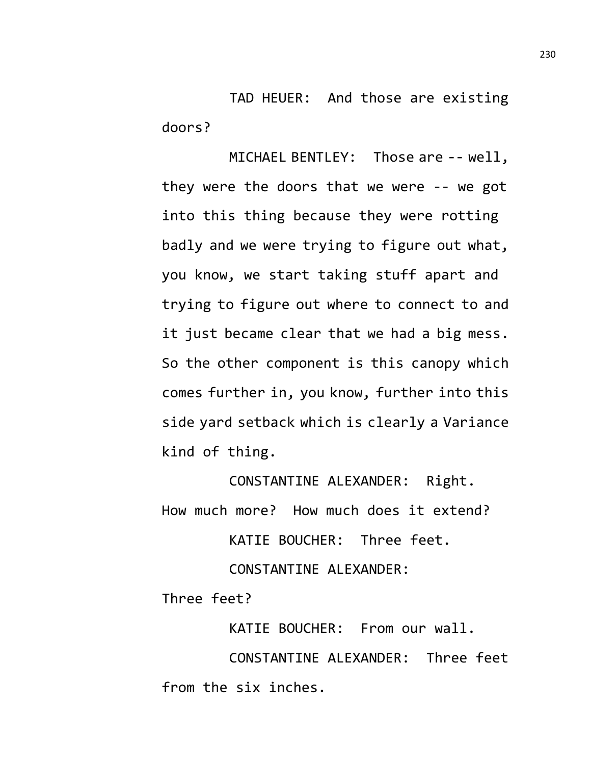TAD HEUER: And those are existing doors?

MICHAEL BENTLEY: Those are -- well, they were the doors that we were -- we got into this thing because they were rotting badly and we were trying to figure out what, you know, we start taking stuff apart and trying to figure out where to connect to and it just became clear that we had a big mess. So the other component is this canopy which comes further in, you know, further into this side yard setback which is clearly a Variance kind of thing.

CONSTANTINE ALEXANDER: Right. How much more? How much does it extend?

KATIE BOUCHER: Three feet.

CONSTANTINE ALEXANDER:

Three feet?

KATIE BOUCHER: From our wall.

CONSTANTINE ALEXANDER: Three feet from the six inches.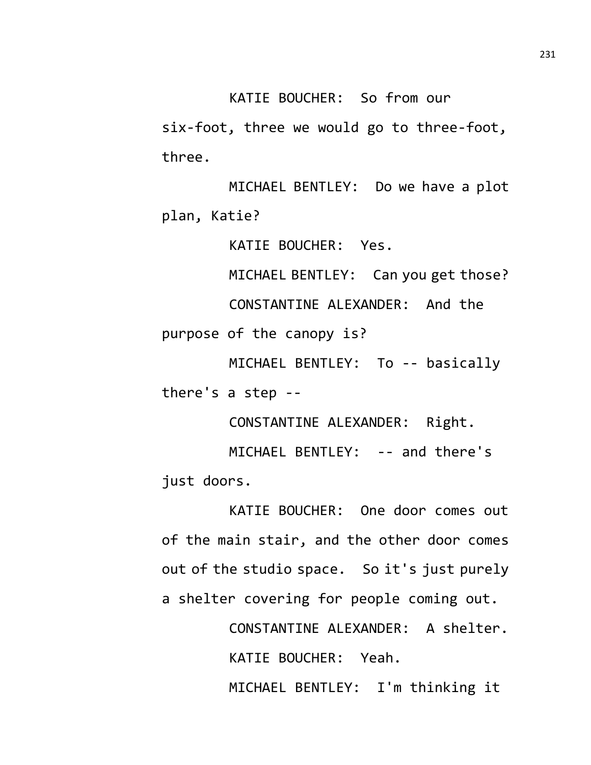KATIE BOUCHER: So from our

six-foot, three we would go to three-foot, three.

MICHAEL BENTLEY: Do we have a plot plan, Katie?

KATIE BOUCHER: Yes.

MICHAEL BENTLEY: Can you get those?

CONSTANTINE ALEXANDER: And the purpose of the canopy is?

MICHAEL BENTLEY: To -- basically there's a step --

CONSTANTINE ALEXANDER: Right.

MICHAEL BENTLEY: -- and there's just doors.

KATIE BOUCHER: One door comes out of the main stair, and the other door comes out of the studio space. So it's just purely a shelter covering for people coming out.

> CONSTANTINE ALEXANDER: A shelter. KATIE BOUCHER: Yeah. MICHAEL BENTLEY: I'm thinking it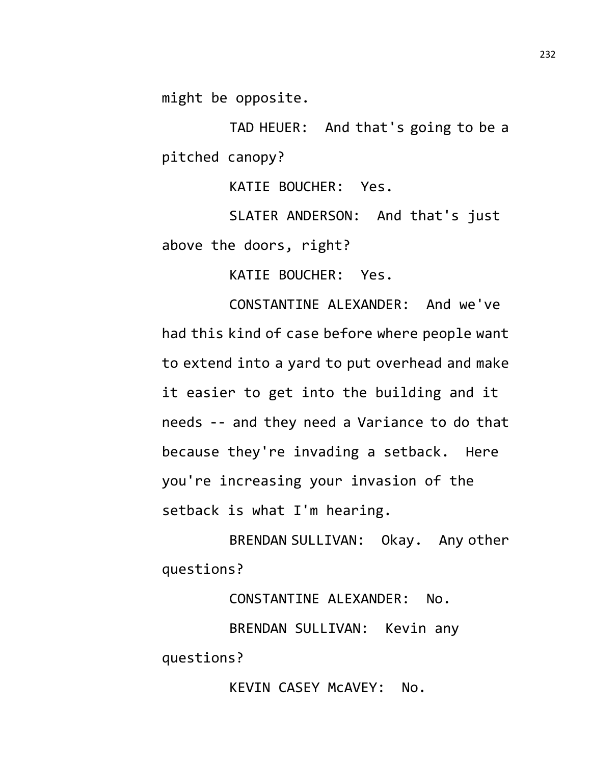might be opposite.

TAD HEUER: And that's going to be a pitched canopy?

KATIE BOUCHER: Yes.

SLATER ANDERSON: And that's just above the doors, right?

KATIE BOUCHER: Yes.

CONSTANTINE ALEXANDER: And we've had this kind of case before where people want to extend into a yard to put overhead and make it easier to get into the building and it needs -- and they need a Variance to do that because they're invading a setback. Here you're increasing your invasion of the setback is what I'm hearing.

BRENDAN SULLIVAN: Okay. Any other questions?

CONSTANTINE ALEXANDER: No. BRENDAN SULLIVAN: Kevin any questions?

KEVIN CASEY McAVEY: No.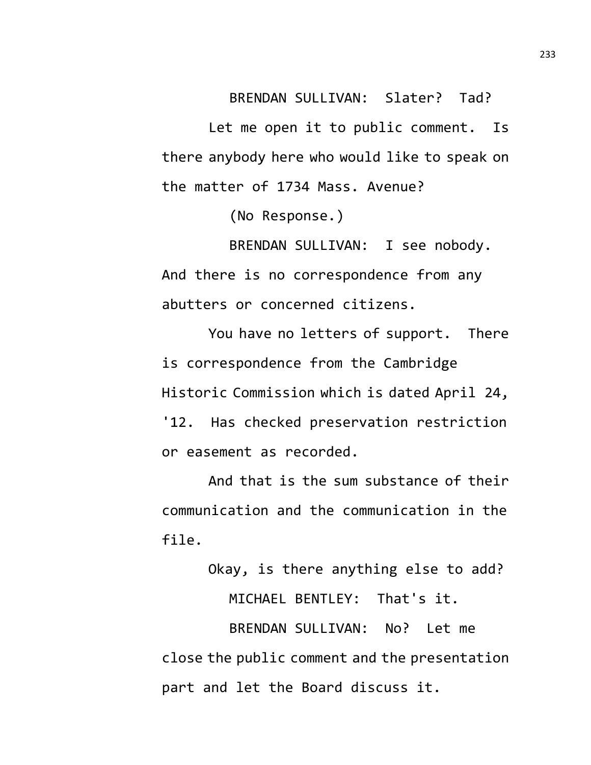BRENDAN SULLIVAN: Slater? Tad?

Let me open it to public comment. Is there anybody here who would like to speak on the matter of 1734 Mass. Avenue?

(No Response.)

BRENDAN SULLIVAN: I see nobody. And there is no correspondence from any abutters or concerned citizens.

You have no letters of support. There is correspondence from the Cambridge Historic Commission which is dated April 24, '12. Has checked preservation restriction or easement as recorded.

And that is the sum substance of their communication and the communication in the file.

Okay, is there anything else to add?

MICHAEL BENTLEY: That's it.

BRENDAN SULLIVAN: No? Let me close the public comment and the presentation part and let the Board discuss it.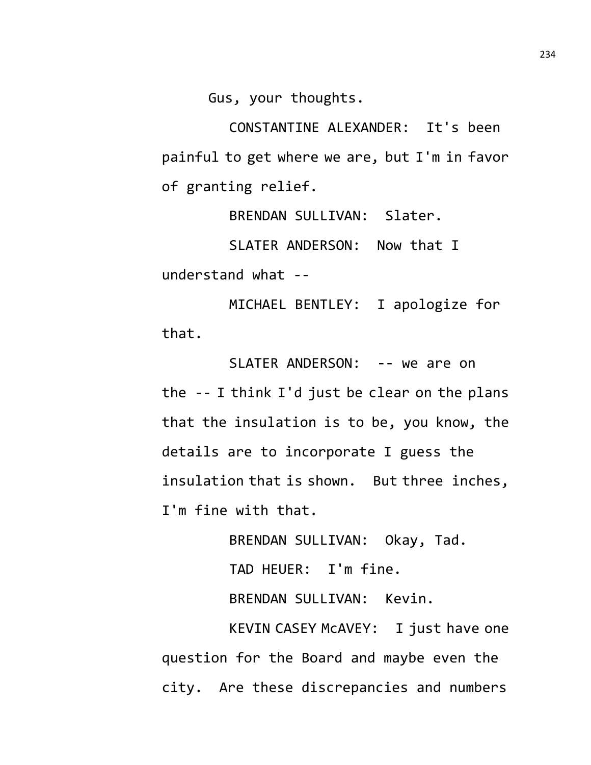Gus, your thoughts.

CONSTANTINE ALEXANDER: It's been painful to get where we are, but I'm in favor of granting relief.

BRENDAN SULLIVAN: Slater.

SLATER ANDERSON: Now that I

understand what --

MICHAEL BENTLEY: I apologize for that.

SLATER ANDERSON: -- we are on the -- I think I'd just be clear on the plans that the insulation is to be, you know, the details are to incorporate I guess the insulation that is shown. But three inches, I'm fine with that.

> BRENDAN SULLIVAN: Okay, Tad. TAD HEUER: I'm fine. BRENDAN SULLIVAN: Kevin.

KEVIN CASEY McAVEY: I just have one question for the Board and maybe even the city. Are these discrepancies and numbers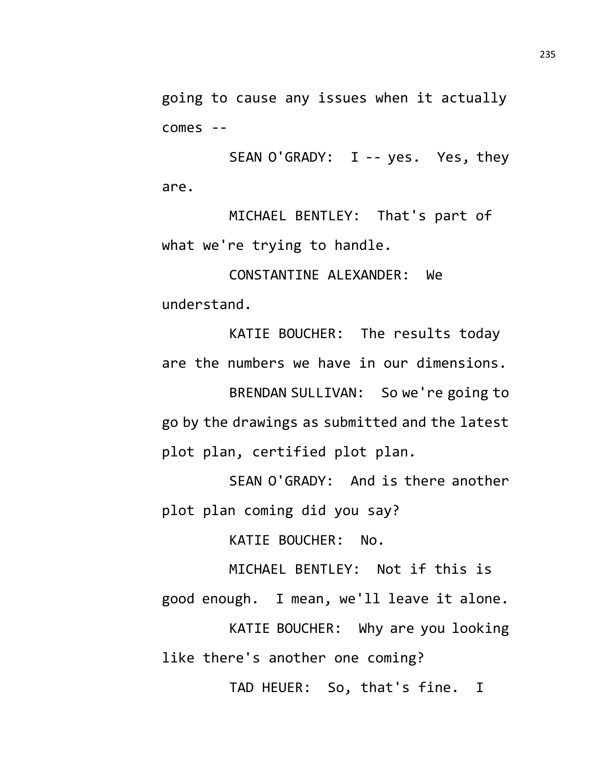going to cause any issues when it actually comes --

SEAN O'GRADY: I -- yes. Yes, they are.

MICHAEL BENTLEY: That's part of what we're trying to handle.

CONSTANTINE ALEXANDER: We understand.

KATIE BOUCHER: The results today are the numbers we have in our dimensions.

BRENDAN SULLIVAN: So we're going to go by the drawings as submitted and the latest plot plan, certified plot plan.

SEAN O'GRADY: And is there another plot plan coming did you say?

KATIE BOUCHER: No.

MICHAEL BENTLEY: Not if this is good enough. I mean, we'll leave it alone.

KATIE BOUCHER: Why are you looking like there's another one coming?

TAD HEUER: So, that's fine. I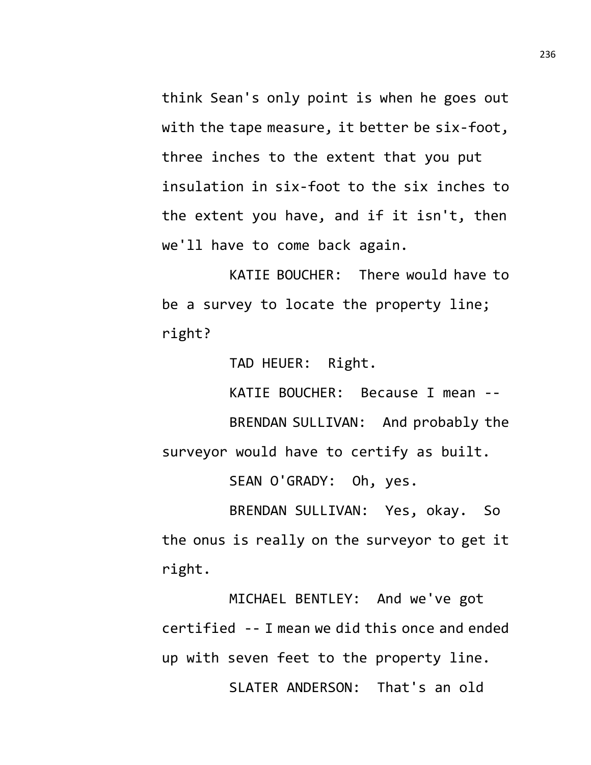think Sean's only point is when he goes out with the tape measure, it better be six-foot, three inches to the extent that you put insulation in six-foot to the six inches to the extent you have, and if it isn't, then we'll have to come back again.

KATIE BOUCHER: There would have to be a survey to locate the property line; right?

TAD HEUER: Right.

KATIE BOUCHER: Because I mean -- BRENDAN SULLIVAN: And probably the surveyor would have to certify as built.

SEAN O'GRADY: Oh, yes.

BRENDAN SULLIVAN: Yes, okay. So the onus is really on the surveyor to get it right.

MICHAEL BENTLEY: And we've got certified -- I mean we did this once and ended up with seven feet to the property line. SLATER ANDERSON: That's an old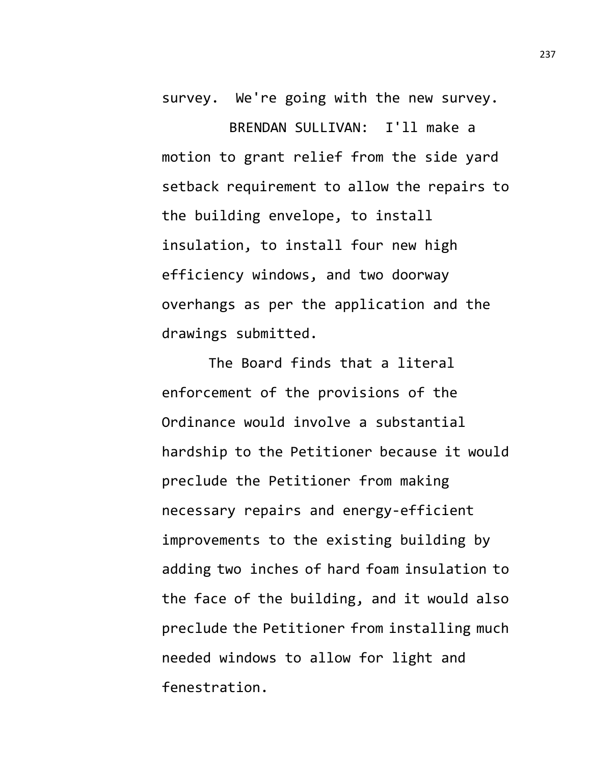survey. We're going with the new survey.

BRENDAN SULLIVAN: I'll make a motion to grant relief from the side yard setback requirement to allow the repairs to the building envelope, to install insulation, to install four new high efficiency windows, and two doorway overhangs as per the application and the drawings submitted.

The Board finds that a literal enforcement of the provisions of the Ordinance would involve a substantial hardship to the Petitioner because it would preclude the Petitioner from making necessary repairs and energy-efficient improvements to the existing building by adding two inches of hard foam insulation to the face of the building, and it would also preclude the Petitioner from installing much needed windows to allow for light and fenestration.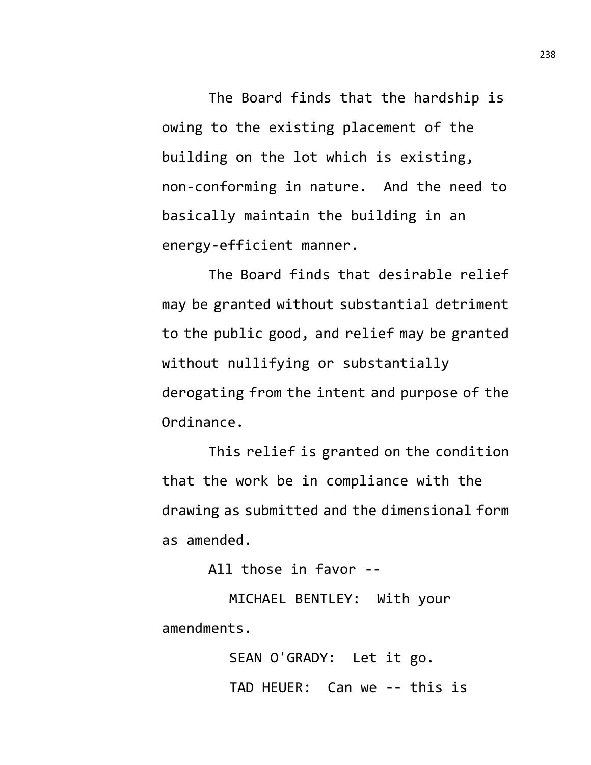The Board finds that the hardship is owing to the existing placement of the building on the lot which is existing, non-conforming in nature. And the need to basically maintain the building in an energy-efficient manner.

The Board finds that desirable relief may be granted without substantial detriment to the public good, and relief may be granted without nullifying or substantially derogating from the intent and purpose of the Ordinance.

This relief is granted on the condition that the work be in compliance with the drawing as submitted and the dimensional form as amended.

All those in favor --

MICHAEL BENTLEY: With your amendments.

> SEAN O'GRADY: Let it go. TAD HEUER: Can we -- this is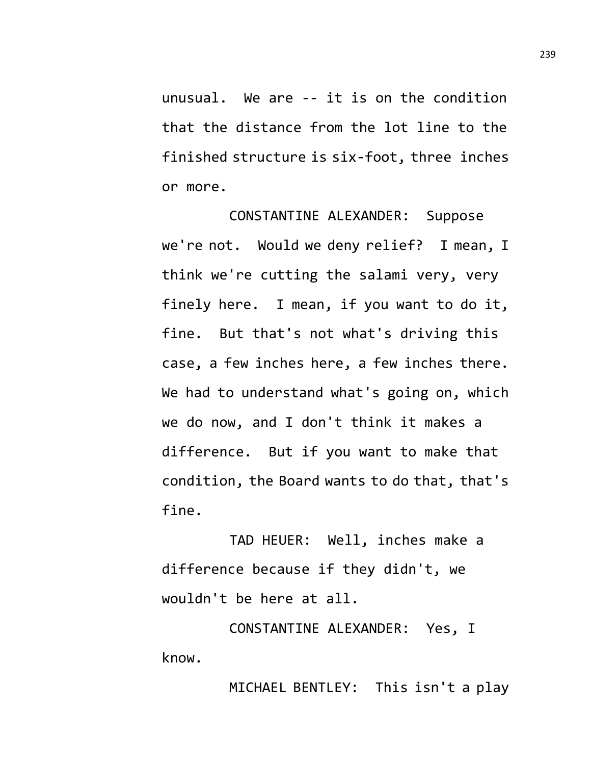unusual. We are -- it is on the condition that the distance from the lot line to the finished structure is six-foot, three inches or more.

CONSTANTINE ALEXANDER: Suppose we're not. Would we deny relief? I mean, I think we're cutting the salami very, very finely here. I mean, if you want to do it, fine. But that's not what's driving this case, a few inches here, a few inches there. We had to understand what's going on, which we do now, and I don't think it makes a difference. But if you want to make that condition, the Board wants to do that, that's fine.

TAD HEUER: Well, inches make a difference because if they didn't, we wouldn't be here at all.

CONSTANTINE ALEXANDER: Yes, I know.

MICHAEL BENTLEY: This isn't a play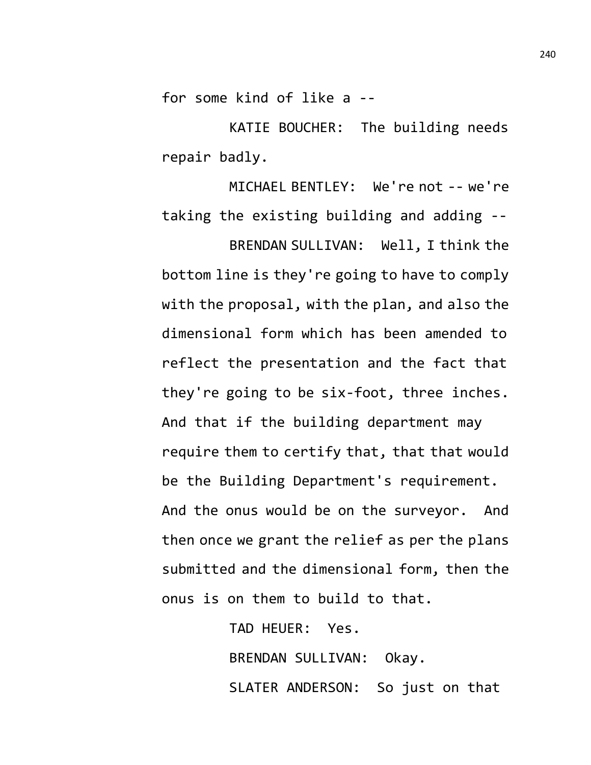for some kind of like a --

KATIE BOUCHER: The building needs repair badly.

MICHAEL BENTLEY: We're not -- we're taking the existing building and adding -- BRENDAN SULLIVAN: Well, I think the bottom line is they're going to have to comply with the proposal, with the plan, and also the dimensional form which has been amended to reflect the presentation and the fact that they're going to be six-foot, three inches. And that if the building department may require them to certify that, that that would be the Building Department's requirement. And the onus would be on the surveyor. And then once we grant the relief as per the plans submitted and the dimensional form, then the onus is on them to build to that.

> TAD HEUER: Yes. BRENDAN SULLIVAN: Okay. SLATER ANDERSON: So just on that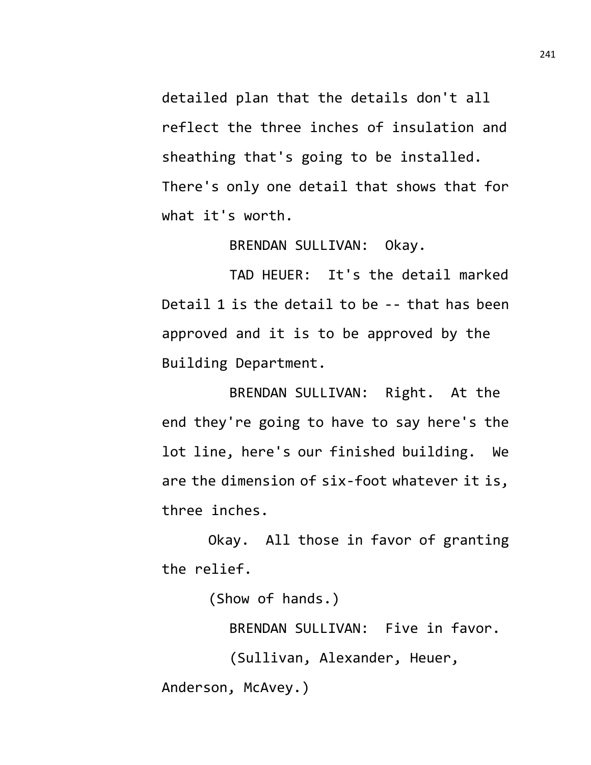detailed plan that the details don't all reflect the three inches of insulation and sheathing that's going to be installed. There's only one detail that shows that for what it's worth.

BRENDAN SULLIVAN: Okay.

TAD HEUER: It's the detail marked Detail 1 is the detail to be -- that has been approved and it is to be approved by the Building Department.

BRENDAN SULLIVAN: Right. At the end they're going to have to say here's the lot line, here's our finished building. We are the dimension of six-foot whatever it is, three inches.

Okay. All those in favor of granting the relief.

(Show of hands.)

BRENDAN SULLIVAN: Five in favor.

(Sullivan, Alexander, Heuer,

Anderson, McAvey.)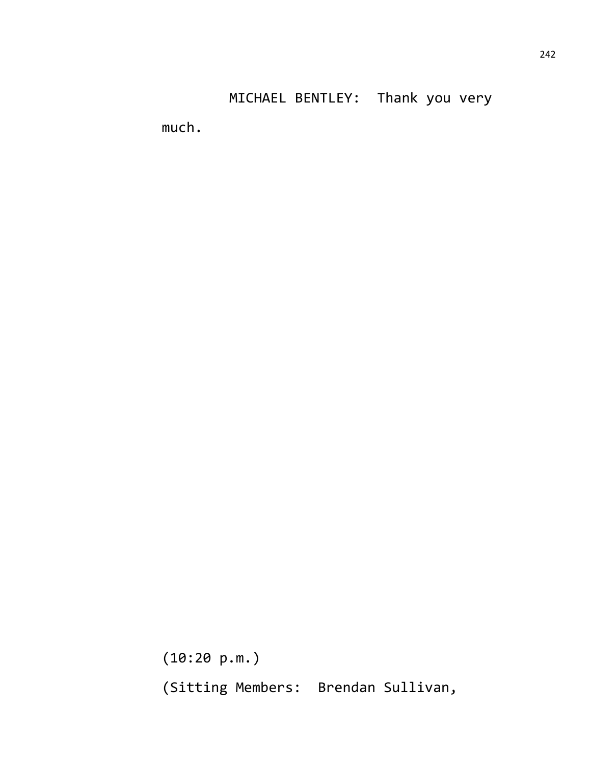much.

(10:20 p.m.) (Sitting Members: Brendan Sullivan,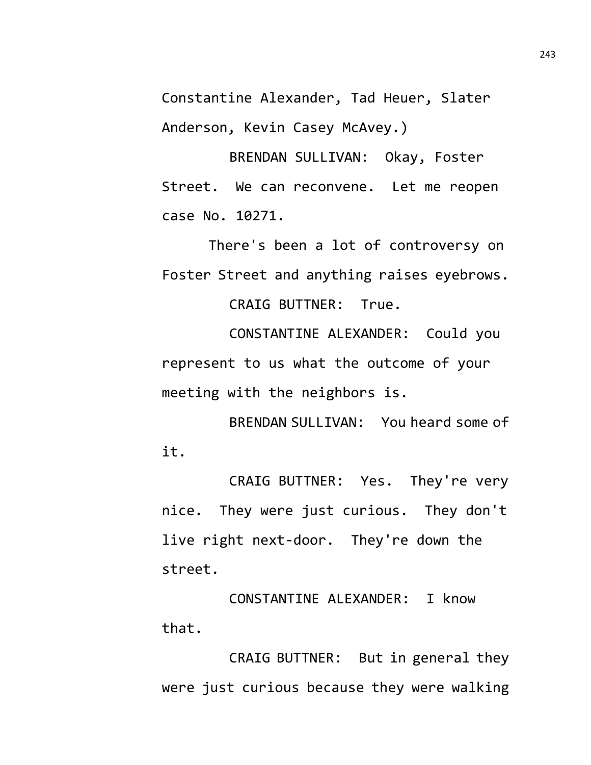Constantine Alexander, Tad Heuer, Slater Anderson, Kevin Casey McAvey.)

BRENDAN SULLIVAN: Okay, Foster Street. We can reconvene. Let me reopen case No. 10271.

There's been a lot of controversy on Foster Street and anything raises eyebrows.

CRAIG BUTTNER: True.

CONSTANTINE ALEXANDER: Could you represent to us what the outcome of your meeting with the neighbors is.

BRENDAN SULLIVAN: You heard some of it.

CRAIG BUTTNER: Yes. They're very nice. They were just curious. They don't live right next-door. They're down the street.

CONSTANTINE ALEXANDER: I know that.

CRAIG BUTTNER: But in general they were just curious because they were walking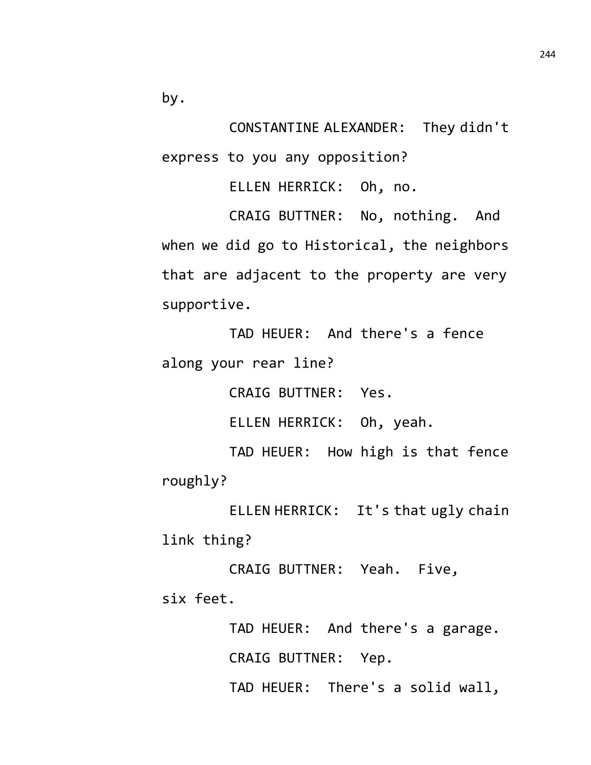by.

CONSTANTINE ALEXANDER: They didn't express to you any opposition?

ELLEN HERRICK: Oh, no.

CRAIG BUTTNER: No, nothing. And when we did go to Historical, the neighbors that are adjacent to the property are very supportive.

TAD HEUER: And there's a fence along your rear line?

CRAIG BUTTNER: Yes.

ELLEN HERRICK: Oh, yeah.

TAD HEUER: How high is that fence roughly?

ELLEN HERRICK: It's that ugly chain link thing?

CRAIG BUTTNER: Yeah. Five, six feet.

> TAD HEUER: And there's a garage. CRAIG BUTTNER: Yep. TAD HEUER: There's a solid wall,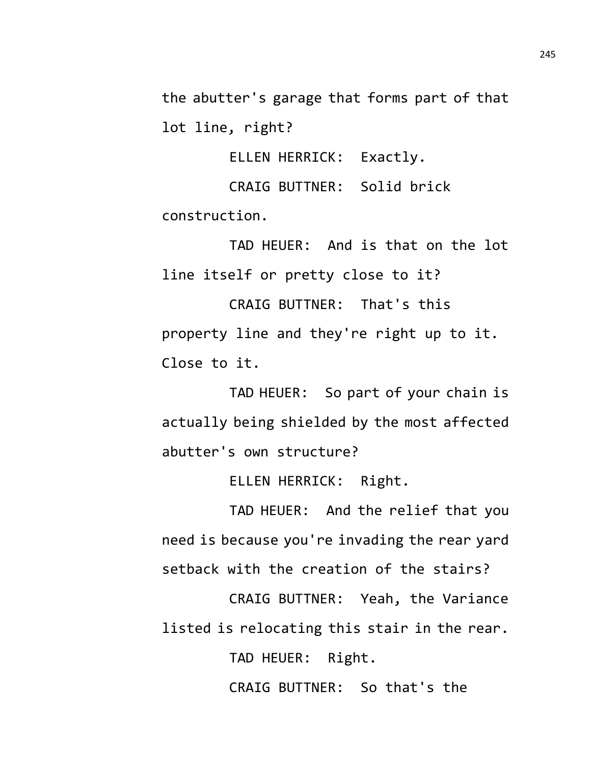the abutter's garage that forms part of that lot line, right?

ELLEN HERRICK: Exactly.

CRAIG BUTTNER: Solid brick construction.

TAD HEUER: And is that on the lot line itself or pretty close to it?

CRAIG BUTTNER: That's this property line and they're right up to it. Close to it.

TAD HEUER: So part of your chain is actually being shielded by the most affected abutter's own structure?

ELLEN HERRICK: Right.

TAD HEUER: And the relief that you need is because you're invading the rear yard setback with the creation of the stairs?

CRAIG BUTTNER: Yeah, the Variance listed is relocating this stair in the rear.

TAD HEUER: Right.

CRAIG BUTTNER: So that's the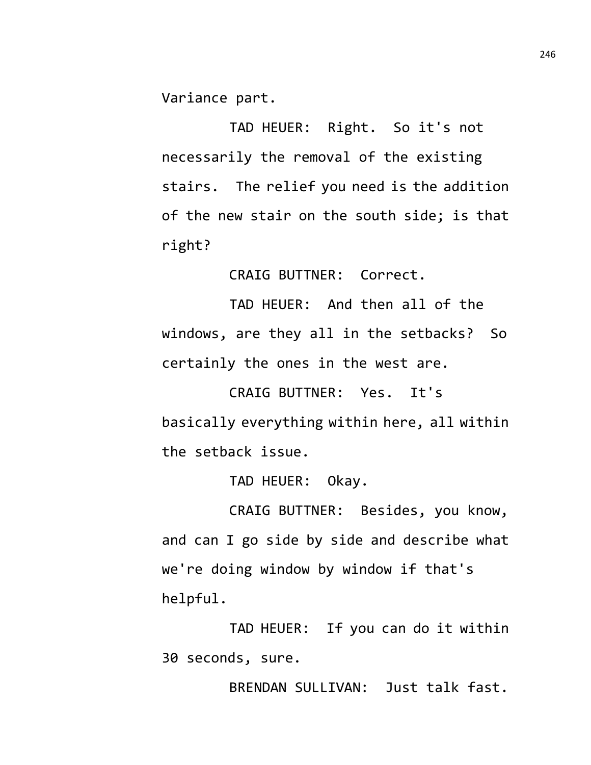Variance part.

TAD HEUER: Right. So it's not necessarily the removal of the existing stairs. The relief you need is the addition of the new stair on the south side; is that right?

CRAIG BUTTNER: Correct.

TAD HEUER: And then all of the windows, are they all in the setbacks? So certainly the ones in the west are.

CRAIG BUTTNER: Yes. It's basically everything within here, all within the setback issue.

TAD HEUER: Okay.

CRAIG BUTTNER: Besides, you know, and can I go side by side and describe what we're doing window by window if that's helpful.

TAD HEUER: If you can do it within 30 seconds, sure.

BRENDAN SULLIVAN: Just talk fast.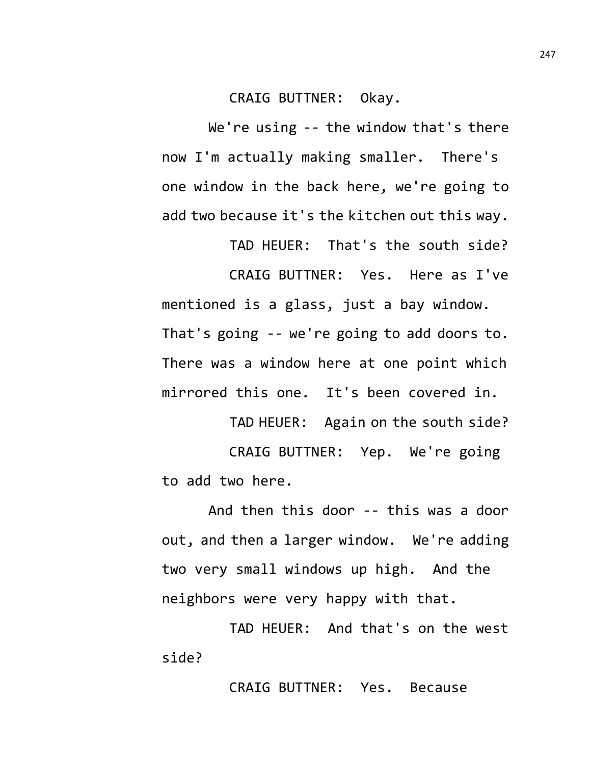## CRAIG BUTTNER: Okay.

We're using -- the window that's there now I'm actually making smaller. There's one window in the back here, we're going to add two because it's the kitchen out this way.

TAD HEUER: That's the south side? CRAIG BUTTNER: Yes. Here as I've mentioned is a glass, just a bay window. That's going -- we're going to add doors to. There was a window here at one point which mirrored this one. It's been covered in.

TAD HEUER: Again on the south side? CRAIG BUTTNER: Yep. We're going to add two here.

And then this door -- this was a door out, and then a larger window. We're adding two very small windows up high. And the neighbors were very happy with that.

TAD HEUER: And that's on the west side?

CRAIG BUTTNER: Yes. Because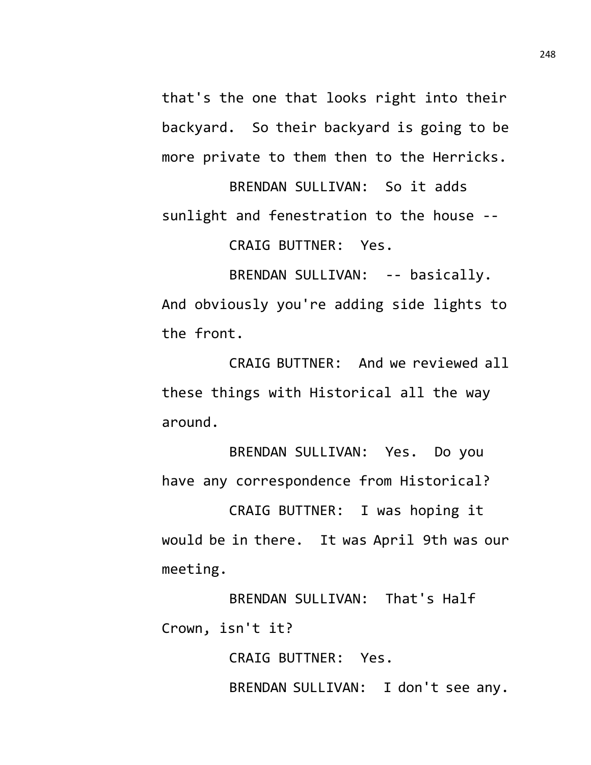that's the one that looks right into their backyard. So their backyard is going to be more private to them then to the Herricks.

BRENDAN SULLIVAN: So it adds sunlight and fenestration to the house -- CRAIG BUTTNER: Yes.

BRENDAN SULLIVAN: -- basically. And obviously you're adding side lights to the front.

CRAIG BUTTNER: And we reviewed all these things with Historical all the way around.

BRENDAN SULLIVAN: Yes. Do you have any correspondence from Historical?

CRAIG BUTTNER: I was hoping it would be in there. It was April 9th was our meeting.

BRENDAN SULLIVAN: That's Half Crown, isn't it?

> CRAIG BUTTNER: Yes. BRENDAN SULLIVAN: I don't see any.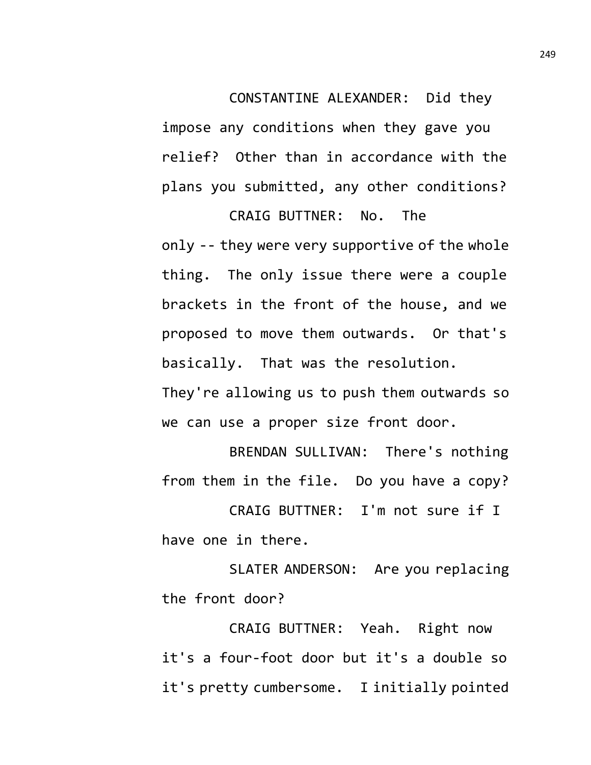CONSTANTINE ALEXANDER: Did they

impose any conditions when they gave you relief? Other than in accordance with the plans you submitted, any other conditions?

CRAIG BUTTNER: No. The only -- they were very supportive of the whole thing. The only issue there were a couple brackets in the front of the house, and we proposed to move them outwards. Or that's basically. That was the resolution.

They're allowing us to push them outwards so we can use a proper size front door.

BRENDAN SULLIVAN: There's nothing from them in the file. Do you have a copy?

CRAIG BUTTNER: I'm not sure if I have one in there.

SLATER ANDERSON: Are you replacing the front door?

CRAIG BUTTNER: Yeah. Right now it's a four-foot door but it's a double so it's pretty cumbersome. I initially pointed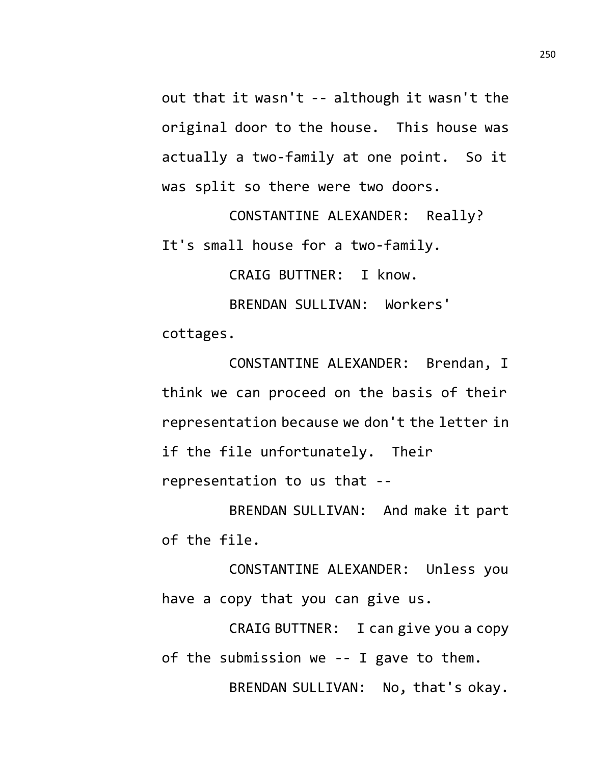out that it wasn't -- although it wasn't the original door to the house. This house was actually a two-family at one point. So it was split so there were two doors.

CONSTANTINE ALEXANDER: Really? It's small house for a two-family.

CRAIG BUTTNER: I know.

BRENDAN SULLIVAN: Workers' cottages.

CONSTANTINE ALEXANDER: Brendan, I think we can proceed on the basis of their representation because we don't the letter in if the file unfortunately. Their representation to us that --

BRENDAN SULLIVAN: And make it part of the file.

CONSTANTINE ALEXANDER: Unless you have a copy that you can give us.

CRAIG BUTTNER: I can give you a copy of the submission we -- I gave to them. BRENDAN SULLIVAN: No, that's okay.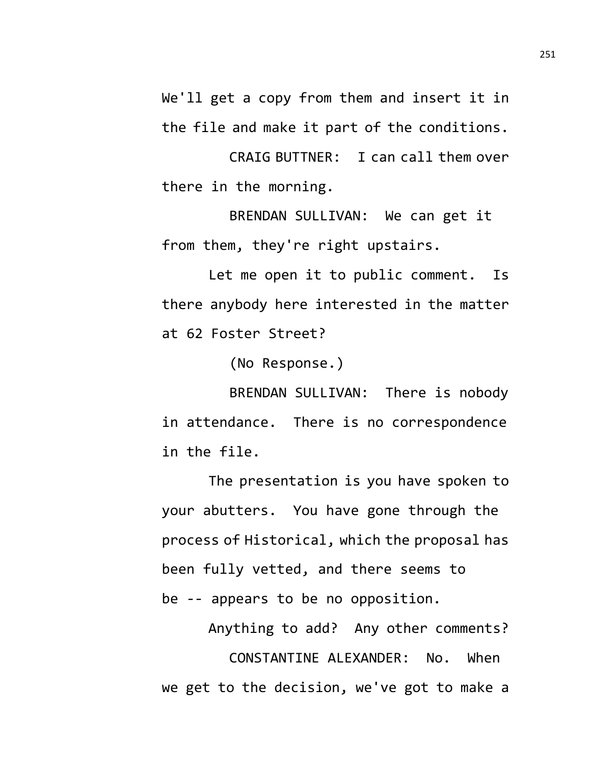We'll get a copy from them and insert it in the file and make it part of the conditions.

CRAIG BUTTNER: I can call them over there in the morning.

BRENDAN SULLIVAN: We can get it from them, they're right upstairs.

Let me open it to public comment. Is there anybody here interested in the matter at 62 Foster Street?

(No Response.)

BRENDAN SULLIVAN: There is nobody in attendance. There is no correspondence in the file.

The presentation is you have spoken to your abutters. You have gone through the process of Historical, which the proposal has been fully vetted, and there seems to be -- appears to be no opposition.

Anything to add? Any other comments?

CONSTANTINE ALEXANDER: No. When we get to the decision, we've got to make a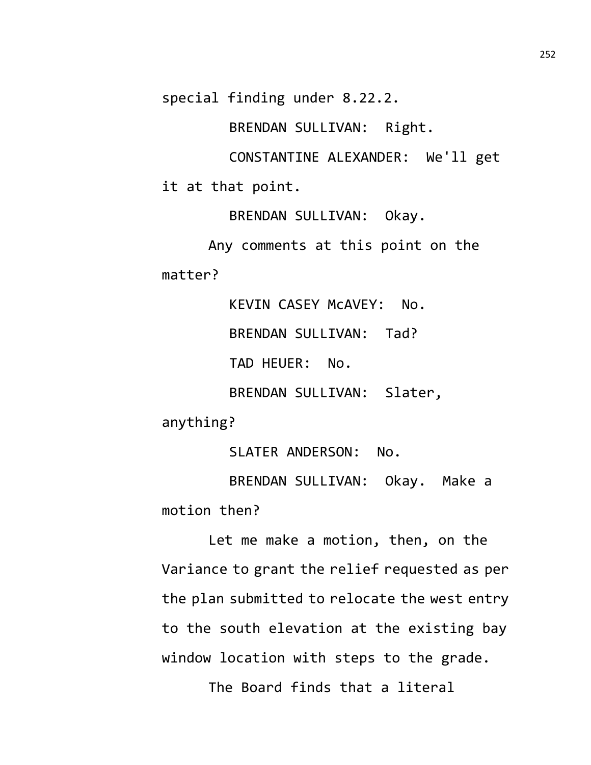special finding under 8.22.2.

BRENDAN SULLIVAN: Right.

CONSTANTINE ALEXANDER: We'll get it at that point.

BRENDAN SULLIVAN: Okay.

Any comments at this point on the matter?

> KEVIN CASEY McAVEY: No. BRENDAN SULLIVAN: Tad? TAD HEUER: No. BRENDAN SULLIVAN: Slater,

anything?

SLATER ANDERSON: No.

BRENDAN SULLIVAN: Okay. Make a motion then?

Let me make a motion, then, on the Variance to grant the relief requested as per the plan submitted to relocate the west entry to the south elevation at the existing bay window location with steps to the grade.

The Board finds that a literal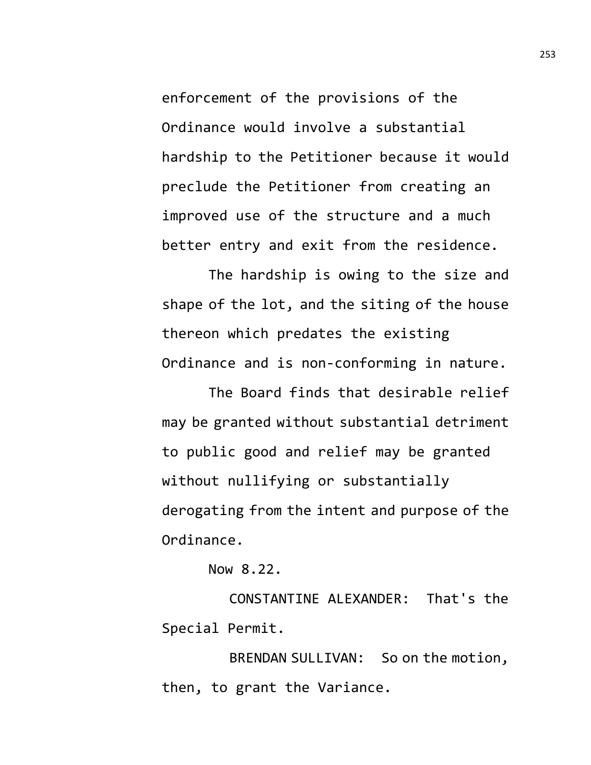enforcement of the provisions of the Ordinance would involve a substantial hardship to the Petitioner because it would preclude the Petitioner from creating an improved use of the structure and a much better entry and exit from the residence.

The hardship is owing to the size and shape of the lot, and the siting of the house thereon which predates the existing Ordinance and is non-conforming in nature.

The Board finds that desirable relief may be granted without substantial detriment to public good and relief may be granted without nullifying or substantially derogating from the intent and purpose of the Ordinance.

Now 8.22.

CONSTANTINE ALEXANDER: That's the Special Permit.

BRENDAN SULLIVAN: So on the motion, then, to grant the Variance.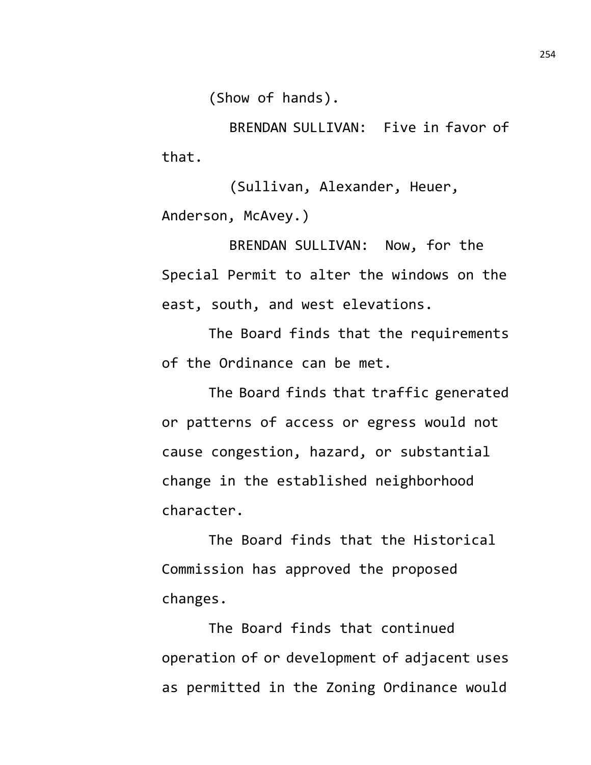(Show of hands).

BRENDAN SULLIVAN: Five in favor of that.

(Sullivan, Alexander, Heuer, Anderson, McAvey.)

BRENDAN SULLIVAN: Now, for the Special Permit to alter the windows on the east, south, and west elevations.

The Board finds that the requirements of the Ordinance can be met.

The Board finds that traffic generated or patterns of access or egress would not cause congestion, hazard, or substantial change in the established neighborhood character.

The Board finds that the Historical Commission has approved the proposed changes.

The Board finds that continued operation of or development of adjacent uses as permitted in the Zoning Ordinance would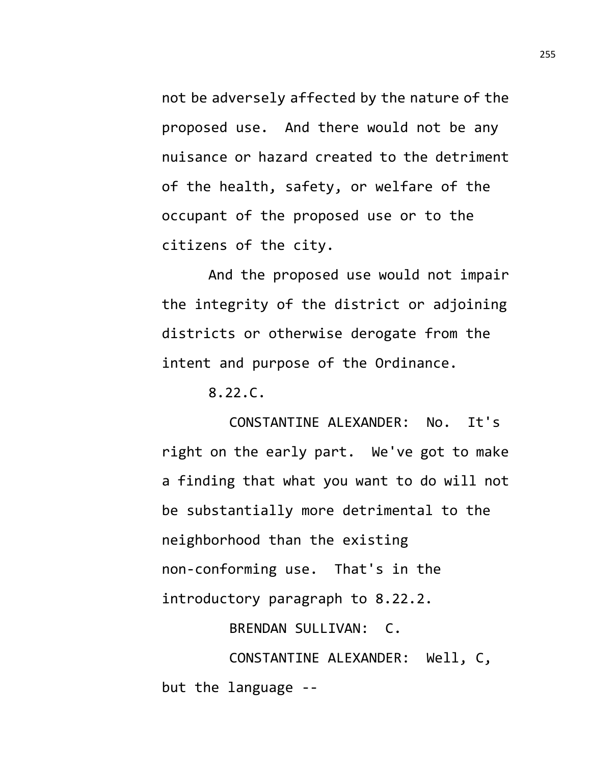not be adversely affected by the nature of the proposed use. And there would not be any nuisance or hazard created to the detriment of the health, safety, or welfare of the occupant of the proposed use or to the citizens of the city.

And the proposed use would not impair the integrity of the district or adjoining districts or otherwise derogate from the intent and purpose of the Ordinance.

8.22.C.

CONSTANTINE ALEXANDER: No. It's right on the early part. We've got to make a finding that what you want to do will not be substantially more detrimental to the neighborhood than the existing non-conforming use. That's in the introductory paragraph to 8.22.2.

BRENDAN SULLIVAN: C.

CONSTANTINE ALEXANDER: Well, C, but the language --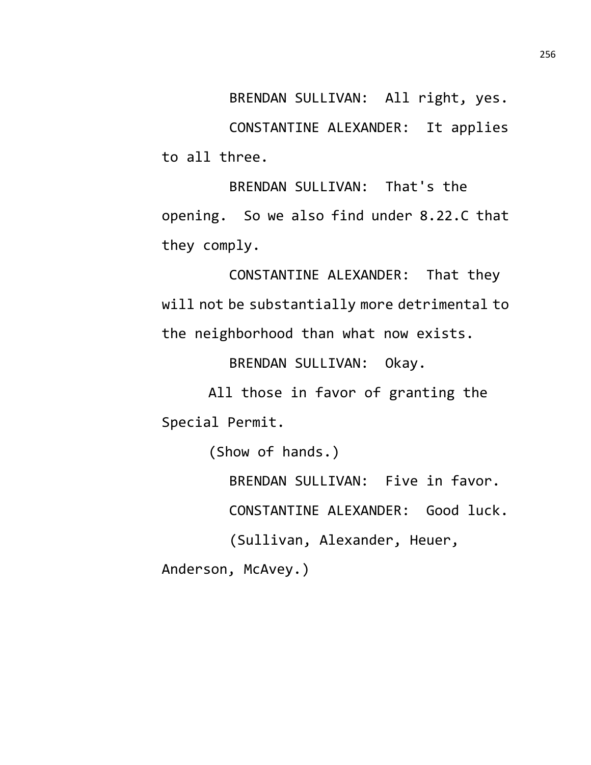BRENDAN SULLIVAN: All right, yes. CONSTANTINE ALEXANDER: It applies to all three.

BRENDAN SULLIVAN: That's the opening. So we also find under 8.22.C that they comply.

CONSTANTINE ALEXANDER: That they will not be substantially more detrimental to the neighborhood than what now exists.

BRENDAN SULLIVAN: Okay.

All those in favor of granting the Special Permit.

(Show of hands.)

BRENDAN SULLIVAN: Five in favor.

CONSTANTINE ALEXANDER: Good luck.

(Sullivan, Alexander, Heuer,

Anderson, McAvey.)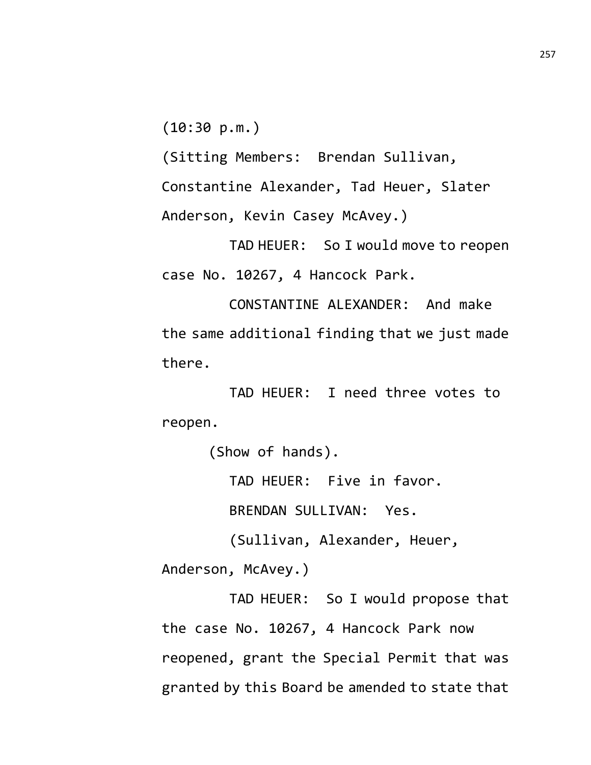(10:30 p.m.)

(Sitting Members: Brendan Sullivan, Constantine Alexander, Tad Heuer, Slater Anderson, Kevin Casey McAvey.)

TAD HEUER: So I would move to reopen case No. 10267, 4 Hancock Park.

CONSTANTINE ALEXANDER: And make the same additional finding that we just made there.

TAD HEUER: I need three votes to reopen.

(Show of hands).

TAD HEUER: Five in favor.

BRENDAN SULLIVAN: Yes.

(Sullivan, Alexander, Heuer,

Anderson, McAvey.)

TAD HEUER: So I would propose that the case No. 10267, 4 Hancock Park now reopened, grant the Special Permit that was granted by this Board be amended to state that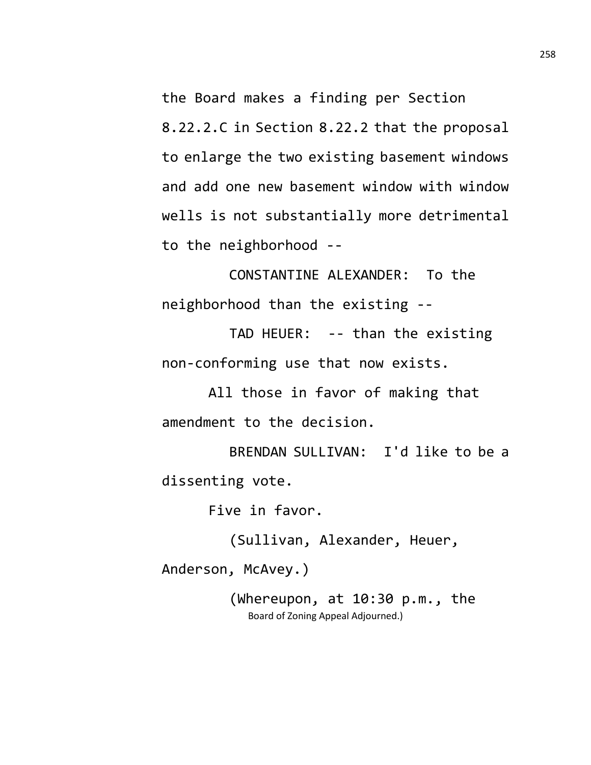the Board makes a finding per Section 8.22.2.C in Section 8.22.2 that the proposal to enlarge the two existing basement windows and add one new basement window with window wells is not substantially more detrimental to the neighborhood --

CONSTANTINE ALEXANDER: To the neighborhood than the existing --

TAD HEUER: -- than the existing non-conforming use that now exists.

All those in favor of making that amendment to the decision.

BRENDAN SULLIVAN: I'd like to be a dissenting vote.

Five in favor.

(Sullivan, Alexander, Heuer,

Anderson, McAvey.)

(Whereupon, at 10:30 p.m., the Board of Zoning Appeal Adjourned.)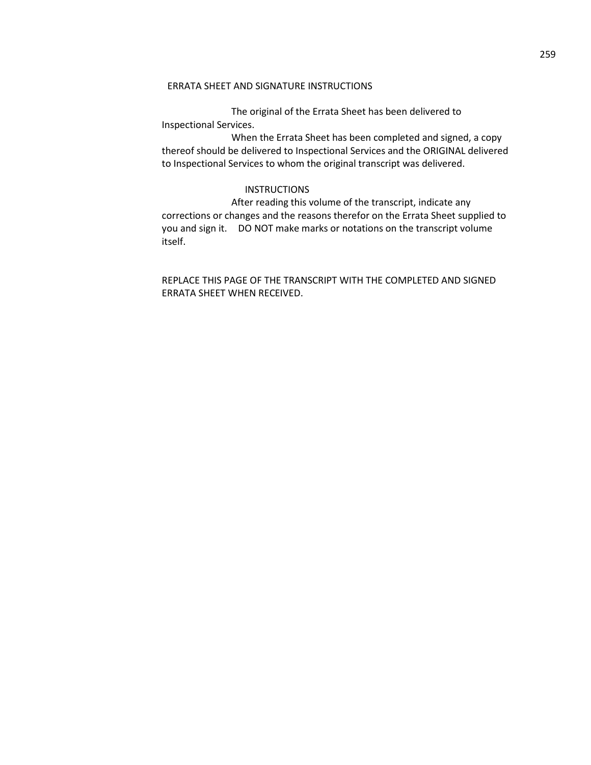### ERRATA SHEET AND SIGNATURE INSTRUCTIONS

The original of the Errata Sheet has been delivered to Inspectional Services.

When the Errata Sheet has been completed and signed, a copy thereof should be delivered to Inspectional Services and the ORIGINAL delivered to Inspectional Services to whom the original transcript was delivered.

#### **INSTRUCTIONS**

After reading this volume of the transcript, indicate any corrections or changes and the reasons therefor on the Errata Sheet supplied to you and sign it. DO NOT make marks or notations on the transcript volume itself.

# REPLACE THIS PAGE OF THE TRANSCRIPT WITH THE COMPLETED AND SIGNED ERRATA SHEET WHEN RECEIVED.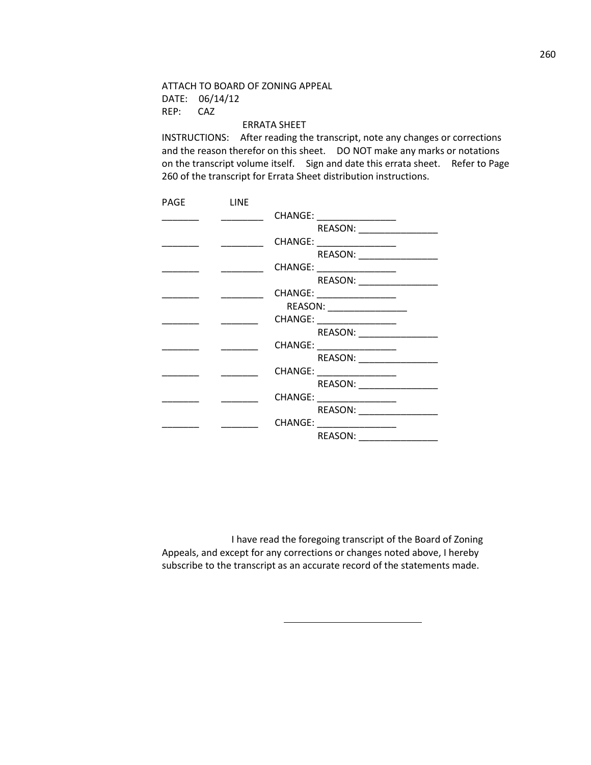ATTACH TO BOARD OF ZONING APPEAL DATE: 06/14/12 REP: CAZ

#### ERRATA SHEET

INSTRUCTIONS: After reading the transcript, note any changes or corrections and the reason therefor on this sheet. DO NOT make any marks or notations on the transcript volume itself. Sign and date this errata sheet. Refer to Page 260 of the transcript for Errata Sheet distribution instructions.

| PAGE | <b>LINE</b> |                            |
|------|-------------|----------------------------|
|      |             | CHANGE: _________________  |
|      |             | REASON:                    |
|      |             | CHANGE: __________________ |
|      |             | REASON:                    |
|      |             | CHANGE: __________________ |
|      |             | REASON:                    |
|      |             | CHANGE: __________________ |
|      |             | REASON: _________________  |
|      |             | CHANGE: __________________ |
|      |             | REASON:                    |
|      |             | CHANGE: _______________    |
|      |             | REASON:                    |
|      |             | CHANGE: ______________     |
|      |             |                            |
|      |             |                            |
|      |             | REASON: ________           |
|      |             | CHANGE: _____________      |
|      |             | REASON:                    |
|      |             |                            |

I have read the foregoing transcript of the Board of Zoning Appeals, and except for any corrections or changes noted above, I hereby subscribe to the transcript as an accurate record of the statements made.